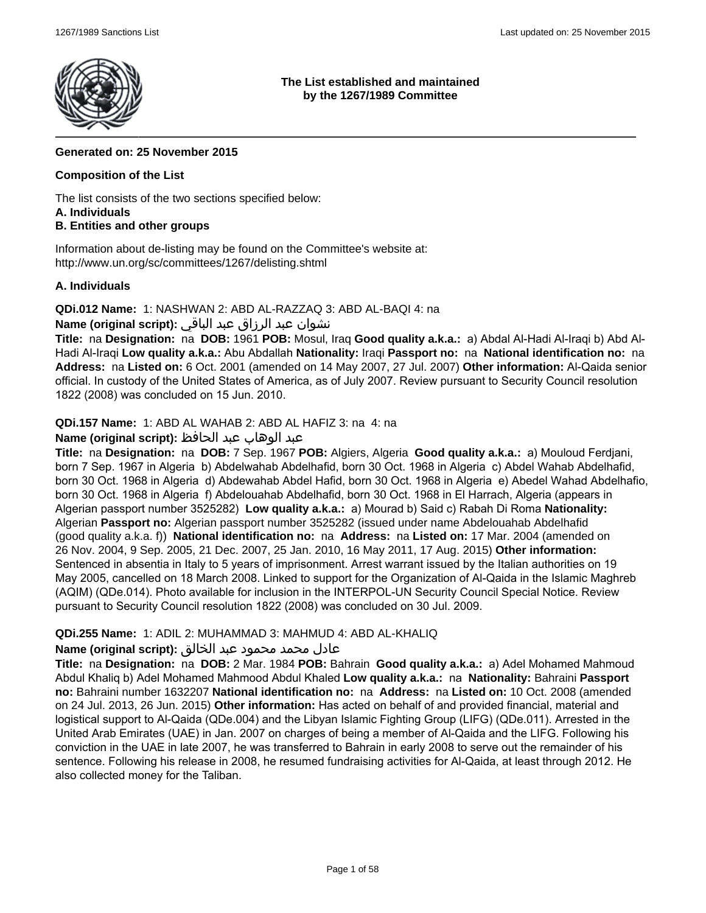

### **The List established and maintained by the 1267/1989 Committee**

## **Generated on: 25 November 2015**

## **Composition of the List**

The list consists of the two sections specified below:

### **A. Individuals**

## **B. Entities and other groups**

Information about de-listing may be found on the Committee's website at: http://www.un.org/sc/committees/1267/delisting.shtml

## **A. Individuals**

**QDi.012 Name:** 1: NASHWAN 2: ABD AL-RAZZAQ 3: ABD AL-BAQI 4: na

## نشوان عبد الرزاق عبد الباقي **:(script original (Name**

**Title:** na **Designation:** na **DOB:** 1961 **POB:** Mosul, Iraq **Good quality a.k.a.:** a) Abdal Al-Hadi Al-Iraqi b) Abd Al-Hadi Al-Iraqi **Low quality a.k.a.:** Abu Abdallah **Nationality:** Iraqi **Passport no:** na **National identification no:** na **Address:** na **Listed on:** 6 Oct. 2001 (amended on 14 May 2007, 27 Jul. 2007) **Other information:** Al-Qaida senior official. In custody of the United States of America, as of July 2007. Review pursuant to Security Council resolution 1822 (2008) was concluded on 15 Jun. 2010.

**QDi.157 Name:** 1: ABD AL WAHAB 2: ABD AL HAFIZ 3: na 4: na

## عبد الوهاب عبد الحافظ **:(script original (Name**

**Title:** na **Designation:** na **DOB:** 7 Sep. 1967 **POB:** Algiers, Algeria **Good quality a.k.a.:** a) Mouloud Ferdjani, born 7 Sep. 1967 in Algeria b) Abdelwahab Abdelhafid, born 30 Oct. 1968 in Algeria c) Abdel Wahab Abdelhafid, born 30 Oct. 1968 in Algeria d) Abdewahab Abdel Hafid, born 30 Oct. 1968 in Algeria e) Abedel Wahad Abdelhafio, born 30 Oct. 1968 in Algeria f) Abdelouahab Abdelhafid, born 30 Oct. 1968 in El Harrach, Algeria (appears in Algerian passport number 3525282) **Low quality a.k.a.:** a) Mourad b) Said c) Rabah Di Roma **Nationality:** Algerian **Passport no:** Algerian passport number 3525282 (issued under name Abdelouahab Abdelhafid (good quality a.k.a. f)) **National identification no:** na **Address:** na **Listed on:** 17 Mar. 2004 (amended on 26 Nov. 2004, 9 Sep. 2005, 21 Dec. 2007, 25 Jan. 2010, 16 May 2011, 17 Aug. 2015) **Other information:** Sentenced in absentia in Italy to 5 years of imprisonment. Arrest warrant issued by the Italian authorities on 19 May 2005, cancelled on 18 March 2008. Linked to support for the Organization of Al-Qaida in the Islamic Maghreb (AQIM) (QDe.014). Photo available for inclusion in the INTERPOL-UN Security Council Special Notice. Review pursuant to Security Council resolution 1822 (2008) was concluded on 30 Jul. 2009.

## **QDi.255 Name:** 1: ADIL 2: MUHAMMAD 3: MAHMUD 4: ABD AL-KHALIQ

## عادل محمد محمود عبد الخالق **:(script original (Name**

**Title:** na **Designation:** na **DOB:** 2 Mar. 1984 **POB:** Bahrain **Good quality a.k.a.:** a) Adel Mohamed Mahmoud Abdul Khaliq b) Adel Mohamed Mahmood Abdul Khaled **Low quality a.k.a.:** na **Nationality:** Bahraini **Passport no:** Bahraini number 1632207 **National identification no:** na **Address:** na **Listed on:** 10 Oct. 2008 (amended on 24 Jul. 2013, 26 Jun. 2015) **Other information:** Has acted on behalf of and provided financial, material and logistical support to Al-Qaida (QDe.004) and the Libyan Islamic Fighting Group (LIFG) (QDe.011). Arrested in the United Arab Emirates (UAE) in Jan. 2007 on charges of being a member of Al-Qaida and the LIFG. Following his conviction in the UAE in late 2007, he was transferred to Bahrain in early 2008 to serve out the remainder of his sentence. Following his release in 2008, he resumed fundraising activities for Al-Qaida, at least through 2012. He also collected money for the Taliban.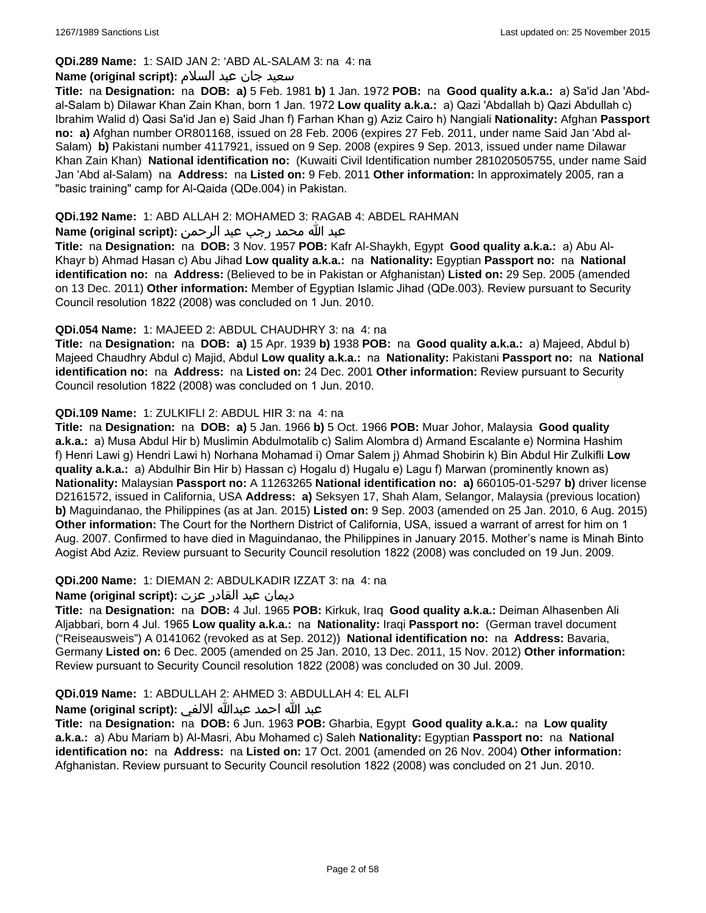## **QDi.289 Name:** 1: SAID JAN 2: 'ABD AL-SALAM 3: na 4: na

### سعید جان عبد السلام **:(script original (Name**

**Title:** na **Designation:** na **DOB: a)** 5 Feb. 1981 **b)** 1 Jan. 1972 **POB:** na **Good quality a.k.a.:** a) Sa'id Jan 'Abdal-Salam b) Dilawar Khan Zain Khan, born 1 Jan. 1972 **Low quality a.k.a.:** a) Qazi 'Abdallah b) Qazi Abdullah c) Ibrahim Walid d) Qasi Sa'id Jan e) Said Jhan f) Farhan Khan g) Aziz Cairo h) Nangiali **Nationality:** Afghan **Passport no: a)** Afghan number OR801168, issued on 28 Feb. 2006 (expires 27 Feb. 2011, under name Said Jan 'Abd al-Salam) **b)** Pakistani number 4117921, issued on 9 Sep. 2008 (expires 9 Sep. 2013, issued under name Dilawar Khan Zain Khan) **National identification no:** (Kuwaiti Civil Identification number 281020505755, under name Said Jan 'Abd al-Salam) na **Address:** na **Listed on:** 9 Feb. 2011 **Other information:** In approximately 2005, ran a "basic training" camp for Al-Qaida (QDe.004) in Pakistan.

### **QDi.192 Name:** 1: ABD ALLAH 2: MOHAMED 3: RAGAB 4: ABDEL RAHMAN

## عبد الله محمد رجب عبد الرحمن **:(script original (Name**

**Title:** na **Designation:** na **DOB:** 3 Nov. 1957 **POB:** Kafr Al-Shaykh, Egypt **Good quality a.k.a.:** a) Abu Al-Khayr b) Ahmad Hasan c) Abu Jihad **Low quality a.k.a.:** na **Nationality:** Egyptian **Passport no:** na **National identification no:** na **Address:** (Believed to be in Pakistan or Afghanistan) **Listed on:** 29 Sep. 2005 (amended on 13 Dec. 2011) **Other information:** Member of Egyptian Islamic Jihad (QDe.003). Review pursuant to Security Council resolution 1822 (2008) was concluded on 1 Jun. 2010.

### **QDi.054 Name:** 1: MAJEED 2: ABDUL CHAUDHRY 3: na 4: na

**Title:** na **Designation:** na **DOB: a)** 15 Apr. 1939 **b)** 1938 **POB:** na **Good quality a.k.a.:** a) Majeed, Abdul b) Majeed Chaudhry Abdul c) Majid, Abdul **Low quality a.k.a.:** na **Nationality:** Pakistani **Passport no:** na **National identification no:** na **Address:** na **Listed on:** 24 Dec. 2001 **Other information:** Review pursuant to Security Council resolution 1822 (2008) was concluded on 1 Jun. 2010.

### **QDi.109 Name:** 1: ZULKIFLI 2: ABDUL HIR 3: na 4: na

**Title:** na **Designation:** na **DOB: a)** 5 Jan. 1966 **b)** 5 Oct. 1966 **POB:** Muar Johor, Malaysia **Good quality a.k.a.:** a) Musa Abdul Hir b) Muslimin Abdulmotalib c) Salim Alombra d) Armand Escalante e) Normina Hashim f) Henri Lawi g) Hendri Lawi h) Norhana Mohamad i) Omar Salem j) Ahmad Shobirin k) Bin Abdul Hir Zulkifli **Low quality a.k.a.:** a) Abdulhir Bin Hir b) Hassan c) Hogalu d) Hugalu e) Lagu f) Marwan (prominently known as) **Nationality:** Malaysian **Passport no:** A 11263265 **National identification no: a)** 660105-01-5297 **b)** driver license D2161572, issued in California, USA **Address: a)** Seksyen 17, Shah Alam, Selangor, Malaysia (previous location) **b)** Maguindanao, the Philippines (as at Jan. 2015) **Listed on:** 9 Sep. 2003 (amended on 25 Jan. 2010, 6 Aug. 2015) **Other information:** The Court for the Northern District of California, USA, issued a warrant of arrest for him on 1 Aug. 2007. Confirmed to have died in Maguindanao, the Philippines in January 2015. Mother's name is Minah Binto Aogist Abd Aziz. Review pursuant to Security Council resolution 1822 (2008) was concluded on 19 Jun. 2009.

#### **QDi.200 Name:** 1: DIEMAN 2: ABDULKADIR IZZAT 3: na 4: na

## ديمان عبد القادر عزت **:(script original (Name**

**Title:** na **Designation:** na **DOB:** 4 Jul. 1965 **POB:** Kirkuk, Iraq **Good quality a.k.a.:** Deiman Alhasenben Ali Aljabbari, born 4 Jul. 1965 **Low quality a.k.a.:** na **Nationality:** Iraqi **Passport no:** (German travel document ("Reiseausweis") A 0141062 (revoked as at Sep. 2012)) **National identification no:** na **Address:** Bavaria, Germany **Listed on:** 6 Dec. 2005 (amended on 25 Jan. 2010, 13 Dec. 2011, 15 Nov. 2012) **Other information:** Review pursuant to Security Council resolution 1822 (2008) was concluded on 30 Jul. 2009.

## **QDi.019 Name:** 1: ABDULLAH 2: AHMED 3: ABDULLAH 4: EL ALFI

## عبد الله احمد عبدالله الالفي **:(script original (Name**

**Title:** na **Designation:** na **DOB:** 6 Jun. 1963 **POB:** Gharbia, Egypt **Good quality a.k.a.:** na **Low quality a.k.a.:** a) Abu Mariam b) Al-Masri, Abu Mohamed c) Saleh **Nationality:** Egyptian **Passport no:** na **National identification no:** na **Address:** na **Listed on:** 17 Oct. 2001 (amended on 26 Nov. 2004) **Other information:** Afghanistan. Review pursuant to Security Council resolution 1822 (2008) was concluded on 21 Jun. 2010.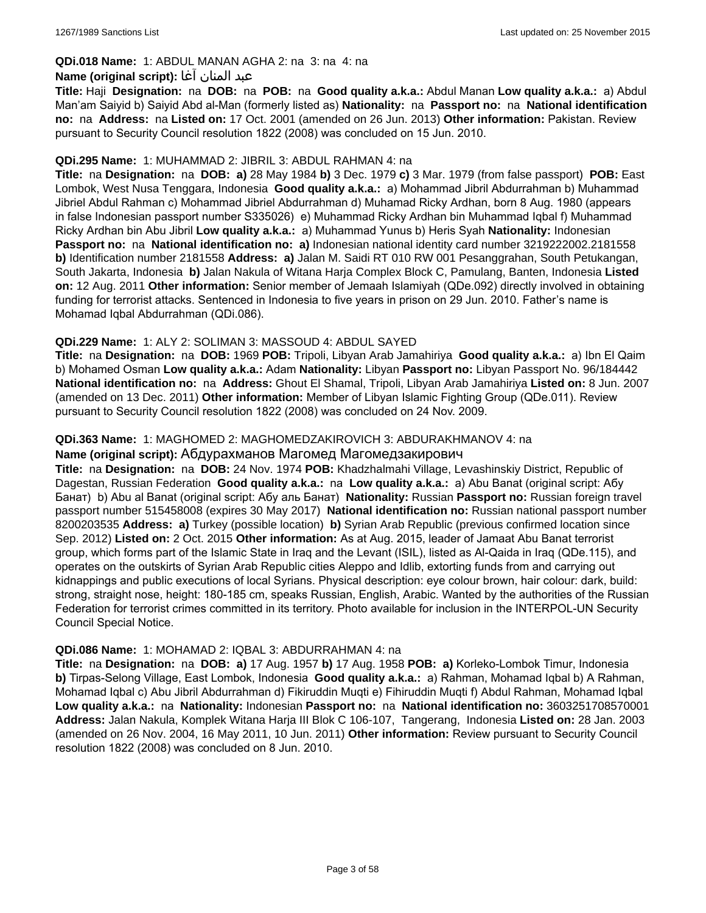## **QDi.018 Name:** 1: ABDUL MANAN AGHA 2: na 3: na 4: na

### عبد المنان آغا **:(script original (Name**

**Title:** Haji **Designation:** na **DOB:** na **POB:** na **Good quality a.k.a.:** Abdul Manan **Low quality a.k.a.:** a) Abdul Man'am Saiyid b) Saiyid Abd al-Man (formerly listed as) **Nationality:** na **Passport no:** na **National identification no:** na **Address:** na **Listed on:** 17 Oct. 2001 (amended on 26 Jun. 2013) **Other information:** Pakistan. Review pursuant to Security Council resolution 1822 (2008) was concluded on 15 Jun. 2010.

### **QDi.295 Name:** 1: MUHAMMAD 2: JIBRIL 3: ABDUL RAHMAN 4: na

**Title:** na **Designation:** na **DOB: a)** 28 May 1984 **b)** 3 Dec. 1979 **c)** 3 Mar. 1979 (from false passport) **POB:** East Lombok, West Nusa Tenggara, Indonesia **Good quality a.k.a.:** a) Mohammad Jibril Abdurrahman b) Muhammad Jibriel Abdul Rahman c) Mohammad Jibriel Abdurrahman d) Muhamad Ricky Ardhan, born 8 Aug. 1980 (appears in false Indonesian passport number S335026) e) Muhammad Ricky Ardhan bin Muhammad Iqbal f) Muhammad Ricky Ardhan bin Abu Jibril **Low quality a.k.a.:** a) Muhammad Yunus b) Heris Syah **Nationality:** Indonesian **Passport no:** na **National identification no: a)** Indonesian national identity card number 3219222002.2181558 **b)** Identification number 2181558 **Address: a)** Jalan M. Saidi RT 010 RW 001 Pesanggrahan, South Petukangan, South Jakarta, Indonesia **b)** Jalan Nakula of Witana Harja Complex Block C, Pamulang, Banten, Indonesia **Listed on:** 12 Aug. 2011 **Other information:** Senior member of Jemaah Islamiyah (QDe.092) directly involved in obtaining funding for terrorist attacks. Sentenced in Indonesia to five years in prison on 29 Jun. 2010. Father's name is Mohamad Iqbal Abdurrahman (QDi.086).

## **QDi.229 Name:** 1: ALY 2: SOLIMAN 3: MASSOUD 4: ABDUL SAYED

**Title:** na **Designation:** na **DOB:** 1969 **POB:** Tripoli, Libyan Arab Jamahiriya **Good quality a.k.a.:** a) Ibn El Qaim b) Mohamed Osman **Low quality a.k.a.:** Adam **Nationality:** Libyan **Passport no:** Libyan Passport No. 96/184442 **National identification no:** na **Address:** Ghout El Shamal, Tripoli, Libyan Arab Jamahiriya **Listed on:** 8 Jun. 2007 (amended on 13 Dec. 2011) **Other information:** Member of Libyan Islamic Fighting Group (QDe.011). Review pursuant to Security Council resolution 1822 (2008) was concluded on 24 Nov. 2009.

### **QDi.363 Name:** 1: MAGHOMED 2: MAGHOMEDZAKIROVICH 3: ABDURAKHMANOV 4: na

### **Name (original script):** Абдурахманов Магомед Магомедзакирович

**Title:** na **Designation:** na **DOB:** 24 Nov. 1974 **POB:** Khadzhalmahi Village, Levashinskiy District, Republic of Dagestan, Russian Federation **Good quality a.k.a.:** na **Low quality a.k.a.:** a) Abu Banat (original script: Абу Банат) b) Abu al Banat (original script: Абу аль Банат) **Nationality:** Russian **Passport no:** Russian foreign travel passport number 515458008 (expires 30 May 2017) **National identification no:** Russian national passport number 8200203535 **Address: a)** Turkey (possible location) **b)** Syrian Arab Republic (previous confirmed location since Sep. 2012) **Listed on:** 2 Oct. 2015 **Other information:** As at Aug. 2015, leader of Jamaat Abu Banat terrorist group, which forms part of the Islamic State in Iraq and the Levant (ISIL), listed as Al-Qaida in Iraq (QDe.115), and operates on the outskirts of Syrian Arab Republic cities Aleppo and Idlib, extorting funds from and carrying out kidnappings and public executions of local Syrians. Physical description: eye colour brown, hair colour: dark, build: strong, straight nose, height: 180-185 cm, speaks Russian, English, Arabic. Wanted by the authorities of the Russian Federation for terrorist crimes committed in its territory. Photo available for inclusion in the INTERPOL-UN Security Council Special Notice.

#### **QDi.086 Name:** 1: MOHAMAD 2: IQBAL 3: ABDURRAHMAN 4: na

**Title:** na **Designation:** na **DOB: a)** 17 Aug. 1957 **b)** 17 Aug. 1958 **POB: a)** Korleko-Lombok Timur, Indonesia **b)** Tirpas-Selong Village, East Lombok, Indonesia **Good quality a.k.a.:** a) Rahman, Mohamad Iqbal b) A Rahman, Mohamad Iqbal c) Abu Jibril Abdurrahman d) Fikiruddin Muqti e) Fihiruddin Muqti f) Abdul Rahman, Mohamad Iqbal **Low quality a.k.a.:** na **Nationality:** Indonesian **Passport no:** na **National identification no:** 3603251708570001 **Address:** Jalan Nakula, Komplek Witana Harja III Blok C 106-107, Tangerang, Indonesia **Listed on:** 28 Jan. 2003 (amended on 26 Nov. 2004, 16 May 2011, 10 Jun. 2011) **Other information:** Review pursuant to Security Council resolution 1822 (2008) was concluded on 8 Jun. 2010.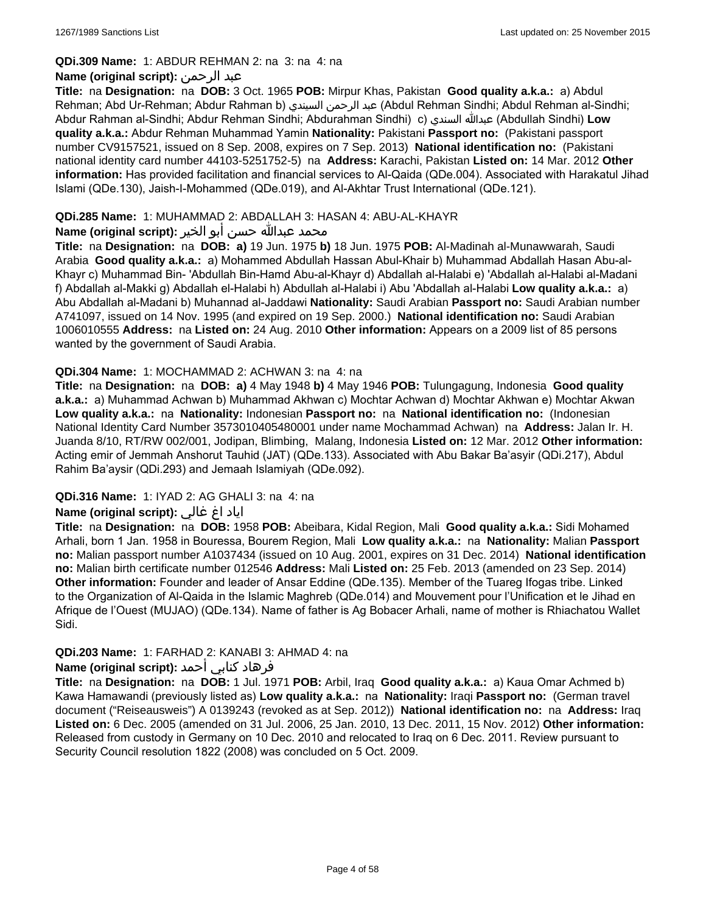#### **QDi.309 Name:** 1: ABDUR REHMAN 2: na 3: na 4: na

## **Name (original script):** الرحمن عبد

**Title:** na **Designation:** na **DOB:** 3 Oct. 1965 **POB:** Mirpur Khas, Pakistan **Good quality a.k.a.:** a) Abdul Rehman; Abd Ur-Rehman; Abdur Rahman b) السيندي الرحمن عبد) Abdul Rehman Sindhi; Abdul Rehman al-Sindhi; Abdur Rahman al-Sindhi; Abdur Rehman Sindhi; Abdurahman Sindhi) c) السندي عبدالله) Abdullah Sindhi) **Low quality a.k.a.:** Abdur Rehman Muhammad Yamin **Nationality:** Pakistani **Passport no:** (Pakistani passport number CV9157521, issued on 8 Sep. 2008, expires on 7 Sep. 2013) **National identification no:** (Pakistani national identity card number 44103-5251752-5) na **Address:** Karachi, Pakistan **Listed on:** 14 Mar. 2012 **Other information:** Has provided facilitation and financial services to Al-Qaida (QDe.004). Associated with Harakatul Jihad Islami (QDe.130), Jaish-I-Mohammed (QDe.019), and Al-Akhtar Trust International (QDe.121).

### **QDi.285 Name:** 1: MUHAMMAD 2: ABDALLAH 3: HASAN 4: ABU-AL-KHAYR

## محمد عبدالله حسن أبو الخير **:Name (original script**)

**Title:** na **Designation:** na **DOB: a)** 19 Jun. 1975 **b)** 18 Jun. 1975 **POB:** Al-Madinah al-Munawwarah, Saudi Arabia **Good quality a.k.a.:** a) Mohammed Abdullah Hassan Abul-Khair b) Muhammad Abdallah Hasan Abu-al-Khayr c) Muhammad Bin- 'Abdullah Bin-Hamd Abu-al-Khayr d) Abdallah al-Halabi e) 'Abdallah al-Halabi al-Madani f) Abdallah al-Makki g) Abdallah el-Halabi h) Abdullah al-Halabi i) Abu 'Abdallah al-Halabi **Low quality a.k.a.:** a) Abu Abdallah al-Madani b) Muhannad al-Jaddawi **Nationality:** Saudi Arabian **Passport no:** Saudi Arabian number A741097, issued on 14 Nov. 1995 (and expired on 19 Sep. 2000.) **National identification no:** Saudi Arabian 1006010555 **Address:** na **Listed on:** 24 Aug. 2010 **Other information:** Appears on a 2009 list of 85 persons wanted by the government of Saudi Arabia.

### **QDi.304 Name:** 1: MOCHAMMAD 2: ACHWAN 3: na 4: na

**Title:** na **Designation:** na **DOB: a)** 4 May 1948 **b)** 4 May 1946 **POB:** Tulungagung, Indonesia **Good quality a.k.a.:** a) Muhammad Achwan b) Muhammad Akhwan c) Mochtar Achwan d) Mochtar Akhwan e) Mochtar Akwan **Low quality a.k.a.:** na **Nationality:** Indonesian **Passport no:** na **National identification no:** (Indonesian National Identity Card Number 3573010405480001 under name Mochammad Achwan) na **Address:** Jalan Ir. H. Juanda 8/10, RT/RW 002/001, Jodipan, Blimbing, Malang, Indonesia **Listed on:** 12 Mar. 2012 **Other information:** Acting emir of Jemmah Anshorut Tauhid (JAT) (QDe.133). Associated with Abu Bakar Ba'asyir (QDi.217), Abdul Rahim Ba'aysir (QDi.293) and Jemaah Islamiyah (QDe.092).

## **QDi.316 Name:** 1: IYAD 2: AG GHALI 3: na 4: na

## اياد اغ غالي **:(script original (Name**

**Title:** na **Designation:** na **DOB:** 1958 **POB:** Abeibara, Kidal Region, Mali **Good quality a.k.a.:** Sidi Mohamed Arhali, born 1 Jan. 1958 in Bouressa, Bourem Region, Mali **Low quality a.k.a.:** na **Nationality:** Malian **Passport no:** Malian passport number A1037434 (issued on 10 Aug. 2001, expires on 31 Dec. 2014) **National identification no:** Malian birth certificate number 012546 **Address:** Mali **Listed on:** 25 Feb. 2013 (amended on 23 Sep. 2014) **Other information:** Founder and leader of Ansar Eddine (QDe.135). Member of the Tuareg Ifogas tribe. Linked to the Organization of Al-Qaida in the Islamic Maghreb (QDe.014) and Mouvement pour l'Unification et le Jihad en Afrique de l'Ouest (MUJAO) (QDe.134). Name of father is Ag Bobacer Arhali, name of mother is Rhiachatou Wallet Sidi.

## **QDi.203 Name:** 1: FARHAD 2: KANABI 3: AHMAD 4: na

## فرهاد كنابي أحمد **:Name (original script)**

**Title:** na **Designation:** na **DOB:** 1 Jul. 1971 **POB:** Arbil, Iraq **Good quality a.k.a.:** a) Kaua Omar Achmed b) Kawa Hamawandi (previously listed as) **Low quality a.k.a.:** na **Nationality:** Iraqi **Passport no:** (German travel document ("Reiseausweis") A 0139243 (revoked as at Sep. 2012)) **National identification no:** na **Address:** Iraq **Listed on:** 6 Dec. 2005 (amended on 31 Jul. 2006, 25 Jan. 2010, 13 Dec. 2011, 15 Nov. 2012) **Other information:** Released from custody in Germany on 10 Dec. 2010 and relocated to Iraq on 6 Dec. 2011. Review pursuant to Security Council resolution 1822 (2008) was concluded on 5 Oct. 2009.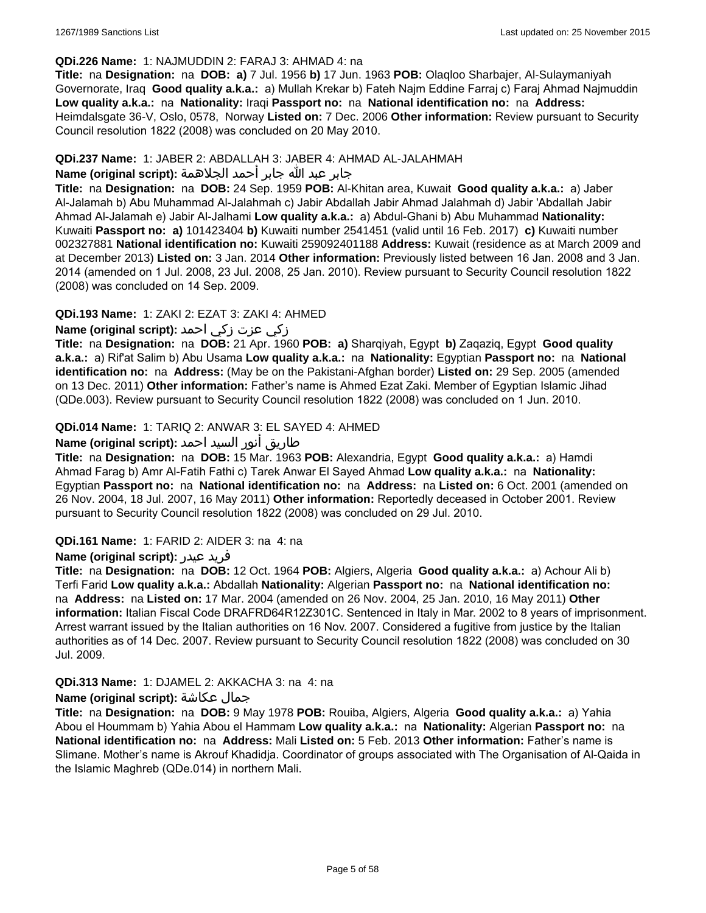#### **QDi.226 Name:** 1: NAJMUDDIN 2: FARAJ 3: AHMAD 4: na

**Title:** na **Designation:** na **DOB: a)** 7 Jul. 1956 **b)** 17 Jun. 1963 **POB:** Olaqloo Sharbajer, Al-Sulaymaniyah Governorate, Iraq **Good quality a.k.a.:** a) Mullah Krekar b) Fateh Najm Eddine Farraj c) Faraj Ahmad Najmuddin **Low quality a.k.a.:** na **Nationality:** Iraqi **Passport no:** na **National identification no:** na **Address:** Heimdalsgate 36-V, Oslo, 0578, Norway **Listed on:** 7 Dec. 2006 **Other information:** Review pursuant to Security Council resolution 1822 (2008) was concluded on 20 May 2010.

### **QDi.237 Name:** 1: JABER 2: ABDALLAH 3: JABER 4: AHMAD AL-JALAHMAH

## جابر عبد الله جابر أحمد الجلاهمة **:(script original (Name**

**Title:** na **Designation:** na **DOB:** 24 Sep. 1959 **POB:** Al-Khitan area, Kuwait **Good quality a.k.a.:** a) Jaber Al-Jalamah b) Abu Muhammad Al-Jalahmah c) Jabir Abdallah Jabir Ahmad Jalahmah d) Jabir 'Abdallah Jabir Ahmad Al-Jalamah e) Jabir Al-Jalhami **Low quality a.k.a.:** a) Abdul-Ghani b) Abu Muhammad **Nationality:** Kuwaiti **Passport no: a)** 101423404 **b)** Kuwaiti number 2541451 (valid until 16 Feb. 2017) **c)** Kuwaiti number 002327881 **National identification no:** Kuwaiti 259092401188 **Address:** Kuwait (residence as at March 2009 and at December 2013) **Listed on:** 3 Jan. 2014 **Other information:** Previously listed between 16 Jan. 2008 and 3 Jan. 2014 (amended on 1 Jul. 2008, 23 Jul. 2008, 25 Jan. 2010). Review pursuant to Security Council resolution 1822 (2008) was concluded on 14 Sep. 2009.

## **QDi.193 Name:** 1: ZAKI 2: EZAT 3: ZAKI 4: AHMED

## زكي عزت زكي احمد **:(script original (Name**

**Title:** na **Designation:** na **DOB:** 21 Apr. 1960 **POB: a)** Sharqiyah, Egypt **b)** Zaqaziq, Egypt **Good quality a.k.a.:** a) Rif'at Salim b) Abu Usama **Low quality a.k.a.:** na **Nationality:** Egyptian **Passport no:** na **National identification no:** na **Address:** (May be on the Pakistani-Afghan border) **Listed on:** 29 Sep. 2005 (amended on 13 Dec. 2011) **Other information:** Father's name is Ahmed Ezat Zaki. Member of Egyptian Islamic Jihad (QDe.003). Review pursuant to Security Council resolution 1822 (2008) was concluded on 1 Jun. 2010.

## **QDi.014 Name:** 1: TARIQ 2: ANWAR 3: EL SAYED 4: AHMED

## طاريق أنور السيد احمد **:(script original (Name**

**Title:** na **Designation:** na **DOB:** 15 Mar. 1963 **POB:** Alexandria, Egypt **Good quality a.k.a.:** a) Hamdi Ahmad Farag b) Amr Al-Fatih Fathi c) Tarek Anwar El Sayed Ahmad **Low quality a.k.a.:** na **Nationality:** Egyptian **Passport no:** na **National identification no:** na **Address:** na **Listed on:** 6 Oct. 2001 (amended on 26 Nov. 2004, 18 Jul. 2007, 16 May 2011) **Other information:** Reportedly deceased in October 2001. Review pursuant to Security Council resolution 1822 (2008) was concluded on 29 Jul. 2010.

#### **QDi.161 Name:** 1: FARID 2: AIDER 3: na 4: na

#### **Name (original script):** عيدر فريد

**Title:** na **Designation:** na **DOB:** 12 Oct. 1964 **POB:** Algiers, Algeria **Good quality a.k.a.:** a) Achour Ali b) Terfi Farid **Low quality a.k.a.:** Abdallah **Nationality:** Algerian **Passport no:** na **National identification no:**  na **Address:** na **Listed on:** 17 Mar. 2004 (amended on 26 Nov. 2004, 25 Jan. 2010, 16 May 2011) **Other information:** Italian Fiscal Code DRAFRD64R12Z301C. Sentenced in Italy in Mar. 2002 to 8 years of imprisonment. Arrest warrant issued by the Italian authorities on 16 Nov. 2007. Considered a fugitive from justice by the Italian authorities as of 14 Dec. 2007. Review pursuant to Security Council resolution 1822 (2008) was concluded on 30 Jul. 2009.

## **QDi.313 Name:** 1: DJAMEL 2: AKKACHA 3: na 4: na

#### **Name (original script):** عكاشة جمال

**Title:** na **Designation:** na **DOB:** 9 May 1978 **POB:** Rouiba, Algiers, Algeria **Good quality a.k.a.:** a) Yahia Abou el Hoummam b) Yahia Abou el Hammam **Low quality a.k.a.:** na **Nationality:** Algerian **Passport no:** na **National identification no:** na **Address:** Mali **Listed on:** 5 Feb. 2013 **Other information:** Father's name is Slimane. Mother's name is Akrouf Khadidja. Coordinator of groups associated with The Organisation of Al-Qaida in the Islamic Maghreb (QDe.014) in northern Mali.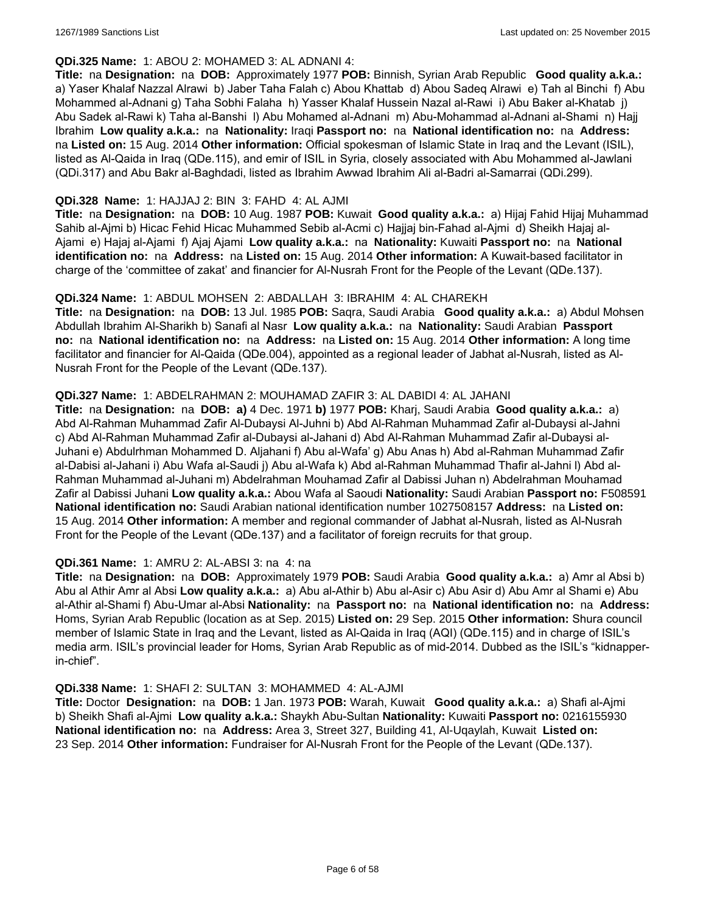#### **QDi.325 Name:** 1: ABOU 2: MOHAMED 3: AL ADNANI 4:

**Title:** na **Designation:** na **DOB:** Approximately 1977 **POB:** Binnish, Syrian Arab Republic **Good quality a.k.a.:**  a) Yaser Khalaf Nazzal Alrawi b) Jaber Taha Falah c) Abou Khattab d) Abou Sadeq Alrawi e) Tah al Binchi f) Abu Mohammed al-Adnani g) Taha Sobhi Falaha h) Yasser Khalaf Hussein Nazal al-Rawi i) Abu Baker al-Khatab j) Abu Sadek al-Rawi k) Taha al-Banshi l) Abu Mohamed al-Adnani m) Abu-Mohammad al-Adnani al-Shami n) Hajj Ibrahim **Low quality a.k.a.:** na **Nationality:** Iraqi **Passport no:** na **National identification no:** na **Address:**  na **Listed on:** 15 Aug. 2014 **Other information:** Official spokesman of Islamic State in Iraq and the Levant (ISIL), listed as Al-Qaida in Iraq (QDe.115), and emir of ISIL in Syria, closely associated with Abu Mohammed al-Jawlani (QDi.317) and Abu Bakr al-Baghdadi, listed as Ibrahim Awwad Ibrahim Ali al-Badri al-Samarrai (QDi.299).

### **QDi.328 Name:** 1: HAJJAJ 2: BIN 3: FAHD 4: AL AJMI

**Title:** na **Designation:** na **DOB:** 10 Aug. 1987 **POB:** Kuwait **Good quality a.k.a.:** a) Hijaj Fahid Hijaj Muhammad Sahib al-Ajmi b) Hicac Fehid Hicac Muhammed Sebib al-Acmi c) Hajjaj bin-Fahad al-Ajmi d) Sheikh Hajaj al-Ajami e) Hajaj al-Ajami f) Ajaj Ajami **Low quality a.k.a.:** na **Nationality:** Kuwaiti **Passport no:** na **National identification no:** na **Address:** na **Listed on:** 15 Aug. 2014 **Other information:** A Kuwait-based facilitator in charge of the 'committee of zakat' and financier for Al-Nusrah Front for the People of the Levant (QDe.137).

### **QDi.324 Name:** 1: ABDUL MOHSEN 2: ABDALLAH 3: IBRAHIM 4: AL CHAREKH

**Title:** na **Designation:** na **DOB:** 13 Jul. 1985 **POB:** Saqra, Saudi Arabia **Good quality a.k.a.:** a) Abdul Mohsen Abdullah Ibrahim Al-Sharikh b) Sanafi al Nasr **Low quality a.k.a.:** na **Nationality:** Saudi Arabian **Passport no:** na **National identification no:** na **Address:** na **Listed on:** 15 Aug. 2014 **Other information:** A long time facilitator and financier for Al-Qaida (QDe.004), appointed as a regional leader of Jabhat al-Nusrah, listed as Al-Nusrah Front for the People of the Levant (QDe.137).

### **QDi.327 Name:** 1: ABDELRAHMAN 2: MOUHAMAD ZAFIR 3: AL DABIDI 4: AL JAHANI

**Title:** na **Designation:** na **DOB: a)** 4 Dec. 1971 **b)** 1977 **POB:** Kharj, Saudi Arabia **Good quality a.k.a.:** a) Abd Al-Rahman Muhammad Zafir Al-Dubaysi Al-Juhni b) Abd Al-Rahman Muhammad Zafir al-Dubaysi al-Jahni c) Abd Al-Rahman Muhammad Zafir al-Dubaysi al-Jahani d) Abd Al-Rahman Muhammad Zafir al-Dubaysi al-Juhani e) Abdulrhman Mohammed D. Aljahani f) Abu al-Wafa' g) Abu Anas h) Abd al-Rahman Muhammad Zafir al-Dabisi al-Jahani i) Abu Wafa al-Saudi j) Abu al-Wafa k) Abd al-Rahman Muhammad Thafir al-Jahni l) Abd al-Rahman Muhammad al-Juhani m) Abdelrahman Mouhamad Zafir al Dabissi Juhan n) Abdelrahman Mouhamad Zafir al Dabissi Juhani **Low quality a.k.a.:** Abou Wafa al Saoudi **Nationality:** Saudi Arabian **Passport no:** F508591 **National identification no:** Saudi Arabian national identification number 1027508157 **Address:** na **Listed on:** 15 Aug. 2014 **Other information:** A member and regional commander of Jabhat al-Nusrah, listed as Al-Nusrah Front for the People of the Levant (QDe.137) and a facilitator of foreign recruits for that group.

#### **QDi.361 Name:** 1: AMRU 2: AL-ABSI 3: na 4: na

**Title:** na **Designation:** na **DOB:** Approximately 1979 **POB:** Saudi Arabia **Good quality a.k.a.:** a) Amr al Absi b) Abu al Athir Amr al Absi **Low quality a.k.a.:** a) Abu al-Athir b) Abu al-Asir c) Abu Asir d) Abu Amr al Shami e) Abu al-Athir al-Shami f) Abu-Umar al-Absi **Nationality:** na **Passport no:** na **National identification no:** na **Address:** Homs, Syrian Arab Republic (location as at Sep. 2015) **Listed on:** 29 Sep. 2015 **Other information:** Shura council member of Islamic State in Iraq and the Levant, listed as Al-Qaida in Iraq (AQI) (QDe.115) and in charge of ISIL's media arm. ISIL's provincial leader for Homs, Syrian Arab Republic as of mid-2014. Dubbed as the ISIL's "kidnapperin-chief".

#### **QDi.338 Name:** 1: SHAFI 2: SULTAN 3: MOHAMMED 4: AL-AJMI

**Title:** Doctor **Designation:** na **DOB:** 1 Jan. 1973 **POB:** Warah, Kuwait **Good quality a.k.a.:** a) Shafi al-Ajmi b) Sheikh Shafi al-Ajmi **Low quality a.k.a.:** Shaykh Abu-Sultan **Nationality:** Kuwaiti **Passport no:** 0216155930 **National identification no:** na **Address:** Area 3, Street 327, Building 41, Al-Uqaylah, Kuwait **Listed on:** 23 Sep. 2014 **Other information:** Fundraiser for Al-Nusrah Front for the People of the Levant (QDe.137).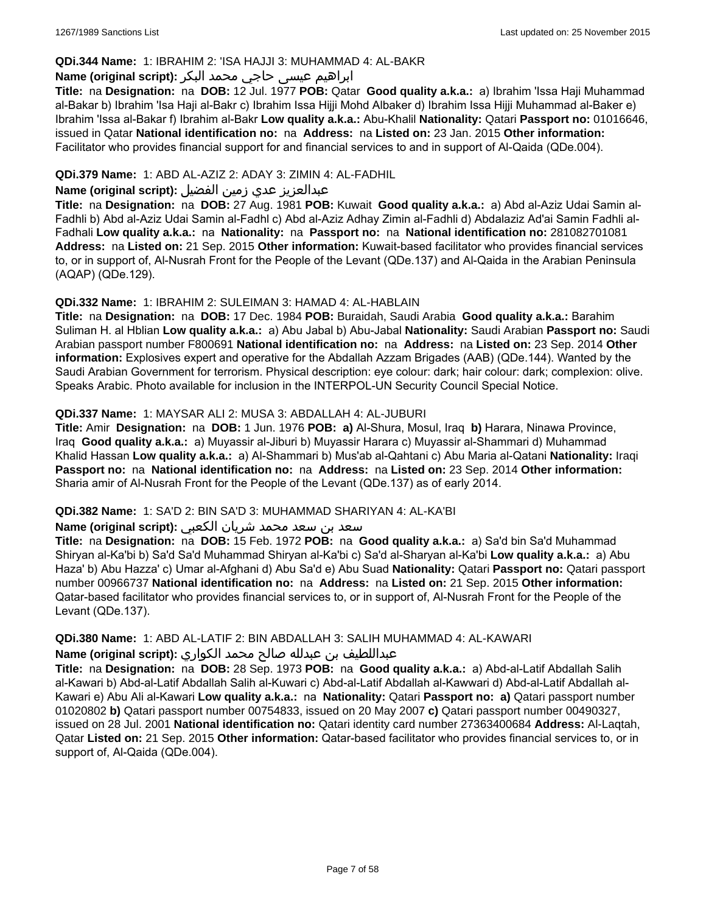### **QDi.344 Name:** 1: IBRAHIM 2: 'ISA HAJJI 3: MUHAMMAD 4: AL-BAKR

## ابراهیم عیسی حاجي محمد البکر **:(script original (Name**

**Title:** na **Designation:** na **DOB:** 12 Jul. 1977 **POB:** Qatar **Good quality a.k.a.:** a) Ibrahim 'Issa Haji Muhammad al-Bakar b) Ibrahim 'Isa Haji al-Bakr c) Ibrahim Issa Hijji Mohd Albaker d) Ibrahim Issa Hijji Muhammad al-Baker e) Ibrahim 'Issa al-Bakar f) Ibrahim al-Bakr **Low quality a.k.a.:** Abu-Khalil **Nationality:** Qatari **Passport no:** 01016646, issued in Qatar **National identification no:** na **Address:** na **Listed on:** 23 Jan. 2015 **Other information:** Facilitator who provides financial support for and financial services to and in support of Al-Qaida (QDe.004).

## **QDi.379 Name:** 1: ABD AL-AZIZ 2: ADAY 3: ZIMIN 4: AL-FADHIL

## عبدالعزیز عدي زمین الفضیل **:(script original (Name**

**Title:** na **Designation:** na **DOB:** 27 Aug. 1981 **POB:** Kuwait **Good quality a.k.a.:** a) Abd al-Aziz Udai Samin al-Fadhli b) Abd al-Aziz Udai Samin al-Fadhl c) Abd al-Aziz Adhay Zimin al-Fadhli d) Abdalaziz Ad'ai Samin Fadhli al-Fadhali **Low quality a.k.a.:** na **Nationality:** na **Passport no:** na **National identification no:** 281082701081 **Address:** na **Listed on:** 21 Sep. 2015 **Other information:** Kuwait-based facilitator who provides financial services to, or in support of, Al-Nusrah Front for the People of the Levant (QDe.137) and Al-Qaida in the Arabian Peninsula (AQAP) (QDe.129).

#### **QDi.332 Name:** 1: IBRAHIM 2: SULEIMAN 3: HAMAD 4: AL-HABLAIN

**Title:** na **Designation:** na **DOB:** 17 Dec. 1984 **POB:** Buraidah, Saudi Arabia **Good quality a.k.a.:** Barahim Suliman H. al Hblian **Low quality a.k.a.:** a) Abu Jabal b) Abu-Jabal **Nationality:** Saudi Arabian **Passport no:** Saudi Arabian passport number F800691 **National identification no:** na **Address:** na **Listed on:** 23 Sep. 2014 **Other information:** Explosives expert and operative for the Abdallah Azzam Brigades (AAB) (QDe.144). Wanted by the Saudi Arabian Government for terrorism. Physical description: eye colour: dark; hair colour: dark; complexion: olive. Speaks Arabic. Photo available for inclusion in the INTERPOL-UN Security Council Special Notice.

### **QDi.337 Name:** 1: MAYSAR ALI 2: MUSA 3: ABDALLAH 4: AL-JUBURI

**Title:** Amir **Designation:** na **DOB:** 1 Jun. 1976 **POB: a)** Al-Shura, Mosul, Iraq **b)** Harara, Ninawa Province, Iraq **Good quality a.k.a.:** a) Muyassir al-Jiburi b) Muyassir Harara c) Muyassir al-Shammari d) Muhammad Khalid Hassan **Low quality a.k.a.:** a) Al-Shammari b) Mus'ab al-Qahtani c) Abu Maria al-Qatani **Nationality:** Iraqi **Passport no:** na **National identification no:** na **Address:** na **Listed on:** 23 Sep. 2014 **Other information:** Sharia amir of Al-Nusrah Front for the People of the Levant (QDe.137) as of early 2014.

#### **QDi.382 Name:** 1: SA'D 2: BIN SA'D 3: MUHAMMAD SHARIYAN 4: AL-KA'BI

#### سعد بن سعد محمد شریان الكعبي **:(script original (Name**

**Title:** na **Designation:** na **DOB:** 15 Feb. 1972 **POB:** na **Good quality a.k.a.:** a) Sa'd bin Sa'd Muhammad Shiryan al-Ka'bi b) Sa'd Sa'd Muhammad Shiryan al-Ka'bi c) Sa'd al-Sharyan al-Ka'bi **Low quality a.k.a.:** a) Abu Haza' b) Abu Hazza' c) Umar al-Afghani d) Abu Sa'd e) Abu Suad **Nationality:** Qatari **Passport no:** Qatari passport number 00966737 **National identification no:** na **Address:** na **Listed on:** 21 Sep. 2015 **Other information:** Qatar-based facilitator who provides financial services to, or in support of, Al-Nusrah Front for the People of the Levant (QDe.137).

# **QDi.380 Name:** 1: ABD AL-LATIF 2: BIN ABDALLAH 3: SALIH MUHAMMAD 4: AL-KAWARI

عبداللطیف بن عبدلله صالح محمد الكواري **:(script original (Name**

**Title:** na **Designation:** na **DOB:** 28 Sep. 1973 **POB:** na **Good quality a.k.a.:** a) Abd-al-Latif Abdallah Salih al-Kawari b) Abd-al-Latif Abdallah Salih al-Kuwari c) Abd-al-Latif Abdallah al-Kawwari d) Abd-al-Latif Abdallah al-Kawari e) Abu Ali al-Kawari **Low quality a.k.a.:** na **Nationality:** Qatari **Passport no: a)** Qatari passport number 01020802 **b)** Qatari passport number 00754833, issued on 20 May 2007 **c)** Qatari passport number 00490327, issued on 28 Jul. 2001 **National identification no:** Qatari identity card number 27363400684 **Address:** Al-Laqtah, Qatar **Listed on:** 21 Sep. 2015 **Other information:** Qatar-based facilitator who provides financial services to, or in support of, Al-Qaida (QDe.004).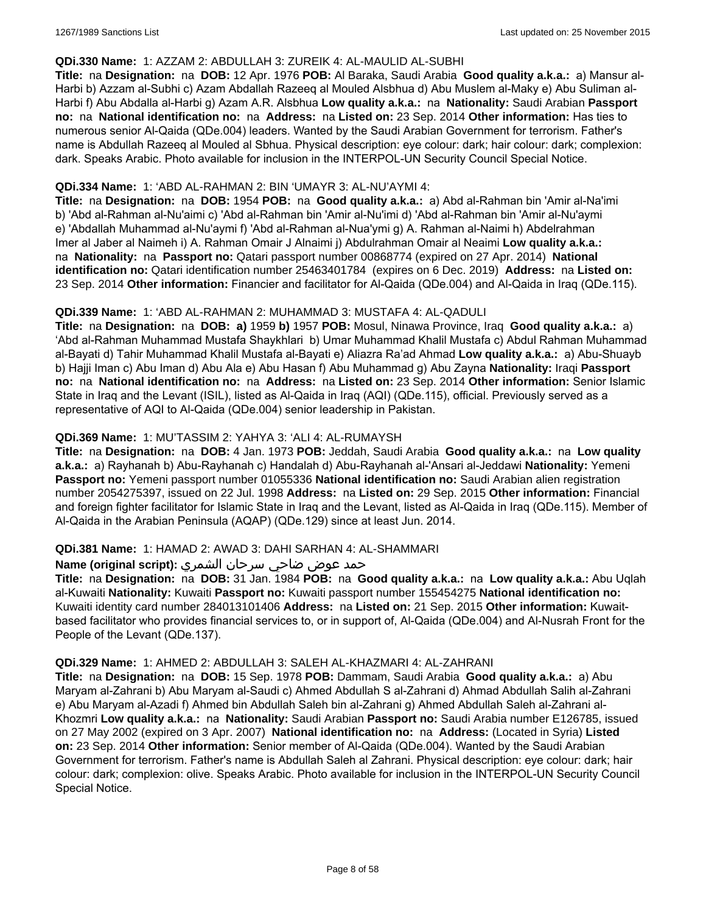#### **QDi.330 Name:** 1: AZZAM 2: ABDULLAH 3: ZUREIK 4: AL-MAULID AL-SUBHI

**Title:** na **Designation:** na **DOB:** 12 Apr. 1976 **POB:** Al Baraka, Saudi Arabia **Good quality a.k.a.:** a) Mansur al-Harbi b) Azzam al-Subhi c) Azam Abdallah Razeeq al Mouled Alsbhua d) Abu Muslem al-Maky e) Abu Suliman al-Harbi f) Abu Abdalla al-Harbi g) Azam A.R. Alsbhua **Low quality a.k.a.:** na **Nationality:** Saudi Arabian **Passport no:** na **National identification no:** na **Address:** na **Listed on:** 23 Sep. 2014 **Other information:** Has ties to numerous senior Al-Qaida (QDe.004) leaders. Wanted by the Saudi Arabian Government for terrorism. Father's name is Abdullah Razeeq al Mouled al Sbhua. Physical description: eye colour: dark; hair colour: dark; complexion: dark. Speaks Arabic. Photo available for inclusion in the INTERPOL-UN Security Council Special Notice.

### **QDi.334 Name:** 1: 'ABD AL-RAHMAN 2: BIN 'UMAYR 3: AL-NU'AYMI 4:

**Title:** na **Designation:** na **DOB:** 1954 **POB:** na **Good quality a.k.a.:** a) Abd al-Rahman bin 'Amir al-Na'imi b) 'Abd al-Rahman al-Nu'aimi c) 'Abd al-Rahman bin 'Amir al-Nu'imi d) 'Abd al-Rahman bin 'Amir al-Nu'aymi e) 'Abdallah Muhammad al-Nu'aymi f) 'Abd al-Rahman al-Nua'ymi g) A. Rahman al-Naimi h) Abdelrahman Imer al Jaber al Naimeh i) A. Rahman Omair J Alnaimi j) Abdulrahman Omair al Neaimi **Low quality a.k.a.:**  na **Nationality:** na **Passport no:** Qatari passport number 00868774 (expired on 27 Apr. 2014) **National identification no:** Qatari identification number 25463401784 (expires on 6 Dec. 2019) **Address:** na **Listed on:** 23 Sep. 2014 **Other information:** Financier and facilitator for Al-Qaida (QDe.004) and Al-Qaida in Iraq (QDe.115).

### **QDi.339 Name:** 1: 'ABD AL-RAHMAN 2: MUHAMMAD 3: MUSTAFA 4: AL-QADULI

**Title:** na **Designation:** na **DOB: a)** 1959 **b)** 1957 **POB:** Mosul, Ninawa Province, Iraq **Good quality a.k.a.:** a) 'Abd al-Rahman Muhammad Mustafa Shaykhlari b) Umar Muhammad Khalil Mustafa c) Abdul Rahman Muhammad al-Bayati d) Tahir Muhammad Khalil Mustafa al-Bayati e) Aliazra Ra'ad Ahmad **Low quality a.k.a.:** a) Abu-Shuayb b) Hajji Iman c) Abu Iman d) Abu Ala e) Abu Hasan f) Abu Muhammad g) Abu Zayna **Nationality:** Iraqi **Passport no:** na **National identification no:** na **Address:** na **Listed on:** 23 Sep. 2014 **Other information:** Senior Islamic State in Iraq and the Levant (ISIL), listed as Al-Qaida in Iraq (AQI) (QDe.115), official. Previously served as a representative of AQI to Al-Qaida (QDe.004) senior leadership in Pakistan.

## **QDi.369 Name:** 1: MU'TASSIM 2: YAHYA 3: 'ALI 4: AL-RUMAYSH

**Title:** na **Designation:** na **DOB:** 4 Jan. 1973 **POB:** Jeddah, Saudi Arabia **Good quality a.k.a.:** na **Low quality a.k.a.:** a) Rayhanah b) Abu-Rayhanah c) Handalah d) Abu-Rayhanah al-'Ansari al-Jeddawi **Nationality:** Yemeni **Passport no:** Yemeni passport number 01055336 **National identification no:** Saudi Arabian alien registration number 2054275397, issued on 22 Jul. 1998 **Address:** na **Listed on:** 29 Sep. 2015 **Other information:** Financial and foreign fighter facilitator for Islamic State in Iraq and the Levant, listed as Al-Qaida in Iraq (QDe.115). Member of Al-Qaida in the Arabian Peninsula (AQAP) (QDe.129) since at least Jun. 2014.

#### **QDi.381 Name:** 1: HAMAD 2: AWAD 3: DAHI SARHAN 4: AL-SHAMMARI

## حمد عوض ضاحي سرحان الشمري **:(script original (Name**

**Title:** na **Designation:** na **DOB:** 31 Jan. 1984 **POB:** na **Good quality a.k.a.:** na **Low quality a.k.a.:** Abu Uqlah al-Kuwaiti **Nationality:** Kuwaiti **Passport no:** Kuwaiti passport number 155454275 **National identification no:** Kuwaiti identity card number 284013101406 **Address:** na **Listed on:** 21 Sep. 2015 **Other information:** Kuwaitbased facilitator who provides financial services to, or in support of, Al-Qaida (QDe.004) and Al-Nusrah Front for the People of the Levant (QDe.137).

#### **QDi.329 Name:** 1: AHMED 2: ABDULLAH 3: SALEH AL-KHAZMARI 4: AL-ZAHRANI

**Title:** na **Designation:** na **DOB:** 15 Sep. 1978 **POB:** Dammam, Saudi Arabia **Good quality a.k.a.:** a) Abu Maryam al-Zahrani b) Abu Maryam al-Saudi c) Ahmed Abdullah S al-Zahrani d) Ahmad Abdullah Salih al-Zahrani e) Abu Maryam al-Azadi f) Ahmed bin Abdullah Saleh bin al-Zahrani g) Ahmed Abdullah Saleh al-Zahrani al-Khozmri **Low quality a.k.a.:** na **Nationality:** Saudi Arabian **Passport no:** Saudi Arabia number E126785, issued on 27 May 2002 (expired on 3 Apr. 2007) **National identification no:** na **Address:** (Located in Syria) **Listed on:** 23 Sep. 2014 **Other information:** Senior member of Al-Qaida (QDe.004). Wanted by the Saudi Arabian Government for terrorism. Father's name is Abdullah Saleh al Zahrani. Physical description: eye colour: dark; hair colour: dark; complexion: olive. Speaks Arabic. Photo available for inclusion in the INTERPOL-UN Security Council Special Notice.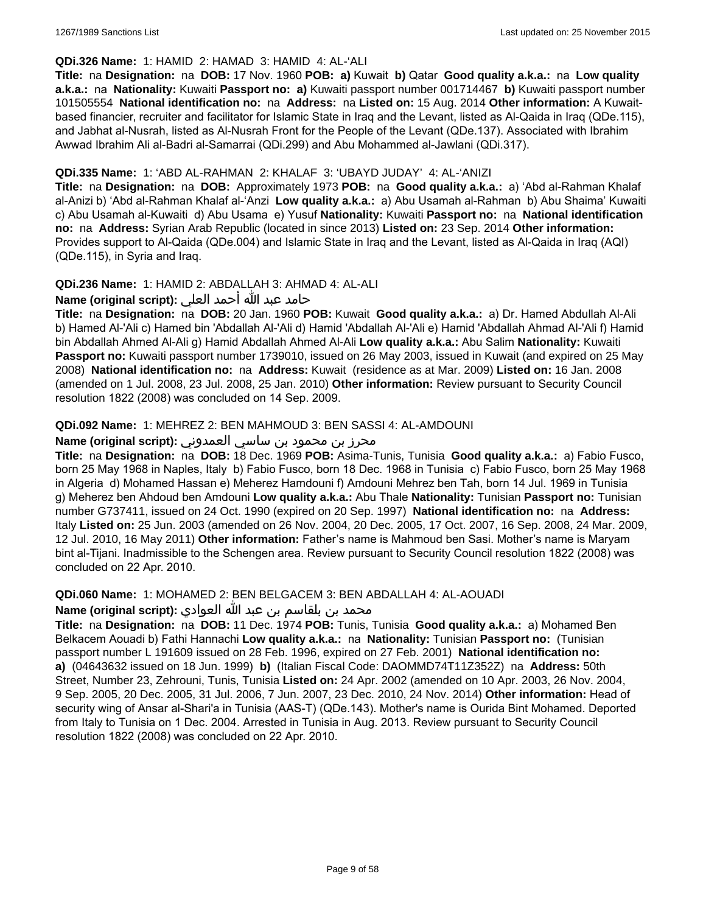### **QDi.326 Name:** 1: HAMID 2: HAMAD 3: HAMID 4: AL-'ALI

**Title:** na **Designation:** na **DOB:** 17 Nov. 1960 **POB: a)** Kuwait **b)** Qatar **Good quality a.k.a.:** na **Low quality a.k.a.:** na **Nationality:** Kuwaiti **Passport no: a)** Kuwaiti passport number 001714467 **b)** Kuwaiti passport number 101505554 **National identification no:** na **Address:** na **Listed on:** 15 Aug. 2014 **Other information:** A Kuwaitbased financier, recruiter and facilitator for Islamic State in Iraq and the Levant, listed as Al-Qaida in Iraq (QDe.115), and Jabhat al-Nusrah, listed as Al-Nusrah Front for the People of the Levant (QDe.137). Associated with Ibrahim Awwad Ibrahim Ali al-Badri al-Samarrai (QDi.299) and Abu Mohammed al-Jawlani (QDi.317).

## **QDi.335 Name:** 1: 'ABD AL-RAHMAN 2: KHALAF 3: 'UBAYD JUDAY' 4: AL-'ANIZI

**Title:** na **Designation:** na **DOB:** Approximately 1973 **POB:** na **Good quality a.k.a.:** a) 'Abd al-Rahman Khalaf al-Anizi b) 'Abd al-Rahman Khalaf al-'Anzi **Low quality a.k.a.:** a) Abu Usamah al-Rahman b) Abu Shaima' Kuwaiti c) Abu Usamah al-Kuwaiti d) Abu Usama e) Yusuf **Nationality:** Kuwaiti **Passport no:** na **National identification no:** na **Address:** Syrian Arab Republic (located in since 2013) **Listed on:** 23 Sep. 2014 **Other information:** Provides support to Al-Qaida (QDe.004) and Islamic State in Iraq and the Levant, listed as Al-Qaida in Iraq (AQI) (QDe.115), in Syria and Iraq.

## **QDi.236 Name:** 1: HAMID 2: ABDALLAH 3: AHMAD 4: AL-ALI

حامد عبد الله أحمد العلي **:(script original (Name**

**Title:** na **Designation:** na **DOB:** 20 Jan. 1960 **POB:** Kuwait **Good quality a.k.a.:** a) Dr. Hamed Abdullah Al-Ali b) Hamed Al-'Ali c) Hamed bin 'Abdallah Al-'Ali d) Hamid 'Abdallah Al-'Ali e) Hamid 'Abdallah Ahmad Al-'Ali f) Hamid bin Abdallah Ahmed Al-Ali g) Hamid Abdallah Ahmed Al-Ali **Low quality a.k.a.:** Abu Salim **Nationality:** Kuwaiti **Passport no:** Kuwaiti passport number 1739010, issued on 26 May 2003, issued in Kuwait (and expired on 25 May 2008) **National identification no:** na **Address:** Kuwait (residence as at Mar. 2009) **Listed on:** 16 Jan. 2008 (amended on 1 Jul. 2008, 23 Jul. 2008, 25 Jan. 2010) **Other information:** Review pursuant to Security Council resolution 1822 (2008) was concluded on 14 Sep. 2009.

### **QDi.092 Name:** 1: MEHREZ 2: BEN MAHMOUD 3: BEN SASSI 4: AL-AMDOUNI

## محرز بن محمود بن ساسي العمدوني **:Name (original script)**

**Title:** na **Designation:** na **DOB:** 18 Dec. 1969 **POB:** Asima-Tunis, Tunisia **Good quality a.k.a.:** a) Fabio Fusco, born 25 May 1968 in Naples, Italy b) Fabio Fusco, born 18 Dec. 1968 in Tunisia c) Fabio Fusco, born 25 May 1968 in Algeria d) Mohamed Hassan e) Meherez Hamdouni f) Amdouni Mehrez ben Tah, born 14 Jul. 1969 in Tunisia g) Meherez ben Ahdoud ben Amdouni **Low quality a.k.a.:** Abu Thale **Nationality:** Tunisian **Passport no:** Tunisian number G737411, issued on 24 Oct. 1990 (expired on 20 Sep. 1997) **National identification no:** na **Address:** Italy **Listed on:** 25 Jun. 2003 (amended on 26 Nov. 2004, 20 Dec. 2005, 17 Oct. 2007, 16 Sep. 2008, 24 Mar. 2009, 12 Jul. 2010, 16 May 2011) **Other information:** Father's name is Mahmoud ben Sasi. Mother's name is Maryam bint al-Tijani. Inadmissible to the Schengen area. Review pursuant to Security Council resolution 1822 (2008) was concluded on 22 Apr. 2010.

**QDi.060 Name:** 1: MOHAMED 2: BEN BELGACEM 3: BEN ABDALLAH 4: AL-AOUADI

محمد بن بلقاسم بن عبد الله العوادي **:Name (original script**)

**Title:** na **Designation:** na **DOB:** 11 Dec. 1974 **POB:** Tunis, Tunisia **Good quality a.k.a.:** a) Mohamed Ben Belkacem Aouadi b) Fathi Hannachi **Low quality a.k.a.:** na **Nationality:** Tunisian **Passport no:** (Tunisian passport number L 191609 issued on 28 Feb. 1996, expired on 27 Feb. 2001) **National identification no: a)** (04643632 issued on 18 Jun. 1999) **b)** (Italian Fiscal Code: DAOMMD74T11Z352Z) na **Address:** 50th Street, Number 23, Zehrouni, Tunis, Tunisia **Listed on:** 24 Apr. 2002 (amended on 10 Apr. 2003, 26 Nov. 2004, 9 Sep. 2005, 20 Dec. 2005, 31 Jul. 2006, 7 Jun. 2007, 23 Dec. 2010, 24 Nov. 2014) **Other information:** Head of security wing of Ansar al-Shari'a in Tunisia (AAS-T) (QDe.143). Mother's name is Ourida Bint Mohamed. Deported from Italy to Tunisia on 1 Dec. 2004. Arrested in Tunisia in Aug. 2013. Review pursuant to Security Council resolution 1822 (2008) was concluded on 22 Apr. 2010.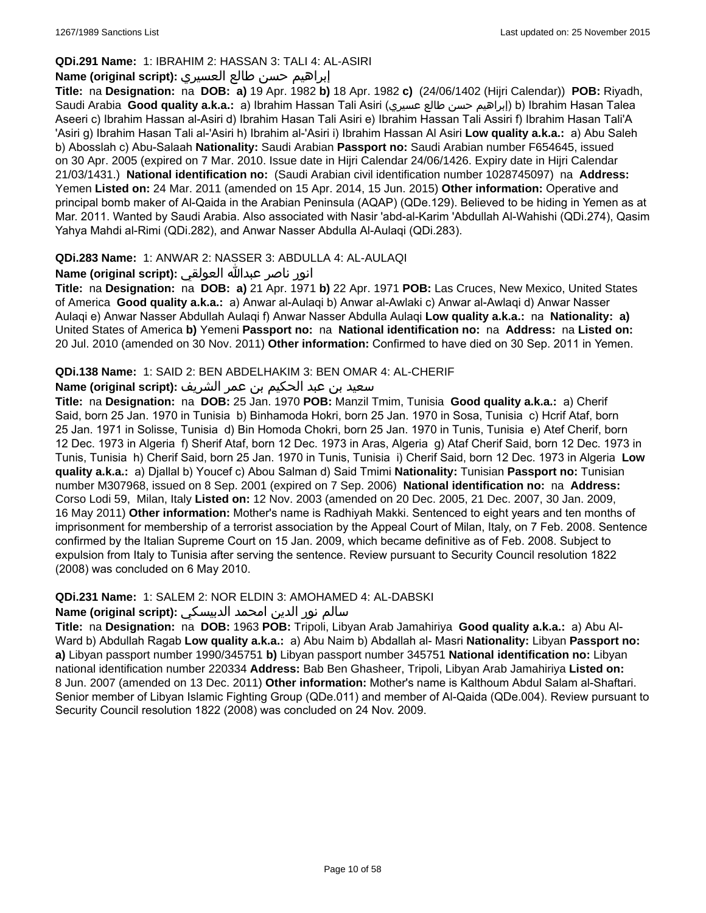## **QDi.291 Name:** 1: IBRAHIM 2: HASSAN 3: TALI 4: AL-ASIRI

## إبراهيم حسن طالع العسيري **:(script original (Name**

**Title:** na **Designation:** na **DOB: a)** 19 Apr. 1982 **b)** 18 Apr. 1982 **c)** (24/06/1402 (Hijri Calendar)) **POB:** Riyadh, Saudi Arabia **Good quality a.k.a.:** a) Ibrahim Hassan Tali Asiri (عسيري طالع حسن إبراهيم (b) Ibrahim Hasan Talea Aseeri c) Ibrahim Hassan al-Asiri d) Ibrahim Hasan Tali Asiri e) Ibrahim Hassan Tali Assiri f) Ibrahim Hasan Tali'A 'Asiri g) Ibrahim Hasan Tali al-'Asiri h) Ibrahim al-'Asiri i) Ibrahim Hassan Al Asiri **Low quality a.k.a.:** a) Abu Saleh b) Abosslah c) Abu-Salaah **Nationality:** Saudi Arabian **Passport no:** Saudi Arabian number F654645, issued on 30 Apr. 2005 (expired on 7 Mar. 2010. Issue date in Hijri Calendar 24/06/1426. Expiry date in Hijri Calendar 21/03/1431.) **National identification no:** (Saudi Arabian civil identification number 1028745097) na **Address:** Yemen **Listed on:** 24 Mar. 2011 (amended on 15 Apr. 2014, 15 Jun. 2015) **Other information:** Operative and principal bomb maker of Al-Qaida in the Arabian Peninsula (AQAP) (QDe.129). Believed to be hiding in Yemen as at Mar. 2011. Wanted by Saudi Arabia. Also associated with Nasir 'abd-al-Karim 'Abdullah Al-Wahishi (QDi.274), Qasim Yahya Mahdi al-Rimi (QDi.282), and Anwar Nasser Abdulla Al-Aulaqi (QDi.283).

## **QDi.283 Name:** 1: ANWAR 2: NASSER 3: ABDULLA 4: AL-AULAQI

انور ناصر عبدالله العولقي **:(script original (Name**

**Title:** na **Designation:** na **DOB: a)** 21 Apr. 1971 **b)** 22 Apr. 1971 **POB:** Las Cruces, New Mexico, United States of America **Good quality a.k.a.:** a) Anwar al-Aulaqi b) Anwar al-Awlaki c) Anwar al-Awlaqi d) Anwar Nasser Aulaqi e) Anwar Nasser Abdullah Aulaqi f) Anwar Nasser Abdulla Aulaqi **Low quality a.k.a.:** na **Nationality: a)** United States of America **b)** Yemeni **Passport no:** na **National identification no:** na **Address:** na **Listed on:** 20 Jul. 2010 (amended on 30 Nov. 2011) **Other information:** Confirmed to have died on 30 Sep. 2011 in Yemen.

## **QDi.138 Name:** 1: SAID 2: BEN ABDELHAKIM 3: BEN OMAR 4: AL-CHERIF

## سعيد بن عبد الحكيم بن عمر الشريف **:(script original (Name**

**Title:** na **Designation:** na **DOB:** 25 Jan. 1970 **POB:** Manzil Tmim, Tunisia **Good quality a.k.a.:** a) Cherif Said, born 25 Jan. 1970 in Tunisia b) Binhamoda Hokri, born 25 Jan. 1970 in Sosa, Tunisia c) Hcrif Ataf, born 25 Jan. 1971 in Solisse, Tunisia d) Bin Homoda Chokri, born 25 Jan. 1970 in Tunis, Tunisia e) Atef Cherif, born 12 Dec. 1973 in Algeria f) Sherif Ataf, born 12 Dec. 1973 in Aras, Algeria g) Ataf Cherif Said, born 12 Dec. 1973 in Tunis, Tunisia h) Cherif Said, born 25 Jan. 1970 in Tunis, Tunisia i) Cherif Said, born 12 Dec. 1973 in Algeria **Low quality a.k.a.:** a) Djallal b) Youcef c) Abou Salman d) Said Tmimi **Nationality:** Tunisian **Passport no:** Tunisian number M307968, issued on 8 Sep. 2001 (expired on 7 Sep. 2006) **National identification no:** na **Address:** Corso Lodi 59, Milan, Italy **Listed on:** 12 Nov. 2003 (amended on 20 Dec. 2005, 21 Dec. 2007, 30 Jan. 2009, 16 May 2011) **Other information:** Mother's name is Radhiyah Makki. Sentenced to eight years and ten months of imprisonment for membership of a terrorist association by the Appeal Court of Milan, Italy, on 7 Feb. 2008. Sentence confirmed by the Italian Supreme Court on 15 Jan. 2009, which became definitive as of Feb. 2008. Subject to expulsion from Italy to Tunisia after serving the sentence. Review pursuant to Security Council resolution 1822 (2008) was concluded on 6 May 2010.

## **QDi.231 Name:** 1: SALEM 2: NOR ELDIN 3: AMOHAMED 4: AL-DABSKI

## سالم نور الدين امحمد الدبيسكي **:Name (original script)**

**Title:** na **Designation:** na **DOB:** 1963 **POB:** Tripoli, Libyan Arab Jamahiriya **Good quality a.k.a.:** a) Abu Al-Ward b) Abdullah Ragab **Low quality a.k.a.:** a) Abu Naim b) Abdallah al- Masri **Nationality:** Libyan **Passport no: a)** Libyan passport number 1990/345751 **b)** Libyan passport number 345751 **National identification no:** Libyan national identification number 220334 **Address:** Bab Ben Ghasheer, Tripoli, Libyan Arab Jamahiriya **Listed on:** 8 Jun. 2007 (amended on 13 Dec. 2011) **Other information:** Mother's name is Kalthoum Abdul Salam al-Shaftari. Senior member of Libyan Islamic Fighting Group (QDe.011) and member of Al-Qaida (QDe.004). Review pursuant to Security Council resolution 1822 (2008) was concluded on 24 Nov. 2009.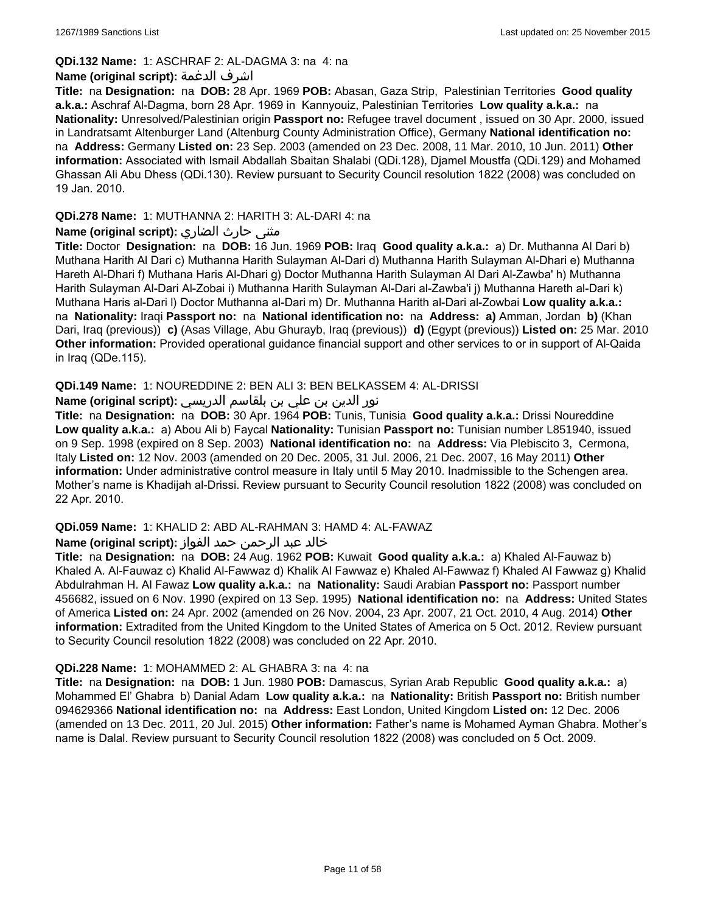### **QDi.132 Name:** 1: ASCHRAF 2: AL-DAGMA 3: na 4: na

#### **Name (original script):** الدغمة اشرف

**Title:** na **Designation:** na **DOB:** 28 Apr. 1969 **POB:** Abasan, Gaza Strip, Palestinian Territories **Good quality a.k.a.:** Aschraf Al-Dagma, born 28 Apr. 1969 in Kannyouiz, Palestinian Territories **Low quality a.k.a.:** na **Nationality:** Unresolved/Palestinian origin **Passport no:** Refugee travel document , issued on 30 Apr. 2000, issued in Landratsamt Altenburger Land (Altenburg County Administration Office), Germany **National identification no:**  na **Address:** Germany **Listed on:** 23 Sep. 2003 (amended on 23 Dec. 2008, 11 Mar. 2010, 10 Jun. 2011) **Other information:** Associated with Ismail Abdallah Sbaitan Shalabi (QDi.128), Djamel Moustfa (QDi.129) and Mohamed Ghassan Ali Abu Dhess (QDi.130). Review pursuant to Security Council resolution 1822 (2008) was concluded on 19 Jan. 2010.

### **QDi.278 Name:** 1: MUTHANNA 2: HARITH 3: AL-DARI 4: na

## **مثنى حارث الضاري :(Name (original script**

**Title:** Doctor **Designation:** na **DOB:** 16 Jun. 1969 **POB:** Iraq **Good quality a.k.a.:** a) Dr. Muthanna Al Dari b) Muthana Harith Al Dari c) Muthanna Harith Sulayman Al-Dari d) Muthanna Harith Sulayman Al-Dhari e) Muthanna Hareth Al-Dhari f) Muthana Haris Al-Dhari g) Doctor Muthanna Harith Sulayman Al Dari Al-Zawba' h) Muthanna Harith Sulayman Al-Dari Al-Zobai i) Muthanna Harith Sulayman Al-Dari al-Zawba'i j) Muthanna Hareth al-Dari k) Muthana Haris al-Dari l) Doctor Muthanna al-Dari m) Dr. Muthanna Harith al-Dari al-Zowbai **Low quality a.k.a.:**  na **Nationality:** Iraqi **Passport no:** na **National identification no:** na **Address: a)** Amman, Jordan **b)** (Khan Dari, Iraq (previous)) **c)** (Asas Village, Abu Ghurayb, Iraq (previous)) **d)** (Egypt (previous)) **Listed on:** 25 Mar. 2010 **Other information:** Provided operational guidance financial support and other services to or in support of Al-Qaida in Iraq (QDe.115).

## **QDi.149 Name:** 1: NOUREDDINE 2: BEN ALI 3: BEN BELKASSEM 4: AL-DRISSI

## نور الدين بن علي بن بلقاسم الدريسي **:(script original (Name**

**Title:** na **Designation:** na **DOB:** 30 Apr. 1964 **POB:** Tunis, Tunisia **Good quality a.k.a.:** Drissi Noureddine **Low quality a.k.a.:** a) Abou Ali b) Faycal **Nationality:** Tunisian **Passport no:** Tunisian number L851940, issued on 9 Sep. 1998 (expired on 8 Sep. 2003) **National identification no:** na **Address:** Via Plebiscito 3, Cermona, Italy **Listed on:** 12 Nov. 2003 (amended on 20 Dec. 2005, 31 Jul. 2006, 21 Dec. 2007, 16 May 2011) **Other information:** Under administrative control measure in Italy until 5 May 2010. Inadmissible to the Schengen area. Mother's name is Khadijah al-Drissi. Review pursuant to Security Council resolution 1822 (2008) was concluded on 22 Apr. 2010.

#### **QDi.059 Name:** 1: KHALID 2: ABD AL-RAHMAN 3: HAMD 4: AL-FAWAZ

## خالد عبد الرحمن حمد الفواز **:(script original (Name**

**Title:** na **Designation:** na **DOB:** 24 Aug. 1962 **POB:** Kuwait **Good quality a.k.a.:** a) Khaled Al-Fauwaz b) Khaled A. Al-Fauwaz c) Khalid Al-Fawwaz d) Khalik Al Fawwaz e) Khaled Al-Fawwaz f) Khaled Al Fawwaz g) Khalid Abdulrahman H. Al Fawaz **Low quality a.k.a.:** na **Nationality:** Saudi Arabian **Passport no:** Passport number 456682, issued on 6 Nov. 1990 (expired on 13 Sep. 1995) **National identification no:** na **Address:** United States of America **Listed on:** 24 Apr. 2002 (amended on 26 Nov. 2004, 23 Apr. 2007, 21 Oct. 2010, 4 Aug. 2014) **Other information:** Extradited from the United Kingdom to the United States of America on 5 Oct. 2012. Review pursuant to Security Council resolution 1822 (2008) was concluded on 22 Apr. 2010.

## **QDi.228 Name:** 1: MOHAMMED 2: AL GHABRA 3: na 4: na

**Title:** na **Designation:** na **DOB:** 1 Jun. 1980 **POB:** Damascus, Syrian Arab Republic **Good quality a.k.a.:** a) Mohammed El' Ghabra b) Danial Adam **Low quality a.k.a.:** na **Nationality:** British **Passport no:** British number 094629366 **National identification no:** na **Address:** East London, United Kingdom **Listed on:** 12 Dec. 2006 (amended on 13 Dec. 2011, 20 Jul. 2015) **Other information:** Father's name is Mohamed Ayman Ghabra. Mother's name is Dalal. Review pursuant to Security Council resolution 1822 (2008) was concluded on 5 Oct. 2009.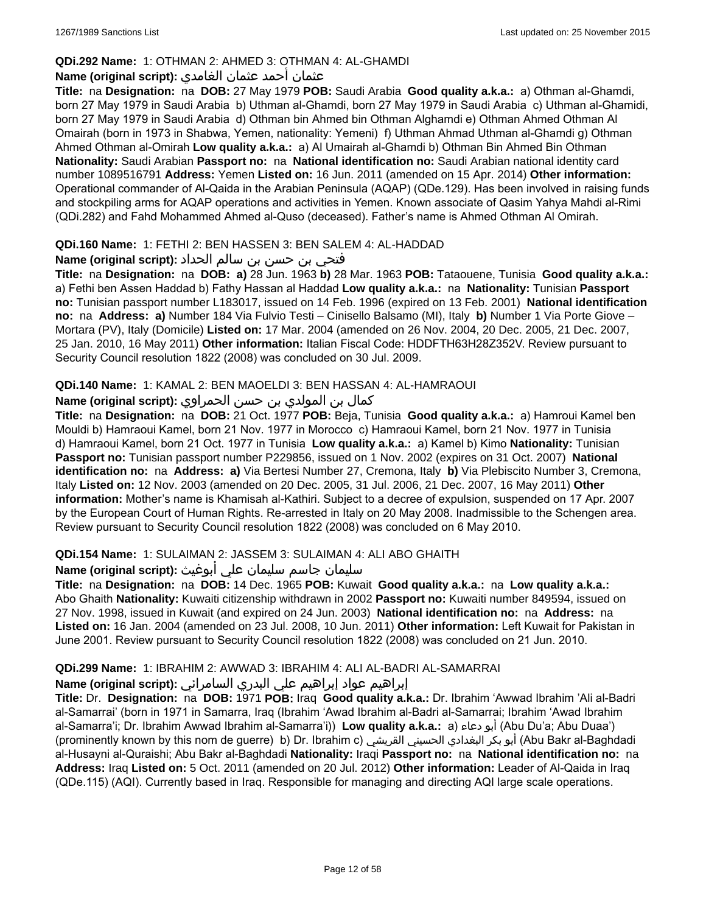## **QDi.292 Name:** 1: OTHMAN 2: AHMED 3: OTHMAN 4: AL-GHAMDI

## عثمان أحمد عثمان الغامدي **:(script original (Name**

**Title:** na **Designation:** na **DOB:** 27 May 1979 **POB:** Saudi Arabia **Good quality a.k.a.:** a) Othman al-Ghamdi, born 27 May 1979 in Saudi Arabia b) Uthman al-Ghamdi, born 27 May 1979 in Saudi Arabia c) Uthman al-Ghamidi, born 27 May 1979 in Saudi Arabia d) Othman bin Ahmed bin Othman Alghamdi e) Othman Ahmed Othman Al Omairah (born in 1973 in Shabwa, Yemen, nationality: Yemeni) f) Uthman Ahmad Uthman al-Ghamdi g) Othman Ahmed Othman al-Omirah **Low quality a.k.a.:** a) Al Umairah al-Ghamdi b) Othman Bin Ahmed Bin Othman **Nationality:** Saudi Arabian **Passport no:** na **National identification no:** Saudi Arabian national identity card number 1089516791 **Address:** Yemen **Listed on:** 16 Jun. 2011 (amended on 15 Apr. 2014) **Other information:** Operational commander of Al-Qaida in the Arabian Peninsula (AQAP) (QDe.129). Has been involved in raising funds and stockpiling arms for AQAP operations and activities in Yemen. Known associate of Qasim Yahya Mahdi al-Rimi (QDi.282) and Fahd Mohammed Ahmed al-Quso (deceased). Father's name is Ahmed Othman Al Omirah.

## **QDi.160 Name:** 1: FETHI 2: BEN HASSEN 3: BEN SALEM 4: AL-HADDAD

## فتحي بن حسن بن سالم الحداد **:(script original (Name**

**Title:** na **Designation:** na **DOB: a)** 28 Jun. 1963 **b)** 28 Mar. 1963 **POB:** Tataouene, Tunisia **Good quality a.k.a.:** a) Fethi ben Assen Haddad b) Fathy Hassan al Haddad **Low quality a.k.a.:** na **Nationality:** Tunisian **Passport no:** Tunisian passport number L183017, issued on 14 Feb. 1996 (expired on 13 Feb. 2001) **National identification no:** na **Address: a)** Number 184 Via Fulvio Testi – Cinisello Balsamo (MI), Italy **b)** Number 1 Via Porte Giove – Mortara (PV), Italy (Domicile) **Listed on:** 17 Mar. 2004 (amended on 26 Nov. 2004, 20 Dec. 2005, 21 Dec. 2007, 25 Jan. 2010, 16 May 2011) **Other information:** Italian Fiscal Code: HDDFTH63H28Z352V. Review pursuant to Security Council resolution 1822 (2008) was concluded on 30 Jul. 2009.

### **QDi.140 Name:** 1: KAMAL 2: BEN MAOELDI 3: BEN HASSAN 4: AL-HAMRAOUI

كمال بن المولدي بن حسن الحمراوي **:Name (original script)** 

**Title:** na **Designation:** na **DOB:** 21 Oct. 1977 **POB:** Beja, Tunisia **Good quality a.k.a.:** a) Hamroui Kamel ben Mouldi b) Hamraoui Kamel, born 21 Nov. 1977 in Morocco c) Hamraoui Kamel, born 21 Nov. 1977 in Tunisia d) Hamraoui Kamel, born 21 Oct. 1977 in Tunisia **Low quality a.k.a.:** a) Kamel b) Kimo **Nationality:** Tunisian **Passport no:** Tunisian passport number P229856, issued on 1 Nov. 2002 (expires on 31 Oct. 2007) **National identification no:** na **Address: a)** Via Bertesi Number 27, Cremona, Italy **b)** Via Plebiscito Number 3, Cremona, Italy **Listed on:** 12 Nov. 2003 (amended on 20 Dec. 2005, 31 Jul. 2006, 21 Dec. 2007, 16 May 2011) **Other information:** Mother's name is Khamisah al-Kathiri. Subject to a decree of expulsion, suspended on 17 Apr. 2007 by the European Court of Human Rights. Re-arrested in Italy on 20 May 2008. Inadmissible to the Schengen area. Review pursuant to Security Council resolution 1822 (2008) was concluded on 6 May 2010.

## **QDi.154 Name:** 1: SULAIMAN 2: JASSEM 3: SULAIMAN 4: ALI ABO GHAITH

## سليمان جاسم سليمان علي أبوغيث **:(script original (Name**

**Title:** na **Designation:** na **DOB:** 14 Dec. 1965 **POB:** Kuwait **Good quality a.k.a.:** na **Low quality a.k.a.:** Abo Ghaith **Nationality:** Kuwaiti citizenship withdrawn in 2002 **Passport no:** Kuwaiti number 849594, issued on 27 Nov. 1998, issued in Kuwait (and expired on 24 Jun. 2003) **National identification no:** na **Address:** na **Listed on:** 16 Jan. 2004 (amended on 23 Jul. 2008, 10 Jun. 2011) **Other information:** Left Kuwait for Pakistan in June 2001. Review pursuant to Security Council resolution 1822 (2008) was concluded on 21 Jun. 2010.

## **QDi.299 Name:** 1: IBRAHIM 2: AWWAD 3: IBRAHIM 4: ALI AL-BADRI AL-SAMARRAI

## إبراهيم عواد إبراهيم علي البدري السامرائي **:(script original (Name**

**Title:** Dr. **Designation:** na **DOB:** 1971 **POB:** Iraq **Good quality a.k.a.:** Dr. Ibrahim 'Awwad Ibrahim 'Ali al-Badri al-Samarrai' (born in 1971 in Samarra, Iraq (Ibrahim 'Awad Ibrahim al-Badri al-Samarrai; Ibrahim 'Awad Ibrahim al-Samarra'i; Dr. Ibrahim Awwad Ibrahim al-Samarra'i)) **Low quality a.k.a.:** a) دعاء أبو) Abu Du'a; Abu Duaa') (prominently known by this nom de guerre) b) Dr. Ibrahim c) القريشي الحسيني البغدادي بكر أبو) Abu Bakr al-Baghdadi al-Husayni al-Quraishi; Abu Bakr al-Baghdadi **Nationality:** Iraqi **Passport no:** na **National identification no:** na **Address:** Iraq **Listed on:** 5 Oct. 2011 (amended on 20 Jul. 2012) **Other information:** Leader of Al-Qaida in Iraq (QDe.115) (AQI). Currently based in Iraq. Responsible for managing and directing AQI large scale operations.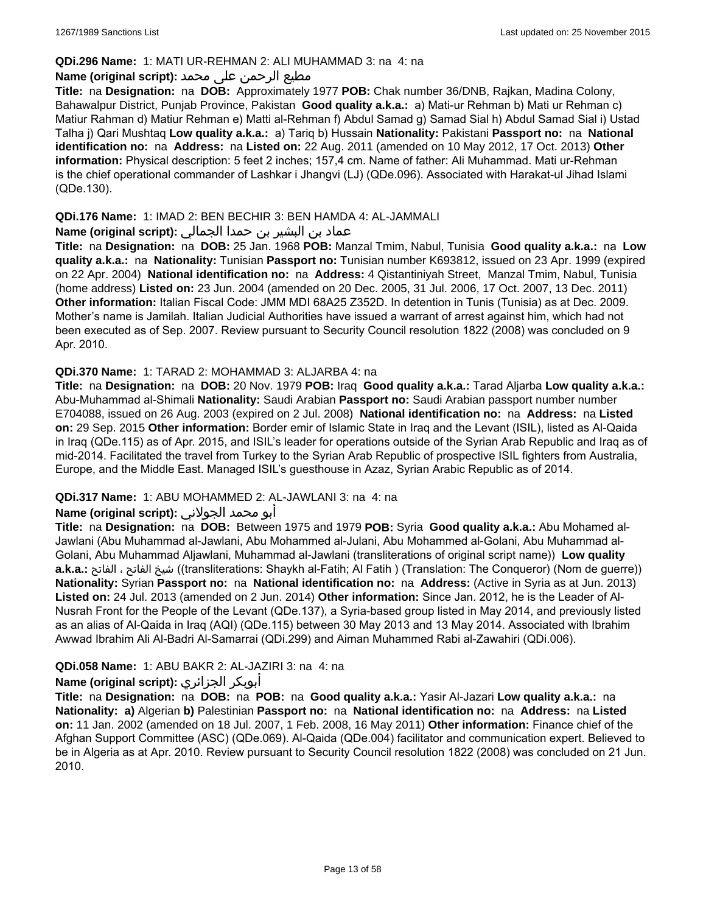### **QDi.296 Name:** 1: MATI UR-REHMAN 2: ALI MUHAMMAD 3: na 4: na

### مطیع الرحمن علی محمد **:Name (original script)**

**Title:** na **Designation:** na **DOB:** Approximately 1977 **POB:** Chak number 36/DNB, Rajkan, Madina Colony, Bahawalpur District, Punjab Province, Pakistan **Good quality a.k.a.:** a) Mati-ur Rehman b) Mati ur Rehman c) Matiur Rahman d) Matiur Rehman e) Matti al-Rehman f) Abdul Samad g) Samad Sial h) Abdul Samad Sial i) Ustad Talha j) Qari Mushtaq **Low quality a.k.a.:** a) Tariq b) Hussain **Nationality:** Pakistani **Passport no:** na **National identification no:** na **Address:** na **Listed on:** 22 Aug. 2011 (amended on 10 May 2012, 17 Oct. 2013) **Other information:** Physical description: 5 feet 2 inches; 157,4 cm. Name of father: Ali Muhammad. Mati ur-Rehman is the chief operational commander of Lashkar i Jhangvi (LJ) (QDe.096). Associated with Harakat-ul Jihad Islami (QDe.130).

## **QDi.176 Name:** 1: IMAD 2: BEN BECHIR 3: BEN HAMDA 4: AL-JAMMALI

## عماد بن البشير بن حمدا الجمالي **:(script original (Name**

**Title:** na **Designation:** na **DOB:** 25 Jan. 1968 **POB:** Manzal Tmim, Nabul, Tunisia **Good quality a.k.a.:** na **Low quality a.k.a.:** na **Nationality:** Tunisian **Passport no:** Tunisian number K693812, issued on 23 Apr. 1999 (expired on 22 Apr. 2004) **National identification no:** na **Address:** 4 Qistantiniyah Street, Manzal Tmim, Nabul, Tunisia (home address) **Listed on:** 23 Jun. 2004 (amended on 20 Dec. 2005, 31 Jul. 2006, 17 Oct. 2007, 13 Dec. 2011) **Other information:** Italian Fiscal Code: JMM MDI 68A25 Z352D. In detention in Tunis (Tunisia) as at Dec. 2009. Mother's name is Jamilah. Italian Judicial Authorities have issued a warrant of arrest against him, which had not been executed as of Sep. 2007. Review pursuant to Security Council resolution 1822 (2008) was concluded on 9 Apr. 2010.

### **QDi.370 Name:** 1: TARAD 2: MOHAMMAD 3: ALJARBA 4: na

**Title:** na **Designation:** na **DOB:** 20 Nov. 1979 **POB:** Iraq **Good quality a.k.a.:** Tarad Aljarba **Low quality a.k.a.:** Abu-Muhammad al-Shimali **Nationality:** Saudi Arabian **Passport no:** Saudi Arabian passport number number E704088, issued on 26 Aug. 2003 (expired on 2 Jul. 2008) **National identification no:** na **Address:** na **Listed on:** 29 Sep. 2015 **Other information:** Border emir of Islamic State in Iraq and the Levant (ISIL), listed as Al-Qaida in Iraq (QDe.115) as of Apr. 2015, and ISIL's leader for operations outside of the Syrian Arab Republic and Iraq as of mid-2014. Facilitated the travel from Turkey to the Syrian Arab Republic of prospective ISIL fighters from Australia, Europe, and the Middle East. Managed ISIL's guesthouse in Azaz, Syrian Arabic Republic as of 2014.

## **QDi.317 Name:** 1: ABU MOHAMMED 2: AL-JAWLANI 3: na 4: na

## أبو محمد الجولاني **:(script original (Name**

**Title:** na **Designation:** na **DOB:** Between 1975 and 1979 **POB:** Syria **Good quality a.k.a.:** Abu Mohamed al-Jawlani (Abu Muhammad al-Jawlani, Abu Mohammed al-Julani, Abu Mohammed al-Golani, Abu Muhammad al-Golani, Abu Muhammad Aljawlani, Muhammad al-Jawlani (transliterations of original script name)) **Low quality a.k.a.:** الفاتح ، الفاتح شيخ)) transliterations: Shaykh al-Fatih; Al Fatih ) (Translation: The Conqueror) (Nom de guerre)) **Nationality:** Syrian **Passport no:** na **National identification no:** na **Address:** (Active in Syria as at Jun. 2013) **Listed on:** 24 Jul. 2013 (amended on 2 Jun. 2014) **Other information:** Since Jan. 2012, he is the Leader of Al-Nusrah Front for the People of the Levant (QDe.137), a Syria-based group listed in May 2014, and previously listed as an alias of Al-Qaida in Iraq (AQI) (QDe.115) between 30 May 2013 and 13 May 2014. Associated with Ibrahim Awwad Ibrahim Ali Al-Badri Al-Samarrai (QDi.299) and Aiman Muhammed Rabi al-Zawahiri (QDi.006).

## **QDi.058 Name:** 1: ABU BAKR 2: AL-JAZIRI 3: na 4: na

## **Name (original script):** الجزائري أبوبكر

**Title:** na **Designation:** na **DOB:** na **POB:** na **Good quality a.k.a.:** Yasir Al-Jazari **Low quality a.k.a.:** na **Nationality: a)** Algerian **b)** Palestinian **Passport no:** na **National identification no:** na **Address:** na **Listed on:** 11 Jan. 2002 (amended on 18 Jul. 2007, 1 Feb. 2008, 16 May 2011) **Other information:** Finance chief of the Afghan Support Committee (ASC) (QDe.069). Al-Qaida (QDe.004) facilitator and communication expert. Believed to be in Algeria as at Apr. 2010. Review pursuant to Security Council resolution 1822 (2008) was concluded on 21 Jun. 2010.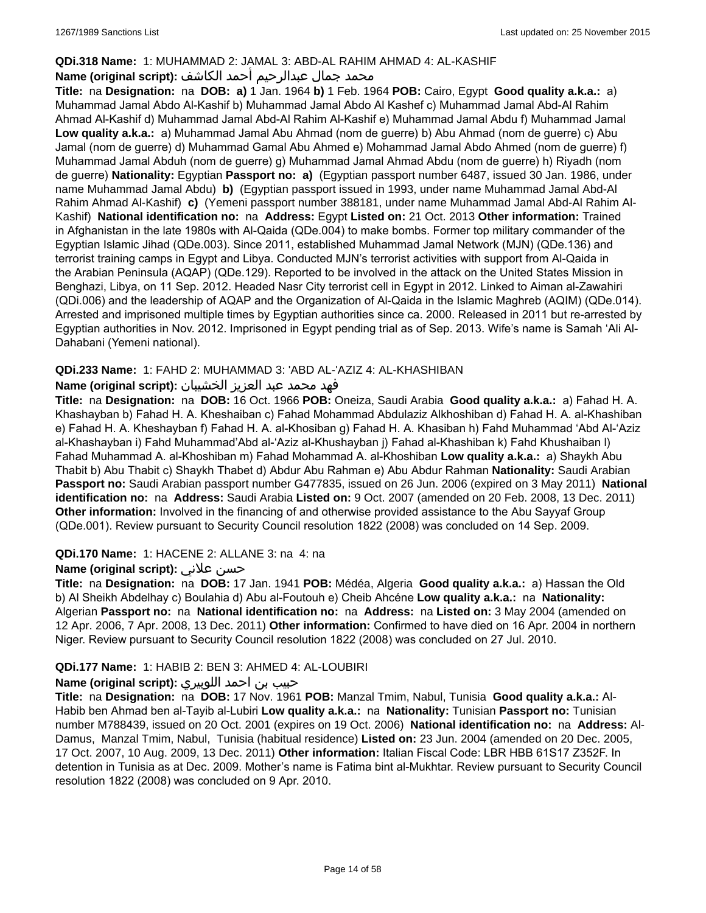## **QDi.318 Name:** 1: MUHAMMAD 2: JAMAL 3: ABD-AL RAHIM AHMAD 4: AL-KASHIF

## محمد جمال عبدالرحيم أحمد الكاشف **:Name (original script**)

**Title:** na **Designation:** na **DOB: a)** 1 Jan. 1964 **b)** 1 Feb. 1964 **POB:** Cairo, Egypt **Good quality a.k.a.:** a) Muhammad Jamal Abdo Al-Kashif b) Muhammad Jamal Abdo Al Kashef c) Muhammad Jamal Abd-Al Rahim Ahmad Al-Kashif d) Muhammad Jamal Abd-Al Rahim Al-Kashif e) Muhammad Jamal Abdu f) Muhammad Jamal **Low quality a.k.a.:** a) Muhammad Jamal Abu Ahmad (nom de guerre) b) Abu Ahmad (nom de guerre) c) Abu Jamal (nom de guerre) d) Muhammad Gamal Abu Ahmed e) Mohammad Jamal Abdo Ahmed (nom de guerre) f) Muhammad Jamal Abduh (nom de guerre) g) Muhammad Jamal Ahmad Abdu (nom de guerre) h) Riyadh (nom de guerre) **Nationality:** Egyptian **Passport no: a)** (Egyptian passport number 6487, issued 30 Jan. 1986, under name Muhammad Jamal Abdu) **b)** (Egyptian passport issued in 1993, under name Muhammad Jamal Abd-Al Rahim Ahmad Al-Kashif) **c)** (Yemeni passport number 388181, under name Muhammad Jamal Abd-Al Rahim Al-Kashif) **National identification no:** na **Address:** Egypt **Listed on:** 21 Oct. 2013 **Other information:** Trained in Afghanistan in the late 1980s with Al-Qaida (QDe.004) to make bombs. Former top military commander of the Egyptian Islamic Jihad (QDe.003). Since 2011, established Muhammad Jamal Network (MJN) (QDe.136) and terrorist training camps in Egypt and Libya. Conducted MJN's terrorist activities with support from Al-Qaida in the Arabian Peninsula (AQAP) (QDe.129). Reported to be involved in the attack on the United States Mission in Benghazi, Libya, on 11 Sep. 2012. Headed Nasr City terrorist cell in Egypt in 2012. Linked to Aiman al-Zawahiri (QDi.006) and the leadership of AQAP and the Organization of Al-Qaida in the Islamic Maghreb (AQIM) (QDe.014). Arrested and imprisoned multiple times by Egyptian authorities since ca. 2000. Released in 2011 but re-arrested by Egyptian authorities in Nov. 2012. Imprisoned in Egypt pending trial as of Sep. 2013. Wife's name is Samah 'Ali Al-Dahabani (Yemeni national).

## **QDi.233 Name:** 1: FAHD 2: MUHAMMAD 3: 'ABD AL-'AZIZ 4: AL-KHASHIBAN

## فهد محمد عبد العزيز الخشيبان **:(script original (Name**

**Title:** na **Designation:** na **DOB:** 16 Oct. 1966 **POB:** Oneiza, Saudi Arabia **Good quality a.k.a.:** a) Fahad H. A. Khashayban b) Fahad H. A. Kheshaiban c) Fahad Mohammad Abdulaziz Alkhoshiban d) Fahad H. A. al-Khashiban e) Fahad H. A. Kheshayban f) Fahad H. A. al-Khosiban g) Fahad H. A. Khasiban h) Fahd Muhammad 'Abd Al-'Aziz al-Khashayban i) Fahd Muhammad'Abd al-'Aziz al-Khushayban j) Fahad al-Khashiban k) Fahd Khushaiban l) Fahad Muhammad A. al-Khoshiban m) Fahad Mohammad A. al-Khoshiban **Low quality a.k.a.:** a) Shaykh Abu Thabit b) Abu Thabit c) Shaykh Thabet d) Abdur Abu Rahman e) Abu Abdur Rahman **Nationality:** Saudi Arabian **Passport no:** Saudi Arabian passport number G477835, issued on 26 Jun. 2006 (expired on 3 May 2011) **National identification no:** na **Address:** Saudi Arabia **Listed on:** 9 Oct. 2007 (amended on 20 Feb. 2008, 13 Dec. 2011) **Other information:** Involved in the financing of and otherwise provided assistance to the Abu Sayyaf Group (QDe.001). Review pursuant to Security Council resolution 1822 (2008) was concluded on 14 Sep. 2009.

## **QDi.170 Name:** 1: HACENE 2: ALLANE 3: na 4: na

## **Name (original script):** علاني حسن

**Title:** na **Designation:** na **DOB:** 17 Jan. 1941 **POB:** Médéa, Algeria **Good quality a.k.a.:** a) Hassan the Old b) Al Sheikh Abdelhay c) Boulahia d) Abu al-Foutouh e) Cheib Ahcéne **Low quality a.k.a.:** na **Nationality:** Algerian **Passport no:** na **National identification no:** na **Address:** na **Listed on:** 3 May 2004 (amended on 12 Apr. 2006, 7 Apr. 2008, 13 Dec. 2011) **Other information:** Confirmed to have died on 16 Apr. 2004 in northern Niger. Review pursuant to Security Council resolution 1822 (2008) was concluded on 27 Jul. 2010.

## **QDi.177 Name:** 1: HABIB 2: BEN 3: AHMED 4: AL-LOUBIRI

## حبيب بن احمد اللوبيري **:(script original (Name**

**Title:** na **Designation:** na **DOB:** 17 Nov. 1961 **POB:** Manzal Tmim, Nabul, Tunisia **Good quality a.k.a.:** Al-Habib ben Ahmad ben al-Tayib al-Lubiri **Low quality a.k.a.:** na **Nationality:** Tunisian **Passport no:** Tunisian number M788439, issued on 20 Oct. 2001 (expires on 19 Oct. 2006) **National identification no:** na **Address:** Al-Damus, Manzal Tmim, Nabul, Tunisia (habitual residence) **Listed on:** 23 Jun. 2004 (amended on 20 Dec. 2005, 17 Oct. 2007, 10 Aug. 2009, 13 Dec. 2011) **Other information:** Italian Fiscal Code: LBR HBB 61S17 Z352F. In detention in Tunisia as at Dec. 2009. Mother's name is Fatima bint al-Mukhtar. Review pursuant to Security Council resolution 1822 (2008) was concluded on 9 Apr. 2010.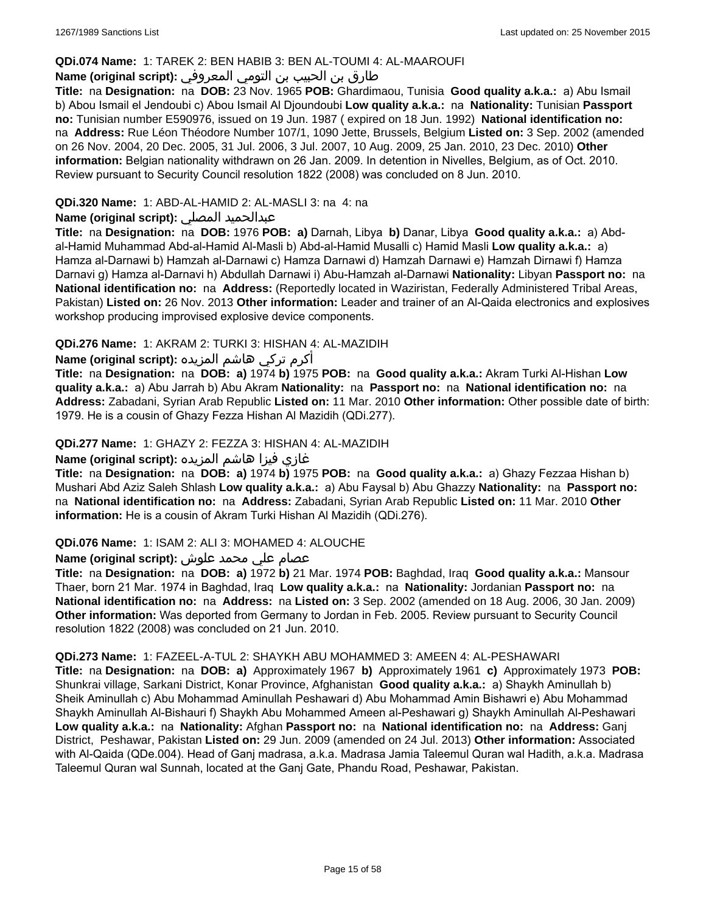#### **QDi.074 Name:** 1: TAREK 2: BEN HABIB 3: BEN AL-TOUMI 4: AL-MAAROUFI

## طارق بن الحبيب بن التومي المعروفي **:Name (original script)**

**Title:** na **Designation:** na **DOB:** 23 Nov. 1965 **POB:** Ghardimaou, Tunisia **Good quality a.k.a.:** a) Abu Ismail b) Abou Ismail el Jendoubi c) Abou Ismail Al Djoundoubi **Low quality a.k.a.:** na **Nationality:** Tunisian **Passport no:** Tunisian number E590976, issued on 19 Jun. 1987 ( expired on 18 Jun. 1992) **National identification no:**  na **Address:** Rue Léon Théodore Number 107/1, 1090 Jette, Brussels, Belgium **Listed on:** 3 Sep. 2002 (amended on 26 Nov. 2004, 20 Dec. 2005, 31 Jul. 2006, 3 Jul. 2007, 10 Aug. 2009, 25 Jan. 2010, 23 Dec. 2010) **Other information:** Belgian nationality withdrawn on 26 Jan. 2009. In detention in Nivelles, Belgium, as of Oct. 2010. Review pursuant to Security Council resolution 1822 (2008) was concluded on 8 Jun. 2010.

### **QDi.320 Name:** 1: ABD-AL-HAMID 2: AL-MASLI 3: na 4: na

## **Name (original script):** المصلي عبدالحميد

**Title:** na **Designation:** na **DOB:** 1976 **POB: a)** Darnah, Libya **b)** Danar, Libya **Good quality a.k.a.:** a) Abdal-Hamid Muhammad Abd-al-Hamid Al-Masli b) Abd-al-Hamid Musalli c) Hamid Masli **Low quality a.k.a.:** a) Hamza al-Darnawi b) Hamzah al-Darnawi c) Hamza Darnawi d) Hamzah Darnawi e) Hamzah Dirnawi f) Hamza Darnavi g) Hamza al-Darnavi h) Abdullah Darnawi i) Abu-Hamzah al-Darnawi **Nationality:** Libyan **Passport no:** na **National identification no:** na **Address:** (Reportedly located in Waziristan, Federally Administered Tribal Areas, Pakistan) **Listed on:** 26 Nov. 2013 **Other information:** Leader and trainer of an Al-Qaida electronics and explosives workshop producing improvised explosive device components.

## **QDi.276 Name:** 1: AKRAM 2: TURKI 3: HISHAN 4: AL-MAZIDIH

أكرم تركي هاشم المزيده **:(script original (Name**

**Title:** na **Designation:** na **DOB: a)** 1974 **b)** 1975 **POB:** na **Good quality a.k.a.:** Akram Turki Al-Hishan **Low quality a.k.a.:** a) Abu Jarrah b) Abu Akram **Nationality:** na **Passport no:** na **National identification no:** na **Address:** Zabadani, Syrian Arab Republic **Listed on:** 11 Mar. 2010 **Other information:** Other possible date of birth: 1979. He is a cousin of Ghazy Fezza Hishan Al Mazidih (QDi.277).

### **QDi.277 Name:** 1: GHAZY 2: FEZZA 3: HISHAN 4: AL-MAZIDIH

## غازي فيزا هاشم المزيده **:(script original (Name**

**Title:** na **Designation:** na **DOB: a)** 1974 **b)** 1975 **POB:** na **Good quality a.k.a.:** a) Ghazy Fezzaa Hishan b) Mushari Abd Aziz Saleh Shlash **Low quality a.k.a.:** a) Abu Faysal b) Abu Ghazzy **Nationality:** na **Passport no:**  na **National identification no:** na **Address:** Zabadani, Syrian Arab Republic **Listed on:** 11 Mar. 2010 **Other information:** He is a cousin of Akram Turki Hishan Al Mazidih (QDi.276).

#### **QDi.076 Name:** 1: ISAM 2: ALI 3: MOHAMED 4: ALOUCHE

## عصام علي محمد علوش **:(script original (Name**

**Title:** na **Designation:** na **DOB: a)** 1972 **b)** 21 Mar. 1974 **POB:** Baghdad, Iraq **Good quality a.k.a.:** Mansour Thaer, born 21 Mar. 1974 in Baghdad, Iraq **Low quality a.k.a.:** na **Nationality:** Jordanian **Passport no:** na **National identification no:** na **Address:** na **Listed on:** 3 Sep. 2002 (amended on 18 Aug. 2006, 30 Jan. 2009) **Other information:** Was deported from Germany to Jordan in Feb. 2005. Review pursuant to Security Council resolution 1822 (2008) was concluded on 21 Jun. 2010.

#### **QDi.273 Name:** 1: FAZEEL-A-TUL 2: SHAYKH ABU MOHAMMED 3: AMEEN 4: AL-PESHAWARI

**Title:** na **Designation:** na **DOB: a)** Approximately 1967 **b)** Approximately 1961 **c)** Approximately 1973 **POB:** Shunkrai village, Sarkani District, Konar Province, Afghanistan **Good quality a.k.a.:** a) Shaykh Aminullah b) Sheik Aminullah c) Abu Mohammad Aminullah Peshawari d) Abu Mohammad Amin Bishawri e) Abu Mohammad Shaykh Aminullah Al-Bishauri f) Shaykh Abu Mohammed Ameen al-Peshawari g) Shaykh Aminullah Al-Peshawari **Low quality a.k.a.:** na **Nationality:** Afghan **Passport no:** na **National identification no:** na **Address:** Ganj District, Peshawar, Pakistan **Listed on:** 29 Jun. 2009 (amended on 24 Jul. 2013) **Other information:** Associated with Al-Qaida (QDe.004). Head of Ganj madrasa, a.k.a. Madrasa Jamia Taleemul Quran wal Hadith, a.k.a. Madrasa Taleemul Quran wal Sunnah, located at the Ganj Gate, Phandu Road, Peshawar, Pakistan.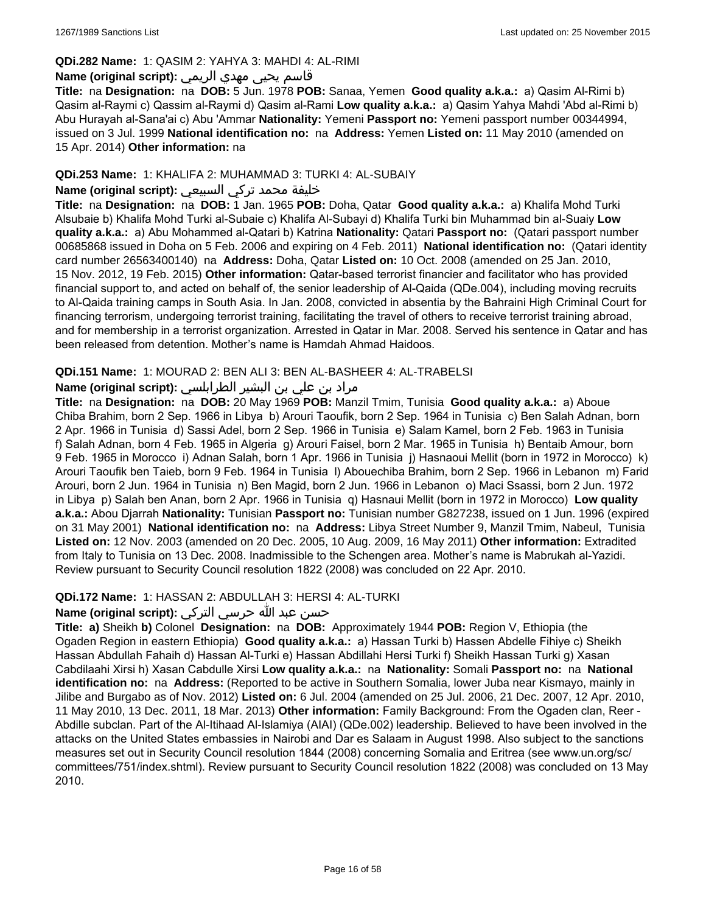### **QDi.282 Name:** 1: QASIM 2: YAHYA 3: MAHDI 4: AL-RIMI

## قاسم يحيى مهدي الريمي **:(script original (Name**

**Title:** na **Designation:** na **DOB:** 5 Jun. 1978 **POB:** Sanaa, Yemen **Good quality a.k.a.:** a) Qasim Al-Rimi b) Qasim al-Raymi c) Qassim al-Raymi d) Qasim al-Rami **Low quality a.k.a.:** a) Qasim Yahya Mahdi 'Abd al-Rimi b) Abu Hurayah al-Sana'ai c) Abu 'Ammar **Nationality:** Yemeni **Passport no:** Yemeni passport number 00344994, issued on 3 Jul. 1999 **National identification no:** na **Address:** Yemen **Listed on:** 11 May 2010 (amended on 15 Apr. 2014) **Other information:** na

### **QDi.253 Name:** 1: KHALIFA 2: MUHAMMAD 3: TURKI 4: AL-SUBAIY

## خليفة محمد تركي السبيعي **:(script original (Name**

**Title:** na **Designation:** na **DOB:** 1 Jan. 1965 **POB:** Doha, Qatar **Good quality a.k.a.:** a) Khalifa Mohd Turki Alsubaie b) Khalifa Mohd Turki al-Subaie c) Khalifa Al-Subayi d) Khalifa Turki bin Muhammad bin al-Suaiy **Low quality a.k.a.:** a) Abu Mohammed al-Qatari b) Katrina **Nationality:** Qatari **Passport no:** (Qatari passport number 00685868 issued in Doha on 5 Feb. 2006 and expiring on 4 Feb. 2011) **National identification no:** (Qatari identity card number 26563400140) na **Address:** Doha, Qatar **Listed on:** 10 Oct. 2008 (amended on 25 Jan. 2010, 15 Nov. 2012, 19 Feb. 2015) **Other information:** Qatar-based terrorist financier and facilitator who has provided financial support to, and acted on behalf of, the senior leadership of Al-Qaida (QDe.004), including moving recruits to Al-Qaida training camps in South Asia. In Jan. 2008, convicted in absentia by the Bahraini High Criminal Court for financing terrorism, undergoing terrorist training, facilitating the travel of others to receive terrorist training abroad, and for membership in a terrorist organization. Arrested in Qatar in Mar. 2008. Served his sentence in Qatar and has been released from detention. Mother's name is Hamdah Ahmad Haidoos.

### **QDi.151 Name:** 1: MOURAD 2: BEN ALI 3: BEN AL-BASHEER 4: AL-TRABELSI

## مراد بن علي بن البشير الطرابلسي **:Name (original script)**

**Title:** na **Designation:** na **DOB:** 20 May 1969 **POB:** Manzil Tmim, Tunisia **Good quality a.k.a.:** a) Aboue Chiba Brahim, born 2 Sep. 1966 in Libya b) Arouri Taoufik, born 2 Sep. 1964 in Tunisia c) Ben Salah Adnan, born 2 Apr. 1966 in Tunisia d) Sassi Adel, born 2 Sep. 1966 in Tunisia e) Salam Kamel, born 2 Feb. 1963 in Tunisia f) Salah Adnan, born 4 Feb. 1965 in Algeria g) Arouri Faisel, born 2 Mar. 1965 in Tunisia h) Bentaib Amour, born 9 Feb. 1965 in Morocco i) Adnan Salah, born 1 Apr. 1966 in Tunisia j) Hasnaoui Mellit (born in 1972 in Morocco) k) Arouri Taoufik ben Taieb, born 9 Feb. 1964 in Tunisia l) Abouechiba Brahim, born 2 Sep. 1966 in Lebanon m) Farid Arouri, born 2 Jun. 1964 in Tunisia n) Ben Magid, born 2 Jun. 1966 in Lebanon o) Maci Ssassi, born 2 Jun. 1972 in Libya p) Salah ben Anan, born 2 Apr. 1966 in Tunisia q) Hasnaui Mellit (born in 1972 in Morocco) **Low quality a.k.a.:** Abou Djarrah **Nationality:** Tunisian **Passport no:** Tunisian number G827238, issued on 1 Jun. 1996 (expired on 31 May 2001) **National identification no:** na **Address:** Libya Street Number 9, Manzil Tmim, Nabeul, Tunisia **Listed on:** 12 Nov. 2003 (amended on 20 Dec. 2005, 10 Aug. 2009, 16 May 2011) **Other information:** Extradited from Italy to Tunisia on 13 Dec. 2008. Inadmissible to the Schengen area. Mother's name is Mabrukah al-Yazidi. Review pursuant to Security Council resolution 1822 (2008) was concluded on 22 Apr. 2010.

#### **QDi.172 Name:** 1: HASSAN 2: ABDULLAH 3: HERSI 4: AL-TURKI

### حسن عبد الله حرسي التركي **:(script original (Name**

**Title: a)** Sheikh **b)** Colonel **Designation:** na **DOB:** Approximately 1944 **POB:** Region V, Ethiopia (the Ogaden Region in eastern Ethiopia) **Good quality a.k.a.:** a) Hassan Turki b) Hassen Abdelle Fihiye c) Sheikh Hassan Abdullah Fahaih d) Hassan Al-Turki e) Hassan Abdillahi Hersi Turki f) Sheikh Hassan Turki g) Xasan Cabdilaahi Xirsi h) Xasan Cabdulle Xirsi **Low quality a.k.a.:** na **Nationality:** Somali **Passport no:** na **National identification no:** na **Address:** (Reported to be active in Southern Somalia, lower Juba near Kismayo, mainly in Jilibe and Burgabo as of Nov. 2012) **Listed on:** 6 Jul. 2004 (amended on 25 Jul. 2006, 21 Dec. 2007, 12 Apr. 2010, 11 May 2010, 13 Dec. 2011, 18 Mar. 2013) **Other information:** Family Background: From the Ogaden clan, Reer - Abdille subclan. Part of the Al-Itihaad Al-Islamiya (AIAI) (QDe.002) leadership. Believed to have been involved in the attacks on the United States embassies in Nairobi and Dar es Salaam in August 1998. Also subject to the sanctions measures set out in Security Council resolution 1844 (2008) concerning Somalia and Eritrea (see www.un.org/sc/ committees/751/index.shtml). Review pursuant to Security Council resolution 1822 (2008) was concluded on 13 May 2010.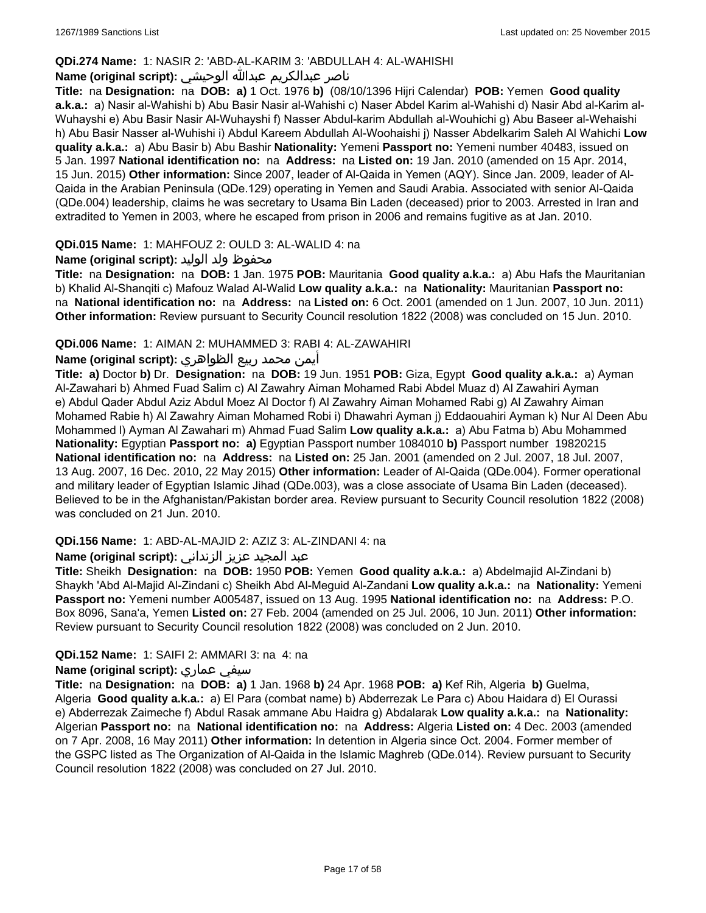## **QDi.274 Name:** 1: NASIR 2: 'ABD-AL-KARIM 3: 'ABDULLAH 4: AL-WAHISHI

## ناصر عبدالكريم عبدالله الوحيشي **:(script original (Name**

**Title:** na **Designation:** na **DOB: a)** 1 Oct. 1976 **b)** (08/10/1396 Hijri Calendar) **POB:** Yemen **Good quality a.k.a.:** a) Nasir al-Wahishi b) Abu Basir Nasir al-Wahishi c) Naser Abdel Karim al-Wahishi d) Nasir Abd al-Karim al-Wuhayshi e) Abu Basir Nasir Al-Wuhayshi f) Nasser Abdul-karim Abdullah al-Wouhichi g) Abu Baseer al-Wehaishi h) Abu Basir Nasser al-Wuhishi i) Abdul Kareem Abdullah Al-Woohaishi j) Nasser Abdelkarim Saleh Al Wahichi **Low quality a.k.a.:** a) Abu Basir b) Abu Bashir **Nationality:** Yemeni **Passport no:** Yemeni number 40483, issued on 5 Jan. 1997 **National identification no:** na **Address:** na **Listed on:** 19 Jan. 2010 (amended on 15 Apr. 2014, 15 Jun. 2015) **Other information:** Since 2007, leader of Al-Qaida in Yemen (AQY). Since Jan. 2009, leader of Al-Qaida in the Arabian Peninsula (QDe.129) operating in Yemen and Saudi Arabia. Associated with senior Al-Qaida (QDe.004) leadership, claims he was secretary to Usama Bin Laden (deceased) prior to 2003. Arrested in Iran and extradited to Yemen in 2003, where he escaped from prison in 2006 and remains fugitive as at Jan. 2010.

### **QDi.015 Name:** 1: MAHFOUZ 2: OULD 3: AL-WALID 4: na

### محفوظ ولد الوليد **:**(Name (original script

**Title:** na **Designation:** na **DOB:** 1 Jan. 1975 **POB:** Mauritania **Good quality a.k.a.:** a) Abu Hafs the Mauritanian b) Khalid Al-Shanqiti c) Mafouz Walad Al-Walid **Low quality a.k.a.:** na **Nationality:** Mauritanian **Passport no:**  na **National identification no:** na **Address:** na **Listed on:** 6 Oct. 2001 (amended on 1 Jun. 2007, 10 Jun. 2011) **Other information:** Review pursuant to Security Council resolution 1822 (2008) was concluded on 15 Jun. 2010.

### **QDi.006 Name:** 1: AIMAN 2: MUHAMMED 3: RABI 4: AL-ZAWAHIRI

### أيمن محمد ربيع الظواهري **:(script original (Name**

**Title: a)** Doctor **b)** Dr. **Designation:** na **DOB:** 19 Jun. 1951 **POB:** Giza, Egypt **Good quality a.k.a.:** a) Ayman Al-Zawahari b) Ahmed Fuad Salim c) Al Zawahry Aiman Mohamed Rabi Abdel Muaz d) Al Zawahiri Ayman e) Abdul Qader Abdul Aziz Abdul Moez Al Doctor f) Al Zawahry Aiman Mohamed Rabi g) Al Zawahry Aiman Mohamed Rabie h) Al Zawahry Aiman Mohamed Robi i) Dhawahri Ayman j) Eddaouahiri Ayman k) Nur Al Deen Abu Mohammed l) Ayman Al Zawahari m) Ahmad Fuad Salim **Low quality a.k.a.:** a) Abu Fatma b) Abu Mohammed **Nationality:** Egyptian **Passport no: a)** Egyptian Passport number 1084010 **b)** Passport number 19820215 **National identification no:** na **Address:** na **Listed on:** 25 Jan. 2001 (amended on 2 Jul. 2007, 18 Jul. 2007, 13 Aug. 2007, 16 Dec. 2010, 22 May 2015) **Other information:** Leader of Al-Qaida (QDe.004). Former operational and military leader of Egyptian Islamic Jihad (QDe.003), was a close associate of Usama Bin Laden (deceased). Believed to be in the Afghanistan/Pakistan border area. Review pursuant to Security Council resolution 1822 (2008) was concluded on 21 Jun. 2010.

## **QDi.156 Name:** 1: ABD-AL-MAJID 2: AZIZ 3: AL-ZINDANI 4: na

## عبد المجيد عزيز الزنداني **:(script original (Name**

**Title:** Sheikh **Designation:** na **DOB:** 1950 **POB:** Yemen **Good quality a.k.a.:** a) Abdelmajid Al-Zindani b) Shaykh 'Abd Al-Majid Al-Zindani c) Sheikh Abd Al-Meguid Al-Zandani **Low quality a.k.a.:** na **Nationality:** Yemeni **Passport no:** Yemeni number A005487, issued on 13 Aug. 1995 **National identification no:** na **Address:** P.O. Box 8096, Sana'a, Yemen **Listed on:** 27 Feb. 2004 (amended on 25 Jul. 2006, 10 Jun. 2011) **Other information:** Review pursuant to Security Council resolution 1822 (2008) was concluded on 2 Jun. 2010.

#### **QDi.152 Name:** 1: SAIFI 2: AMMARI 3: na 4: na

#### **Name (original script):** عماري سيفي

**Title:** na **Designation:** na **DOB: a)** 1 Jan. 1968 **b)** 24 Apr. 1968 **POB: a)** Kef Rih, Algeria **b)** Guelma, Algeria **Good quality a.k.a.:** a) El Para (combat name) b) Abderrezak Le Para c) Abou Haidara d) El Ourassi e) Abderrezak Zaimeche f) Abdul Rasak ammane Abu Haidra g) Abdalarak **Low quality a.k.a.:** na **Nationality:** Algerian **Passport no:** na **National identification no:** na **Address:** Algeria **Listed on:** 4 Dec. 2003 (amended on 7 Apr. 2008, 16 May 2011) **Other information:** In detention in Algeria since Oct. 2004. Former member of the GSPC listed as The Organization of Al-Qaida in the Islamic Maghreb (QDe.014). Review pursuant to Security Council resolution 1822 (2008) was concluded on 27 Jul. 2010.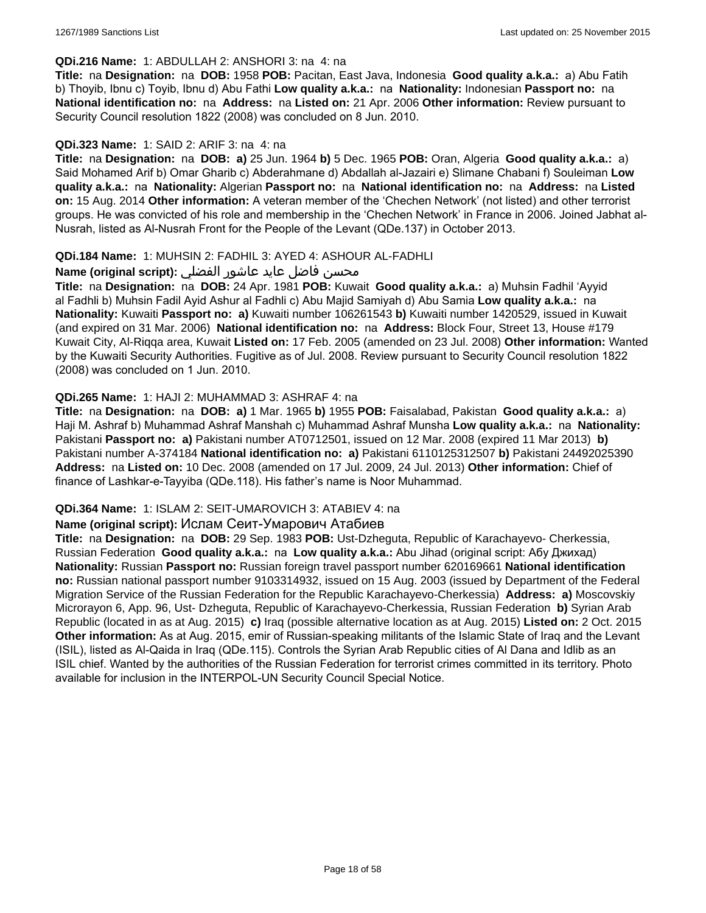#### **QDi.216 Name:** 1: ABDULLAH 2: ANSHORI 3: na 4: na

**Title:** na **Designation:** na **DOB:** 1958 **POB:** Pacitan, East Java, Indonesia **Good quality a.k.a.:** a) Abu Fatih b) Thoyib, Ibnu c) Toyib, Ibnu d) Abu Fathi **Low quality a.k.a.:** na **Nationality:** Indonesian **Passport no:** na **National identification no:** na **Address:** na **Listed on:** 21 Apr. 2006 **Other information:** Review pursuant to Security Council resolution 1822 (2008) was concluded on 8 Jun. 2010.

### **QDi.323 Name:** 1: SAID 2: ARIF 3: na 4: na

**Title:** na **Designation:** na **DOB: a)** 25 Jun. 1964 **b)** 5 Dec. 1965 **POB:** Oran, Algeria **Good quality a.k.a.:** a) Said Mohamed Arif b) Omar Gharib c) Abderahmane d) Abdallah al-Jazairi e) Slimane Chabani f) Souleiman **Low quality a.k.a.:** na **Nationality:** Algerian **Passport no:** na **National identification no:** na **Address:** na **Listed on:** 15 Aug. 2014 **Other information:** A veteran member of the 'Chechen Network' (not listed) and other terrorist groups. He was convicted of his role and membership in the 'Chechen Network' in France in 2006. Joined Jabhat al-Nusrah, listed as Al-Nusrah Front for the People of the Levant (QDe.137) in October 2013.

### **QDi.184 Name:** 1: MUHSIN 2: FADHIL 3: AYED 4: ASHOUR AL-FADHLI

### محسن فاضل عايد عاشور الفضلي **:Name (original script**)

**Title:** na **Designation:** na **DOB:** 24 Apr. 1981 **POB:** Kuwait **Good quality a.k.a.:** a) Muhsin Fadhil 'Ayyid al Fadhli b) Muhsin Fadil Ayid Ashur al Fadhli c) Abu Majid Samiyah d) Abu Samia **Low quality a.k.a.:** na **Nationality:** Kuwaiti **Passport no: a)** Kuwaiti number 106261543 **b)** Kuwaiti number 1420529, issued in Kuwait (and expired on 31 Mar. 2006) **National identification no:** na **Address:** Block Four, Street 13, House #179 Kuwait City, Al-Riqqa area, Kuwait **Listed on:** 17 Feb. 2005 (amended on 23 Jul. 2008) **Other information:** Wanted by the Kuwaiti Security Authorities. Fugitive as of Jul. 2008. Review pursuant to Security Council resolution 1822 (2008) was concluded on 1 Jun. 2010.

### **QDi.265 Name:** 1: HAJI 2: MUHAMMAD 3: ASHRAF 4: na

**Title:** na **Designation:** na **DOB: a)** 1 Mar. 1965 **b)** 1955 **POB:** Faisalabad, Pakistan **Good quality a.k.a.:** a) Haji M. Ashraf b) Muhammad Ashraf Manshah c) Muhammad Ashraf Munsha **Low quality a.k.a.:** na **Nationality:** Pakistani **Passport no: a)** Pakistani number AT0712501, issued on 12 Mar. 2008 (expired 11 Mar 2013) **b)** Pakistani number A-374184 **National identification no: a)** Pakistani 6110125312507 **b)** Pakistani 24492025390 **Address:** na **Listed on:** 10 Dec. 2008 (amended on 17 Jul. 2009, 24 Jul. 2013) **Other information:** Chief of finance of Lashkar-e-Tayyiba (QDe.118). His father's name is Noor Muhammad.

#### **QDi.364 Name:** 1: ISLAM 2: SEIT-UMAROVICH 3: ATABIEV 4: na

#### **Name (original script):** Ислам Сеит-Умарович Атабиев

**Title:** na **Designation:** na **DOB:** 29 Sep. 1983 **POB:** Ust-Dzheguta, Republic of Karachayevo- Cherkessia, Russian Federation **Good quality a.k.a.:** na **Low quality a.k.a.:** Abu Jihad (original script: Абу Джихад) **Nationality:** Russian **Passport no:** Russian foreign travel passport number 620169661 **National identification no:** Russian national passport number 9103314932, issued on 15 Aug. 2003 (issued by Department of the Federal Migration Service of the Russian Federation for the Republic Karachayevo-Cherkessia) **Address: a)** Moscovskiy Microrayon 6, App. 96, Ust- Dzheguta, Republic of Karachayevo-Cherkessia, Russian Federation **b)** Syrian Arab Republic (located in as at Aug. 2015) **c)** Iraq (possible alternative location as at Aug. 2015) **Listed on:** 2 Oct. 2015 **Other information:** As at Aug. 2015, emir of Russian-speaking militants of the Islamic State of Iraq and the Levant (ISIL), listed as Al-Qaida in Iraq (QDe.115). Controls the Syrian Arab Republic cities of Al Dana and Idlib as an ISIL chief. Wanted by the authorities of the Russian Federation for terrorist crimes committed in its territory. Photo available for inclusion in the INTERPOL-UN Security Council Special Notice.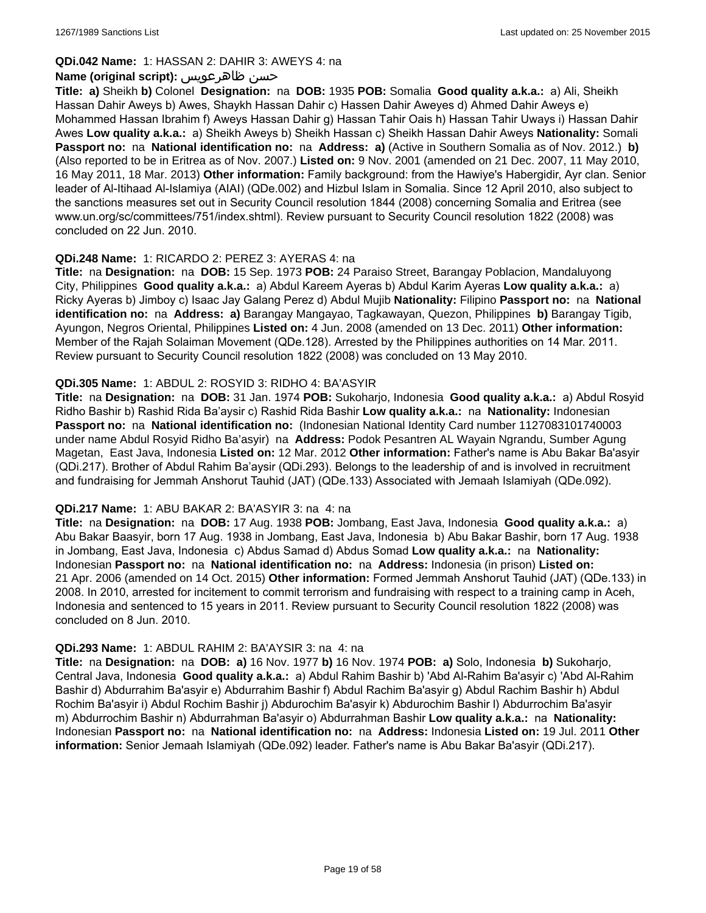### **QDi.042 Name:** 1: HASSAN 2: DAHIR 3: AWEYS 4: na

### **Name (original script):** ظاهرعويس حسن

**Title: a)** Sheikh **b)** Colonel **Designation:** na **DOB:** 1935 **POB:** Somalia **Good quality a.k.a.:** a) Ali, Sheikh Hassan Dahir Aweys b) Awes, Shaykh Hassan Dahir c) Hassen Dahir Aweyes d) Ahmed Dahir Aweys e) Mohammed Hassan Ibrahim f) Aweys Hassan Dahir g) Hassan Tahir Oais h) Hassan Tahir Uways i) Hassan Dahir Awes **Low quality a.k.a.:** a) Sheikh Aweys b) Sheikh Hassan c) Sheikh Hassan Dahir Aweys **Nationality:** Somali **Passport no:** na **National identification no:** na **Address: a)** (Active in Southern Somalia as of Nov. 2012.) **b)** (Also reported to be in Eritrea as of Nov. 2007.) **Listed on:** 9 Nov. 2001 (amended on 21 Dec. 2007, 11 May 2010, 16 May 2011, 18 Mar. 2013) **Other information:** Family background: from the Hawiye's Habergidir, Ayr clan. Senior leader of Al-Itihaad Al-Islamiya (AIAI) (QDe.002) and Hizbul Islam in Somalia. Since 12 April 2010, also subject to the sanctions measures set out in Security Council resolution 1844 (2008) concerning Somalia and Eritrea (see www.un.org/sc/committees/751/index.shtml). Review pursuant to Security Council resolution 1822 (2008) was concluded on 22 Jun. 2010.

### **QDi.248 Name:** 1: RICARDO 2: PEREZ 3: AYERAS 4: na

**Title:** na **Designation:** na **DOB:** 15 Sep. 1973 **POB:** 24 Paraiso Street, Barangay Poblacion, Mandaluyong City, Philippines **Good quality a.k.a.:** a) Abdul Kareem Ayeras b) Abdul Karim Ayeras **Low quality a.k.a.:** a) Ricky Ayeras b) Jimboy c) Isaac Jay Galang Perez d) Abdul Mujib **Nationality:** Filipino **Passport no:** na **National identification no:** na **Address: a)** Barangay Mangayao, Tagkawayan, Quezon, Philippines **b)** Barangay Tigib, Ayungon, Negros Oriental, Philippines **Listed on:** 4 Jun. 2008 (amended on 13 Dec. 2011) **Other information:** Member of the Rajah Solaiman Movement (QDe.128). Arrested by the Philippines authorities on 14 Mar. 2011. Review pursuant to Security Council resolution 1822 (2008) was concluded on 13 May 2010.

### **QDi.305 Name:** 1: ABDUL 2: ROSYID 3: RIDHO 4: BA'ASYIR

**Title:** na **Designation:** na **DOB:** 31 Jan. 1974 **POB:** Sukoharjo, Indonesia **Good quality a.k.a.:** a) Abdul Rosyid Ridho Bashir b) Rashid Rida Ba'aysir c) Rashid Rida Bashir **Low quality a.k.a.:** na **Nationality:** Indonesian **Passport no:** na **National identification no:** (Indonesian National Identity Card number 1127083101740003 under name Abdul Rosyid Ridho Ba'asyir) na **Address:** Podok Pesantren AL Wayain Ngrandu, Sumber Agung Magetan, East Java, Indonesia **Listed on:** 12 Mar. 2012 **Other information:** Father's name is Abu Bakar Ba'asyir (QDi.217). Brother of Abdul Rahim Ba'aysir (QDi.293). Belongs to the leadership of and is involved in recruitment and fundraising for Jemmah Anshorut Tauhid (JAT) (QDe.133) Associated with Jemaah Islamiyah (QDe.092).

#### **QDi.217 Name:** 1: ABU BAKAR 2: BA'ASYIR 3: na 4: na

**Title:** na **Designation:** na **DOB:** 17 Aug. 1938 **POB:** Jombang, East Java, Indonesia **Good quality a.k.a.:** a) Abu Bakar Baasyir, born 17 Aug. 1938 in Jombang, East Java, Indonesia b) Abu Bakar Bashir, born 17 Aug. 1938 in Jombang, East Java, Indonesia c) Abdus Samad d) Abdus Somad **Low quality a.k.a.:** na **Nationality:** Indonesian **Passport no:** na **National identification no:** na **Address:** Indonesia (in prison) **Listed on:** 21 Apr. 2006 (amended on 14 Oct. 2015) **Other information:** Formed Jemmah Anshorut Tauhid (JAT) (QDe.133) in 2008. In 2010, arrested for incitement to commit terrorism and fundraising with respect to a training camp in Aceh, Indonesia and sentenced to 15 years in 2011. Review pursuant to Security Council resolution 1822 (2008) was concluded on 8 Jun. 2010.

## **QDi.293 Name:** 1: ABDUL RAHIM 2: BA'AYSIR 3: na 4: na

**Title:** na **Designation:** na **DOB: a)** 16 Nov. 1977 **b)** 16 Nov. 1974 **POB: a)** Solo, Indonesia **b)** Sukoharjo, Central Java, Indonesia **Good quality a.k.a.:** a) Abdul Rahim Bashir b) 'Abd Al-Rahim Ba'asyir c) 'Abd Al-Rahim Bashir d) Abdurrahim Ba'asyir e) Abdurrahim Bashir f) Abdul Rachim Ba'asyir g) Abdul Rachim Bashir h) Abdul Rochim Ba'asyir i) Abdul Rochim Bashir j) Abdurochim Ba'asyir k) Abdurochim Bashir l) Abdurrochim Ba'asyir m) Abdurrochim Bashir n) Abdurrahman Ba'asyir o) Abdurrahman Bashir **Low quality a.k.a.:** na **Nationality:** Indonesian **Passport no:** na **National identification no:** na **Address:** Indonesia **Listed on:** 19 Jul. 2011 **Other information:** Senior Jemaah Islamiyah (QDe.092) leader. Father's name is Abu Bakar Ba'asyir (QDi.217).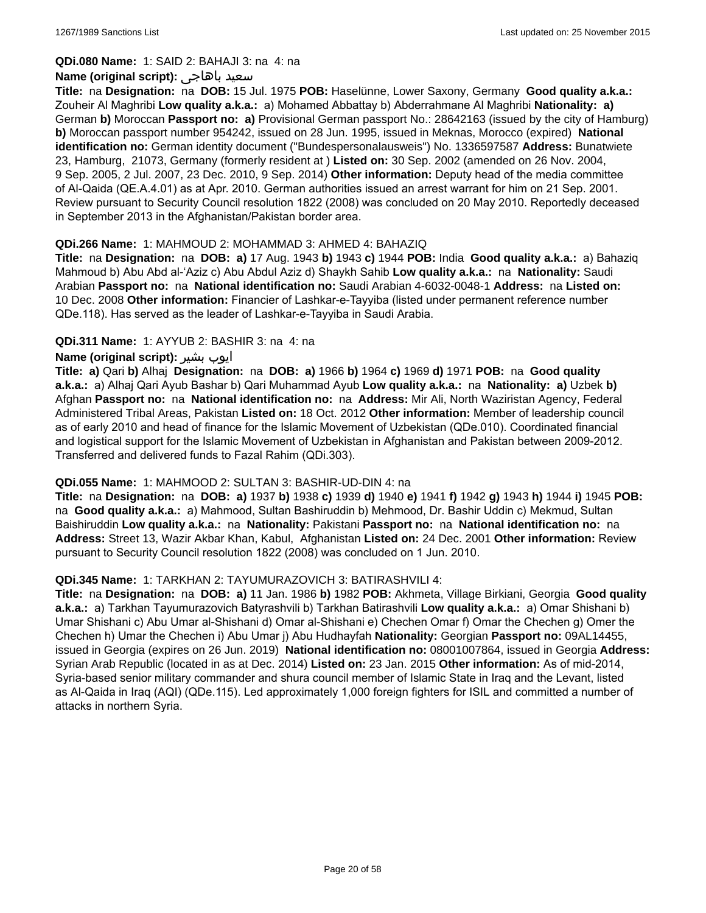#### **QDi.080 Name:** 1: SAID 2: BAHAJI 3: na 4: na

#### **Name (original script):** باهاجى سعيد

**Title:** na **Designation:** na **DOB:** 15 Jul. 1975 **POB:** Haselünne, Lower Saxony, Germany **Good quality a.k.a.:** Zouheir Al Maghribi **Low quality a.k.a.:** a) Mohamed Abbattay b) Abderrahmane Al Maghribi **Nationality: a)** German **b)** Moroccan **Passport no: a)** Provisional German passport No.: 28642163 (issued by the city of Hamburg) **b)** Moroccan passport number 954242, issued on 28 Jun. 1995, issued in Meknas, Morocco (expired) **National identification no:** German identity document ("Bundespersonalausweis") No. 1336597587 **Address:** Bunatwiete 23, Hamburg, 21073, Germany (formerly resident at ) **Listed on:** 30 Sep. 2002 (amended on 26 Nov. 2004, 9 Sep. 2005, 2 Jul. 2007, 23 Dec. 2010, 9 Sep. 2014) **Other information:** Deputy head of the media committee of Al-Qaida (QE.A.4.01) as at Apr. 2010. German authorities issued an arrest warrant for him on 21 Sep. 2001. Review pursuant to Security Council resolution 1822 (2008) was concluded on 20 May 2010. Reportedly deceased in September 2013 in the Afghanistan/Pakistan border area.

### **QDi.266 Name:** 1: MAHMOUD 2: MOHAMMAD 3: AHMED 4: BAHAZIQ

**Title:** na **Designation:** na **DOB: a)** 17 Aug. 1943 **b)** 1943 **c)** 1944 **POB:** India **Good quality a.k.a.:** a) Bahaziq Mahmoud b) Abu Abd al-'Aziz c) Abu Abdul Aziz d) Shaykh Sahib **Low quality a.k.a.:** na **Nationality:** Saudi Arabian **Passport no:** na **National identification no:** Saudi Arabian 4-6032-0048-1 **Address:** na **Listed on:** 10 Dec. 2008 **Other information:** Financier of Lashkar-e-Tayyiba (listed under permanent reference number QDe.118). Has served as the leader of Lashkar-e-Tayyiba in Saudi Arabia.

### **QDi.311 Name:** 1: AYYUB 2: BASHIR 3: na 4: na

### **Name (original script):** بشیر ایوب

**Title: a)** Qari **b)** Alhaj **Designation:** na **DOB: a)** 1966 **b)** 1964 **c)** 1969 **d)** 1971 **POB:** na **Good quality a.k.a.:** a) Alhaj Qari Ayub Bashar b) Qari Muhammad Ayub **Low quality a.k.a.:** na **Nationality: a)** Uzbek **b)** Afghan **Passport no:** na **National identification no:** na **Address:** Mir Ali, North Waziristan Agency, Federal Administered Tribal Areas, Pakistan **Listed on:** 18 Oct. 2012 **Other information:** Member of leadership council as of early 2010 and head of finance for the Islamic Movement of Uzbekistan (QDe.010). Coordinated financial and logistical support for the Islamic Movement of Uzbekistan in Afghanistan and Pakistan between 2009-2012. Transferred and delivered funds to Fazal Rahim (QDi.303).

#### **QDi.055 Name:** 1: MAHMOOD 2: SULTAN 3: BASHIR-UD-DIN 4: na

**Title:** na **Designation:** na **DOB: a)** 1937 **b)** 1938 **c)** 1939 **d)** 1940 **e)** 1941 **f)** 1942 **g)** 1943 **h)** 1944 **i)** 1945 **POB:**  na **Good quality a.k.a.:** a) Mahmood, Sultan Bashiruddin b) Mehmood, Dr. Bashir Uddin c) Mekmud, Sultan Baishiruddin **Low quality a.k.a.:** na **Nationality:** Pakistani **Passport no:** na **National identification no:** na **Address:** Street 13, Wazir Akbar Khan, Kabul, Afghanistan **Listed on:** 24 Dec. 2001 **Other information:** Review pursuant to Security Council resolution 1822 (2008) was concluded on 1 Jun. 2010.

#### **QDi.345 Name:** 1: TARKHAN 2: TAYUMURAZOVICH 3: BATIRASHVILI 4:

**Title:** na **Designation:** na **DOB: a)** 11 Jan. 1986 **b)** 1982 **POB:** Akhmeta, Village Birkiani, Georgia **Good quality a.k.a.:** a) Tarkhan Tayumurazovich Batyrashvili b) Tarkhan Batirashvili **Low quality a.k.a.:** a) Omar Shishani b) Umar Shishani c) Abu Umar al-Shishani d) Omar al-Shishani e) Chechen Omar f) Omar the Chechen g) Omer the Chechen h) Umar the Chechen i) Abu Umar j) Abu Hudhayfah **Nationality:** Georgian **Passport no:** 09AL14455, issued in Georgia (expires on 26 Jun. 2019) **National identification no:** 08001007864, issued in Georgia **Address:** Syrian Arab Republic (located in as at Dec. 2014) **Listed on:** 23 Jan. 2015 **Other information:** As of mid-2014, Syria-based senior military commander and shura council member of Islamic State in Iraq and the Levant, listed as Al-Qaida in Iraq (AQI) (QDe.115). Led approximately 1,000 foreign fighters for ISIL and committed a number of attacks in northern Syria.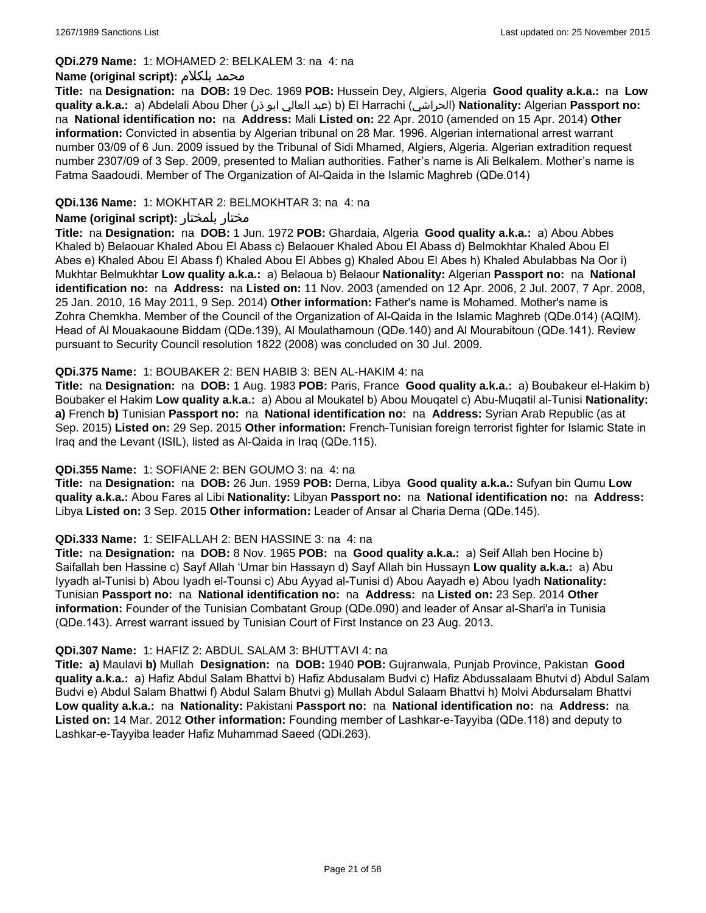#### **QDi.279 Name:** 1: MOHAMED 2: BELKALEM 3: na 4: na

### **Name (original script):** بلكلام محمد

**Title:** na **Designation:** na **DOB:** 19 Dec. 1969 **POB:** Hussein Dey, Algiers, Algeria **Good quality a.k.a.:** na **Low quality a.k.a.:** a) Abdelali Abou Dher (ذر ابو العالي عبد (b) El Harrachi (الحراشي(**Nationality:** Algerian **Passport no:**  na **National identification no:** na **Address:** Mali **Listed on:** 22 Apr. 2010 (amended on 15 Apr. 2014) **Other information:** Convicted in absentia by Algerian tribunal on 28 Mar. 1996. Algerian international arrest warrant number 03/09 of 6 Jun. 2009 issued by the Tribunal of Sidi Mhamed, Algiers, Algeria. Algerian extradition request number 2307/09 of 3 Sep. 2009, presented to Malian authorities. Father's name is Ali Belkalem. Mother's name is Fatma Saadoudi. Member of The Organization of Al-Qaida in the Islamic Maghreb (QDe.014)

### **QDi.136 Name:** 1: MOKHTAR 2: BELMOKHTAR 3: na 4: na

### **Name (original script):** بلمختار مختار

**Title:** na **Designation:** na **DOB:** 1 Jun. 1972 **POB:** Ghardaia, Algeria **Good quality a.k.a.:** a) Abou Abbes Khaled b) Belaouar Khaled Abou El Abass c) Belaouer Khaled Abou El Abass d) Belmokhtar Khaled Abou El Abes e) Khaled Abou El Abass f) Khaled Abou El Abbes g) Khaled Abou El Abes h) Khaled Abulabbas Na Oor i) Mukhtar Belmukhtar **Low quality a.k.a.:** a) Belaoua b) Belaour **Nationality:** Algerian **Passport no:** na **National identification no:** na **Address:** na **Listed on:** 11 Nov. 2003 (amended on 12 Apr. 2006, 2 Jul. 2007, 7 Apr. 2008, 25 Jan. 2010, 16 May 2011, 9 Sep. 2014) **Other information:** Father's name is Mohamed. Mother's name is Zohra Chemkha. Member of the Council of the Organization of Al-Qaida in the Islamic Maghreb (QDe.014) (AQIM). Head of Al Mouakaoune Biddam (QDe.139), Al Moulathamoun (QDe.140) and Al Mourabitoun (QDe.141). Review pursuant to Security Council resolution 1822 (2008) was concluded on 30 Jul. 2009.

### **QDi.375 Name:** 1: BOUBAKER 2: BEN HABIB 3: BEN AL-HAKIM 4: na

**Title:** na **Designation:** na **DOB:** 1 Aug. 1983 **POB:** Paris, France **Good quality a.k.a.:** a) Boubakeur el-Hakim b) Boubaker el Hakim **Low quality a.k.a.:** a) Abou al Moukatel b) Abou Mouqatel c) Abu-Muqatil al-Tunisi **Nationality: a)** French **b)** Tunisian **Passport no:** na **National identification no:** na **Address:** Syrian Arab Republic (as at Sep. 2015) **Listed on:** 29 Sep. 2015 **Other information:** French-Tunisian foreign terrorist fighter for Islamic State in Iraq and the Levant (ISIL), listed as Al-Qaida in Iraq (QDe.115).

#### **QDi.355 Name:** 1: SOFIANE 2: BEN GOUMO 3: na 4: na

**Title:** na **Designation:** na **DOB:** 26 Jun. 1959 **POB:** Derna, Libya **Good quality a.k.a.:** Sufyan bin Qumu **Low quality a.k.a.:** Abou Fares al Libi **Nationality:** Libyan **Passport no:** na **National identification no:** na **Address:** Libya **Listed on:** 3 Sep. 2015 **Other information:** Leader of Ansar al Charia Derna (QDe.145).

#### **QDi.333 Name:** 1: SEIFALLAH 2: BEN HASSINE 3: na 4: na

**Title:** na **Designation:** na **DOB:** 8 Nov. 1965 **POB:** na **Good quality a.k.a.:** a) Seif Allah ben Hocine b) Saifallah ben Hassine c) Sayf Allah 'Umar bin Hassayn d) Sayf Allah bin Hussayn **Low quality a.k.a.:** a) Abu Iyyadh al-Tunisi b) Abou Iyadh el-Tounsi c) Abu Ayyad al-Tunisi d) Abou Aayadh e) Abou Iyadh **Nationality:** Tunisian **Passport no:** na **National identification no:** na **Address:** na **Listed on:** 23 Sep. 2014 **Other information:** Founder of the Tunisian Combatant Group (QDe.090) and leader of Ansar al-Shari'a in Tunisia (QDe.143). Arrest warrant issued by Tunisian Court of First Instance on 23 Aug. 2013.

#### **QDi.307 Name:** 1: HAFIZ 2: ABDUL SALAM 3: BHUTTAVI 4: na

**Title: a)** Maulavi **b)** Mullah **Designation:** na **DOB:** 1940 **POB:** Gujranwala, Punjab Province, Pakistan **Good quality a.k.a.:** a) Hafiz Abdul Salam Bhattvi b) Hafiz Abdusalam Budvi c) Hafiz Abdussalaam Bhutvi d) Abdul Salam Budvi e) Abdul Salam Bhattwi f) Abdul Salam Bhutvi g) Mullah Abdul Salaam Bhattvi h) Molvi Abdursalam Bhattvi **Low quality a.k.a.:** na **Nationality:** Pakistani **Passport no:** na **National identification no:** na **Address:** na **Listed on:** 14 Mar. 2012 **Other information:** Founding member of Lashkar-e-Tayyiba (QDe.118) and deputy to Lashkar-e-Tayyiba leader Hafiz Muhammad Saeed (QDi.263).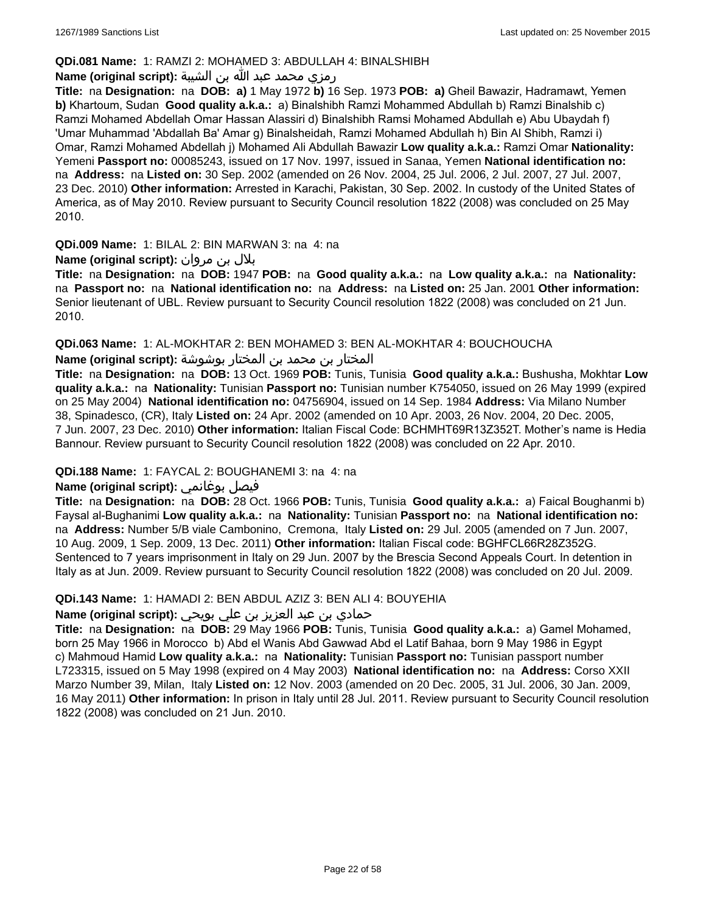### **QDi.081 Name:** 1: RAMZI 2: MOHAMED 3: ABDULLAH 4: BINALSHIBH

### رمزي محمد عبد الله بن الشيبة **:(script original (Name**

**Title:** na **Designation:** na **DOB: a)** 1 May 1972 **b)** 16 Sep. 1973 **POB: a)** Gheil Bawazir, Hadramawt, Yemen **b)** Khartoum, Sudan **Good quality a.k.a.:** a) Binalshibh Ramzi Mohammed Abdullah b) Ramzi Binalshib c) Ramzi Mohamed Abdellah Omar Hassan Alassiri d) Binalshibh Ramsi Mohamed Abdullah e) Abu Ubaydah f) 'Umar Muhammad 'Abdallah Ba' Amar g) Binalsheidah, Ramzi Mohamed Abdullah h) Bin Al Shibh, Ramzi i) Omar, Ramzi Mohamed Abdellah j) Mohamed Ali Abdullah Bawazir **Low quality a.k.a.:** Ramzi Omar **Nationality:** Yemeni **Passport no:** 00085243, issued on 17 Nov. 1997, issued in Sanaa, Yemen **National identification no:**  na **Address:** na **Listed on:** 30 Sep. 2002 (amended on 26 Nov. 2004, 25 Jul. 2006, 2 Jul. 2007, 27 Jul. 2007, 23 Dec. 2010) **Other information:** Arrested in Karachi, Pakistan, 30 Sep. 2002. In custody of the United States of America, as of May 2010. Review pursuant to Security Council resolution 1822 (2008) was concluded on 25 May 2010.

**QDi.009 Name:** 1: BILAL 2: BIN MARWAN 3: na 4: na

## بلال بن مروان **:(script original (Name**

**Title:** na **Designation:** na **DOB:** 1947 **POB:** na **Good quality a.k.a.:** na **Low quality a.k.a.:** na **Nationality:**  na **Passport no:** na **National identification no:** na **Address:** na **Listed on:** 25 Jan. 2001 **Other information:** Senior lieutenant of UBL. Review pursuant to Security Council resolution 1822 (2008) was concluded on 21 Jun. 2010.

**QDi.063 Name:** 1: AL-MOKHTAR 2: BEN MOHAMED 3: BEN AL-MOKHTAR 4: BOUCHOUCHA

المختار بن محمد بن المختار بوشوشة **:Name (original script)** 

**Title:** na **Designation:** na **DOB:** 13 Oct. 1969 **POB:** Tunis, Tunisia **Good quality a.k.a.:** Bushusha, Mokhtar **Low quality a.k.a.:** na **Nationality:** Tunisian **Passport no:** Tunisian number K754050, issued on 26 May 1999 (expired on 25 May 2004) **National identification no:** 04756904, issued on 14 Sep. 1984 **Address:** Via Milano Number 38, Spinadesco, (CR), Italy **Listed on:** 24 Apr. 2002 (amended on 10 Apr. 2003, 26 Nov. 2004, 20 Dec. 2005, 7 Jun. 2007, 23 Dec. 2010) **Other information:** Italian Fiscal Code: BCHMHT69R13Z352T. Mother's name is Hedia Bannour. Review pursuant to Security Council resolution 1822 (2008) was concluded on 22 Apr. 2010.

## **QDi.188 Name:** 1: FAYCAL 2: BOUGHANEMI 3: na 4: na

## **Name (original script):** بوغانمي فيصل

**Title:** na **Designation:** na **DOB:** 28 Oct. 1966 **POB:** Tunis, Tunisia **Good quality a.k.a.:** a) Faical Boughanmi b) Faysal al-Bughanimi **Low quality a.k.a.:** na **Nationality:** Tunisian **Passport no:** na **National identification no:**  na **Address:** Number 5/B viale Cambonino, Cremona, Italy **Listed on:** 29 Jul. 2005 (amended on 7 Jun. 2007, 10 Aug. 2009, 1 Sep. 2009, 13 Dec. 2011) **Other information:** Italian Fiscal code: BGHFCL66R28Z352G. Sentenced to 7 years imprisonment in Italy on 29 Jun. 2007 by the Brescia Second Appeals Court. In detention in Italy as at Jun. 2009. Review pursuant to Security Council resolution 1822 (2008) was concluded on 20 Jul. 2009.

#### **QDi.143 Name:** 1: HAMADI 2: BEN ABDUL AZIZ 3: BEN ALI 4: BOUYEHIA

## حمادي بن عبد العزيز بن علي بويحي **:(script original (Name**

**Title:** na **Designation:** na **DOB:** 29 May 1966 **POB:** Tunis, Tunisia **Good quality a.k.a.:** a) Gamel Mohamed, born 25 May 1966 in Morocco b) Abd el Wanis Abd Gawwad Abd el Latif Bahaa, born 9 May 1986 in Egypt c) Mahmoud Hamid **Low quality a.k.a.:** na **Nationality:** Tunisian **Passport no:** Tunisian passport number L723315, issued on 5 May 1998 (expired on 4 May 2003) **National identification no:** na **Address:** Corso XXII Marzo Number 39, Milan, Italy **Listed on:** 12 Nov. 2003 (amended on 20 Dec. 2005, 31 Jul. 2006, 30 Jan. 2009, 16 May 2011) **Other information:** In prison in Italy until 28 Jul. 2011. Review pursuant to Security Council resolution 1822 (2008) was concluded on 21 Jun. 2010.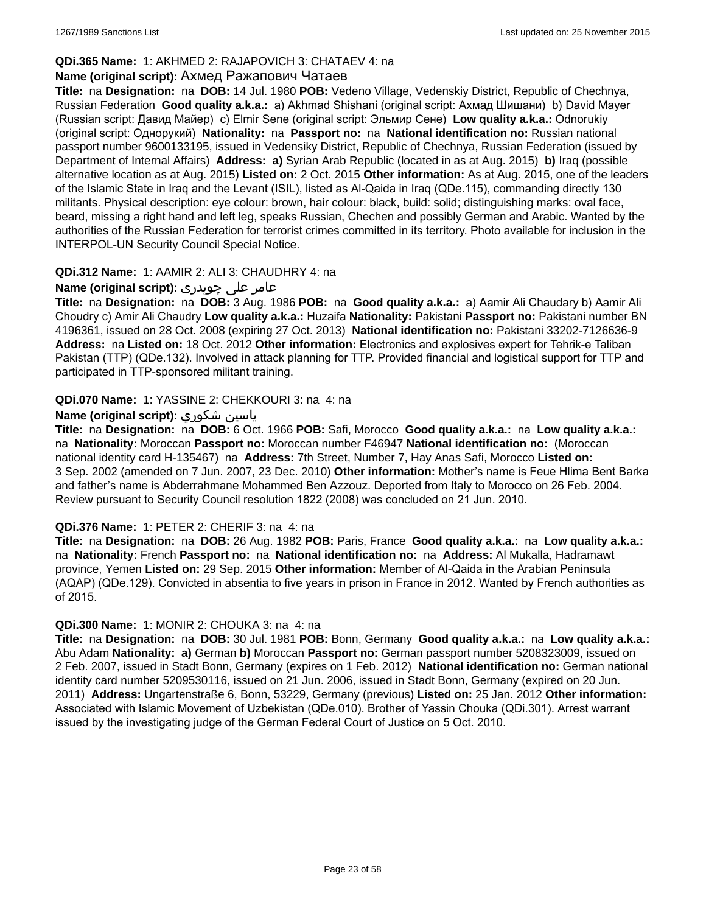## **QDi.365 Name:** 1: AKHMED 2: RAJAPOVICH 3: CHATAEV 4: na

#### **Name (original script):** Ахмед Ражапович Чатаев

**Title:** na **Designation:** na **DOB:** 14 Jul. 1980 **POB:** Vedeno Village, Vedenskiy District, Republic of Chechnya, Russian Federation **Good quality a.k.a.:** a) Akhmad Shishani (original script: Ахмад Шишани) b) David Mayer (Russian script: Давид Майер) c) Elmir Sene (original script: Эльмир Сене) **Low quality a.k.a.:** Odnorukiy (original script: Однорукий) **Nationality:** na **Passport no:** na **National identification no:** Russian national passport number 9600133195, issued in Vedensiky District, Republic of Chechnya, Russian Federation (issued by Department of Internal Affairs) **Address: a)** Syrian Arab Republic (located in as at Aug. 2015) **b)** Iraq (possible alternative location as at Aug. 2015) **Listed on:** 2 Oct. 2015 **Other information:** As at Aug. 2015, one of the leaders of the Islamic State in Iraq and the Levant (ISIL), listed as Al-Qaida in Iraq (QDe.115), commanding directly 130 militants. Physical description: eye colour: brown, hair colour: black, build: solid; distinguishing marks: oval face, beard, missing a right hand and left leg, speaks Russian, Chechen and possibly German and Arabic. Wanted by the authorities of the Russian Federation for terrorist crimes committed in its territory. Photo available for inclusion in the INTERPOL-UN Security Council Special Notice.

### **QDi.312 Name:** 1: AAMIR 2: ALI 3: CHAUDHRY 4: na

## عامر علی چوہدری **:(script original (Name**

**Title:** na **Designation:** na **DOB:** 3 Aug. 1986 **POB:** na **Good quality a.k.a.:** a) Aamir Ali Chaudary b) Aamir Ali Choudry c) Amir Ali Chaudry **Low quality a.k.a.:** Huzaifa **Nationality:** Pakistani **Passport no:** Pakistani number BN 4196361, issued on 28 Oct. 2008 (expiring 27 Oct. 2013) **National identification no:** Pakistani 33202-7126636-9 **Address:** na **Listed on:** 18 Oct. 2012 **Other information:** Electronics and explosives expert for Tehrik-e Taliban Pakistan (TTP) (QDe.132). Involved in attack planning for TTP. Provided financial and logistical support for TTP and participated in TTP-sponsored militant training.

### **QDi.070 Name:** 1: YASSINE 2: CHEKKOURI 3: na 4: na

### **Name (original script):** شكوري ياسين

**Title:** na **Designation:** na **DOB:** 6 Oct. 1966 **POB:** Safi, Morocco **Good quality a.k.a.:** na **Low quality a.k.a.:**  na **Nationality:** Moroccan **Passport no:** Moroccan number F46947 **National identification no:** (Moroccan national identity card H-135467) na **Address:** 7th Street, Number 7, Hay Anas Safi, Morocco **Listed on:** 3 Sep. 2002 (amended on 7 Jun. 2007, 23 Dec. 2010) **Other information:** Mother's name is Feue Hlima Bent Barka and father's name is Abderrahmane Mohammed Ben Azzouz. Deported from Italy to Morocco on 26 Feb. 2004. Review pursuant to Security Council resolution 1822 (2008) was concluded on 21 Jun. 2010.

#### **QDi.376 Name:** 1: PETER 2: CHERIF 3: na 4: na

**Title:** na **Designation:** na **DOB:** 26 Aug. 1982 **POB:** Paris, France **Good quality a.k.a.:** na **Low quality a.k.a.:**  na **Nationality:** French **Passport no:** na **National identification no:** na **Address:** Al Mukalla, Hadramawt province, Yemen **Listed on:** 29 Sep. 2015 **Other information:** Member of Al-Qaida in the Arabian Peninsula (AQAP) (QDe.129). Convicted in absentia to five years in prison in France in 2012. Wanted by French authorities as of 2015.

#### **QDi.300 Name:** 1: MONIR 2: CHOUKA 3: na 4: na

**Title:** na **Designation:** na **DOB:** 30 Jul. 1981 **POB:** Bonn, Germany **Good quality a.k.a.:** na **Low quality a.k.a.:** Abu Adam **Nationality: a)** German **b)** Moroccan **Passport no:** German passport number 5208323009, issued on 2 Feb. 2007, issued in Stadt Bonn, Germany (expires on 1 Feb. 2012) **National identification no:** German national identity card number 5209530116, issued on 21 Jun. 2006, issued in Stadt Bonn, Germany (expired on 20 Jun. 2011) **Address:** Ungartenstraße 6, Bonn, 53229, Germany (previous) **Listed on:** 25 Jan. 2012 **Other information:** Associated with Islamic Movement of Uzbekistan (QDe.010). Brother of Yassin Chouka (QDi.301). Arrest warrant issued by the investigating judge of the German Federal Court of Justice on 5 Oct. 2010.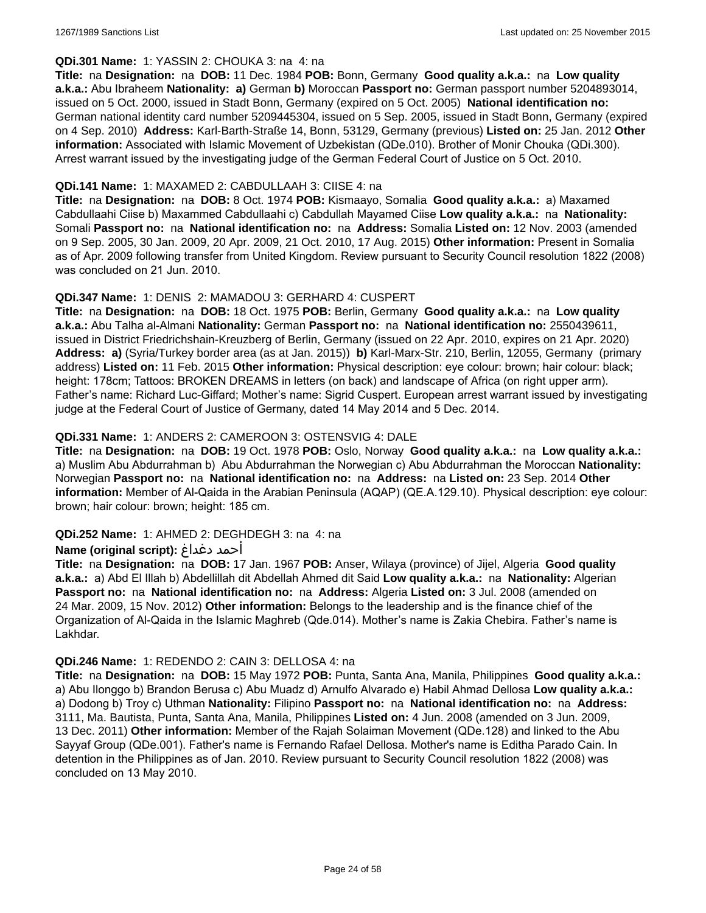### **QDi.301 Name:** 1: YASSIN 2: CHOUKA 3: na 4: na

**Title:** na **Designation:** na **DOB:** 11 Dec. 1984 **POB:** Bonn, Germany **Good quality a.k.a.:** na **Low quality a.k.a.:** Abu Ibraheem **Nationality: a)** German **b)** Moroccan **Passport no:** German passport number 5204893014, issued on 5 Oct. 2000, issued in Stadt Bonn, Germany (expired on 5 Oct. 2005) **National identification no:** German national identity card number 5209445304, issued on 5 Sep. 2005, issued in Stadt Bonn, Germany (expired on 4 Sep. 2010) **Address:** Karl-Barth-Straße 14, Bonn, 53129, Germany (previous) **Listed on:** 25 Jan. 2012 **Other information:** Associated with Islamic Movement of Uzbekistan (QDe.010). Brother of Monir Chouka (QDi.300). Arrest warrant issued by the investigating judge of the German Federal Court of Justice on 5 Oct. 2010.

### **QDi.141 Name:** 1: MAXAMED 2: CABDULLAAH 3: CIISE 4: na

**Title:** na **Designation:** na **DOB:** 8 Oct. 1974 **POB:** Kismaayo, Somalia **Good quality a.k.a.:** a) Maxamed Cabdullaahi Ciise b) Maxammed Cabdullaahi c) Cabdullah Mayamed Ciise **Low quality a.k.a.:** na **Nationality:** Somali **Passport no:** na **National identification no:** na **Address:** Somalia **Listed on:** 12 Nov. 2003 (amended on 9 Sep. 2005, 30 Jan. 2009, 20 Apr. 2009, 21 Oct. 2010, 17 Aug. 2015) **Other information:** Present in Somalia as of Apr. 2009 following transfer from United Kingdom. Review pursuant to Security Council resolution 1822 (2008) was concluded on 21 Jun. 2010.

### **QDi.347 Name:** 1: DENIS 2: MAMADOU 3: GERHARD 4: CUSPERT

**Title:** na **Designation:** na **DOB:** 18 Oct. 1975 **POB:** Berlin, Germany **Good quality a.k.a.:** na **Low quality a.k.a.:** Abu Talha al-Almani **Nationality:** German **Passport no:** na **National identification no:** 2550439611, issued in District Friedrichshain-Kreuzberg of Berlin, Germany (issued on 22 Apr. 2010, expires on 21 Apr. 2020) **Address: a)** (Syria/Turkey border area (as at Jan. 2015)) **b)** Karl-Marx-Str. 210, Berlin, 12055, Germany (primary address) **Listed on:** 11 Feb. 2015 **Other information:** Physical description: eye colour: brown; hair colour: black; height: 178cm; Tattoos: BROKEN DREAMS in letters (on back) and landscape of Africa (on right upper arm). Father's name: Richard Luc-Giffard; Mother's name: Sigrid Cuspert. European arrest warrant issued by investigating judge at the Federal Court of Justice of Germany, dated 14 May 2014 and 5 Dec. 2014.

### **QDi.331 Name:** 1: ANDERS 2: CAMEROON 3: OSTENSVIG 4: DALE

**Title:** na **Designation:** na **DOB:** 19 Oct. 1978 **POB:** Oslo, Norway **Good quality a.k.a.:** na **Low quality a.k.a.:**  a) Muslim Abu Abdurrahman b) Abu Abdurrahman the Norwegian c) Abu Abdurrahman the Moroccan **Nationality:** Norwegian **Passport no:** na **National identification no:** na **Address:** na **Listed on:** 23 Sep. 2014 **Other information:** Member of Al-Qaida in the Arabian Peninsula (AQAP) (QE.A.129.10). Physical description: eye colour: brown; hair colour: brown; height: 185 cm.

## **QDi.252 Name:** 1: AHMED 2: DEGHDEGH 3: na 4: na

#### **Name (original script):** دغداغ أحمد

**Title:** na **Designation:** na **DOB:** 17 Jan. 1967 **POB:** Anser, Wilaya (province) of Jijel, Algeria **Good quality a.k.a.:** a) Abd El Illah b) Abdellillah dit Abdellah Ahmed dit Said **Low quality a.k.a.:** na **Nationality:** Algerian **Passport no:** na **National identification no:** na **Address:** Algeria **Listed on:** 3 Jul. 2008 (amended on 24 Mar. 2009, 15 Nov. 2012) **Other information:** Belongs to the leadership and is the finance chief of the Organization of Al-Qaida in the Islamic Maghreb (Qde.014). Mother's name is Zakia Chebira. Father's name is Lakhdar.

#### **QDi.246 Name:** 1: REDENDO 2: CAIN 3: DELLOSA 4: na

**Title:** na **Designation:** na **DOB:** 15 May 1972 **POB:** Punta, Santa Ana, Manila, Philippines **Good quality a.k.a.:**  a) Abu Ilonggo b) Brandon Berusa c) Abu Muadz d) Arnulfo Alvarado e) Habil Ahmad Dellosa **Low quality a.k.a.:**  a) Dodong b) Troy c) Uthman **Nationality:** Filipino **Passport no:** na **National identification no:** na **Address:** 3111, Ma. Bautista, Punta, Santa Ana, Manila, Philippines **Listed on:** 4 Jun. 2008 (amended on 3 Jun. 2009, 13 Dec. 2011) **Other information:** Member of the Rajah Solaiman Movement (QDe.128) and linked to the Abu Sayyaf Group (QDe.001). Father's name is Fernando Rafael Dellosa. Mother's name is Editha Parado Cain. In detention in the Philippines as of Jan. 2010. Review pursuant to Security Council resolution 1822 (2008) was concluded on 13 May 2010.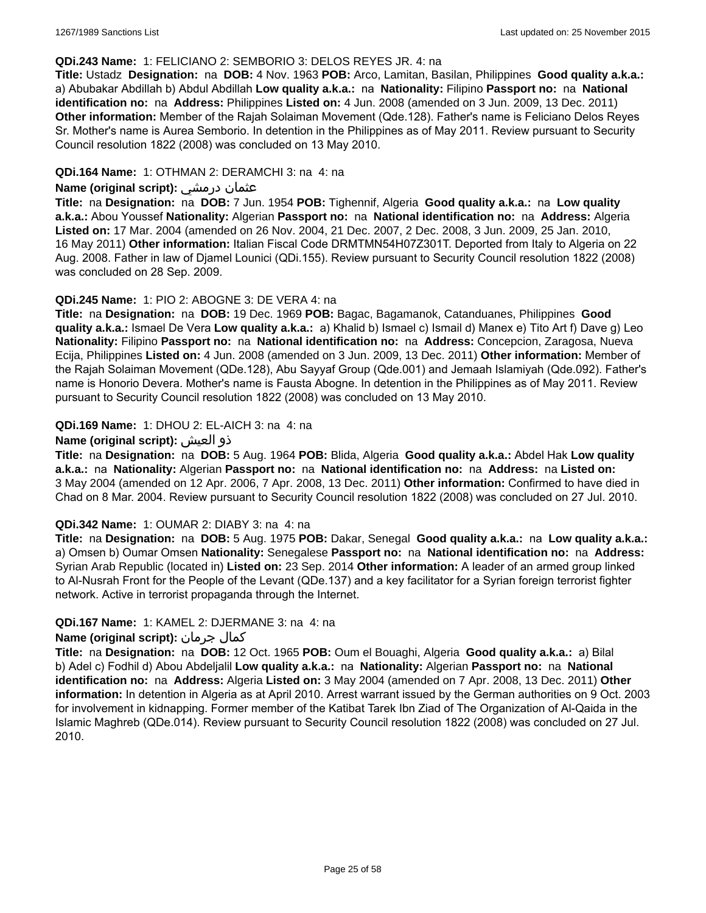#### **QDi.243 Name:** 1: FELICIANO 2: SEMBORIO 3: DELOS REYES JR. 4: na

**Title:** Ustadz **Designation:** na **DOB:** 4 Nov. 1963 **POB:** Arco, Lamitan, Basilan, Philippines **Good quality a.k.a.:**  a) Abubakar Abdillah b) Abdul Abdillah **Low quality a.k.a.:** na **Nationality:** Filipino **Passport no:** na **National identification no:** na **Address:** Philippines **Listed on:** 4 Jun. 2008 (amended on 3 Jun. 2009, 13 Dec. 2011) **Other information:** Member of the Rajah Solaiman Movement (Qde.128). Father's name is Feliciano Delos Reyes Sr. Mother's name is Aurea Semborio. In detention in the Philippines as of May 2011. Review pursuant to Security Council resolution 1822 (2008) was concluded on 13 May 2010.

### **QDi.164 Name:** 1: OTHMAN 2: DERAMCHI 3: na 4: na

### **Name (original script):** درمشي عثمان

**Title:** na **Designation:** na **DOB:** 7 Jun. 1954 **POB:** Tighennif, Algeria **Good quality a.k.a.:** na **Low quality a.k.a.:** Abou Youssef **Nationality:** Algerian **Passport no:** na **National identification no:** na **Address:** Algeria **Listed on:** 17 Mar. 2004 (amended on 26 Nov. 2004, 21 Dec. 2007, 2 Dec. 2008, 3 Jun. 2009, 25 Jan. 2010, 16 May 2011) **Other information:** Italian Fiscal Code DRMTMN54H07Z301T. Deported from Italy to Algeria on 22 Aug. 2008. Father in law of Djamel Lounici (QDi.155). Review pursuant to Security Council resolution 1822 (2008) was concluded on 28 Sep. 2009.

### **QDi.245 Name:** 1: PIO 2: ABOGNE 3: DE VERA 4: na

**Title:** na **Designation:** na **DOB:** 19 Dec. 1969 **POB:** Bagac, Bagamanok, Catanduanes, Philippines **Good quality a.k.a.:** Ismael De Vera **Low quality a.k.a.:** a) Khalid b) Ismael c) Ismail d) Manex e) Tito Art f) Dave g) Leo **Nationality:** Filipino **Passport no:** na **National identification no:** na **Address:** Concepcion, Zaragosa, Nueva Ecija, Philippines **Listed on:** 4 Jun. 2008 (amended on 3 Jun. 2009, 13 Dec. 2011) **Other information:** Member of the Rajah Solaiman Movement (QDe.128), Abu Sayyaf Group (Qde.001) and Jemaah Islamiyah (Qde.092). Father's name is Honorio Devera. Mother's name is Fausta Abogne. In detention in the Philippines as of May 2011. Review pursuant to Security Council resolution 1822 (2008) was concluded on 13 May 2010.

### **QDi.169 Name:** 1: DHOU 2: EL-AICH 3: na 4: na

### **Name (original script):** العيش ذو

**Title:** na **Designation:** na **DOB:** 5 Aug. 1964 **POB:** Blida, Algeria **Good quality a.k.a.:** Abdel Hak **Low quality a.k.a.:** na **Nationality:** Algerian **Passport no:** na **National identification no:** na **Address:** na **Listed on:** 3 May 2004 (amended on 12 Apr. 2006, 7 Apr. 2008, 13 Dec. 2011) **Other information:** Confirmed to have died in Chad on 8 Mar. 2004. Review pursuant to Security Council resolution 1822 (2008) was concluded on 27 Jul. 2010.

#### **QDi.342 Name:** 1: OUMAR 2: DIABY 3: na 4: na

**Title:** na **Designation:** na **DOB:** 5 Aug. 1975 **POB:** Dakar, Senegal **Good quality a.k.a.:** na **Low quality a.k.a.:** a) Omsen b) Oumar Omsen **Nationality:** Senegalese **Passport no:** na **National identification no:** na **Address:** Syrian Arab Republic (located in) **Listed on:** 23 Sep. 2014 **Other information:** A leader of an armed group linked to Al-Nusrah Front for the People of the Levant (QDe.137) and a key facilitator for a Syrian foreign terrorist fighter network. Active in terrorist propaganda through the Internet.

## **QDi.167 Name:** 1: KAMEL 2: DJERMANE 3: na 4: na

## **Name (original script):** جرمان كمال

**Title:** na **Designation:** na **DOB:** 12 Oct. 1965 **POB:** Oum el Bouaghi, Algeria **Good quality a.k.a.:** a) Bilal b) Adel c) Fodhil d) Abou Abdeljalil **Low quality a.k.a.:** na **Nationality:** Algerian **Passport no:** na **National identification no:** na **Address:** Algeria **Listed on:** 3 May 2004 (amended on 7 Apr. 2008, 13 Dec. 2011) **Other information:** In detention in Algeria as at April 2010. Arrest warrant issued by the German authorities on 9 Oct. 2003 for involvement in kidnapping. Former member of the Katibat Tarek Ibn Ziad of The Organization of Al-Qaida in the Islamic Maghreb (QDe.014). Review pursuant to Security Council resolution 1822 (2008) was concluded on 27 Jul. 2010.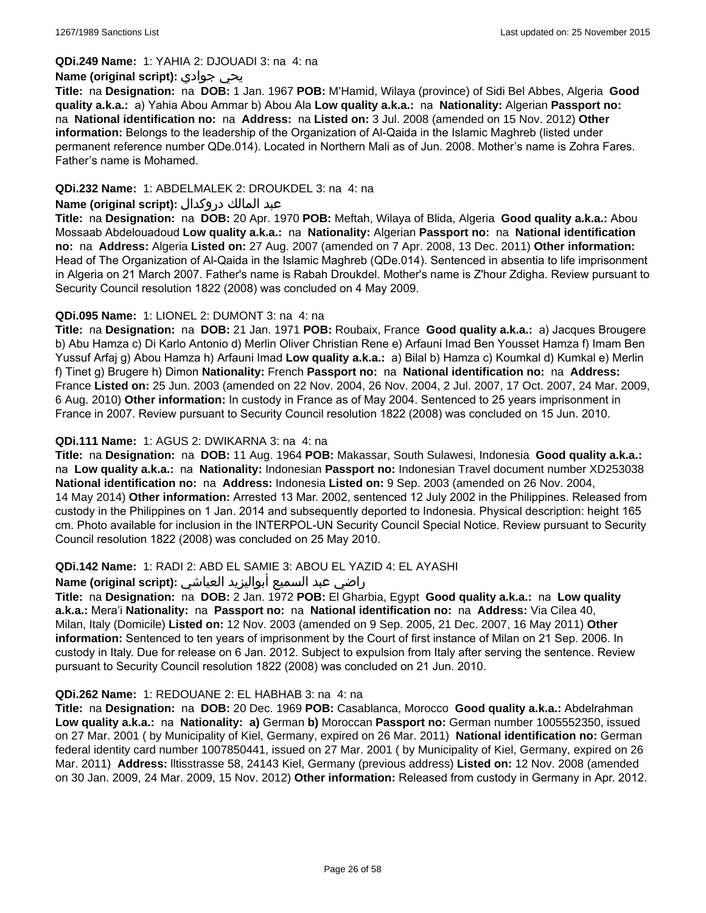#### **QDi.249 Name:** 1: YAHIA 2: DJOUADI 3: na 4: na

### **Name (original script):** جوادي يحي

**Title:** na **Designation:** na **DOB:** 1 Jan. 1967 **POB:** M'Hamid, Wilaya (province) of Sidi Bel Abbes, Algeria **Good quality a.k.a.:** a) Yahia Abou Ammar b) Abou Ala **Low quality a.k.a.:** na **Nationality:** Algerian **Passport no:**  na **National identification no:** na **Address:** na **Listed on:** 3 Jul. 2008 (amended on 15 Nov. 2012) **Other information:** Belongs to the leadership of the Organization of Al-Qaida in the Islamic Maghreb (listed under permanent reference number QDe.014). Located in Northern Mali as of Jun. 2008. Mother's name is Zohra Fares. Father's name is Mohamed.

## **QDi.232 Name:** 1: ABDELMALEK 2: DROUKDEL 3: na 4: na

### عبد المالك دروكدال **:(script original (Name**

**Title:** na **Designation:** na **DOB:** 20 Apr. 1970 **POB:** Meftah, Wilaya of Blida, Algeria **Good quality a.k.a.:** Abou Mossaab Abdelouadoud **Low quality a.k.a.:** na **Nationality:** Algerian **Passport no:** na **National identification no:** na **Address:** Algeria **Listed on:** 27 Aug. 2007 (amended on 7 Apr. 2008, 13 Dec. 2011) **Other information:** Head of The Organization of Al-Qaida in the Islamic Maghreb (QDe.014). Sentenced in absentia to life imprisonment in Algeria on 21 March 2007. Father's name is Rabah Droukdel. Mother's name is Z'hour Zdigha. Review pursuant to Security Council resolution 1822 (2008) was concluded on 4 May 2009.

## **QDi.095 Name:** 1: LIONEL 2: DUMONT 3: na 4: na

**Title:** na **Designation:** na **DOB:** 21 Jan. 1971 **POB:** Roubaix, France **Good quality a.k.a.:** a) Jacques Brougere b) Abu Hamza c) Di Karlo Antonio d) Merlin Oliver Christian Rene e) Arfauni Imad Ben Yousset Hamza f) Imam Ben Yussuf Arfaj g) Abou Hamza h) Arfauni Imad **Low quality a.k.a.:** a) Bilal b) Hamza c) Koumkal d) Kumkal e) Merlin f) Tinet g) Brugere h) Dimon **Nationality:** French **Passport no:** na **National identification no:** na **Address:** France **Listed on:** 25 Jun. 2003 (amended on 22 Nov. 2004, 26 Nov. 2004, 2 Jul. 2007, 17 Oct. 2007, 24 Mar. 2009, 6 Aug. 2010) **Other information:** In custody in France as of May 2004. Sentenced to 25 years imprisonment in France in 2007. Review pursuant to Security Council resolution 1822 (2008) was concluded on 15 Jun. 2010.

### **QDi.111 Name:** 1: AGUS 2: DWIKARNA 3: na 4: na

**Title:** na **Designation:** na **DOB:** 11 Aug. 1964 **POB:** Makassar, South Sulawesi, Indonesia **Good quality a.k.a.:**  na **Low quality a.k.a.:** na **Nationality:** Indonesian **Passport no:** Indonesian Travel document number XD253038 **National identification no:** na **Address:** Indonesia **Listed on:** 9 Sep. 2003 (amended on 26 Nov. 2004, 14 May 2014) **Other information:** Arrested 13 Mar. 2002, sentenced 12 July 2002 in the Philippines. Released from custody in the Philippines on 1 Jan. 2014 and subsequently deported to Indonesia. Physical description: height 165 cm. Photo available for inclusion in the INTERPOL-UN Security Council Special Notice. Review pursuant to Security Council resolution 1822 (2008) was concluded on 25 May 2010.

## **QDi.142 Name:** 1: RADI 2: ABD EL SAMIE 3: ABOU EL YAZID 4: EL AYASHI

#### راضي عبد السميع أبواليزيد العياشي **:(script original (Name**

**Title:** na **Designation:** na **DOB:** 2 Jan. 1972 **POB:** El Gharbia, Egypt **Good quality a.k.a.:** na **Low quality a.k.a.:** Mera'i **Nationality:** na **Passport no:** na **National identification no:** na **Address:** Via Cilea 40, Milan, Italy (Domicile) **Listed on:** 12 Nov. 2003 (amended on 9 Sep. 2005, 21 Dec. 2007, 16 May 2011) **Other information:** Sentenced to ten years of imprisonment by the Court of first instance of Milan on 21 Sep. 2006. In custody in Italy. Due for release on 6 Jan. 2012. Subject to expulsion from Italy after serving the sentence. Review pursuant to Security Council resolution 1822 (2008) was concluded on 21 Jun. 2010.

#### **QDi.262 Name:** 1: REDOUANE 2: EL HABHAB 3: na 4: na

**Title:** na **Designation:** na **DOB:** 20 Dec. 1969 **POB:** Casablanca, Morocco **Good quality a.k.a.:** Abdelrahman **Low quality a.k.a.:** na **Nationality: a)** German **b)** Moroccan **Passport no:** German number 1005552350, issued on 27 Mar. 2001 ( by Municipality of Kiel, Germany, expired on 26 Mar. 2011) **National identification no:** German federal identity card number 1007850441, issued on 27 Mar. 2001 ( by Municipality of Kiel, Germany, expired on 26 Mar. 2011) **Address:** lltisstrasse 58, 24143 Kiel, Germany (previous address) **Listed on:** 12 Nov. 2008 (amended on 30 Jan. 2009, 24 Mar. 2009, 15 Nov. 2012) **Other information:** Released from custody in Germany in Apr. 2012.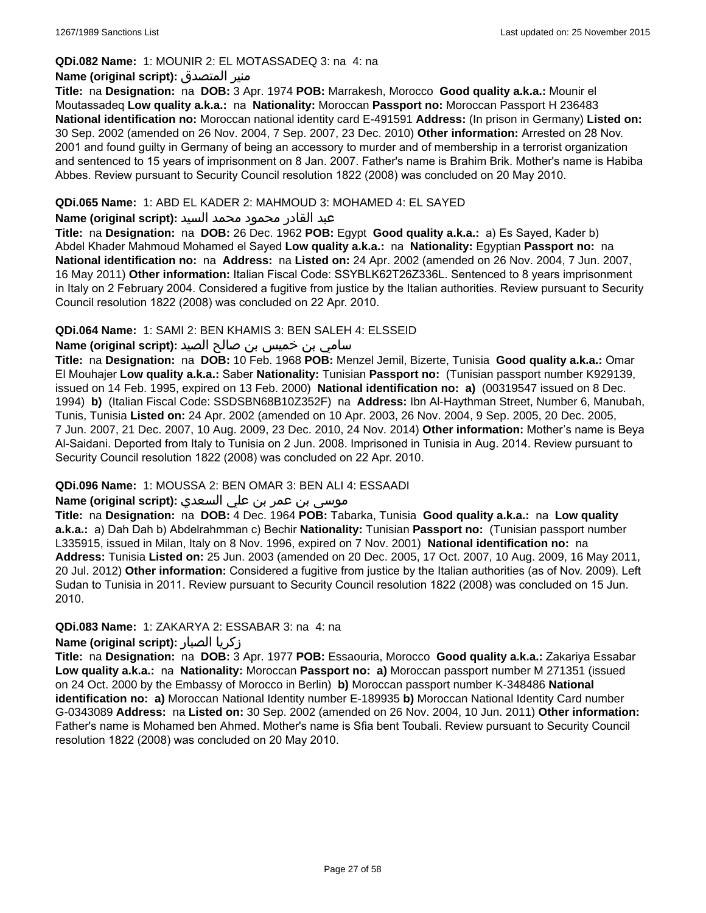### **QDi.082 Name:** 1: MOUNIR 2: EL MOTASSADEQ 3: na 4: na

### **Name (original script):** المتصدق منير

**Title:** na **Designation:** na **DOB:** 3 Apr. 1974 **POB:** Marrakesh, Morocco **Good quality a.k.a.:** Mounir el Moutassadeq **Low quality a.k.a.:** na **Nationality:** Moroccan **Passport no:** Moroccan Passport H 236483 **National identification no:** Moroccan national identity card E-491591 **Address:** (In prison in Germany) **Listed on:** 30 Sep. 2002 (amended on 26 Nov. 2004, 7 Sep. 2007, 23 Dec. 2010) **Other information:** Arrested on 28 Nov. 2001 and found guilty in Germany of being an accessory to murder and of membership in a terrorist organization and sentenced to 15 years of imprisonment on 8 Jan. 2007. Father's name is Brahim Brik. Mother's name is Habiba Abbes. Review pursuant to Security Council resolution 1822 (2008) was concluded on 20 May 2010.

### **QDi.065 Name:** 1: ABD EL KADER 2: MAHMOUD 3: MOHAMED 4: EL SAYED

### عبد القادر محمود محمد السيد **:(script original (Name**

**Title:** na **Designation:** na **DOB:** 26 Dec. 1962 **POB:** Egypt **Good quality a.k.a.:** a) Es Sayed, Kader b) Abdel Khader Mahmoud Mohamed el Sayed **Low quality a.k.a.:** na **Nationality:** Egyptian **Passport no:** na **National identification no:** na **Address:** na **Listed on:** 24 Apr. 2002 (amended on 26 Nov. 2004, 7 Jun. 2007, 16 May 2011) **Other information:** Italian Fiscal Code: SSYBLK62T26Z336L. Sentenced to 8 years imprisonment in Italy on 2 February 2004. Considered a fugitive from justice by the Italian authorities. Review pursuant to Security Council resolution 1822 (2008) was concluded on 22 Apr. 2010.

## **QDi.064 Name:** 1: SAMI 2: BEN KHAMIS 3: BEN SALEH 4: ELSSEID

## سامي بن خميس بن صالح الصيد **:Name (original script**)

**Title:** na **Designation:** na **DOB:** 10 Feb. 1968 **POB:** Menzel Jemil, Bizerte, Tunisia **Good quality a.k.a.:** Omar El Mouhajer **Low quality a.k.a.:** Saber **Nationality:** Tunisian **Passport no:** (Tunisian passport number K929139, issued on 14 Feb. 1995, expired on 13 Feb. 2000) **National identification no: a)** (00319547 issued on 8 Dec. 1994) **b)** (Italian Fiscal Code: SSDSBN68B10Z352F) na **Address:** Ibn Al-Haythman Street, Number 6, Manubah, Tunis, Tunisia **Listed on:** 24 Apr. 2002 (amended on 10 Apr. 2003, 26 Nov. 2004, 9 Sep. 2005, 20 Dec. 2005, 7 Jun. 2007, 21 Dec. 2007, 10 Aug. 2009, 23 Dec. 2010, 24 Nov. 2014) **Other information:** Mother's name is Beya Al-Saidani. Deported from Italy to Tunisia on 2 Jun. 2008. Imprisoned in Tunisia in Aug. 2014. Review pursuant to Security Council resolution 1822 (2008) was concluded on 22 Apr. 2010.

## **QDi.096 Name:** 1: MOUSSA 2: BEN OMAR 3: BEN ALI 4: ESSAADI

## موسى بن عمر بن علي السعدي **:Name (original script**)

**Title:** na **Designation:** na **DOB:** 4 Dec. 1964 **POB:** Tabarka, Tunisia **Good quality a.k.a.:** na **Low quality a.k.a.:** a) Dah Dah b) Abdelrahmman c) Bechir **Nationality:** Tunisian **Passport no:** (Tunisian passport number L335915, issued in Milan, Italy on 8 Nov. 1996, expired on 7 Nov. 2001) **National identification no:** na **Address:** Tunisia **Listed on:** 25 Jun. 2003 (amended on 20 Dec. 2005, 17 Oct. 2007, 10 Aug. 2009, 16 May 2011, 20 Jul. 2012) **Other information:** Considered a fugitive from justice by the Italian authorities (as of Nov. 2009). Left Sudan to Tunisia in 2011. Review pursuant to Security Council resolution 1822 (2008) was concluded on 15 Jun. 2010.

## **QDi.083 Name:** 1: ZAKARYA 2: ESSABAR 3: na 4: na

#### **Name (original script):** الصبار زكريا

**Title:** na **Designation:** na **DOB:** 3 Apr. 1977 **POB:** Essaouria, Morocco **Good quality a.k.a.:** Zakariya Essabar **Low quality a.k.a.:** na **Nationality:** Moroccan **Passport no: a)** Moroccan passport number M 271351 (issued on 24 Oct. 2000 by the Embassy of Morocco in Berlin) **b)** Moroccan passport number K-348486 **National identification no: a)** Moroccan National Identity number E-189935 **b)** Moroccan National Identity Card number G-0343089 **Address:** na **Listed on:** 30 Sep. 2002 (amended on 26 Nov. 2004, 10 Jun. 2011) **Other information:** Father's name is Mohamed ben Ahmed. Mother's name is Sfia bent Toubali. Review pursuant to Security Council resolution 1822 (2008) was concluded on 20 May 2010.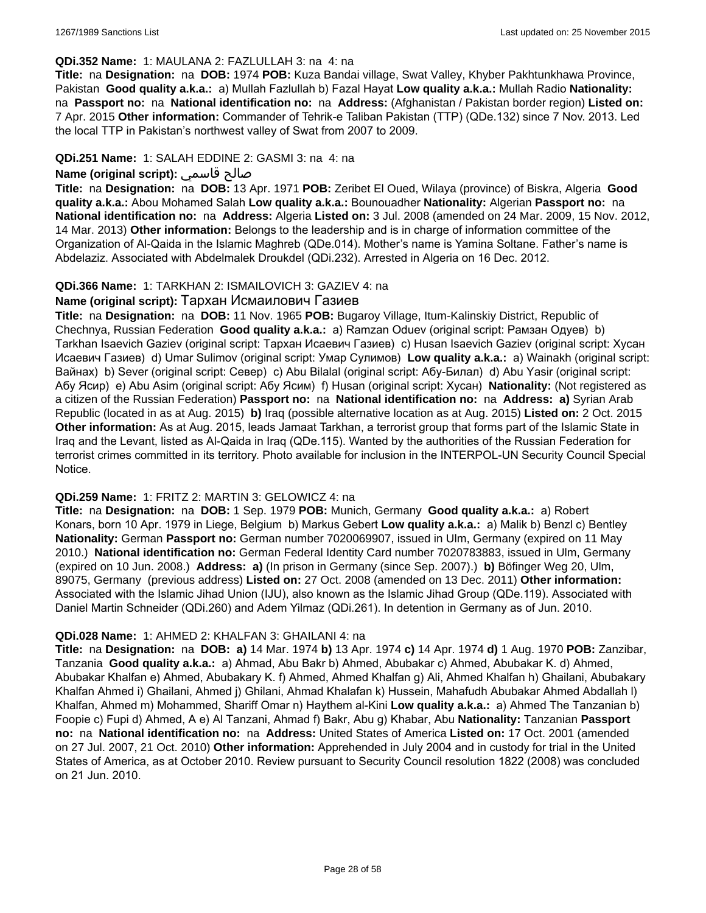#### **QDi.352 Name:** 1: MAULANA 2: FAZLULLAH 3: na 4: na

**Title:** na **Designation:** na **DOB:** 1974 **POB:** Kuza Bandai village, Swat Valley, Khyber Pakhtunkhawa Province, Pakistan **Good quality a.k.a.:** a) Mullah Fazlullah b) Fazal Hayat **Low quality a.k.a.:** Mullah Radio **Nationality:**  na **Passport no:** na **National identification no:** na **Address:** (Afghanistan / Pakistan border region) **Listed on:** 7 Apr. 2015 **Other information:** Commander of Tehrik-e Taliban Pakistan (TTP) (QDe.132) since 7 Nov. 2013. Led the local TTP in Pakistan's northwest valley of Swat from 2007 to 2009.

## **QDi.251 Name:** 1: SALAH EDDINE 2: GASMI 3: na 4: na

## **Name (original script):** قاسمي صالح

**Title:** na **Designation:** na **DOB:** 13 Apr. 1971 **POB:** Zeribet El Oued, Wilaya (province) of Biskra, Algeria **Good quality a.k.a.:** Abou Mohamed Salah **Low quality a.k.a.:** Bounouadher **Nationality:** Algerian **Passport no:** na **National identification no:** na **Address:** Algeria **Listed on:** 3 Jul. 2008 (amended on 24 Mar. 2009, 15 Nov. 2012, 14 Mar. 2013) **Other information:** Belongs to the leadership and is in charge of information committee of the Organization of Al-Qaida in the Islamic Maghreb (QDe.014). Mother's name is Yamina Soltane. Father's name is Abdelaziz. Associated with Abdelmalek Droukdel (QDi.232). Arrested in Algeria on 16 Dec. 2012.

### **QDi.366 Name:** 1: TARKHAN 2: ISMAILOVICH 3: GAZIEV 4: na

## **Name (original script):** Тархан Исмаилович Газиев

**Title:** na **Designation:** na **DOB:** 11 Nov. 1965 **POB:** Bugaroy Village, Itum-Kalinskiy District, Republic of Chechnya, Russian Federation **Good quality a.k.a.:** a) Ramzan Oduev (original script: Рамзан Одуев) b) Tarkhan Isaevich Gaziev (original script: Тархан Исаевич Газиев) c) Husan Isaevich Gaziev (original script: Хусан Исаевич Газиев) d) Umar Sulimov (original script: Умар Сулимов) **Low quality a.k.a.:** a) Wainakh (original script: Вайнах) b) Sever (original script: Север) c) Abu Bilalal (original script: Абу-Билал) d) Abu Yasir (original script: Абу Ясир) e) Abu Asim (original script: Абу Ясим) f) Husan (original script: Хусан) **Nationality:** (Not registered as a citizen of the Russian Federation) **Passport no:** na **National identification no:** na **Address: a)** Syrian Arab Republic (located in as at Aug. 2015) **b)** Iraq (possible alternative location as at Aug. 2015) **Listed on:** 2 Oct. 2015 **Other information:** As at Aug. 2015, leads Jamaat Tarkhan, a terrorist group that forms part of the Islamic State in Iraq and the Levant, listed as Al-Qaida in Iraq (QDe.115). Wanted by the authorities of the Russian Federation for terrorist crimes committed in its territory. Photo available for inclusion in the INTERPOL-UN Security Council Special Notice.

#### **QDi.259 Name:** 1: FRITZ 2: MARTIN 3: GELOWICZ 4: na

**Title:** na **Designation:** na **DOB:** 1 Sep. 1979 **POB:** Munich, Germany **Good quality a.k.a.:** a) Robert Konars, born 10 Apr. 1979 in Liege, Belgium b) Markus Gebert **Low quality a.k.a.:** a) Malik b) Benzl c) Bentley **Nationality:** German **Passport no:** German number 7020069907, issued in Ulm, Germany (expired on 11 May 2010.) **National identification no:** German Federal Identity Card number 7020783883, issued in Ulm, Germany (expired on 10 Jun. 2008.) **Address: a)** (In prison in Germany (since Sep. 2007).) **b)** Böfinger Weg 20, Ulm, 89075, Germany (previous address) **Listed on:** 27 Oct. 2008 (amended on 13 Dec. 2011) **Other information:** Associated with the Islamic Jihad Union (IJU), also known as the Islamic Jihad Group (QDe.119). Associated with Daniel Martin Schneider (QDi.260) and Adem Yilmaz (QDi.261). In detention in Germany as of Jun. 2010.

#### **QDi.028 Name:** 1: AHMED 2: KHALFAN 3: GHAILANI 4: na

**Title:** na **Designation:** na **DOB: a)** 14 Mar. 1974 **b)** 13 Apr. 1974 **c)** 14 Apr. 1974 **d)** 1 Aug. 1970 **POB:** Zanzibar, Tanzania **Good quality a.k.a.:** a) Ahmad, Abu Bakr b) Ahmed, Abubakar c) Ahmed, Abubakar K. d) Ahmed, Abubakar Khalfan e) Ahmed, Abubakary K. f) Ahmed, Ahmed Khalfan g) Ali, Ahmed Khalfan h) Ghailani, Abubakary Khalfan Ahmed i) Ghailani, Ahmed j) Ghilani, Ahmad Khalafan k) Hussein, Mahafudh Abubakar Ahmed Abdallah l) Khalfan, Ahmed m) Mohammed, Shariff Omar n) Haythem al-Kini **Low quality a.k.a.:** a) Ahmed The Tanzanian b) Foopie c) Fupi d) Ahmed, A e) Al Tanzani, Ahmad f) Bakr, Abu g) Khabar, Abu **Nationality:** Tanzanian **Passport no:** na **National identification no:** na **Address:** United States of America **Listed on:** 17 Oct. 2001 (amended on 27 Jul. 2007, 21 Oct. 2010) **Other information:** Apprehended in July 2004 and in custody for trial in the United States of America, as at October 2010. Review pursuant to Security Council resolution 1822 (2008) was concluded on 21 Jun. 2010.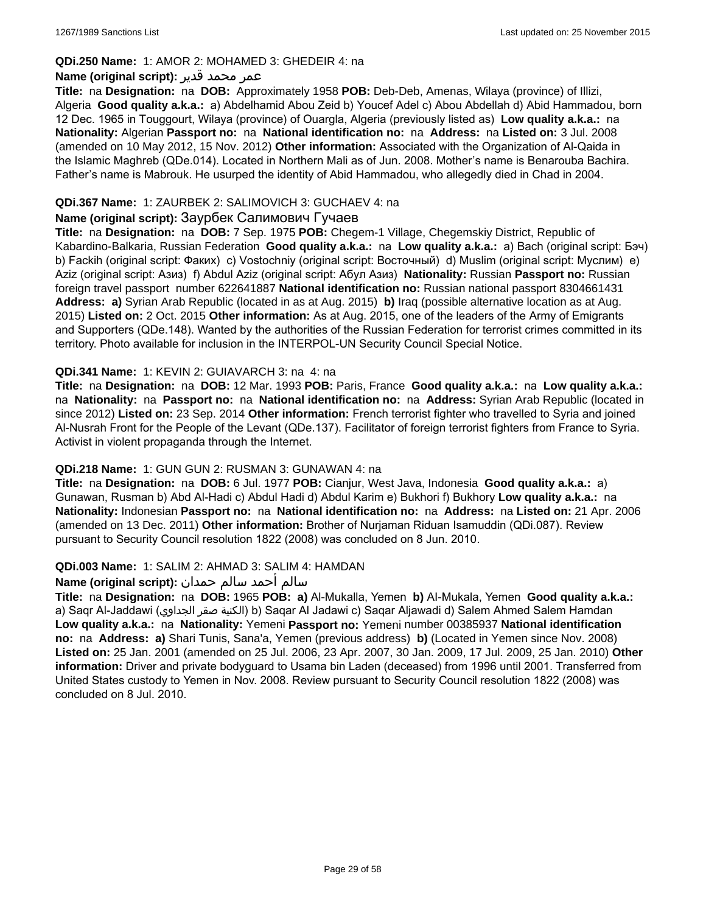### **QDi.250 Name:** 1: AMOR 2: MOHAMED 3: GHEDEIR 4: na

### عمر محمد قدير **:(script original (Name**

**Title:** na **Designation:** na **DOB:** Approximately 1958 **POB:** Deb-Deb, Amenas, Wilaya (province) of Illizi, Algeria **Good quality a.k.a.:** a) Abdelhamid Abou Zeid b) Youcef Adel c) Abou Abdellah d) Abid Hammadou, born 12 Dec. 1965 in Touggourt, Wilaya (province) of Ouargla, Algeria (previously listed as) **Low quality a.k.a.:** na **Nationality:** Algerian **Passport no:** na **National identification no:** na **Address:** na **Listed on:** 3 Jul. 2008 (amended on 10 May 2012, 15 Nov. 2012) **Other information:** Associated with the Organization of Al-Qaida in the Islamic Maghreb (QDe.014). Located in Northern Mali as of Jun. 2008. Mother's name is Benarouba Bachira. Father's name is Mabrouk. He usurped the identity of Abid Hammadou, who allegedly died in Chad in 2004.

## **QDi.367 Name:** 1: ZAURBEK 2: SALIMOVICH 3: GUCHAEV 4: na

### **Name (original script):** Заурбек Салимович Гучаев

**Title:** na **Designation:** na **DOB:** 7 Sep. 1975 **POB:** Chegem-1 Village, Chegemskiy District, Republic of Kabardino-Balkaria, Russian Federation **Good quality a.k.a.:** na **Low quality a.k.a.:** a) Bach (original script: Бэч) b) Fackih (original script: Факих) c) Vostochniy (original script: Восточный) d) Muslim (original script: Муслим) e) Aziz (original script: Азиз) f) Abdul Aziz (original script: Абул Азиз) **Nationality:** Russian **Passport no:** Russian foreign travel passport number 622641887 **National identification no:** Russian national passport 8304661431 **Address: a)** Syrian Arab Republic (located in as at Aug. 2015) **b)** Iraq (possible alternative location as at Aug. 2015) **Listed on:** 2 Oct. 2015 **Other information:** As at Aug. 2015, one of the leaders of the Army of Emigrants and Supporters (QDe.148). Wanted by the authorities of the Russian Federation for terrorist crimes committed in its territory. Photo available for inclusion in the INTERPOL-UN Security Council Special Notice.

### **QDi.341 Name:** 1: KEVIN 2: GUIAVARCH 3: na 4: na

**Title:** na **Designation:** na **DOB:** 12 Mar. 1993 **POB:** Paris, France **Good quality a.k.a.:** na **Low quality a.k.a.:**  na **Nationality:** na **Passport no:** na **National identification no:** na **Address:** Syrian Arab Republic (located in since 2012) **Listed on:** 23 Sep. 2014 **Other information:** French terrorist fighter who travelled to Syria and joined Al-Nusrah Front for the People of the Levant (QDe.137). Facilitator of foreign terrorist fighters from France to Syria. Activist in violent propaganda through the Internet.

## **QDi.218 Name:** 1: GUN GUN 2: RUSMAN 3: GUNAWAN 4: na

**Title:** na **Designation:** na **DOB:** 6 Jul. 1977 **POB:** Cianjur, West Java, Indonesia **Good quality a.k.a.:** a) Gunawan, Rusman b) Abd Al-Hadi c) Abdul Hadi d) Abdul Karim e) Bukhori f) Bukhory **Low quality a.k.a.:** na **Nationality:** Indonesian **Passport no:** na **National identification no:** na **Address:** na **Listed on:** 21 Apr. 2006 (amended on 13 Dec. 2011) **Other information:** Brother of Nurjaman Riduan Isamuddin (QDi.087). Review pursuant to Security Council resolution 1822 (2008) was concluded on 8 Jun. 2010.

#### **QDi.003 Name:** 1: SALIM 2: AHMAD 3: SALIM 4: HAMDAN

#### سالم أحمد سالم حمدان **:(script original (Name**

**Title:** na **Designation:** na **DOB:** 1965 **POB: a)** Al-Mukalla, Yemen **b)** AI-Mukala, Yemen **Good quality a.k.a.:**  a) Saqr Al-Jaddawi (الجداوي صقر الكنية (b) Saqar Al Jadawi c) Saqar Aljawadi d) Salem Ahmed Salem Hamdan **Low quality a.k.a.:** na **Nationality:** Yemeni **Passport no:** Yemeni number 00385937 **National identification no:** na **Address: a)** Shari Tunis, Sana'a, Yemen (previous address) **b)** (Located in Yemen since Nov. 2008) **Listed on:** 25 Jan. 2001 (amended on 25 Jul. 2006, 23 Apr. 2007, 30 Jan. 2009, 17 Jul. 2009, 25 Jan. 2010) **Other information:** Driver and private bodyguard to Usama bin Laden (deceased) from 1996 until 2001. Transferred from United States custody to Yemen in Nov. 2008. Review pursuant to Security Council resolution 1822 (2008) was concluded on 8 Jul. 2010.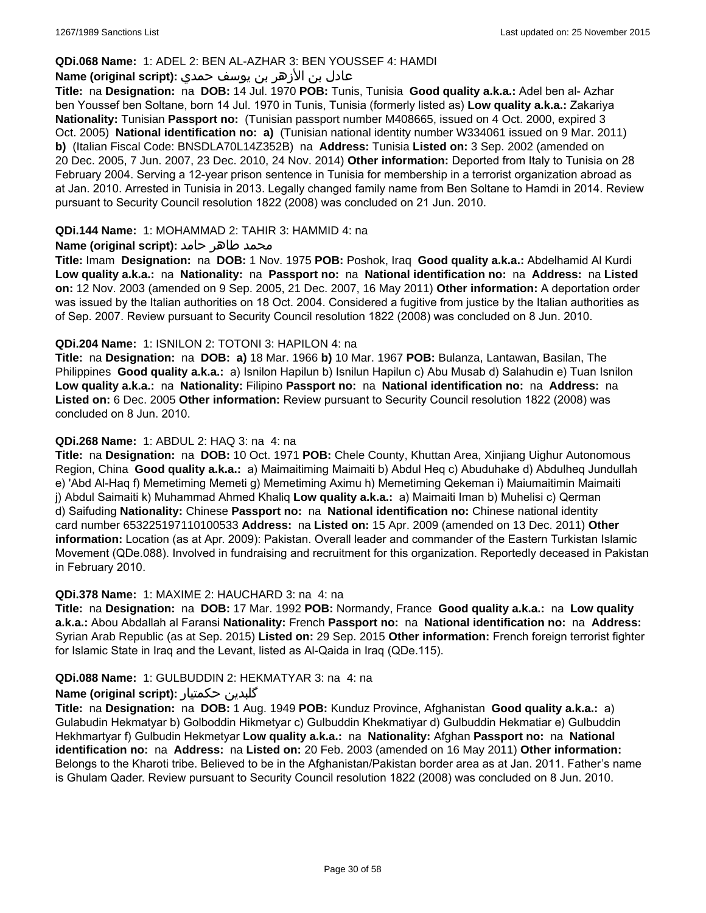### **QDi.068 Name:** 1: ADEL 2: BEN AL-AZHAR 3: BEN YOUSSEF 4: HAMDI

## عادل بن الأزهر بن يوسف حمدي **:(script original (Name**

**Title:** na **Designation:** na **DOB:** 14 Jul. 1970 **POB:** Tunis, Tunisia **Good quality a.k.a.:** Adel ben al- Azhar ben Youssef ben Soltane, born 14 Jul. 1970 in Tunis, Tunisia (formerly listed as) **Low quality a.k.a.:** Zakariya **Nationality:** Tunisian **Passport no:** (Tunisian passport number M408665, issued on 4 Oct. 2000, expired 3 Oct. 2005) **National identification no: a)** (Tunisian national identity number W334061 issued on 9 Mar. 2011) **b)** (Italian Fiscal Code: BNSDLA70L14Z352B) na **Address:** Tunisia **Listed on:** 3 Sep. 2002 (amended on 20 Dec. 2005, 7 Jun. 2007, 23 Dec. 2010, 24 Nov. 2014) **Other information:** Deported from Italy to Tunisia on 28 February 2004. Serving a 12-year prison sentence in Tunisia for membership in a terrorist organization abroad as at Jan. 2010. Arrested in Tunisia in 2013. Legally changed family name from Ben Soltane to Hamdi in 2014. Review pursuant to Security Council resolution 1822 (2008) was concluded on 21 Jun. 2010.

#### **QDi.144 Name:** 1: MOHAMMAD 2: TAHIR 3: HAMMID 4: na

### **محمد طاهر حامد :(Name (original script**

**Title:** Imam **Designation:** na **DOB:** 1 Nov. 1975 **POB:** Poshok, Iraq **Good quality a.k.a.:** Abdelhamid Al Kurdi **Low quality a.k.a.:** na **Nationality:** na **Passport no:** na **National identification no:** na **Address:** na **Listed on:** 12 Nov. 2003 (amended on 9 Sep. 2005, 21 Dec. 2007, 16 May 2011) **Other information:** A deportation order was issued by the Italian authorities on 18 Oct. 2004. Considered a fugitive from justice by the Italian authorities as of Sep. 2007. Review pursuant to Security Council resolution 1822 (2008) was concluded on 8 Jun. 2010.

#### **QDi.204 Name:** 1: ISNILON 2: TOTONI 3: HAPILON 4: na

**Title:** na **Designation:** na **DOB: a)** 18 Mar. 1966 **b)** 10 Mar. 1967 **POB:** Bulanza, Lantawan, Basilan, The Philippines **Good quality a.k.a.:** a) Isnilon Hapilun b) Isnilun Hapilun c) Abu Musab d) Salahudin e) Tuan Isnilon **Low quality a.k.a.:** na **Nationality:** Filipino **Passport no:** na **National identification no:** na **Address:** na **Listed on:** 6 Dec. 2005 **Other information:** Review pursuant to Security Council resolution 1822 (2008) was concluded on 8 Jun. 2010.

### **QDi.268 Name:** 1: ABDUL 2: HAQ 3: na 4: na

**Title:** na **Designation:** na **DOB:** 10 Oct. 1971 **POB:** Chele County, Khuttan Area, Xinjiang Uighur Autonomous Region, China **Good quality a.k.a.:** a) Maimaitiming Maimaiti b) Abdul Heq c) Abuduhake d) Abdulheq Jundullah e) 'Abd Al-Haq f) Memetiming Memeti g) Memetiming Aximu h) Memetiming Qekeman i) Maiumaitimin Maimaiti j) Abdul Saimaiti k) Muhammad Ahmed Khaliq **Low quality a.k.a.:** a) Maimaiti Iman b) Muhelisi c) Qerman d) Saifuding **Nationality:** Chinese **Passport no:** na **National identification no:** Chinese national identity card number 653225197110100533 **Address:** na **Listed on:** 15 Apr. 2009 (amended on 13 Dec. 2011) **Other information:** Location (as at Apr. 2009): Pakistan. Overall leader and commander of the Eastern Turkistan Islamic Movement (QDe.088). Involved in fundraising and recruitment for this organization. Reportedly deceased in Pakistan in February 2010.

#### **QDi.378 Name:** 1: MAXIME 2: HAUCHARD 3: na 4: na

**Title:** na **Designation:** na **DOB:** 17 Mar. 1992 **POB:** Normandy, France **Good quality a.k.a.:** na **Low quality a.k.a.:** Abou Abdallah al Faransi **Nationality:** French **Passport no:** na **National identification no:** na **Address:** Syrian Arab Republic (as at Sep. 2015) **Listed on:** 29 Sep. 2015 **Other information:** French foreign terrorist fighter for Islamic State in Iraq and the Levant, listed as Al-Qaida in Iraq (QDe.115).

#### **QDi.088 Name:** 1: GULBUDDIN 2: HEKMATYAR 3: na 4: na

## **Name (original script):** حکمتیار گلبدین

**Title:** na **Designation:** na **DOB:** 1 Aug. 1949 **POB:** Kunduz Province, Afghanistan **Good quality a.k.a.:** a) Gulabudin Hekmatyar b) Golboddin Hikmetyar c) Gulbuddin Khekmatiyar d) Gulbuddin Hekmatiar e) Gulbuddin Hekhmartyar f) Gulbudin Hekmetyar **Low quality a.k.a.:** na **Nationality:** Afghan **Passport no:** na **National identification no:** na **Address:** na **Listed on:** 20 Feb. 2003 (amended on 16 May 2011) **Other information:** Belongs to the Kharoti tribe. Believed to be in the Afghanistan/Pakistan border area as at Jan. 2011. Father's name is Ghulam Qader. Review pursuant to Security Council resolution 1822 (2008) was concluded on 8 Jun. 2010.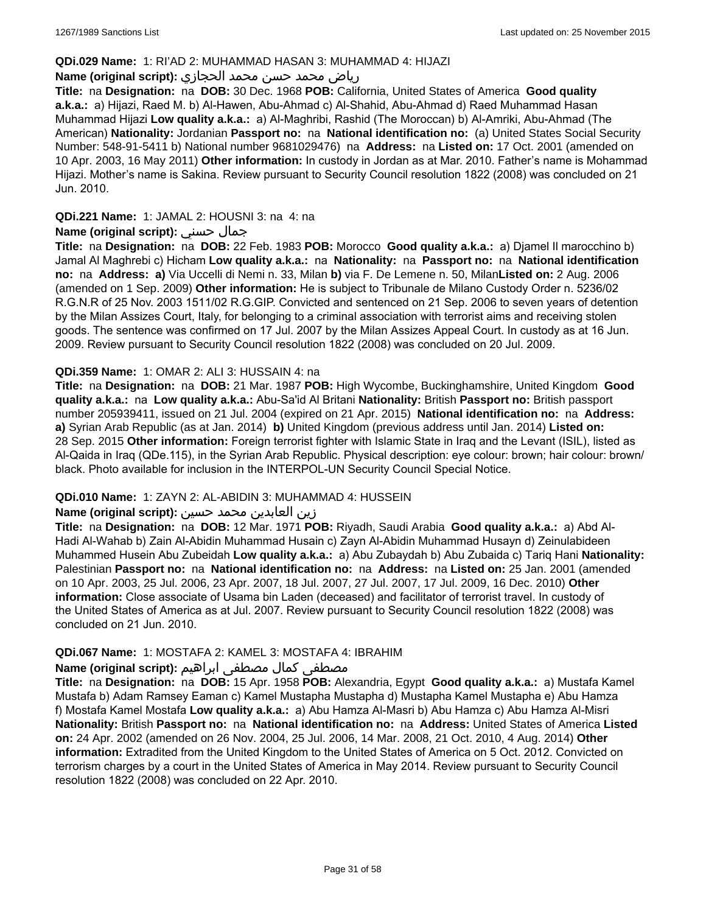### **QDi.029 Name:** 1: RI'AD 2: MUHAMMAD HASAN 3: MUHAMMAD 4: HIJAZI

## رياض محمد حسن محمد الحجازي **:(script original (Name**

**Title:** na **Designation:** na **DOB:** 30 Dec. 1968 **POB:** California, United States of America **Good quality a.k.a.:** a) Hijazi, Raed M. b) Al-Hawen, Abu-Ahmad c) Al-Shahid, Abu-Ahmad d) Raed Muhammad Hasan Muhammad Hijazi **Low quality a.k.a.:** a) Al-Maghribi, Rashid (The Moroccan) b) Al-Amriki, Abu-Ahmad (The American) **Nationality:** Jordanian **Passport no:** na **National identification no:** (a) United States Social Security Number: 548-91-5411 b) National number 9681029476) na **Address:** na **Listed on:** 17 Oct. 2001 (amended on 10 Apr. 2003, 16 May 2011) **Other information:** In custody in Jordan as at Mar. 2010. Father's name is Mohammad Hijazi. Mother's name is Sakina. Review pursuant to Security Council resolution 1822 (2008) was concluded on 21 Jun. 2010.

## **QDi.221 Name:** 1: JAMAL 2: HOUSNI 3: na 4: na

## **Name (original script):** حسني جمال

**Title:** na **Designation:** na **DOB:** 22 Feb. 1983 **POB:** Morocco **Good quality a.k.a.:** a) Djamel Il marocchino b) Jamal Al Maghrebi c) Hicham **Low quality a.k.a.:** na **Nationality:** na **Passport no:** na **National identification no:** na **Address: a)** Via Uccelli di Nemi n. 33, Milan **b)** via F. De Lemene n. 50, Milan**Listed on:** 2 Aug. 2006 (amended on 1 Sep. 2009) **Other information:** He is subject to Tribunale de Milano Custody Order n. 5236/02 R.G.N.R of 25 Nov. 2003 1511/02 R.G.GIP. Convicted and sentenced on 21 Sep. 2006 to seven years of detention by the Milan Assizes Court, Italy, for belonging to a criminal association with terrorist aims and receiving stolen goods. The sentence was confirmed on 17 Jul. 2007 by the Milan Assizes Appeal Court. In custody as at 16 Jun. 2009. Review pursuant to Security Council resolution 1822 (2008) was concluded on 20 Jul. 2009.

### **QDi.359 Name:** 1: OMAR 2: ALI 3: HUSSAIN 4: na

**Title:** na **Designation:** na **DOB:** 21 Mar. 1987 **POB:** High Wycombe, Buckinghamshire, United Kingdom **Good quality a.k.a.:** na **Low quality a.k.a.:** Abu-Sa'id Al Britani **Nationality:** British **Passport no:** British passport number 205939411, issued on 21 Jul. 2004 (expired on 21 Apr. 2015) **National identification no:** na **Address: a)** Syrian Arab Republic (as at Jan. 2014) **b)** United Kingdom (previous address until Jan. 2014) **Listed on:** 28 Sep. 2015 **Other information:** Foreign terrorist fighter with Islamic State in Iraq and the Levant (ISIL), listed as Al-Qaida in Iraq (QDe.115), in the Syrian Arab Republic. Physical description: eye colour: brown; hair colour: brown/ black. Photo available for inclusion in the INTERPOL-UN Security Council Special Notice.

## **QDi.010 Name:** 1: ZAYN 2: AL-ABIDIN 3: MUHAMMAD 4: HUSSEIN

#### زين العابدين محمد حسين **:(script original (Name**

**Title:** na **Designation:** na **DOB:** 12 Mar. 1971 **POB:** Riyadh, Saudi Arabia **Good quality a.k.a.:** a) Abd Al-Hadi Al-Wahab b) Zain Al-Abidin Muhammad Husain c) Zayn Al-Abidin Muhammad Husayn d) Zeinulabideen Muhammed Husein Abu Zubeidah **Low quality a.k.a.:** a) Abu Zubaydah b) Abu Zubaida c) Tariq Hani **Nationality:** Palestinian **Passport no:** na **National identification no:** na **Address:** na **Listed on:** 25 Jan. 2001 (amended on 10 Apr. 2003, 25 Jul. 2006, 23 Apr. 2007, 18 Jul. 2007, 27 Jul. 2007, 17 Jul. 2009, 16 Dec. 2010) **Other information:** Close associate of Usama bin Laden (deceased) and facilitator of terrorist travel. In custody of the United States of America as at Jul. 2007. Review pursuant to Security Council resolution 1822 (2008) was concluded on 21 Jun. 2010.

## **QDi.067 Name:** 1: MOSTAFA 2: KAMEL 3: MOSTAFA 4: IBRAHIM

## مصطفى كمال مصطفى ابراهيم **:Name (original script**)

**Title:** na **Designation:** na **DOB:** 15 Apr. 1958 **POB:** Alexandria, Egypt **Good quality a.k.a.:** a) Mustafa Kamel Mustafa b) Adam Ramsey Eaman c) Kamel Mustapha Mustapha d) Mustapha Kamel Mustapha e) Abu Hamza f) Mostafa Kamel Mostafa **Low quality a.k.a.:** a) Abu Hamza Al-Masri b) Abu Hamza c) Abu Hamza Al-Misri **Nationality:** British **Passport no:** na **National identification no:** na **Address:** United States of America **Listed on:** 24 Apr. 2002 (amended on 26 Nov. 2004, 25 Jul. 2006, 14 Mar. 2008, 21 Oct. 2010, 4 Aug. 2014) **Other information:** Extradited from the United Kingdom to the United States of America on 5 Oct. 2012. Convicted on terrorism charges by a court in the United States of America in May 2014. Review pursuant to Security Council resolution 1822 (2008) was concluded on 22 Apr. 2010.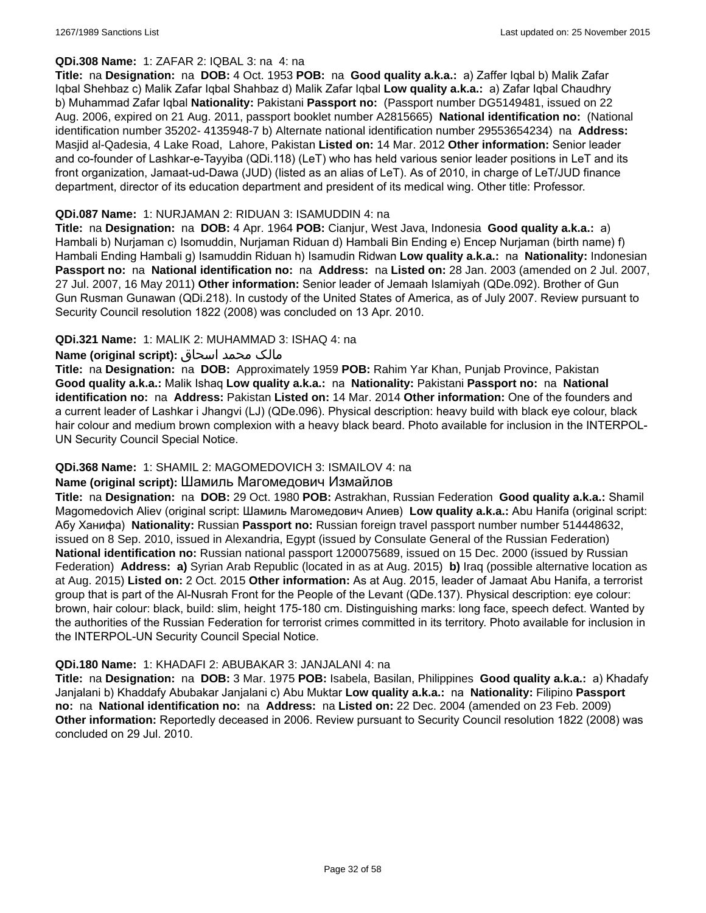## **QDi.308 Name:** 1: ZAFAR 2: IQBAL 3: na 4: na

**Title:** na **Designation:** na **DOB:** 4 Oct. 1953 **POB:** na **Good quality a.k.a.:** a) Zaffer Iqbal b) Malik Zafar Iqbal Shehbaz c) Malik Zafar Iqbal Shahbaz d) Malik Zafar Iqbal **Low quality a.k.a.:** a) Zafar Iqbal Chaudhry b) Muhammad Zafar Iqbal **Nationality:** Pakistani **Passport no:** (Passport number DG5149481, issued on 22 Aug. 2006, expired on 21 Aug. 2011, passport booklet number A2815665) **National identification no:** (National identification number 35202- 4135948-7 b) Alternate national identification number 29553654234) na **Address:** Masjid al-Qadesia, 4 Lake Road, Lahore, Pakistan **Listed on:** 14 Mar. 2012 **Other information:** Senior leader and co-founder of Lashkar-e-Tayyiba (QDi.118) (LeT) who has held various senior leader positions in LeT and its front organization, Jamaat-ud-Dawa (JUD) (listed as an alias of LeT). As of 2010, in charge of LeT/JUD finance department, director of its education department and president of its medical wing. Other title: Professor.

### **QDi.087 Name:** 1: NURJAMAN 2: RIDUAN 3: ISAMUDDIN 4: na

**Title:** na **Designation:** na **DOB:** 4 Apr. 1964 **POB:** Cianjur, West Java, Indonesia **Good quality a.k.a.:** a) Hambali b) Nurjaman c) Isomuddin, Nurjaman Riduan d) Hambali Bin Ending e) Encep Nurjaman (birth name) f) Hambali Ending Hambali g) Isamuddin Riduan h) Isamudin Ridwan **Low quality a.k.a.:** na **Nationality:** Indonesian **Passport no:** na **National identification no:** na **Address:** na **Listed on:** 28 Jan. 2003 (amended on 2 Jul. 2007, 27 Jul. 2007, 16 May 2011) **Other information:** Senior leader of Jemaah Islamiyah (QDe.092). Brother of Gun Gun Rusman Gunawan (QDi.218). In custody of the United States of America, as of July 2007. Review pursuant to Security Council resolution 1822 (2008) was concluded on 13 Apr. 2010.

## **QDi.321 Name:** 1: MALIK 2: MUHAMMAD 3: ISHAQ 4: na

### مالک محمد اسحاق **:(script original (Name**

**Title:** na **Designation:** na **DOB:** Approximately 1959 **POB:** Rahim Yar Khan, Punjab Province, Pakistan **Good quality a.k.a.:** Malik Ishaq **Low quality a.k.a.:** na **Nationality:** Pakistani **Passport no:** na **National identification no:** na **Address:** Pakistan **Listed on:** 14 Mar. 2014 **Other information:** One of the founders and a current leader of Lashkar i Jhangvi (LJ) (QDe.096). Physical description: heavy build with black eye colour, black hair colour and medium brown complexion with a heavy black beard. Photo available for inclusion in the INTERPOL-UN Security Council Special Notice.

## **QDi.368 Name:** 1: SHAMIL 2: MAGOMEDOVICH 3: ISMAILOV 4: na

## **Name (original script):** Шамиль Магомедович Измайлов

**Title:** na **Designation:** na **DOB:** 29 Oct. 1980 **POB:** Astrakhan, Russian Federation **Good quality a.k.a.:** Shamil Magomedovich Aliev (original script: Шамиль Магомедович Алиев) **Low quality a.k.a.:** Abu Hanifa (original script: Абу Ханифа) **Nationality:** Russian **Passport no:** Russian foreign travel passport number number 514448632, issued on 8 Sep. 2010, issued in Alexandria, Egypt (issued by Consulate General of the Russian Federation) **National identification no:** Russian national passport 1200075689, issued on 15 Dec. 2000 (issued by Russian Federation) **Address: a)** Syrian Arab Republic (located in as at Aug. 2015) **b)** Iraq (possible alternative location as at Aug. 2015) **Listed on:** 2 Oct. 2015 **Other information:** As at Aug. 2015, leader of Jamaat Abu Hanifa, a terrorist group that is part of the Al-Nusrah Front for the People of the Levant (QDe.137). Physical description: eye colour: brown, hair colour: black, build: slim, height 175-180 cm. Distinguishing marks: long face, speech defect. Wanted by the authorities of the Russian Federation for terrorist crimes committed in its territory. Photo available for inclusion in the INTERPOL-UN Security Council Special Notice.

#### **QDi.180 Name:** 1: KHADAFI 2: ABUBAKAR 3: JANJALANI 4: na

**Title:** na **Designation:** na **DOB:** 3 Mar. 1975 **POB:** Isabela, Basilan, Philippines **Good quality a.k.a.:** a) Khadafy Janjalani b) Khaddafy Abubakar Janjalani c) Abu Muktar **Low quality a.k.a.:** na **Nationality:** Filipino **Passport no:** na **National identification no:** na **Address:** na **Listed on:** 22 Dec. 2004 (amended on 23 Feb. 2009) **Other information:** Reportedly deceased in 2006. Review pursuant to Security Council resolution 1822 (2008) was concluded on 29 Jul. 2010.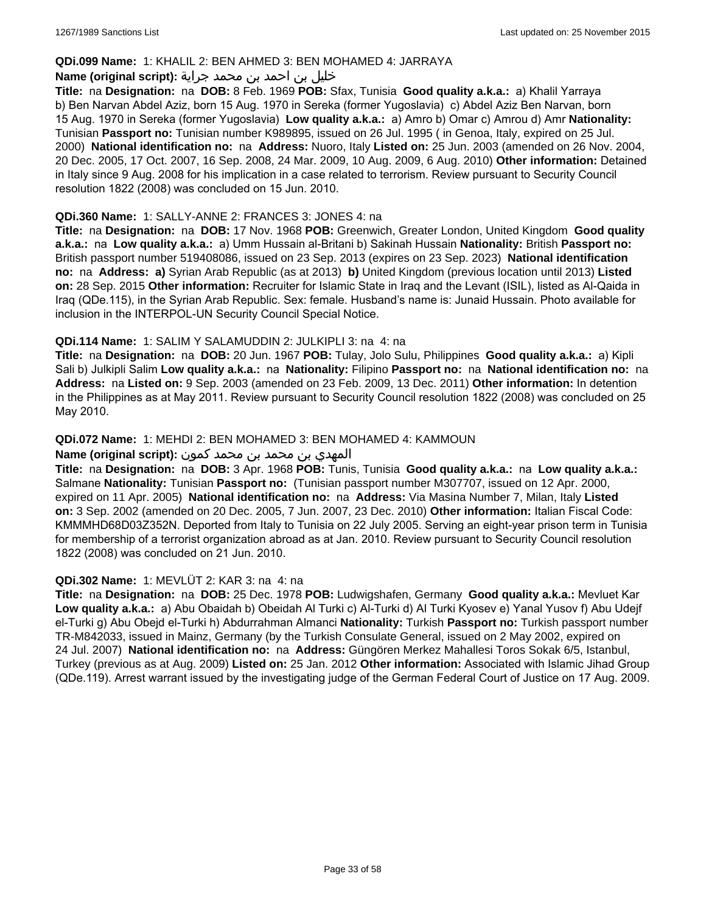### **QDi.099 Name:** 1: KHALIL 2: BEN AHMED 3: BEN MOHAMED 4: JARRAYA

### خليل بن احمد بن محمد جراية **:(script original (Name**

**Title:** na **Designation:** na **DOB:** 8 Feb. 1969 **POB:** Sfax, Tunisia **Good quality a.k.a.:** a) Khalil Yarraya b) Ben Narvan Abdel Aziz, born 15 Aug. 1970 in Sereka (former Yugoslavia) c) Abdel Aziz Ben Narvan, born 15 Aug. 1970 in Sereka (former Yugoslavia) **Low quality a.k.a.:** a) Amro b) Omar c) Amrou d) Amr **Nationality:** Tunisian **Passport no:** Tunisian number K989895, issued on 26 Jul. 1995 ( in Genoa, Italy, expired on 25 Jul. 2000) **National identification no:** na **Address:** Nuoro, Italy **Listed on:** 25 Jun. 2003 (amended on 26 Nov. 2004, 20 Dec. 2005, 17 Oct. 2007, 16 Sep. 2008, 24 Mar. 2009, 10 Aug. 2009, 6 Aug. 2010) **Other information:** Detained in Italy since 9 Aug. 2008 for his implication in a case related to terrorism. Review pursuant to Security Council resolution 1822 (2008) was concluded on 15 Jun. 2010.

### **QDi.360 Name:** 1: SALLY-ANNE 2: FRANCES 3: JONES 4: na

**Title:** na **Designation:** na **DOB:** 17 Nov. 1968 **POB:** Greenwich, Greater London, United Kingdom **Good quality a.k.a.:** na **Low quality a.k.a.:** a) Umm Hussain al-Britani b) Sakinah Hussain **Nationality:** British **Passport no:** British passport number 519408086, issued on 23 Sep. 2013 (expires on 23 Sep. 2023) **National identification no:** na **Address: a)** Syrian Arab Republic (as at 2013) **b)** United Kingdom (previous location until 2013) **Listed on:** 28 Sep. 2015 **Other information:** Recruiter for Islamic State in Iraq and the Levant (ISIL), listed as Al-Qaida in Iraq (QDe.115), in the Syrian Arab Republic. Sex: female. Husband's name is: Junaid Hussain. Photo available for inclusion in the INTERPOL-UN Security Council Special Notice.

### **QDi.114 Name:** 1: SALIM Y SALAMUDDIN 2: JULKIPLI 3: na 4: na

**Title:** na **Designation:** na **DOB:** 20 Jun. 1967 **POB:** Tulay, Jolo Sulu, Philippines **Good quality a.k.a.:** a) Kipli Sali b) Julkipli Salim **Low quality a.k.a.:** na **Nationality:** Filipino **Passport no:** na **National identification no:** na **Address:** na **Listed on:** 9 Sep. 2003 (amended on 23 Feb. 2009, 13 Dec. 2011) **Other information:** In detention in the Philippines as at May 2011. Review pursuant to Security Council resolution 1822 (2008) was concluded on 25 May 2010.

### **QDi.072 Name:** 1: MEHDI 2: BEN MOHAMED 3: BEN MOHAMED 4: KAMMOUN

#### المهدي بن محمد بن محمد كمون **:(script original (Name**

**Title:** na **Designation:** na **DOB:** 3 Apr. 1968 **POB:** Tunis, Tunisia **Good quality a.k.a.:** na **Low quality a.k.a.:** Salmane **Nationality:** Tunisian **Passport no:** (Tunisian passport number M307707, issued on 12 Apr. 2000, expired on 11 Apr. 2005) **National identification no:** na **Address:** Via Masina Number 7, Milan, Italy **Listed on:** 3 Sep. 2002 (amended on 20 Dec. 2005, 7 Jun. 2007, 23 Dec. 2010) **Other information:** Italian Fiscal Code: KMMMHD68D03Z352N. Deported from Italy to Tunisia on 22 July 2005. Serving an eight-year prison term in Tunisia for membership of a terrorist organization abroad as at Jan. 2010. Review pursuant to Security Council resolution 1822 (2008) was concluded on 21 Jun. 2010.

#### **QDi.302 Name:** 1: MEVLÜT 2: KAR 3: na 4: na

**Title:** na **Designation:** na **DOB:** 25 Dec. 1978 **POB:** Ludwigshafen, Germany **Good quality a.k.a.:** Mevluet Kar **Low quality a.k.a.:** a) Abu Obaidah b) Obeidah Al Turki c) Al-Turki d) Al Turki Kyosev e) Yanal Yusov f) Abu Udejf el-Turki g) Abu Obejd el-Turki h) Abdurrahman Almanci **Nationality:** Turkish **Passport no:** Turkish passport number TR-M842033, issued in Mainz, Germany (by the Turkish Consulate General, issued on 2 May 2002, expired on 24 Jul. 2007) **National identification no:** na **Address:** Güngören Merkez Mahallesi Toros Sokak 6/5, Istanbul, Turkey (previous as at Aug. 2009) **Listed on:** 25 Jan. 2012 **Other information:** Associated with Islamic Jihad Group (QDe.119). Arrest warrant issued by the investigating judge of the German Federal Court of Justice on 17 Aug. 2009.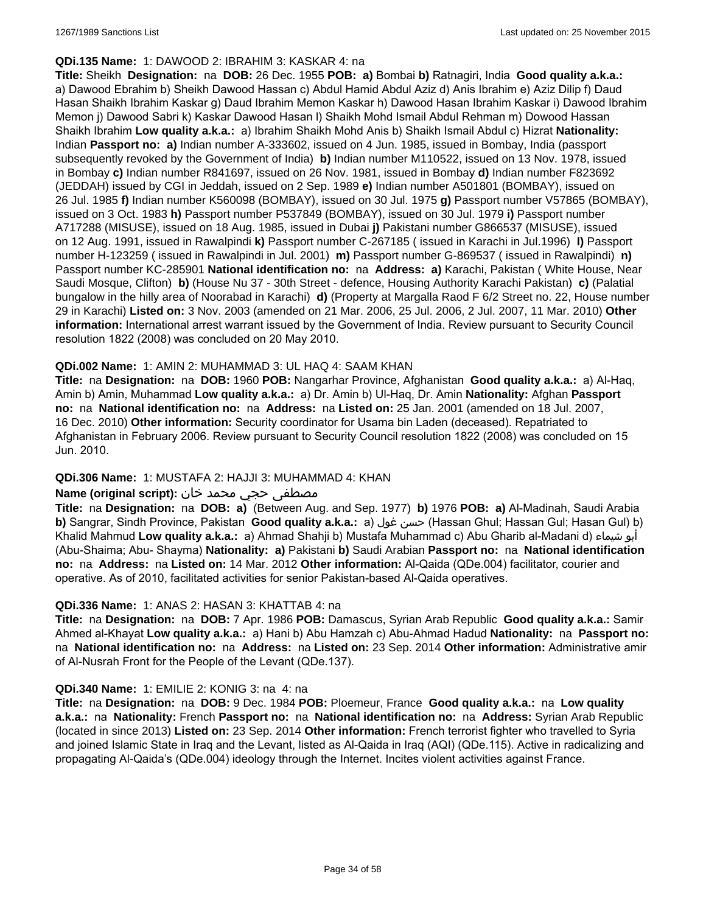#### **QDi.135 Name:** 1: DAWOOD 2: IBRAHIM 3: KASKAR 4: na

**Title:** Sheikh **Designation:** na **DOB:** 26 Dec. 1955 **POB: a)** Bombai **b)** Ratnagiri, India **Good quality a.k.a.:**  a) Dawood Ebrahim b) Sheikh Dawood Hassan c) Abdul Hamid Abdul Aziz d) Anis Ibrahim e) Aziz Dilip f) Daud Hasan Shaikh Ibrahim Kaskar g) Daud Ibrahim Memon Kaskar h) Dawood Hasan Ibrahim Kaskar i) Dawood Ibrahim Memon j) Dawood Sabri k) Kaskar Dawood Hasan l) Shaikh Mohd Ismail Abdul Rehman m) Dowood Hassan Shaikh Ibrahim **Low quality a.k.a.:** a) Ibrahim Shaikh Mohd Anis b) Shaikh Ismail Abdul c) Hizrat **Nationality:** Indian **Passport no: a)** Indian number A-333602, issued on 4 Jun. 1985, issued in Bombay, India (passport subsequently revoked by the Government of India) **b)** Indian number M110522, issued on 13 Nov. 1978, issued in Bombay **c)** Indian number R841697, issued on 26 Nov. 1981, issued in Bombay **d)** Indian number F823692 (JEDDAH) issued by CGI in Jeddah, issued on 2 Sep. 1989 **e)** Indian number A501801 (BOMBAY), issued on 26 Jul. 1985 **f)** Indian number K560098 (BOMBAY), issued on 30 Jul. 1975 **g)** Passport number V57865 (BOMBAY), issued on 3 Oct. 1983 **h)** Passport number P537849 (BOMBAY), issued on 30 Jul. 1979 **i)** Passport number A717288 (MISUSE), issued on 18 Aug. 1985, issued in Dubai **j)** Pakistani number G866537 (MISUSE), issued on 12 Aug. 1991, issued in Rawalpindi **k)** Passport number C-267185 ( issued in Karachi in Jul.1996) **l)** Passport number H-123259 ( issued in Rawalpindi in Jul. 2001) **m)** Passport number G-869537 ( issued in Rawalpindi) **n)** Passport number KC-285901 **National identification no:** na **Address: a)** Karachi, Pakistan ( White House, Near Saudi Mosque, Clifton) **b)** (House Nu 37 - 30th Street - defence, Housing Authority Karachi Pakistan) **c)** (Palatial bungalow in the hilly area of Noorabad in Karachi) **d)** (Property at Margalla Raod F 6/2 Street no. 22, House number 29 in Karachi) **Listed on:** 3 Nov. 2003 (amended on 21 Mar. 2006, 25 Jul. 2006, 2 Jul. 2007, 11 Mar. 2010) **Other information:** International arrest warrant issued by the Government of India. Review pursuant to Security Council resolution 1822 (2008) was concluded on 20 May 2010.

### **QDi.002 Name:** 1: AMIN 2: MUHAMMAD 3: UL HAQ 4: SAAM KHAN

**Title:** na **Designation:** na **DOB:** 1960 **POB:** Nangarhar Province, Afghanistan **Good quality a.k.a.:** a) Al-Haq, Amin b) Amin, Muhammad **Low quality a.k.a.:** a) Dr. Amin b) Ul-Haq, Dr. Amin **Nationality:** Afghan **Passport no:** na **National identification no:** na **Address:** na **Listed on:** 25 Jan. 2001 (amended on 18 Jul. 2007, 16 Dec. 2010) **Other information:** Security coordinator for Usama bin Laden (deceased). Repatriated to Afghanistan in February 2006. Review pursuant to Security Council resolution 1822 (2008) was concluded on 15 Jun. 2010.

## **QDi.306 Name:** 1: MUSTAFA 2: HAJJI 3: MUHAMMAD 4: KHAN

### مصطفى حجي محمد خان **:**Name (original script)

**Title:** na **Designation:** na **DOB: a)** (Between Aug. and Sep. 1977) **b)** 1976 **POB: a)** Al-Madinah, Saudi Arabia **b)** Sangrar, Sindh Province, Pakistan Good quality a.k.a.: a) حسن غول (Hassan Ghul; Hassan Gul; Hasan Gul) b) Khalid Mahmud **Low quality a.k.a.:** a) Ahmad Shahji b) Mustafa Muhammad c) Abu Gharib al-Madani d) شيماء أبو (Abu-Shaima; Abu- Shayma) **Nationality: a)** Pakistani **b)** Saudi Arabian **Passport no:** na **National identification no:** na **Address:** na **Listed on:** 14 Mar. 2012 **Other information:** Al-Qaida (QDe.004) facilitator, courier and operative. As of 2010, facilitated activities for senior Pakistan-based Al-Qaida operatives.

#### **QDi.336 Name:** 1: ANAS 2: HASAN 3: KHATTAB 4: na

**Title:** na **Designation:** na **DOB:** 7 Apr. 1986 **POB:** Damascus, Syrian Arab Republic **Good quality a.k.a.:** Samir Ahmed al-Khayat **Low quality a.k.a.:** a) Hani b) Abu Hamzah c) Abu-Ahmad Hadud **Nationality:** na **Passport no:** na **National identification no:** na **Address:** na **Listed on:** 23 Sep. 2014 **Other information:** Administrative amir of Al-Nusrah Front for the People of the Levant (QDe.137).

#### **QDi.340 Name:** 1: EMILIE 2: KONIG 3: na 4: na

**Title:** na **Designation:** na **DOB:** 9 Dec. 1984 **POB:** Ploemeur, France **Good quality a.k.a.:** na **Low quality a.k.a.:** na **Nationality:** French **Passport no:** na **National identification no:** na **Address:** Syrian Arab Republic (located in since 2013) **Listed on:** 23 Sep. 2014 **Other information:** French terrorist fighter who travelled to Syria and joined Islamic State in Iraq and the Levant, listed as Al-Qaida in Iraq (AQI) (QDe.115). Active in radicalizing and propagating Al-Qaida's (QDe.004) ideology through the Internet. Incites violent activities against France.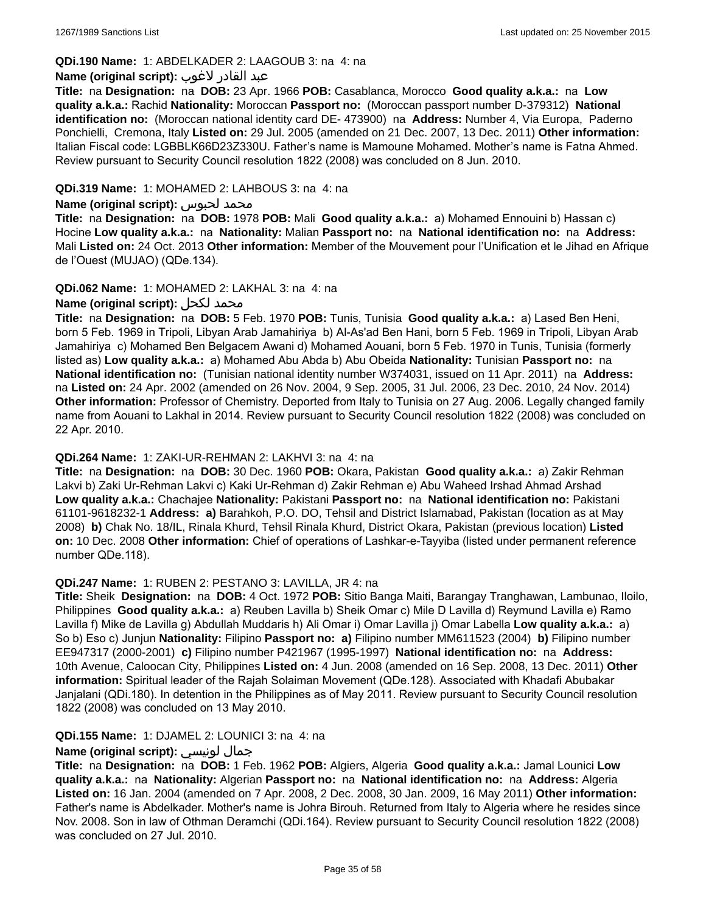## **QDi.190 Name:** 1: ABDELKADER 2: LAAGOUB 3: na 4: na

#### عبد القادر لاغوب **:(script original (Name**

**Title:** na **Designation:** na **DOB:** 23 Apr. 1966 **POB:** Casablanca, Morocco **Good quality a.k.a.:** na **Low quality a.k.a.:** Rachid **Nationality:** Moroccan **Passport no:** (Moroccan passport number D-379312) **National identification no:** (Moroccan national identity card DE- 473900) na **Address:** Number 4, Via Europa, Paderno Ponchielli, Cremona, Italy **Listed on:** 29 Jul. 2005 (amended on 21 Dec. 2007, 13 Dec. 2011) **Other information:** Italian Fiscal code: LGBBLK66D23Z330U. Father's name is Mamoune Mohamed. Mother's name is Fatna Ahmed. Review pursuant to Security Council resolution 1822 (2008) was concluded on 8 Jun. 2010.

### **QDi.319 Name:** 1: MOHAMED 2: LAHBOUS 3: na 4: na

#### **Name (original script):** لحبوس محمد

**Title:** na **Designation:** na **DOB:** 1978 **POB:** Mali **Good quality a.k.a.:** a) Mohamed Ennouini b) Hassan c) Hocine **Low quality a.k.a.:** na **Nationality:** Malian **Passport no:** na **National identification no:** na **Address:** Mali **Listed on:** 24 Oct. 2013 **Other information:** Member of the Mouvement pour l'Unification et le Jihad en Afrique de l'Ouest (MUJAO) (QDe.134).

### **QDi.062 Name:** 1: MOHAMED 2: LAKHAL 3: na 4: na

## **Name (original script):** لكحل محمد

**Title:** na **Designation:** na **DOB:** 5 Feb. 1970 **POB:** Tunis, Tunisia **Good quality a.k.a.:** a) Lased Ben Heni, born 5 Feb. 1969 in Tripoli, Libyan Arab Jamahiriya b) Al-As'ad Ben Hani, born 5 Feb. 1969 in Tripoli, Libyan Arab Jamahiriya c) Mohamed Ben Belgacem Awani d) Mohamed Aouani, born 5 Feb. 1970 in Tunis, Tunisia (formerly listed as) **Low quality a.k.a.:** a) Mohamed Abu Abda b) Abu Obeida **Nationality:** Tunisian **Passport no:** na **National identification no:** (Tunisian national identity number W374031, issued on 11 Apr. 2011) na **Address:**  na **Listed on:** 24 Apr. 2002 (amended on 26 Nov. 2004, 9 Sep. 2005, 31 Jul. 2006, 23 Dec. 2010, 24 Nov. 2014) **Other information:** Professor of Chemistry. Deported from Italy to Tunisia on 27 Aug. 2006. Legally changed family name from Aouani to Lakhal in 2014. Review pursuant to Security Council resolution 1822 (2008) was concluded on 22 Apr. 2010.

#### **QDi.264 Name:** 1: ZAKI-UR-REHMAN 2: LAKHVI 3: na 4: na

**Title:** na **Designation:** na **DOB:** 30 Dec. 1960 **POB:** Okara, Pakistan **Good quality a.k.a.:** a) Zakir Rehman Lakvi b) Zaki Ur-Rehman Lakvi c) Kaki Ur-Rehman d) Zakir Rehman e) Abu Waheed Irshad Ahmad Arshad **Low quality a.k.a.:** Chachajee **Nationality:** Pakistani **Passport no:** na **National identification no:** Pakistani 61101-9618232-1 **Address: a)** Barahkoh, P.O. DO, Tehsil and District Islamabad, Pakistan (location as at May 2008) **b)** Chak No. 18/IL, Rinala Khurd, Tehsil Rinala Khurd, District Okara, Pakistan (previous location) **Listed on:** 10 Dec. 2008 **Other information:** Chief of operations of Lashkar-e-Tayyiba (listed under permanent reference number QDe.118).

#### **QDi.247 Name:** 1: RUBEN 2: PESTANO 3: LAVILLA, JR 4: na

**Title:** Sheik **Designation:** na **DOB:** 4 Oct. 1972 **POB:** Sitio Banga Maiti, Barangay Tranghawan, Lambunao, Iloilo, Philippines **Good quality a.k.a.:** a) Reuben Lavilla b) Sheik Omar c) Mile D Lavilla d) Reymund Lavilla e) Ramo Lavilla f) Mike de Lavilla g) Abdullah Muddaris h) Ali Omar i) Omar Lavilla j) Omar Labella **Low quality a.k.a.:** a) So b) Eso c) Junjun **Nationality:** Filipino **Passport no: a)** Filipino number MM611523 (2004) **b)** Filipino number EE947317 (2000-2001) **c)** Filipino number P421967 (1995-1997) **National identification no:** na **Address:** 10th Avenue, Caloocan City, Philippines **Listed on:** 4 Jun. 2008 (amended on 16 Sep. 2008, 13 Dec. 2011) **Other information:** Spiritual leader of the Rajah Solaiman Movement (QDe.128). Associated with Khadafi Abubakar Janjalani (QDi.180). In detention in the Philippines as of May 2011. Review pursuant to Security Council resolution 1822 (2008) was concluded on 13 May 2010.

## **QDi.155 Name:** 1: DJAMEL 2: LOUNICI 3: na 4: na

## **Name (original script):** لونيسي جمال

**Title:** na **Designation:** na **DOB:** 1 Feb. 1962 **POB:** Algiers, Algeria **Good quality a.k.a.:** Jamal Lounici **Low quality a.k.a.:** na **Nationality:** Algerian **Passport no:** na **National identification no:** na **Address:** Algeria **Listed on:** 16 Jan. 2004 (amended on 7 Apr. 2008, 2 Dec. 2008, 30 Jan. 2009, 16 May 2011) **Other information:** Father's name is Abdelkader. Mother's name is Johra Birouh. Returned from Italy to Algeria where he resides since Nov. 2008. Son in law of Othman Deramchi (QDi.164). Review pursuant to Security Council resolution 1822 (2008) was concluded on 27 Jul. 2010.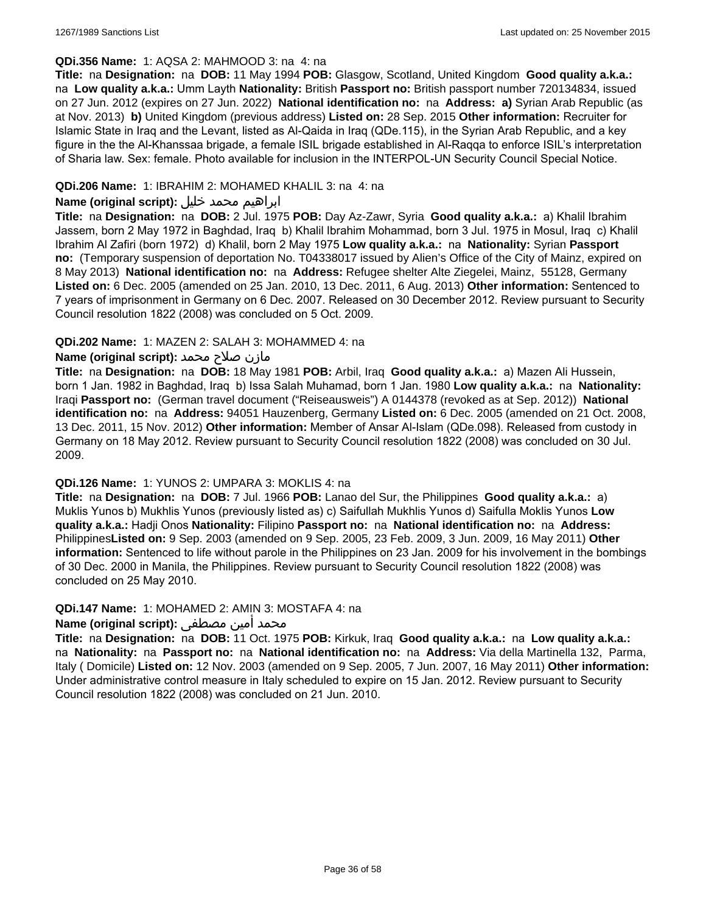#### **QDi.356 Name:** 1: AQSA 2: MAHMOOD 3: na 4: na

**Title:** na **Designation:** na **DOB:** 11 May 1994 **POB:** Glasgow, Scotland, United Kingdom **Good quality a.k.a.:**  na **Low quality a.k.a.:** Umm Layth **Nationality:** British **Passport no:** British passport number 720134834, issued on 27 Jun. 2012 (expires on 27 Jun. 2022) **National identification no:** na **Address: a)** Syrian Arab Republic (as at Nov. 2013) **b)** United Kingdom (previous address) **Listed on:** 28 Sep. 2015 **Other information:** Recruiter for Islamic State in Iraq and the Levant, listed as Al-Qaida in Iraq (QDe.115), in the Syrian Arab Republic, and a key figure in the the Al-Khanssaa brigade, a female ISIL brigade established in Al-Raqqa to enforce ISIL's interpretation of Sharia law. Sex: female. Photo available for inclusion in the INTERPOL-UN Security Council Special Notice.

### **QDi.206 Name:** 1: IBRAHIM 2: MOHAMED KHALIL 3: na 4: na

### ابراهيم محمد خليل **:(script original (Name**

**Title:** na **Designation:** na **DOB:** 2 Jul. 1975 **POB:** Day Az-Zawr, Syria **Good quality a.k.a.:** a) Khalil Ibrahim Jassem, born 2 May 1972 in Baghdad, Iraq b) Khalil Ibrahim Mohammad, born 3 Jul. 1975 in Mosul, Iraq c) Khalil Ibrahim Al Zafiri (born 1972) d) Khalil, born 2 May 1975 **Low quality a.k.a.:** na **Nationality:** Syrian **Passport no:** (Temporary suspension of deportation No. T04338017 issued by Alien's Office of the City of Mainz, expired on 8 May 2013) **National identification no:** na **Address:** Refugee shelter Alte Ziegelei, Mainz, 55128, Germany **Listed on:** 6 Dec. 2005 (amended on 25 Jan. 2010, 13 Dec. 2011, 6 Aug. 2013) **Other information:** Sentenced to 7 years of imprisonment in Germany on 6 Dec. 2007. Released on 30 December 2012. Review pursuant to Security Council resolution 1822 (2008) was concluded on 5 Oct. 2009.

### **QDi.202 Name:** 1: MAZEN 2: SALAH 3: MOHAMMED 4: na

### مازن صلاح محمد **:(script original (Name**

**Title:** na **Designation:** na **DOB:** 18 May 1981 **POB:** Arbil, Iraq **Good quality a.k.a.:** a) Mazen Ali Hussein, born 1 Jan. 1982 in Baghdad, Iraq b) Issa Salah Muhamad, born 1 Jan. 1980 **Low quality a.k.a.:** na **Nationality:** Iraqi **Passport no:** (German travel document ("Reiseausweis") A 0144378 (revoked as at Sep. 2012)) **National identification no:** na **Address:** 94051 Hauzenberg, Germany **Listed on:** 6 Dec. 2005 (amended on 21 Oct. 2008, 13 Dec. 2011, 15 Nov. 2012) **Other information:** Member of Ansar Al-Islam (QDe.098). Released from custody in Germany on 18 May 2012. Review pursuant to Security Council resolution 1822 (2008) was concluded on 30 Jul. 2009.

### **QDi.126 Name:** 1: YUNOS 2: UMPARA 3: MOKLIS 4: na

**Title:** na **Designation:** na **DOB:** 7 Jul. 1966 **POB:** Lanao del Sur, the Philippines **Good quality a.k.a.:** a) Muklis Yunos b) Mukhlis Yunos (previously listed as) c) Saifullah Mukhlis Yunos d) Saifulla Moklis Yunos **Low quality a.k.a.:** Hadji Onos **Nationality:** Filipino **Passport no:** na **National identification no:** na **Address:** Philippines**Listed on:** 9 Sep. 2003 (amended on 9 Sep. 2005, 23 Feb. 2009, 3 Jun. 2009, 16 May 2011) **Other information:** Sentenced to life without parole in the Philippines on 23 Jan. 2009 for his involvement in the bombings of 30 Dec. 2000 in Manila, the Philippines. Review pursuant to Security Council resolution 1822 (2008) was concluded on 25 May 2010.

#### **QDi.147 Name:** 1: MOHAMED 2: AMIN 3: MOSTAFA 4: na

## محمد أمين مصطفى :**Name (original script)**

**Title:** na **Designation:** na **DOB:** 11 Oct. 1975 **POB:** Kirkuk, Iraq **Good quality a.k.a.:** na **Low quality a.k.a.:**  na **Nationality:** na **Passport no:** na **National identification no:** na **Address:** Via della Martinella 132, Parma, Italy ( Domicile) **Listed on:** 12 Nov. 2003 (amended on 9 Sep. 2005, 7 Jun. 2007, 16 May 2011) **Other information:** Under administrative control measure in Italy scheduled to expire on 15 Jan. 2012. Review pursuant to Security Council resolution 1822 (2008) was concluded on 21 Jun. 2010.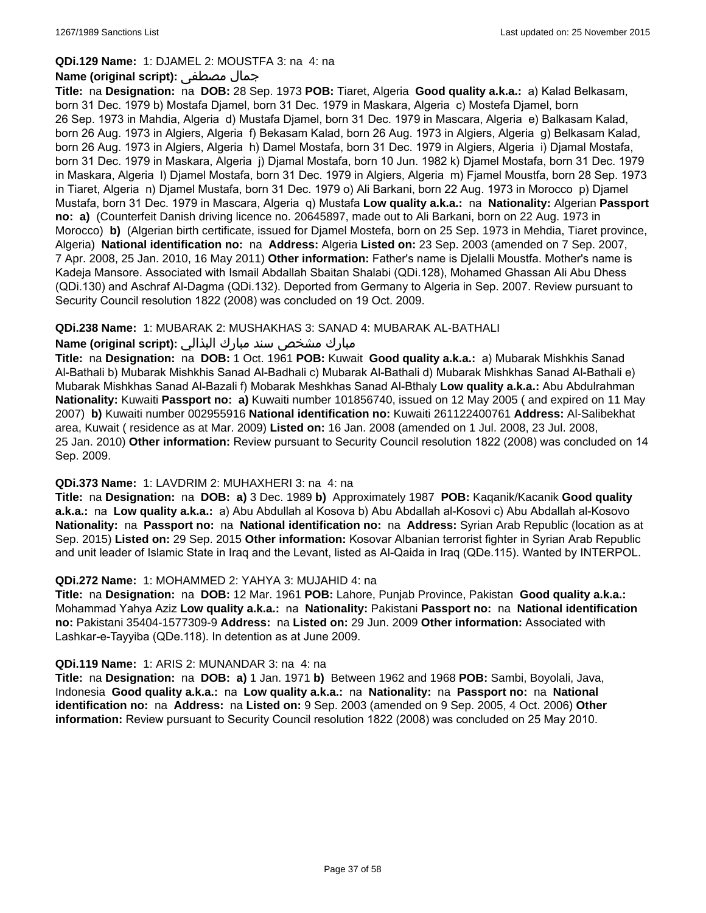#### **QDi.129 Name:** 1: DJAMEL 2: MOUSTFA 3: na 4: na

#### **Name (original script):** مصطفى جمال

**Title:** na **Designation:** na **DOB:** 28 Sep. 1973 **POB:** Tiaret, Algeria **Good quality a.k.a.:** a) Kalad Belkasam, born 31 Dec. 1979 b) Mostafa Djamel, born 31 Dec. 1979 in Maskara, Algeria c) Mostefa Djamel, born 26 Sep. 1973 in Mahdia, Algeria d) Mustafa Djamel, born 31 Dec. 1979 in Mascara, Algeria e) Balkasam Kalad, born 26 Aug. 1973 in Algiers, Algeria f) Bekasam Kalad, born 26 Aug. 1973 in Algiers, Algeria g) Belkasam Kalad, born 26 Aug. 1973 in Algiers, Algeria h) Damel Mostafa, born 31 Dec. 1979 in Algiers, Algeria i) Djamal Mostafa, born 31 Dec. 1979 in Maskara, Algeria j) Djamal Mostafa, born 10 Jun. 1982 k) Djamel Mostafa, born 31 Dec. 1979 in Maskara, Algeria l) Djamel Mostafa, born 31 Dec. 1979 in Algiers, Algeria m) Fjamel Moustfa, born 28 Sep. 1973 in Tiaret, Algeria n) Djamel Mustafa, born 31 Dec. 1979 o) Ali Barkani, born 22 Aug. 1973 in Morocco p) Djamel Mustafa, born 31 Dec. 1979 in Mascara, Algeria q) Mustafa **Low quality a.k.a.:** na **Nationality:** Algerian **Passport no: a)** (Counterfeit Danish driving licence no. 20645897, made out to Ali Barkani, born on 22 Aug. 1973 in Morocco) **b)** (Algerian birth certificate, issued for Djamel Mostefa, born on 25 Sep. 1973 in Mehdia, Tiaret province, Algeria) **National identification no:** na **Address:** Algeria **Listed on:** 23 Sep. 2003 (amended on 7 Sep. 2007, 7 Apr. 2008, 25 Jan. 2010, 16 May 2011) **Other information:** Father's name is Djelalli Moustfa. Mother's name is Kadeja Mansore. Associated with Ismail Abdallah Sbaitan Shalabi (QDi.128), Mohamed Ghassan Ali Abu Dhess (QDi.130) and Aschraf Al-Dagma (QDi.132). Deported from Germany to Algeria in Sep. 2007. Review pursuant to Security Council resolution 1822 (2008) was concluded on 19 Oct. 2009.

### **QDi.238 Name:** 1: MUBARAK 2: MUSHAKHAS 3: SANAD 4: MUBARAK AL-BATHALI

## مبارك مشخص سند مبارك البذالي **:Name (original script)**

**Title:** na **Designation:** na **DOB:** 1 Oct. 1961 **POB:** Kuwait **Good quality a.k.a.:** a) Mubarak Mishkhis Sanad Al-Bathali b) Mubarak Mishkhis Sanad Al-Badhali c) Mubarak Al-Bathali d) Mubarak Mishkhas Sanad Al-Bathali e) Mubarak Mishkhas Sanad Al-Bazali f) Mobarak Meshkhas Sanad Al-Bthaly **Low quality a.k.a.:** Abu Abdulrahman **Nationality:** Kuwaiti **Passport no: a)** Kuwaiti number 101856740, issued on 12 May 2005 ( and expired on 11 May 2007) **b)** Kuwaiti number 002955916 **National identification no:** Kuwaiti 261122400761 **Address:** Al-Salibekhat area, Kuwait ( residence as at Mar. 2009) **Listed on:** 16 Jan. 2008 (amended on 1 Jul. 2008, 23 Jul. 2008, 25 Jan. 2010) **Other information:** Review pursuant to Security Council resolution 1822 (2008) was concluded on 14 Sep. 2009.

#### **QDi.373 Name:** 1: LAVDRIM 2: MUHAXHERI 3: na 4: na

**Title:** na **Designation:** na **DOB: a)** 3 Dec. 1989 **b)** Approximately 1987 **POB:** Kaqanik/Kacanik **Good quality a.k.a.:** na **Low quality a.k.a.:** a) Abu Abdullah al Kosova b) Abu Abdallah al-Kosovi c) Abu Abdallah al-Kosovo **Nationality:** na **Passport no:** na **National identification no:** na **Address:** Syrian Arab Republic (location as at Sep. 2015) **Listed on:** 29 Sep. 2015 **Other information:** Kosovar Albanian terrorist fighter in Syrian Arab Republic and unit leader of Islamic State in Iraq and the Levant, listed as Al-Qaida in Iraq (QDe.115). Wanted by INTERPOL.

#### **QDi.272 Name:** 1: MOHAMMED 2: YAHYA 3: MUJAHID 4: na

**Title:** na **Designation:** na **DOB:** 12 Mar. 1961 **POB:** Lahore, Punjab Province, Pakistan **Good quality a.k.a.:** Mohammad Yahya Aziz **Low quality a.k.a.:** na **Nationality:** Pakistani **Passport no:** na **National identification no:** Pakistani 35404-1577309-9 **Address:** na **Listed on:** 29 Jun. 2009 **Other information:** Associated with Lashkar-e-Tayyiba (QDe.118). In detention as at June 2009.

#### **QDi.119 Name:** 1: ARIS 2: MUNANDAR 3: na 4: na

**Title:** na **Designation:** na **DOB: a)** 1 Jan. 1971 **b)** Between 1962 and 1968 **POB:** Sambi, Boyolali, Java, Indonesia **Good quality a.k.a.:** na **Low quality a.k.a.:** na **Nationality:** na **Passport no:** na **National identification no:** na **Address:** na **Listed on:** 9 Sep. 2003 (amended on 9 Sep. 2005, 4 Oct. 2006) **Other information:** Review pursuant to Security Council resolution 1822 (2008) was concluded on 25 May 2010.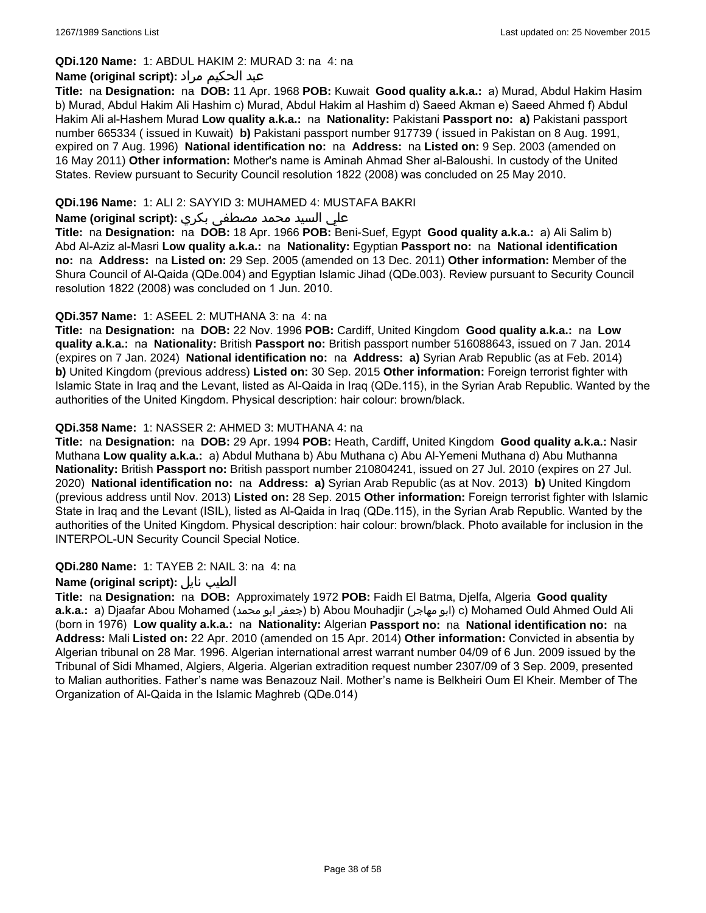## **QDi.120 Name:** 1: ABDUL HAKIM 2: MURAD 3: na 4: na

## عبد الحكيم مراد **:(script original (Name**

**Title:** na **Designation:** na **DOB:** 11 Apr. 1968 **POB:** Kuwait **Good quality a.k.a.:** a) Murad, Abdul Hakim Hasim b) Murad, Abdul Hakim Ali Hashim c) Murad, Abdul Hakim al Hashim d) Saeed Akman e) Saeed Ahmed f) Abdul Hakim Ali al-Hashem Murad **Low quality a.k.a.:** na **Nationality:** Pakistani **Passport no: a)** Pakistani passport number 665334 ( issued in Kuwait) **b)** Pakistani passport number 917739 ( issued in Pakistan on 8 Aug. 1991, expired on 7 Aug. 1996) **National identification no:** na **Address:** na **Listed on:** 9 Sep. 2003 (amended on 16 May 2011) **Other information:** Mother's name is Aminah Ahmad Sher al-Baloushi. In custody of the United States. Review pursuant to Security Council resolution 1822 (2008) was concluded on 25 May 2010.

## **QDi.196 Name:** 1: ALI 2: SAYYID 3: MUHAMED 4: MUSTAFA BAKRI

## علي السيد محمد مصطفى بكري **:(script original (Name**

**Title:** na **Designation:** na **DOB:** 18 Apr. 1966 **POB:** Beni-Suef, Egypt **Good quality a.k.a.:** a) Ali Salim b) Abd Al-Aziz al-Masri **Low quality a.k.a.:** na **Nationality:** Egyptian **Passport no:** na **National identification no:** na **Address:** na **Listed on:** 29 Sep. 2005 (amended on 13 Dec. 2011) **Other information:** Member of the Shura Council of Al-Qaida (QDe.004) and Egyptian Islamic Jihad (QDe.003). Review pursuant to Security Council resolution 1822 (2008) was concluded on 1 Jun. 2010.

### **QDi.357 Name:** 1: ASEEL 2: MUTHANA 3: na 4: na

**Title:** na **Designation:** na **DOB:** 22 Nov. 1996 **POB:** Cardiff, United Kingdom **Good quality a.k.a.:** na **Low quality a.k.a.:** na **Nationality:** British **Passport no:** British passport number 516088643, issued on 7 Jan. 2014 (expires on 7 Jan. 2024) **National identification no:** na **Address: a)** Syrian Arab Republic (as at Feb. 2014) **b)** United Kingdom (previous address) **Listed on:** 30 Sep. 2015 **Other information:** Foreign terrorist fighter with Islamic State in Iraq and the Levant, listed as Al-Qaida in Iraq (QDe.115), in the Syrian Arab Republic. Wanted by the authorities of the United Kingdom. Physical description: hair colour: brown/black.

### **QDi.358 Name:** 1: NASSER 2: AHMED 3: MUTHANA 4: na

**Title:** na **Designation:** na **DOB:** 29 Apr. 1994 **POB:** Heath, Cardiff, United Kingdom **Good quality a.k.a.:** Nasir Muthana **Low quality a.k.a.:** a) Abdul Muthana b) Abu Muthana c) Abu Al-Yemeni Muthana d) Abu Muthanna **Nationality:** British **Passport no:** British passport number 210804241, issued on 27 Jul. 2010 (expires on 27 Jul. 2020) **National identification no:** na **Address: a)** Syrian Arab Republic (as at Nov. 2013) **b)** United Kingdom (previous address until Nov. 2013) **Listed on:** 28 Sep. 2015 **Other information:** Foreign terrorist fighter with Islamic State in Iraq and the Levant (ISIL), listed as Al-Qaida in Iraq (QDe.115), in the Syrian Arab Republic. Wanted by the authorities of the United Kingdom. Physical description: hair colour: brown/black. Photo available for inclusion in the INTERPOL-UN Security Council Special Notice.

#### **QDi.280 Name:** 1: TAYEB 2: NAIL 3: na 4: na

#### **Name (original script):** نايل الطيب

**Title:** na **Designation:** na **DOB:** Approximately 1972 **POB:** Faidh El Batma, Djelfa, Algeria **Good quality a.k.a.:** a) Djaafar Abou Mohamed (محمد ابو جعفر (b) Abou Mouhadjir (مهاجر ابو (c) Mohamed Ould Ahmed Ould Ali (born in 1976) **Low quality a.k.a.:** na **Nationality:** Algerian **Passport no:** na **National identification no:** na **Address:** Mali **Listed on:** 22 Apr. 2010 (amended on 15 Apr. 2014) **Other information:** Convicted in absentia by Algerian tribunal on 28 Mar. 1996. Algerian international arrest warrant number 04/09 of 6 Jun. 2009 issued by the Tribunal of Sidi Mhamed, Algiers, Algeria. Algerian extradition request number 2307/09 of 3 Sep. 2009, presented to Malian authorities. Father's name was Benazouz Nail. Mother's name is Belkheiri Oum El Kheir. Member of The Organization of Al-Qaida in the Islamic Maghreb (QDe.014)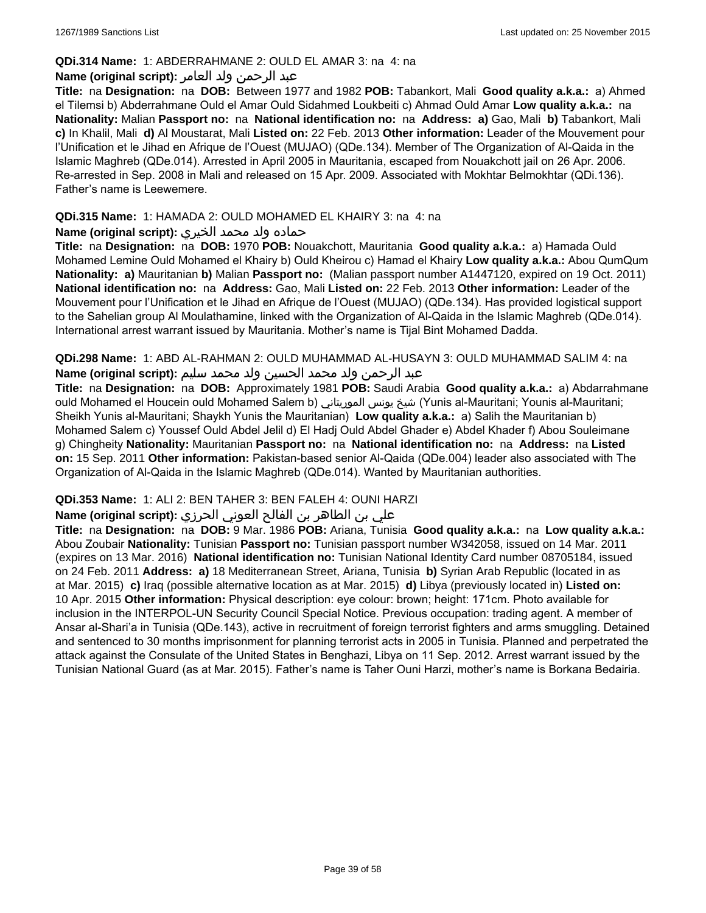### **QDi.314 Name:** 1: ABDERRAHMANE 2: OULD EL AMAR 3: na 4: na

## عبد الرحمن ولد العامر **:(script original (Name**

**Title:** na **Designation:** na **DOB:** Between 1977 and 1982 **POB:** Tabankort, Mali **Good quality a.k.a.:** a) Ahmed el Tilemsi b) Abderrahmane Ould el Amar Ould Sidahmed Loukbeiti c) Ahmad Ould Amar **Low quality a.k.a.:** na **Nationality:** Malian **Passport no:** na **National identification no:** na **Address: a)** Gao, Mali **b)** Tabankort, Mali **c)** In Khalil, Mali **d)** Al Moustarat, Mali **Listed on:** 22 Feb. 2013 **Other information:** Leader of the Mouvement pour l'Unification et le Jihad en Afrique de l'Ouest (MUJAO) (QDe.134). Member of The Organization of Al-Qaida in the Islamic Maghreb (QDe.014). Arrested in April 2005 in Mauritania, escaped from Nouakchott jail on 26 Apr. 2006. Re-arrested in Sep. 2008 in Mali and released on 15 Apr. 2009. Associated with Mokhtar Belmokhtar (QDi.136). Father's name is Leewemere.

## **QDi.315 Name:** 1: HAMADA 2: OULD MOHAMED EL KHAIRY 3: na 4: na

## حماده ولد محمد الخيري **:(script original (Name**

**Title:** na **Designation:** na **DOB:** 1970 **POB:** Nouakchott, Mauritania **Good quality a.k.a.:** a) Hamada Ould Mohamed Lemine Ould Mohamed el Khairy b) Ould Kheirou c) Hamad el Khairy **Low quality a.k.a.:** Abou QumQum **Nationality: a)** Mauritanian **b)** Malian **Passport no:** (Malian passport number A1447120, expired on 19 Oct. 2011) **National identification no:** na **Address:** Gao, Mali **Listed on:** 22 Feb. 2013 **Other information:** Leader of the Mouvement pour l'Unification et le Jihad en Afrique de l'Ouest (MUJAO) (QDe.134). Has provided logistical support to the Sahelian group Al Moulathamine, linked with the Organization of Al-Qaida in the Islamic Maghreb (QDe.014). International arrest warrant issued by Mauritania. Mother's name is Tijal Bint Mohamed Dadda.

**QDi.298 Name:** 1: ABD AL-RAHMAN 2: OULD MUHAMMAD AL-HUSAYN 3: OULD MUHAMMAD SALIM 4: na عبد الرحمن ولد محمد الحسين ولد محمد سليم **:(script original (Name**

**Title:** na **Designation:** na **DOB:** Approximately 1981 **POB:** Saudi Arabia **Good quality a.k.a.:** a) Abdarrahmane ould Mohamed el Houcein ould Mohamed Salem b) الموريتاني يونس شيخ) Yunis al-Mauritani; Younis al-Mauritani; Sheikh Yunis al-Mauritani; Shaykh Yunis the Mauritanian) **Low quality a.k.a.:** a) Salih the Mauritanian b) Mohamed Salem c) Youssef Ould Abdel Jelil d) El Hadj Ould Abdel Ghader e) Abdel Khader f) Abou Souleimane g) Chingheity **Nationality:** Mauritanian **Passport no:** na **National identification no:** na **Address:** na **Listed on:** 15 Sep. 2011 **Other information:** Pakistan-based senior Al-Qaida (QDe.004) leader also associated with The Organization of Al-Qaida in the Islamic Maghreb (QDe.014). Wanted by Mauritanian authorities.

## **QDi.353 Name:** 1: ALI 2: BEN TAHER 3: BEN FALEH 4: OUNI HARZI

## علي بن الطاھر بن الفالح العوني الحرزي **:(script original (Name**

**Title:** na **Designation:** na **DOB:** 9 Mar. 1986 **POB:** Ariana, Tunisia **Good quality a.k.a.:** na **Low quality a.k.a.:** Abou Zoubair **Nationality:** Tunisian **Passport no:** Tunisian passport number W342058, issued on 14 Mar. 2011 (expires on 13 Mar. 2016) **National identification no:** Tunisian National Identity Card number 08705184, issued on 24 Feb. 2011 **Address: a)** 18 Mediterranean Street, Ariana, Tunisia **b)** Syrian Arab Republic (located in as at Mar. 2015) **c)** Iraq (possible alternative location as at Mar. 2015) **d)** Libya (previously located in) **Listed on:** 10 Apr. 2015 **Other information:** Physical description: eye colour: brown; height: 171cm. Photo available for inclusion in the INTERPOL-UN Security Council Special Notice. Previous occupation: trading agent. A member of Ansar al-Shari'a in Tunisia (QDe.143), active in recruitment of foreign terrorist fighters and arms smuggling. Detained and sentenced to 30 months imprisonment for planning terrorist acts in 2005 in Tunisia. Planned and perpetrated the attack against the Consulate of the United States in Benghazi, Libya on 11 Sep. 2012. Arrest warrant issued by the Tunisian National Guard (as at Mar. 2015). Father's name is Taher Ouni Harzi, mother's name is Borkana Bedairia.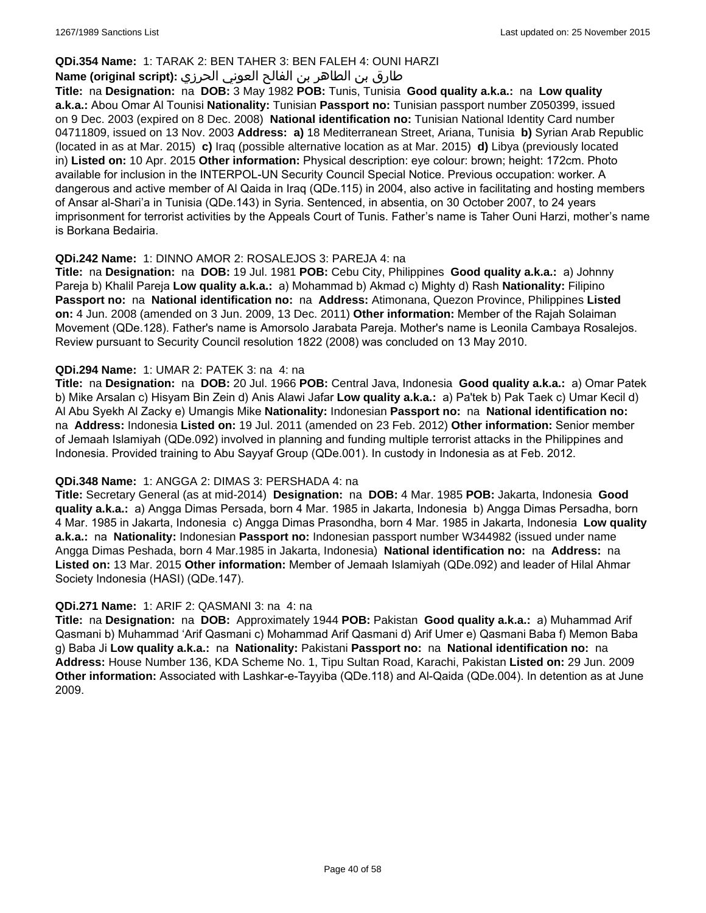### **QDi.354 Name:** 1: TARAK 2: BEN TAHER 3: BEN FALEH 4: OUNI HARZI

## طارق بن الطاھر بن الفالح العوني الحرزي **:(script original (Name**

**Title:** na **Designation:** na **DOB:** 3 May 1982 **POB:** Tunis, Tunisia **Good quality a.k.a.:** na **Low quality a.k.a.:** Abou Omar Al Tounisi **Nationality:** Tunisian **Passport no:** Tunisian passport number Z050399, issued on 9 Dec. 2003 (expired on 8 Dec. 2008) **National identification no:** Tunisian National Identity Card number 04711809, issued on 13 Nov. 2003 **Address: a)** 18 Mediterranean Street, Ariana, Tunisia **b)** Syrian Arab Republic (located in as at Mar. 2015) **c)** Iraq (possible alternative location as at Mar. 2015) **d)** Libya (previously located in) **Listed on:** 10 Apr. 2015 **Other information:** Physical description: eye colour: brown; height: 172cm. Photo available for inclusion in the INTERPOL-UN Security Council Special Notice. Previous occupation: worker. A dangerous and active member of Al Qaida in Iraq (QDe.115) in 2004, also active in facilitating and hosting members of Ansar al-Shari'a in Tunisia (QDe.143) in Syria. Sentenced, in absentia, on 30 October 2007, to 24 years imprisonment for terrorist activities by the Appeals Court of Tunis. Father's name is Taher Ouni Harzi, mother's name is Borkana Bedairia.

#### **QDi.242 Name:** 1: DINNO AMOR 2: ROSALEJOS 3: PAREJA 4: na

**Title:** na **Designation:** na **DOB:** 19 Jul. 1981 **POB:** Cebu City, Philippines **Good quality a.k.a.:** a) Johnny Pareja b) Khalil Pareja **Low quality a.k.a.:** a) Mohammad b) Akmad c) Mighty d) Rash **Nationality:** Filipino **Passport no:** na **National identification no:** na **Address:** Atimonana, Quezon Province, Philippines **Listed on:** 4 Jun. 2008 (amended on 3 Jun. 2009, 13 Dec. 2011) **Other information:** Member of the Rajah Solaiman Movement (QDe.128). Father's name is Amorsolo Jarabata Pareja. Mother's name is Leonila Cambaya Rosalejos. Review pursuant to Security Council resolution 1822 (2008) was concluded on 13 May 2010.

#### **QDi.294 Name:** 1: UMAR 2: PATEK 3: na 4: na

**Title:** na **Designation:** na **DOB:** 20 Jul. 1966 **POB:** Central Java, Indonesia **Good quality a.k.a.:** a) Omar Patek b) Mike Arsalan c) Hisyam Bin Zein d) Anis Alawi Jafar **Low quality a.k.a.:** a) Pa'tek b) Pak Taek c) Umar Kecil d) Al Abu Syekh Al Zacky e) Umangis Mike **Nationality:** Indonesian **Passport no:** na **National identification no:**  na **Address:** Indonesia **Listed on:** 19 Jul. 2011 (amended on 23 Feb. 2012) **Other information:** Senior member of Jemaah Islamiyah (QDe.092) involved in planning and funding multiple terrorist attacks in the Philippines and Indonesia. Provided training to Abu Sayyaf Group (QDe.001). In custody in Indonesia as at Feb. 2012.

#### **QDi.348 Name:** 1: ANGGA 2: DIMAS 3: PERSHADA 4: na

**Title:** Secretary General (as at mid-2014) **Designation:** na **DOB:** 4 Mar. 1985 **POB:** Jakarta, Indonesia **Good quality a.k.a.:** a) Angga Dimas Persada, born 4 Mar. 1985 in Jakarta, Indonesia b) Angga Dimas Persadha, born 4 Mar. 1985 in Jakarta, Indonesia c) Angga Dimas Prasondha, born 4 Mar. 1985 in Jakarta, Indonesia **Low quality a.k.a.:** na **Nationality:** Indonesian **Passport no:** Indonesian passport number W344982 (issued under name Angga Dimas Peshada, born 4 Mar.1985 in Jakarta, Indonesia) **National identification no:** na **Address:** na **Listed on:** 13 Mar. 2015 **Other information:** Member of Jemaah Islamiyah (QDe.092) and leader of Hilal Ahmar Society Indonesia (HASI) (QDe.147).

#### **QDi.271 Name:** 1: ARIF 2: QASMANI 3: na 4: na

**Title:** na **Designation:** na **DOB:** Approximately 1944 **POB:** Pakistan **Good quality a.k.a.:** a) Muhammad Arif Qasmani b) Muhammad 'Arif Qasmani c) Mohammad Arif Qasmani d) Arif Umer e) Qasmani Baba f) Memon Baba g) Baba Ji **Low quality a.k.a.:** na **Nationality:** Pakistani **Passport no:** na **National identification no:** na **Address:** House Number 136, KDA Scheme No. 1, Tipu Sultan Road, Karachi, Pakistan **Listed on:** 29 Jun. 2009 **Other information:** Associated with Lashkar-e-Tayyiba (QDe.118) and Al-Qaida (QDe.004). In detention as at June 2009.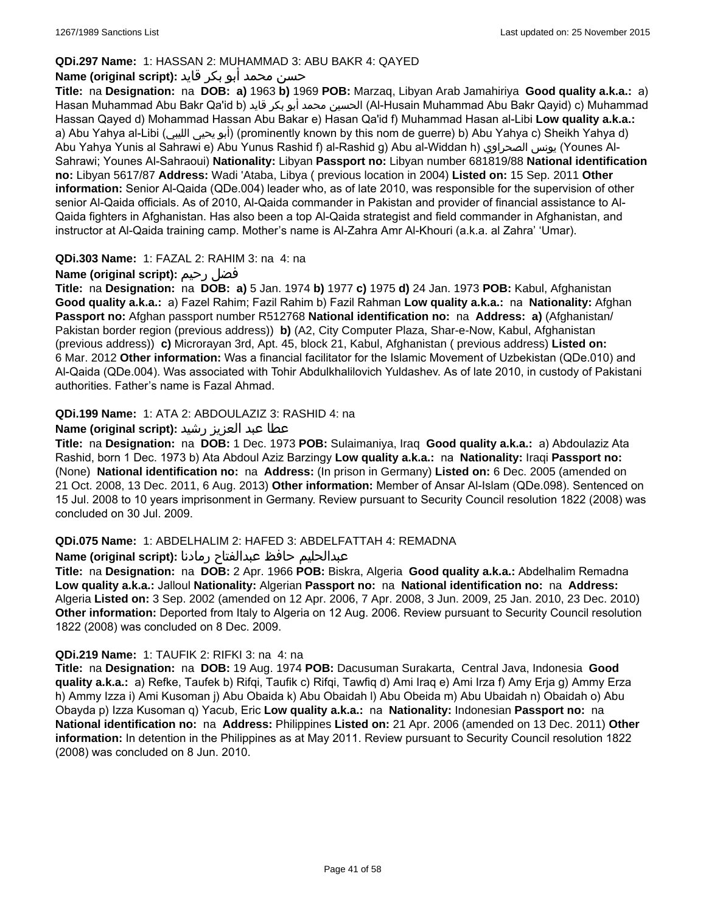## **QDi.297 Name:** 1: HASSAN 2: MUHAMMAD 3: ABU BAKR 4: QAYED

## حسن محمد أبو بكر قايد **:(script original (Name**

**Title:** na **Designation:** na **DOB: a)** 1963 **b)** 1969 **POB:** Marzaq, Libyan Arab Jamahiriya **Good quality a.k.a.:** a) Hasan Muhammad Abu Bakr Qa'id b) قايد بكر أبو محمد الحسين) Al-Husain Muhammad Abu Bakr Qayid) c) Muhammad Hassan Qayed d) Mohammad Hassan Abu Bakar e) Hasan Qa'id f) Muhammad Hasan al-Libi **Low quality a.k.a.:**  a) Abu Yahya al-Libi (الليبي يحيى أبو) (prominently known by this nom de guerre) b) Abu Yahya c) Sheikh Yahya d) Abu Yahya Yunis al Sahrawi e) Abu Yunus Rashid f) al-Rashid g) Abu al-Widdan h) الصحراوي يونس) Younes Al-Sahrawi; Younes Al-Sahraoui) **Nationality:** Libyan **Passport no:** Libyan number 681819/88 **National identification no:** Libyan 5617/87 **Address:** Wadi 'Ataba, Libya ( previous location in 2004) **Listed on:** 15 Sep. 2011 **Other information:** Senior Al-Qaida (QDe.004) leader who, as of late 2010, was responsible for the supervision of other senior Al-Qaida officials. As of 2010, Al-Qaida commander in Pakistan and provider of financial assistance to Al-Qaida fighters in Afghanistan. Has also been a top Al-Qaida strategist and field commander in Afghanistan, and instructor at Al-Qaida training camp. Mother's name is Al-Zahra Amr Al-Khouri (a.k.a. al Zahra' 'Umar).

## **QDi.303 Name:** 1: FAZAL 2: RAHIM 3: na 4: na

## **Name (original script):** رحيم فضل

**Title:** na **Designation:** na **DOB: a)** 5 Jan. 1974 **b)** 1977 **c)** 1975 **d)** 24 Jan. 1973 **POB:** Kabul, Afghanistan **Good quality a.k.a.:** a) Fazel Rahim; Fazil Rahim b) Fazil Rahman **Low quality a.k.a.:** na **Nationality:** Afghan **Passport no:** Afghan passport number R512768 **National identification no:** na **Address: a)** (Afghanistan/ Pakistan border region (previous address)) **b)** (A2, City Computer Plaza, Shar-e-Now, Kabul, Afghanistan (previous address)) **c)** Microrayan 3rd, Apt. 45, block 21, Kabul, Afghanistan ( previous address) **Listed on:** 6 Mar. 2012 **Other information:** Was a financial facilitator for the Islamic Movement of Uzbekistan (QDe.010) and Al-Qaida (QDe.004). Was associated with Tohir Abdulkhalilovich Yuldashev. As of late 2010, in custody of Pakistani authorities. Father's name is Fazal Ahmad.

## **QDi.199 Name:** 1: ATA 2: ABDOULAZIZ 3: RASHID 4: na

## عطا عبد العزيز رشيد **:(script original (Name**

**Title:** na **Designation:** na **DOB:** 1 Dec. 1973 **POB:** Sulaimaniya, Iraq **Good quality a.k.a.:** a) Abdoulaziz Ata Rashid, born 1 Dec. 1973 b) Ata Abdoul Aziz Barzingy **Low quality a.k.a.:** na **Nationality:** Iraqi **Passport no:**  (None) **National identification no:** na **Address:** (In prison in Germany) **Listed on:** 6 Dec. 2005 (amended on 21 Oct. 2008, 13 Dec. 2011, 6 Aug. 2013) **Other information:** Member of Ansar Al-Islam (QDe.098). Sentenced on 15 Jul. 2008 to 10 years imprisonment in Germany. Review pursuant to Security Council resolution 1822 (2008) was concluded on 30 Jul. 2009.

## **QDi.075 Name:** 1: ABDELHALIM 2: HAFED 3: ABDELFATTAH 4: REMADNA

عبدالحليم حافظ عبدالفتاح رمادنا **:(script original (Name**

**Title:** na **Designation:** na **DOB:** 2 Apr. 1966 **POB:** Biskra, Algeria **Good quality a.k.a.:** Abdelhalim Remadna **Low quality a.k.a.:** Jalloul **Nationality:** Algerian **Passport no:** na **National identification no:** na **Address:** Algeria **Listed on:** 3 Sep. 2002 (amended on 12 Apr. 2006, 7 Apr. 2008, 3 Jun. 2009, 25 Jan. 2010, 23 Dec. 2010) **Other information:** Deported from Italy to Algeria on 12 Aug. 2006. Review pursuant to Security Council resolution 1822 (2008) was concluded on 8 Dec. 2009.

## **QDi.219 Name:** 1: TAUFIK 2: RIFKI 3: na 4: na

**Title:** na **Designation:** na **DOB:** 19 Aug. 1974 **POB:** Dacusuman Surakarta, Central Java, Indonesia **Good quality a.k.a.:** a) Refke, Taufek b) Rifqi, Taufik c) Rifqi, Tawfiq d) Ami Iraq e) Ami Irza f) Amy Erja g) Ammy Erza h) Ammy Izza i) Ami Kusoman j) Abu Obaida k) Abu Obaidah l) Abu Obeida m) Abu Ubaidah n) Obaidah o) Abu Obayda p) Izza Kusoman q) Yacub, Eric **Low quality a.k.a.:** na **Nationality:** Indonesian **Passport no:** na **National identification no:** na **Address:** Philippines **Listed on:** 21 Apr. 2006 (amended on 13 Dec. 2011) **Other information:** In detention in the Philippines as at May 2011. Review pursuant to Security Council resolution 1822 (2008) was concluded on 8 Jun. 2010.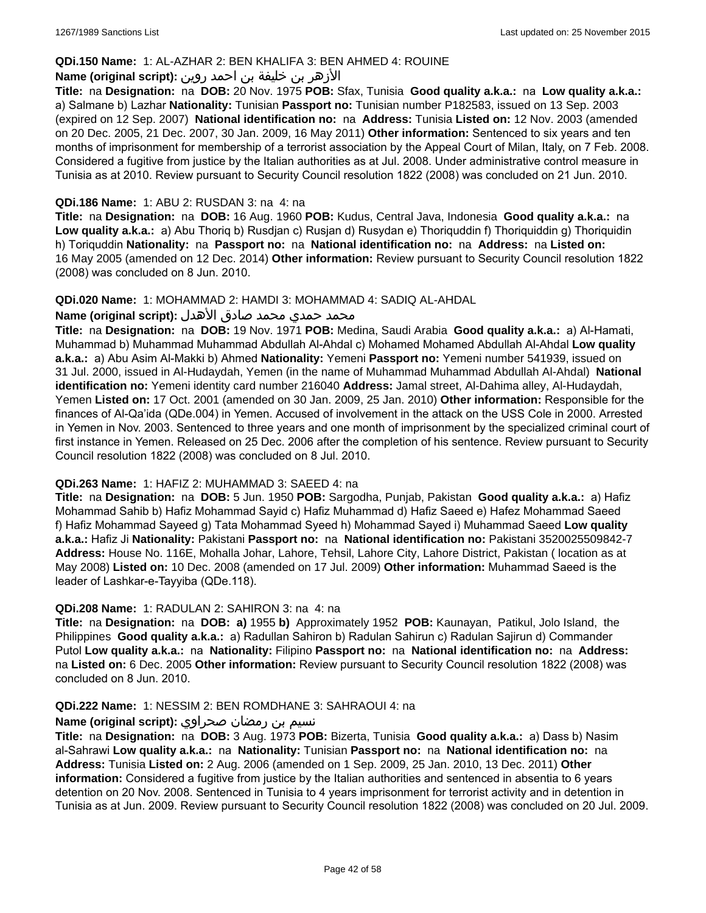### **QDi.150 Name:** 1: AL-AZHAR 2: BEN KHALIFA 3: BEN AHMED 4: ROUINE

## الأزهر بن خليفة بن احمد روين **:(script original (Name**

**Title:** na **Designation:** na **DOB:** 20 Nov. 1975 **POB:** Sfax, Tunisia **Good quality a.k.a.:** na **Low quality a.k.a.:**  a) Salmane b) Lazhar **Nationality:** Tunisian **Passport no:** Tunisian number P182583, issued on 13 Sep. 2003 (expired on 12 Sep. 2007) **National identification no:** na **Address:** Tunisia **Listed on:** 12 Nov. 2003 (amended on 20 Dec. 2005, 21 Dec. 2007, 30 Jan. 2009, 16 May 2011) **Other information:** Sentenced to six years and ten months of imprisonment for membership of a terrorist association by the Appeal Court of Milan, Italy, on 7 Feb. 2008. Considered a fugitive from justice by the Italian authorities as at Jul. 2008. Under administrative control measure in Tunisia as at 2010. Review pursuant to Security Council resolution 1822 (2008) was concluded on 21 Jun. 2010.

#### **QDi.186 Name:** 1: ABU 2: RUSDAN 3: na 4: na

**Title:** na **Designation:** na **DOB:** 16 Aug. 1960 **POB:** Kudus, Central Java, Indonesia **Good quality a.k.a.:** na **Low quality a.k.a.:** a) Abu Thoriq b) Rusdjan c) Rusjan d) Rusydan e) Thoriquddin f) Thoriquiddin g) Thoriquidin h) Toriquddin **Nationality:** na **Passport no:** na **National identification no:** na **Address:** na **Listed on:** 16 May 2005 (amended on 12 Dec. 2014) **Other information:** Review pursuant to Security Council resolution 1822 (2008) was concluded on 8 Jun. 2010.

#### **QDi.020 Name:** 1: MOHAMMAD 2: HAMDI 3: MOHAMMAD 4: SADIQ AL-AHDAL

#### محمد حمدي محمد صادق الأهدل **:Name (original script)**

**Title:** na **Designation:** na **DOB:** 19 Nov. 1971 **POB:** Medina, Saudi Arabia **Good quality a.k.a.:** a) Al-Hamati, Muhammad b) Muhammad Muhammad Abdullah Al-Ahdal c) Mohamed Mohamed Abdullah Al-Ahdal **Low quality a.k.a.:** a) Abu Asim Al-Makki b) Ahmed **Nationality:** Yemeni **Passport no:** Yemeni number 541939, issued on 31 Jul. 2000, issued in Al-Hudaydah, Yemen (in the name of Muhammad Muhammad Abdullah Al-Ahdal) **National identification no:** Yemeni identity card number 216040 **Address:** Jamal street, Al-Dahima alley, Al-Hudaydah, Yemen **Listed on:** 17 Oct. 2001 (amended on 30 Jan. 2009, 25 Jan. 2010) **Other information:** Responsible for the finances of Al-Qa'ida (QDe.004) in Yemen. Accused of involvement in the attack on the USS Cole in 2000. Arrested in Yemen in Nov. 2003. Sentenced to three years and one month of imprisonment by the specialized criminal court of first instance in Yemen. Released on 25 Dec. 2006 after the completion of his sentence. Review pursuant to Security Council resolution 1822 (2008) was concluded on 8 Jul. 2010.

#### **QDi.263 Name:** 1: HAFIZ 2: MUHAMMAD 3: SAEED 4: na

**Title:** na **Designation:** na **DOB:** 5 Jun. 1950 **POB:** Sargodha, Punjab, Pakistan **Good quality a.k.a.:** a) Hafiz Mohammad Sahib b) Hafiz Mohammad Sayid c) Hafiz Muhammad d) Hafiz Saeed e) Hafez Mohammad Saeed f) Hafiz Mohammad Sayeed g) Tata Mohammad Syeed h) Mohammad Sayed i) Muhammad Saeed **Low quality a.k.a.:** Hafiz Ji **Nationality:** Pakistani **Passport no:** na **National identification no:** Pakistani 3520025509842-7 **Address:** House No. 116E, Mohalla Johar, Lahore, Tehsil, Lahore City, Lahore District, Pakistan ( location as at May 2008) **Listed on:** 10 Dec. 2008 (amended on 17 Jul. 2009) **Other information:** Muhammad Saeed is the leader of Lashkar-e-Tayyiba (QDe.118).

#### **QDi.208 Name:** 1: RADULAN 2: SAHIRON 3: na 4: na

**Title:** na **Designation:** na **DOB: a)** 1955 **b)** Approximately 1952 **POB:** Kaunayan, Patikul, Jolo Island, the Philippines **Good quality a.k.a.:** a) Radullan Sahiron b) Radulan Sahirun c) Radulan Sajirun d) Commander Putol **Low quality a.k.a.:** na **Nationality:** Filipino **Passport no:** na **National identification no:** na **Address:**  na **Listed on:** 6 Dec. 2005 **Other information:** Review pursuant to Security Council resolution 1822 (2008) was concluded on 8 Jun. 2010.

#### **QDi.222 Name:** 1: NESSIM 2: BEN ROMDHANE 3: SAHRAOUI 4: na

### نسيم بن رمضان صحراوي **:(script original (Name**

**Title:** na **Designation:** na **DOB:** 3 Aug. 1973 **POB:** Bizerta, Tunisia **Good quality a.k.a.:** a) Dass b) Nasim al-Sahrawi **Low quality a.k.a.:** na **Nationality:** Tunisian **Passport no:** na **National identification no:** na **Address:** Tunisia **Listed on:** 2 Aug. 2006 (amended on 1 Sep. 2009, 25 Jan. 2010, 13 Dec. 2011) **Other information:** Considered a fugitive from justice by the Italian authorities and sentenced in absentia to 6 years detention on 20 Nov. 2008. Sentenced in Tunisia to 4 years imprisonment for terrorist activity and in detention in Tunisia as at Jun. 2009. Review pursuant to Security Council resolution 1822 (2008) was concluded on 20 Jul. 2009.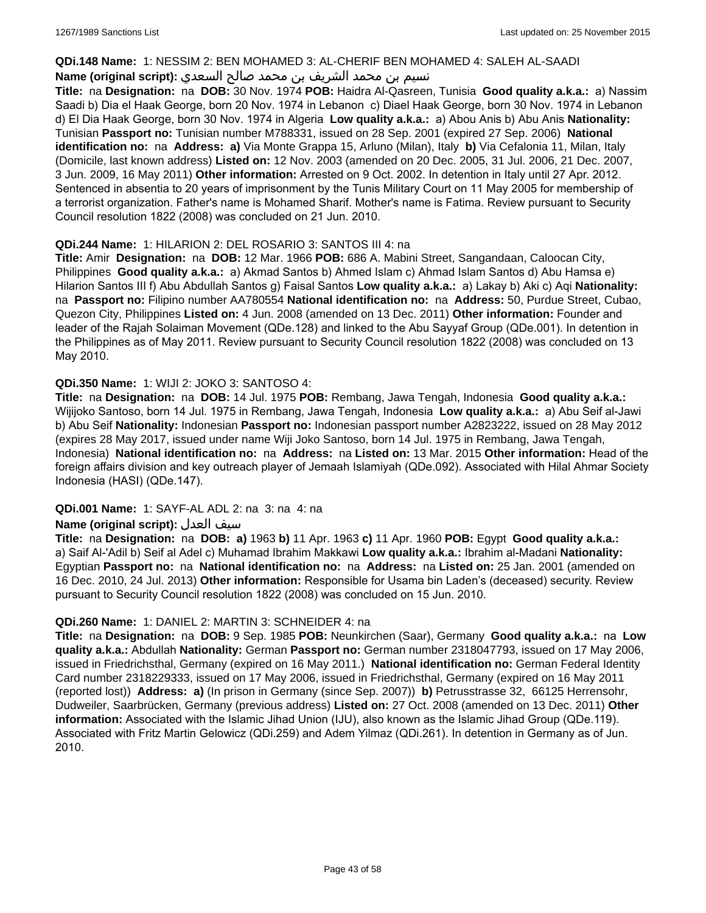#### **QDi.148 Name:** 1: NESSIM 2: BEN MOHAMED 3: AL-CHERIF BEN MOHAMED 4: SALEH AL-SAADI

## نسيم بن محمد الشريف بن محمد صالح السعدي **:(script original (Name**

**Title:** na **Designation:** na **DOB:** 30 Nov. 1974 **POB:** Haidra Al-Qasreen, Tunisia **Good quality a.k.a.:** a) Nassim Saadi b) Dia el Haak George, born 20 Nov. 1974 in Lebanon c) Diael Haak George, born 30 Nov. 1974 in Lebanon d) El Dia Haak George, born 30 Nov. 1974 in Algeria **Low quality a.k.a.:** a) Abou Anis b) Abu Anis **Nationality:** Tunisian **Passport no:** Tunisian number M788331, issued on 28 Sep. 2001 (expired 27 Sep. 2006) **National identification no:** na **Address: a)** Via Monte Grappa 15, Arluno (Milan), Italy **b)** Via Cefalonia 11, Milan, Italy (Domicile, last known address) **Listed on:** 12 Nov. 2003 (amended on 20 Dec. 2005, 31 Jul. 2006, 21 Dec. 2007, 3 Jun. 2009, 16 May 2011) **Other information:** Arrested on 9 Oct. 2002. In detention in Italy until 27 Apr. 2012. Sentenced in absentia to 20 years of imprisonment by the Tunis Military Court on 11 May 2005 for membership of a terrorist organization. Father's name is Mohamed Sharif. Mother's name is Fatima. Review pursuant to Security Council resolution 1822 (2008) was concluded on 21 Jun. 2010.

## **QDi.244 Name:** 1: HILARION 2: DEL ROSARIO 3: SANTOS III 4: na

**Title:** Amir **Designation:** na **DOB:** 12 Mar. 1966 **POB:** 686 A. Mabini Street, Sangandaan, Caloocan City, Philippines **Good quality a.k.a.:** a) Akmad Santos b) Ahmed Islam c) Ahmad Islam Santos d) Abu Hamsa e) Hilarion Santos III f) Abu Abdullah Santos g) Faisal Santos **Low quality a.k.a.:** a) Lakay b) Aki c) Aqi **Nationality:**  na **Passport no:** Filipino number AA780554 **National identification no:** na **Address:** 50, Purdue Street, Cubao, Quezon City, Philippines **Listed on:** 4 Jun. 2008 (amended on 13 Dec. 2011) **Other information:** Founder and leader of the Rajah Solaiman Movement (QDe.128) and linked to the Abu Sayyaf Group (QDe.001). In detention in the Philippines as of May 2011. Review pursuant to Security Council resolution 1822 (2008) was concluded on 13 May 2010.

## **QDi.350 Name:** 1: WIJI 2: JOKO 3: SANTOSO 4:

**Title:** na **Designation:** na **DOB:** 14 Jul. 1975 **POB:** Rembang, Jawa Tengah, Indonesia **Good quality a.k.a.:** Wijijoko Santoso, born 14 Jul. 1975 in Rembang, Jawa Tengah, Indonesia **Low quality a.k.a.:** a) Abu Seif al-Jawi b) Abu Seif **Nationality:** Indonesian **Passport no:** Indonesian passport number A2823222, issued on 28 May 2012 (expires 28 May 2017, issued under name Wiji Joko Santoso, born 14 Jul. 1975 in Rembang, Jawa Tengah, Indonesia) **National identification no:** na **Address:** na **Listed on:** 13 Mar. 2015 **Other information:** Head of the foreign affairs division and key outreach player of Jemaah Islamiyah (QDe.092). Associated with Hilal Ahmar Society Indonesia (HASI) (QDe.147).

## **QDi.001 Name:** 1: SAYF-AL ADL 2: na 3: na 4: na

## **Name (original script):** العدل سيف

**Title:** na **Designation:** na **DOB: a)** 1963 **b)** 11 Apr. 1963 **c)** 11 Apr. 1960 **POB:** Egypt **Good quality a.k.a.:**  a) Saif Al-'Adil b) Seif al Adel c) Muhamad Ibrahim Makkawi **Low quality a.k.a.:** Ibrahim al-Madani **Nationality:** Egyptian **Passport no:** na **National identification no:** na **Address:** na **Listed on:** 25 Jan. 2001 (amended on 16 Dec. 2010, 24 Jul. 2013) **Other information:** Responsible for Usama bin Laden's (deceased) security. Review pursuant to Security Council resolution 1822 (2008) was concluded on 15 Jun. 2010.

## **QDi.260 Name:** 1: DANIEL 2: MARTIN 3: SCHNEIDER 4: na

**Title:** na **Designation:** na **DOB:** 9 Sep. 1985 **POB:** Neunkirchen (Saar), Germany **Good quality a.k.a.:** na **Low quality a.k.a.:** Abdullah **Nationality:** German **Passport no:** German number 2318047793, issued on 17 May 2006, issued in Friedrichsthal, Germany (expired on 16 May 2011.) **National identification no:** German Federal Identity Card number 2318229333, issued on 17 May 2006, issued in Friedrichsthal, Germany (expired on 16 May 2011 (reported lost)) **Address: a)** (In prison in Germany (since Sep. 2007)) **b)** Petrusstrasse 32, 66125 Herrensohr, Dudweiler, Saarbrücken, Germany (previous address) **Listed on:** 27 Oct. 2008 (amended on 13 Dec. 2011) **Other information:** Associated with the Islamic Jihad Union (IJU), also known as the Islamic Jihad Group (QDe.119). Associated with Fritz Martin Gelowicz (QDi.259) and Adem Yilmaz (QDi.261). In detention in Germany as of Jun. 2010.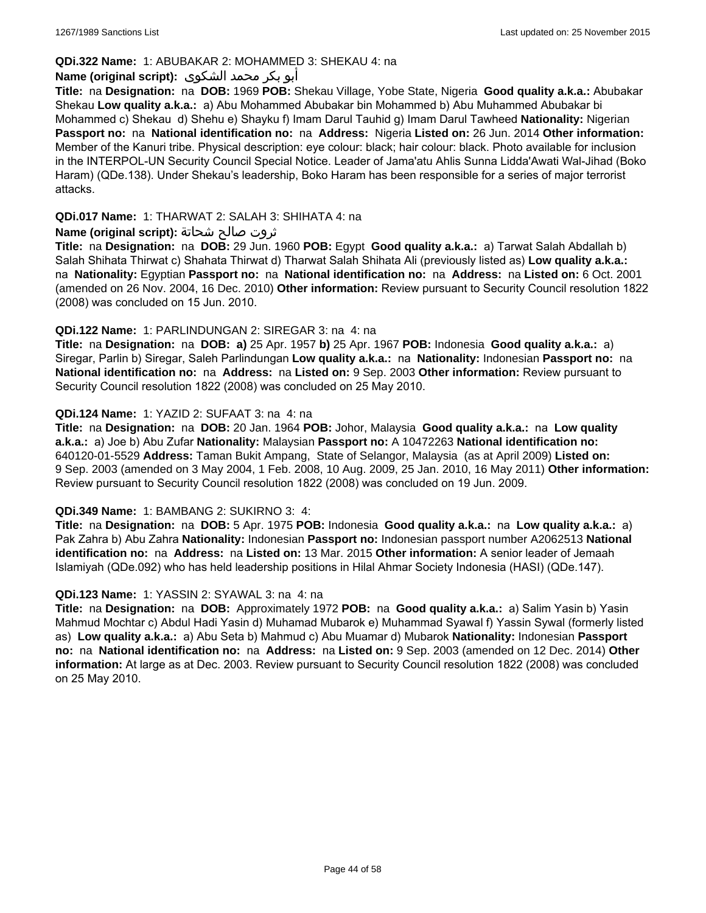## **QDi.322 Name:** 1: ABUBAKAR 2: MOHAMMED 3: SHEKAU 4: na

## أبو بكر محمد الشكوى **:(script original (Name**

**Title:** na **Designation:** na **DOB:** 1969 **POB:** Shekau Village, Yobe State, Nigeria **Good quality a.k.a.:** Abubakar Shekau **Low quality a.k.a.:** a) Abu Mohammed Abubakar bin Mohammed b) Abu Muhammed Abubakar bi Mohammed c) Shekau d) Shehu e) Shayku f) Imam Darul Tauhid g) Imam Darul Tawheed **Nationality:** Nigerian **Passport no:** na **National identification no:** na **Address:** Nigeria **Listed on:** 26 Jun. 2014 **Other information:** Member of the Kanuri tribe. Physical description: eye colour: black; hair colour: black. Photo available for inclusion in the INTERPOL-UN Security Council Special Notice. Leader of Jama'atu Ahlis Sunna Lidda'Awati Wal-Jihad (Boko Haram) (QDe.138). Under Shekau's leadership, Boko Haram has been responsible for a series of major terrorist attacks.

### **QDi.017 Name:** 1: THARWAT 2: SALAH 3: SHIHATA 4: na

### ثروت صالح شحاتة **:(script original (Name**

**Title:** na **Designation:** na **DOB:** 29 Jun. 1960 **POB:** Egypt **Good quality a.k.a.:** a) Tarwat Salah Abdallah b) Salah Shihata Thirwat c) Shahata Thirwat d) Tharwat Salah Shihata Ali (previously listed as) **Low quality a.k.a.:**  na **Nationality:** Egyptian **Passport no:** na **National identification no:** na **Address:** na **Listed on:** 6 Oct. 2001 (amended on 26 Nov. 2004, 16 Dec. 2010) **Other information:** Review pursuant to Security Council resolution 1822 (2008) was concluded on 15 Jun. 2010.

### **QDi.122 Name:** 1: PARLINDUNGAN 2: SIREGAR 3: na 4: na

**Title:** na **Designation:** na **DOB: a)** 25 Apr. 1957 **b)** 25 Apr. 1967 **POB:** Indonesia **Good quality a.k.a.:** a) Siregar, Parlin b) Siregar, Saleh Parlindungan **Low quality a.k.a.:** na **Nationality:** Indonesian **Passport no:** na **National identification no:** na **Address:** na **Listed on:** 9 Sep. 2003 **Other information:** Review pursuant to Security Council resolution 1822 (2008) was concluded on 25 May 2010.

### **QDi.124 Name:** 1: YAZID 2: SUFAAT 3: na 4: na

**Title:** na **Designation:** na **DOB:** 20 Jan. 1964 **POB:** Johor, Malaysia **Good quality a.k.a.:** na **Low quality a.k.a.:** a) Joe b) Abu Zufar **Nationality:** Malaysian **Passport no:** A 10472263 **National identification no:** 640120-01-5529 **Address:** Taman Bukit Ampang, State of Selangor, Malaysia (as at April 2009) **Listed on:** 9 Sep. 2003 (amended on 3 May 2004, 1 Feb. 2008, 10 Aug. 2009, 25 Jan. 2010, 16 May 2011) **Other information:** Review pursuant to Security Council resolution 1822 (2008) was concluded on 19 Jun. 2009.

#### **QDi.349 Name:** 1: BAMBANG 2: SUKIRNO 3: 4:

**Title:** na **Designation:** na **DOB:** 5 Apr. 1975 **POB:** Indonesia **Good quality a.k.a.:** na **Low quality a.k.a.:** a) Pak Zahra b) Abu Zahra **Nationality:** Indonesian **Passport no:** Indonesian passport number A2062513 **National identification no:** na **Address:** na **Listed on:** 13 Mar. 2015 **Other information:** A senior leader of Jemaah Islamiyah (QDe.092) who has held leadership positions in Hilal Ahmar Society Indonesia (HASI) (QDe.147).

#### **QDi.123 Name:** 1: YASSIN 2: SYAWAL 3: na 4: na

**Title:** na **Designation:** na **DOB:** Approximately 1972 **POB:** na **Good quality a.k.a.:** a) Salim Yasin b) Yasin Mahmud Mochtar c) Abdul Hadi Yasin d) Muhamad Mubarok e) Muhammad Syawal f) Yassin Sywal (formerly listed as) **Low quality a.k.a.:** a) Abu Seta b) Mahmud c) Abu Muamar d) Mubarok **Nationality:** Indonesian **Passport no:** na **National identification no:** na **Address:** na **Listed on:** 9 Sep. 2003 (amended on 12 Dec. 2014) **Other information:** At large as at Dec. 2003. Review pursuant to Security Council resolution 1822 (2008) was concluded on 25 May 2010.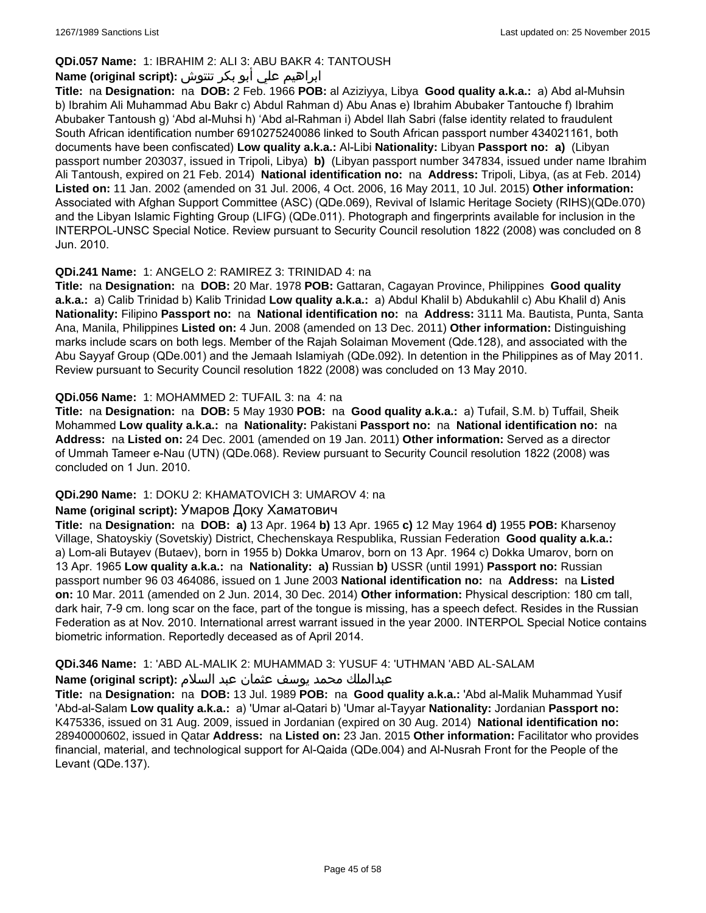## **QDi.057 Name:** 1: IBRAHIM 2: ALI 3: ABU BAKR 4: TANTOUSH

## ابراهيم علي أبو بكر تنتوش **:(script original (Name**

**Title:** na **Designation:** na **DOB:** 2 Feb. 1966 **POB:** al Aziziyya, Libya **Good quality a.k.a.:** a) Abd al-Muhsin b) Ibrahim Ali Muhammad Abu Bakr c) Abdul Rahman d) Abu Anas e) Ibrahim Abubaker Tantouche f) Ibrahim Abubaker Tantoush g) 'Abd al-Muhsi h) 'Abd al-Rahman i) Abdel Ilah Sabri (false identity related to fraudulent South African identification number 6910275240086 linked to South African passport number 434021161, both documents have been confiscated) **Low quality a.k.a.:** Al-Libi **Nationality:** Libyan **Passport no: a)** (Libyan passport number 203037, issued in Tripoli, Libya) **b)** (Libyan passport number 347834, issued under name Ibrahim Ali Tantoush, expired on 21 Feb. 2014) **National identification no:** na **Address:** Tripoli, Libya, (as at Feb. 2014) **Listed on:** 11 Jan. 2002 (amended on 31 Jul. 2006, 4 Oct. 2006, 16 May 2011, 10 Jul. 2015) **Other information:** Associated with Afghan Support Committee (ASC) (QDe.069), Revival of Islamic Heritage Society (RIHS)(QDe.070) and the Libyan Islamic Fighting Group (LIFG) (QDe.011). Photograph and fingerprints available for inclusion in the INTERPOL-UNSC Special Notice. Review pursuant to Security Council resolution 1822 (2008) was concluded on 8 Jun. 2010.

## **QDi.241 Name:** 1: ANGELO 2: RAMIREZ 3: TRINIDAD 4: na

**Title:** na **Designation:** na **DOB:** 20 Mar. 1978 **POB:** Gattaran, Cagayan Province, Philippines **Good quality a.k.a.:** a) Calib Trinidad b) Kalib Trinidad **Low quality a.k.a.:** a) Abdul Khalil b) Abdukahlil c) Abu Khalil d) Anis **Nationality:** Filipino **Passport no:** na **National identification no:** na **Address:** 3111 Ma. Bautista, Punta, Santa Ana, Manila, Philippines **Listed on:** 4 Jun. 2008 (amended on 13 Dec. 2011) **Other information:** Distinguishing marks include scars on both legs. Member of the Rajah Solaiman Movement (Qde.128), and associated with the Abu Sayyaf Group (QDe.001) and the Jemaah Islamiyah (QDe.092). In detention in the Philippines as of May 2011. Review pursuant to Security Council resolution 1822 (2008) was concluded on 13 May 2010.

## **QDi.056 Name:** 1: MOHAMMED 2: TUFAIL 3: na 4: na

**Title:** na **Designation:** na **DOB:** 5 May 1930 **POB:** na **Good quality a.k.a.:** a) Tufail, S.M. b) Tuffail, Sheik Mohammed **Low quality a.k.a.:** na **Nationality:** Pakistani **Passport no:** na **National identification no:** na **Address:** na **Listed on:** 24 Dec. 2001 (amended on 19 Jan. 2011) **Other information:** Served as a director of Ummah Tameer e-Nau (UTN) (QDe.068). Review pursuant to Security Council resolution 1822 (2008) was concluded on 1 Jun. 2010.

## **QDi.290 Name:** 1: DOKU 2: KHAMATOVICH 3: UMAROV 4: na

#### **Name (original script):** Умаров Доку Хаматович

**Title:** na **Designation:** na **DOB: a)** 13 Apr. 1964 **b)** 13 Apr. 1965 **c)** 12 May 1964 **d)** 1955 **POB:** Kharsenoy Village, Shatoyskiy (Sovetskiy) District, Chechenskaya Respublika, Russian Federation **Good quality a.k.a.:**  a) Lom-ali Butayev (Butaev), born in 1955 b) Dokka Umarov, born on 13 Apr. 1964 c) Dokka Umarov, born on 13 Apr. 1965 **Low quality a.k.a.:** na **Nationality: a)** Russian **b)** USSR (until 1991) **Passport no:** Russian passport number 96 03 464086, issued on 1 June 2003 **National identification no:** na **Address:** na **Listed on:** 10 Mar. 2011 (amended on 2 Jun. 2014, 30 Dec. 2014) **Other information:** Physical description: 180 cm tall, dark hair, 7-9 cm. long scar on the face, part of the tongue is missing, has a speech defect. Resides in the Russian Federation as at Nov. 2010. International arrest warrant issued in the year 2000. INTERPOL Special Notice contains biometric information. Reportedly deceased as of April 2014.

## **QDi.346 Name:** 1: 'ABD AL-MALIK 2: MUHAMMAD 3: YUSUF 4: 'UTHMAN 'ABD AL-SALAM

#### عبدالملك محمد يوسف عثمان عبد السلام **:(script original (Name**

**Title:** na **Designation:** na **DOB:** 13 Jul. 1989 **POB:** na **Good quality a.k.a.:** 'Abd al-Malik Muhammad Yusif 'Abd-al-Salam **Low quality a.k.a.:** a) 'Umar al-Qatari b) 'Umar al-Tayyar **Nationality:** Jordanian **Passport no:** K475336, issued on 31 Aug. 2009, issued in Jordanian (expired on 30 Aug. 2014) **National identification no:** 28940000602, issued in Qatar **Address:** na **Listed on:** 23 Jan. 2015 **Other information:** Facilitator who provides financial, material, and technological support for Al-Qaida (QDe.004) and Al-Nusrah Front for the People of the Levant (QDe.137).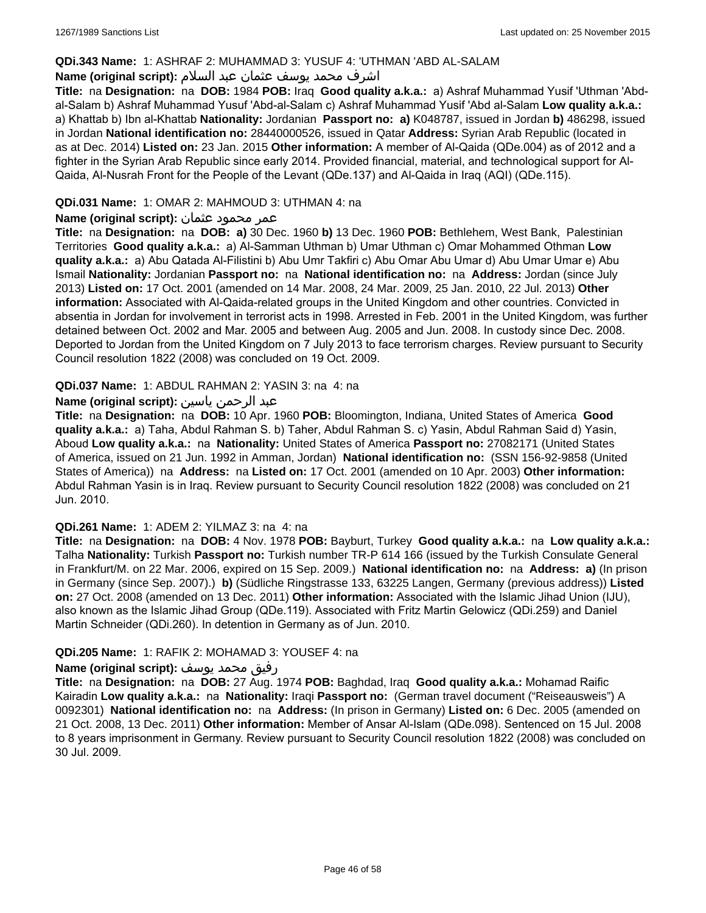#### **QDi.343 Name:** 1: ASHRAF 2: MUHAMMAD 3: YUSUF 4: 'UTHMAN 'ABD AL-SALAM

## اشرف محمد يوسف عثمان عبد السلام **:(script original (Name**

**Title:** na **Designation:** na **DOB:** 1984 **POB:** Iraq **Good quality a.k.a.:** a) Ashraf Muhammad Yusif 'Uthman 'Abdal-Salam b) Ashraf Muhammad Yusuf 'Abd-al-Salam c) Ashraf Muhammad Yusif 'Abd al-Salam **Low quality a.k.a.:**  a) Khattab b) Ibn al-Khattab **Nationality:** Jordanian **Passport no: a)** K048787, issued in Jordan **b)** 486298, issued in Jordan **National identification no:** 28440000526, issued in Qatar **Address:** Syrian Arab Republic (located in as at Dec. 2014) **Listed on:** 23 Jan. 2015 **Other information:** A member of Al-Qaida (QDe.004) as of 2012 and a fighter in the Syrian Arab Republic since early 2014. Provided financial, material, and technological support for Al-Qaida, Al-Nusrah Front for the People of the Levant (QDe.137) and Al-Qaida in Iraq (AQI) (QDe.115).

### **QDi.031 Name:** 1: OMAR 2: MAHMOUD 3: UTHMAN 4: na

### عمر محمود عثمان **:(script original (Name**

**Title:** na **Designation:** na **DOB: a)** 30 Dec. 1960 **b)** 13 Dec. 1960 **POB:** Bethlehem, West Bank, Palestinian Territories **Good quality a.k.a.:** a) Al-Samman Uthman b) Umar Uthman c) Omar Mohammed Othman **Low quality a.k.a.:** a) Abu Qatada Al-Filistini b) Abu Umr Takfiri c) Abu Omar Abu Umar d) Abu Umar Umar e) Abu Ismail **Nationality:** Jordanian **Passport no:** na **National identification no:** na **Address:** Jordan (since July 2013) **Listed on:** 17 Oct. 2001 (amended on 14 Mar. 2008, 24 Mar. 2009, 25 Jan. 2010, 22 Jul. 2013) **Other information:** Associated with Al-Qaida-related groups in the United Kingdom and other countries. Convicted in absentia in Jordan for involvement in terrorist acts in 1998. Arrested in Feb. 2001 in the United Kingdom, was further detained between Oct. 2002 and Mar. 2005 and between Aug. 2005 and Jun. 2008. In custody since Dec. 2008. Deported to Jordan from the United Kingdom on 7 July 2013 to face terrorism charges. Review pursuant to Security Council resolution 1822 (2008) was concluded on 19 Oct. 2009.

### **QDi.037 Name:** 1: ABDUL RAHMAN 2: YASIN 3: na 4: na

### عبد الرحمن ياسين **:(script original (Name**

**Title:** na **Designation:** na **DOB:** 10 Apr. 1960 **POB:** Bloomington, Indiana, United States of America **Good quality a.k.a.:** a) Taha, Abdul Rahman S. b) Taher, Abdul Rahman S. c) Yasin, Abdul Rahman Said d) Yasin, Aboud **Low quality a.k.a.:** na **Nationality:** United States of America **Passport no:** 27082171 (United States of America, issued on 21 Jun. 1992 in Amman, Jordan) **National identification no:** (SSN 156-92-9858 (United States of America)) na **Address:** na **Listed on:** 17 Oct. 2001 (amended on 10 Apr. 2003) **Other information:** Abdul Rahman Yasin is in Iraq. Review pursuant to Security Council resolution 1822 (2008) was concluded on 21 Jun. 2010.

#### **QDi.261 Name:** 1: ADEM 2: YILMAZ 3: na 4: na

**Title:** na **Designation:** na **DOB:** 4 Nov. 1978 **POB:** Bayburt, Turkey **Good quality a.k.a.:** na **Low quality a.k.a.:** Talha **Nationality:** Turkish **Passport no:** Turkish number TR-P 614 166 (issued by the Turkish Consulate General in Frankfurt/M. on 22 Mar. 2006, expired on 15 Sep. 2009.) **National identification no:** na **Address: a)** (In prison in Germany (since Sep. 2007).) **b)** (Südliche Ringstrasse 133, 63225 Langen, Germany (previous address)) **Listed on:** 27 Oct. 2008 (amended on 13 Dec. 2011) **Other information:** Associated with the Islamic Jihad Union (IJU), also known as the Islamic Jihad Group (QDe.119). Associated with Fritz Martin Gelowicz (QDi.259) and Daniel Martin Schneider (QDi.260). In detention in Germany as of Jun. 2010.

#### **QDi.205 Name:** 1: RAFIK 2: MOHAMAD 3: YOUSEF 4: na

#### رفيق محمد يوسف **:(script original (Name**

**Title:** na **Designation:** na **DOB:** 27 Aug. 1974 **POB:** Baghdad, Iraq **Good quality a.k.a.:** Mohamad Raific Kairadin **Low quality a.k.a.:** na **Nationality:** Iraqi **Passport no:** (German travel document ("Reiseausweis") A 0092301) **National identification no:** na **Address:** (In prison in Germany) **Listed on:** 6 Dec. 2005 (amended on 21 Oct. 2008, 13 Dec. 2011) **Other information:** Member of Ansar Al-Islam (QDe.098). Sentenced on 15 Jul. 2008 to 8 years imprisonment in Germany. Review pursuant to Security Council resolution 1822 (2008) was concluded on 30 Jul. 2009.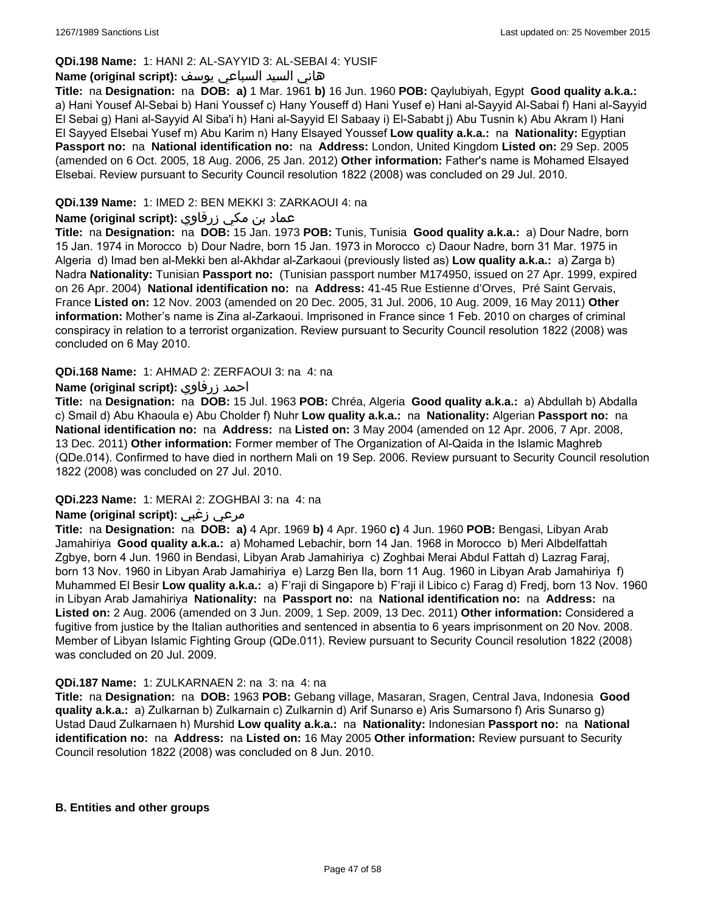## **QDi.198 Name:** 1: HANI 2: AL-SAYYID 3: AL-SEBAI 4: YUSIF

### هاني السيد السباعي يوسف **:(script original (Name**

**Title:** na **Designation:** na **DOB: a)** 1 Mar. 1961 **b)** 16 Jun. 1960 **POB:** Qaylubiyah, Egypt **Good quality a.k.a.:**  a) Hani Yousef Al-Sebai b) Hani Youssef c) Hany Youseff d) Hani Yusef e) Hani al-Sayyid Al-Sabai f) Hani al-Sayyid El Sebai g) Hani al-Sayyid Al Siba'i h) Hani al-Sayyid El Sabaay i) El-Sababt j) Abu Tusnin k) Abu Akram l) Hani El Sayyed Elsebai Yusef m) Abu Karim n) Hany Elsayed Youssef **Low quality a.k.a.:** na **Nationality:** Egyptian **Passport no:** na **National identification no:** na **Address:** London, United Kingdom **Listed on:** 29 Sep. 2005 (amended on 6 Oct. 2005, 18 Aug. 2006, 25 Jan. 2012) **Other information:** Father's name is Mohamed Elsayed Elsebai. Review pursuant to Security Council resolution 1822 (2008) was concluded on 29 Jul. 2010.

## **QDi.139 Name:** 1: IMED 2: BEN MEKKI 3: ZARKAOUI 4: na

## عماد بن مكي زرقاوي **:(script original (Name**

**Title:** na **Designation:** na **DOB:** 15 Jan. 1973 **POB:** Tunis, Tunisia **Good quality a.k.a.:** a) Dour Nadre, born 15 Jan. 1974 in Morocco b) Dour Nadre, born 15 Jan. 1973 in Morocco c) Daour Nadre, born 31 Mar. 1975 in Algeria d) Imad ben al-Mekki ben al-Akhdar al-Zarkaoui (previously listed as) **Low quality a.k.a.:** a) Zarga b) Nadra **Nationality:** Tunisian **Passport no:** (Tunisian passport number M174950, issued on 27 Apr. 1999, expired on 26 Apr. 2004) **National identification no:** na **Address:** 41-45 Rue Estienne d'Orves, Pré Saint Gervais, France **Listed on:** 12 Nov. 2003 (amended on 20 Dec. 2005, 31 Jul. 2006, 10 Aug. 2009, 16 May 2011) **Other information:** Mother's name is Zina al-Zarkaoui. Imprisoned in France since 1 Feb. 2010 on charges of criminal conspiracy in relation to a terrorist organization. Review pursuant to Security Council resolution 1822 (2008) was concluded on 6 May 2010.

### **QDi.168 Name:** 1: AHMAD 2: ZERFAOUI 3: na 4: na

### **Name (original script):** زرفاوي احمد

**Title:** na **Designation:** na **DOB:** 15 Jul. 1963 **POB:** Chréa, Algeria **Good quality a.k.a.:** a) Abdullah b) Abdalla c) Smail d) Abu Khaoula e) Abu Cholder f) Nuhr **Low quality a.k.a.:** na **Nationality:** Algerian **Passport no:** na **National identification no:** na **Address:** na **Listed on:** 3 May 2004 (amended on 12 Apr. 2006, 7 Apr. 2008, 13 Dec. 2011) **Other information:** Former member of The Organization of Al-Qaida in the Islamic Maghreb (QDe.014). Confirmed to have died in northern Mali on 19 Sep. 2006. Review pursuant to Security Council resolution 1822 (2008) was concluded on 27 Jul. 2010.

#### **QDi.223 Name:** 1: MERAI 2: ZOGHBAI 3: na 4: na

## **Name (original script):** زغبي مرعي

**Title:** na **Designation:** na **DOB: a)** 4 Apr. 1969 **b)** 4 Apr. 1960 **c)** 4 Jun. 1960 **POB:** Bengasi, Libyan Arab Jamahiriya **Good quality a.k.a.:** a) Mohamed Lebachir, born 14 Jan. 1968 in Morocco b) Meri Albdelfattah Zgbye, born 4 Jun. 1960 in Bendasi, Libyan Arab Jamahiriya c) Zoghbai Merai Abdul Fattah d) Lazrag Faraj, born 13 Nov. 1960 in Libyan Arab Jamahiriya e) Larzg Ben Ila, born 11 Aug. 1960 in Libyan Arab Jamahiriya f) Muhammed El Besir **Low quality a.k.a.:** a) F'raji di Singapore b) F'raji il Libico c) Farag d) Fredj, born 13 Nov. 1960 in Libyan Arab Jamahiriya **Nationality:** na **Passport no:** na **National identification no:** na **Address:** na **Listed on:** 2 Aug. 2006 (amended on 3 Jun. 2009, 1 Sep. 2009, 13 Dec. 2011) **Other information:** Considered a fugitive from justice by the Italian authorities and sentenced in absentia to 6 years imprisonment on 20 Nov. 2008. Member of Libyan Islamic Fighting Group (QDe.011). Review pursuant to Security Council resolution 1822 (2008) was concluded on 20 Jul. 2009.

#### **QDi.187 Name:** 1: ZULKARNAEN 2: na 3: na 4: na

**Title:** na **Designation:** na **DOB:** 1963 **POB:** Gebang village, Masaran, Sragen, Central Java, Indonesia **Good quality a.k.a.:** a) Zulkarnan b) Zulkarnain c) Zulkarnin d) Arif Sunarso e) Aris Sumarsono f) Aris Sunarso g) Ustad Daud Zulkarnaen h) Murshid **Low quality a.k.a.:** na **Nationality:** Indonesian **Passport no:** na **National identification no:** na **Address:** na **Listed on:** 16 May 2005 **Other information:** Review pursuant to Security Council resolution 1822 (2008) was concluded on 8 Jun. 2010.

#### **B. Entities and other groups**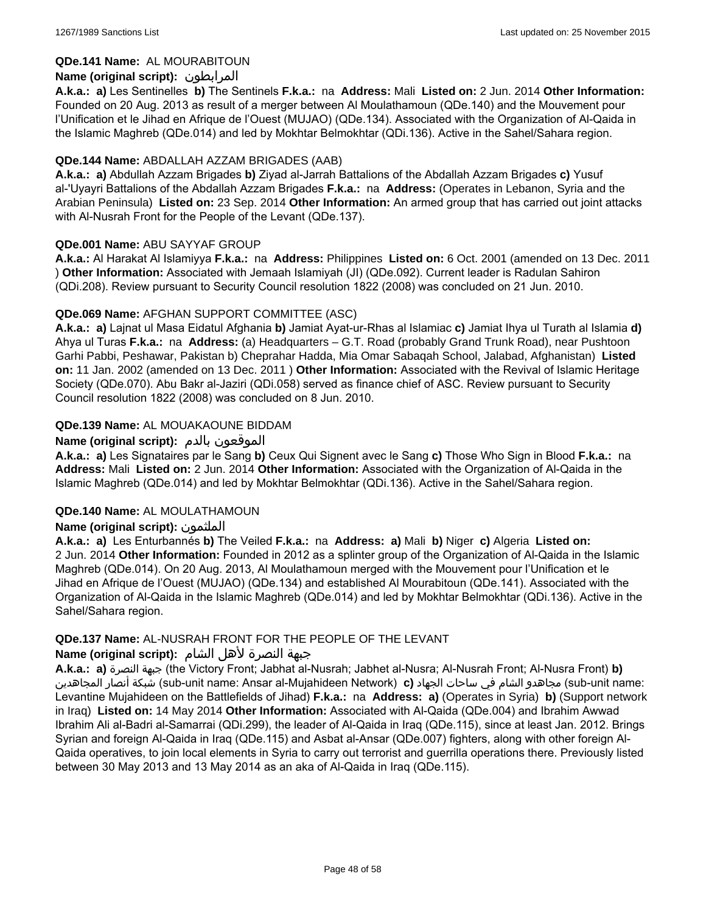### **QDe.141 Name:** AL MOURABITOUN

## **Name (original script):** المرابطون

**A.k.a.: a)** Les Sentinelles **b)** The Sentinels **F.k.a.:** na **Address:** Mali **Listed on:** 2 Jun. 2014 **Other Information:**  Founded on 20 Aug. 2013 as result of a merger between Al Moulathamoun (QDe.140) and the Mouvement pour l'Unification et le Jihad en Afrique de l'Ouest (MUJAO) (QDe.134). Associated with the Organization of Al-Qaida in the Islamic Maghreb (QDe.014) and led by Mokhtar Belmokhtar (QDi.136). Active in the Sahel/Sahara region.

### **QDe.144 Name:** ABDALLAH AZZAM BRIGADES (AAB)

**A.k.a.: a)** Abdullah Azzam Brigades **b)** Ziyad al-Jarrah Battalions of the Abdallah Azzam Brigades **c)** Yusuf al-'Uyayri Battalions of the Abdallah Azzam Brigades **F.k.a.:** na **Address:** (Operates in Lebanon, Syria and the Arabian Peninsula) **Listed on:** 23 Sep. 2014 **Other Information:** An armed group that has carried out joint attacks with Al-Nusrah Front for the People of the Levant (QDe.137).

### **QDe.001 Name:** ABU SAYYAF GROUP

**A.k.a.:** Al Harakat Al Islamiyya **F.k.a.:** na **Address:** Philippines **Listed on:** 6 Oct. 2001 (amended on 13 Dec. 2011 ) **Other Information:** Associated with Jemaah Islamiyah (JI) (QDe.092). Current leader is Radulan Sahiron (QDi.208). Review pursuant to Security Council resolution 1822 (2008) was concluded on 21 Jun. 2010.

## **QDe.069 Name:** AFGHAN SUPPORT COMMITTEE (ASC)

**A.k.a.: a)** Lajnat ul Masa Eidatul Afghania **b)** Jamiat Ayat-ur-Rhas al Islamiac **c)** Jamiat Ihya ul Turath al Islamia **d)** Ahya ul Turas **F.k.a.:** na **Address:** (a) Headquarters – G.T. Road (probably Grand Trunk Road), near Pushtoon Garhi Pabbi, Peshawar, Pakistan b) Cheprahar Hadda, Mia Omar Sabaqah School, Jalabad, Afghanistan) **Listed on:** 11 Jan. 2002 (amended on 13 Dec. 2011 ) **Other Information:** Associated with the Revival of Islamic Heritage Society (QDe.070). Abu Bakr al-Jaziri (QDi.058) served as finance chief of ASC. Review pursuant to Security Council resolution 1822 (2008) was concluded on 8 Jun. 2010.

## **QDe.139 Name:** AL MOUAKAOUNE BIDDAM

## **Name (original script):** بالدم الموقعون

**A.k.a.: a)** Les Signataires par le Sang **b)** Ceux Qui Signent avec le Sang **c)** Those Who Sign in Blood **F.k.a.:** na **Address:** Mali **Listed on:** 2 Jun. 2014 **Other Information:** Associated with the Organization of Al-Qaida in the Islamic Maghreb (QDe.014) and led by Mokhtar Belmokhtar (QDi.136). Active in the Sahel/Sahara region.

#### **QDe.140 Name:** AL MOULATHAMOUN

## **Name (original script):** الملثمون

**A.k.a.: a)** Les Enturbannés **b)** The Veiled **F.k.a.:** na **Address: a)** Mali **b)** Niger **c)** Algeria **Listed on:** 2 Jun. 2014 **Other Information:** Founded in 2012 as a splinter group of the Organization of Al-Qaida in the Islamic Maghreb (QDe.014). On 20 Aug. 2013, Al Moulathamoun merged with the Mouvement pour l'Unification et le Jihad en Afrique de l'Ouest (MUJAO) (QDe.134) and established Al Mourabitoun (QDe.141). Associated with the Organization of Al-Qaida in the Islamic Maghreb (QDe.014) and led by Mokhtar Belmokhtar (QDi.136). Active in the Sahel/Sahara region.

#### **QDe.137 Name:** AL-NUSRAH FRONT FOR THE PEOPLE OF THE LEVANT

#### جبهة النصرة لأهل الشام **:(script original (Name**

**A.k.a.: a)** النصرة جبهة) the Victory Front; Jabhat al-Nusrah; Jabhet al-Nusra; Al-Nusrah Front; Al-Nusra Front) **b)**  المجاهدين أنصار شبكة) sub-unit name: Ansar al-Mujahideen Network) **c)** الجهاد ساحات في الشام مجاهدو) sub-unit name: Levantine Mujahideen on the Battlefields of Jihad) **F.k.a.:** na **Address: a)** (Operates in Syria) **b)** (Support network in Iraq) **Listed on:** 14 May 2014 **Other Information:** Associated with Al-Qaida (QDe.004) and Ibrahim Awwad Ibrahim Ali al-Badri al-Samarrai (QDi.299), the leader of Al-Qaida in Iraq (QDe.115), since at least Jan. 2012. Brings Syrian and foreign Al-Qaida in Iraq (QDe.115) and Asbat al-Ansar (QDe.007) fighters, along with other foreign Al-Qaida operatives, to join local elements in Syria to carry out terrorist and guerrilla operations there. Previously listed between 30 May 2013 and 13 May 2014 as an aka of Al-Qaida in Iraq (QDe.115).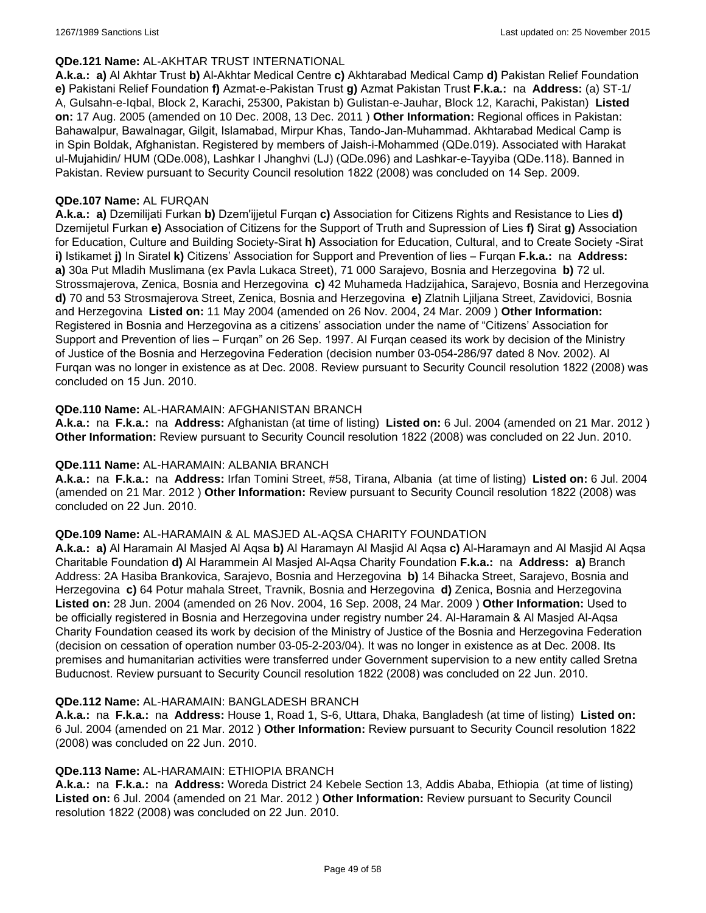#### **QDe.121 Name:** AL-AKHTAR TRUST INTERNATIONAL

**A.k.a.: a)** Al Akhtar Trust **b)** Al-Akhtar Medical Centre **c)** Akhtarabad Medical Camp **d)** Pakistan Relief Foundation **e)** Pakistani Relief Foundation **f)** Azmat-e-Pakistan Trust **g)** Azmat Pakistan Trust **F.k.a.:** na **Address:** (a) ST-1/ A, Gulsahn-e-Iqbal, Block 2, Karachi, 25300, Pakistan b) Gulistan-e-Jauhar, Block 12, Karachi, Pakistan) **Listed on:** 17 Aug. 2005 (amended on 10 Dec. 2008, 13 Dec. 2011 ) **Other Information:** Regional offices in Pakistan: Bahawalpur, Bawalnagar, Gilgit, Islamabad, Mirpur Khas, Tando-Jan-Muhammad. Akhtarabad Medical Camp is in Spin Boldak, Afghanistan. Registered by members of Jaish-i-Mohammed (QDe.019). Associated with Harakat ul-Mujahidin/ HUM (QDe.008), Lashkar I Jhanghvi (LJ) (QDe.096) and Lashkar-e-Tayyiba (QDe.118). Banned in Pakistan. Review pursuant to Security Council resolution 1822 (2008) was concluded on 14 Sep. 2009.

### **QDe.107 Name:** AL FURQAN

**A.k.a.: a)** Dzemilijati Furkan **b)** Dzem'ijjetul Furqan **c)** Association for Citizens Rights and Resistance to Lies **d)** Dzemijetul Furkan **e)** Association of Citizens for the Support of Truth and Supression of Lies **f)** Sirat **g)** Association for Education, Culture and Building Society-Sirat **h)** Association for Education, Cultural, and to Create Society -Sirat **i)** Istikamet **j)** In Siratel **k)** Citizens' Association for Support and Prevention of lies – Furqan **F.k.a.:** na **Address: a)** 30a Put Mladih Muslimana (ex Pavla Lukaca Street), 71 000 Sarajevo, Bosnia and Herzegovina **b)** 72 ul. Strossmajerova, Zenica, Bosnia and Herzegovina **c)** 42 Muhameda Hadzijahica, Sarajevo, Bosnia and Herzegovina **d)** 70 and 53 Strosmajerova Street, Zenica, Bosnia and Herzegovina **e)** Zlatnih Ljiljana Street, Zavidovici, Bosnia and Herzegovina **Listed on:** 11 May 2004 (amended on 26 Nov. 2004, 24 Mar. 2009 ) **Other Information:** Registered in Bosnia and Herzegovina as a citizens' association under the name of "Citizens' Association for Support and Prevention of lies – Furqan" on 26 Sep. 1997. Al Furqan ceased its work by decision of the Ministry of Justice of the Bosnia and Herzegovina Federation (decision number 03-054-286/97 dated 8 Nov. 2002). Al Furqan was no longer in existence as at Dec. 2008. Review pursuant to Security Council resolution 1822 (2008) was concluded on 15 Jun. 2010.

### **QDe.110 Name:** AL-HARAMAIN: AFGHANISTAN BRANCH

**A.k.a.:** na **F.k.a.:** na **Address:** Afghanistan (at time of listing) **Listed on:** 6 Jul. 2004 (amended on 21 Mar. 2012 ) **Other Information:** Review pursuant to Security Council resolution 1822 (2008) was concluded on 22 Jun. 2010.

#### **QDe.111 Name:** AL-HARAMAIN: ALBANIA BRANCH

**A.k.a.:** na **F.k.a.:** na **Address:** Irfan Tomini Street, #58, Tirana, Albania (at time of listing) **Listed on:** 6 Jul. 2004 (amended on 21 Mar. 2012 ) **Other Information:** Review pursuant to Security Council resolution 1822 (2008) was concluded on 22 Jun. 2010.

#### **QDe.109 Name:** AL-HARAMAIN & AL MASJED AL-AQSA CHARITY FOUNDATION

**A.k.a.: a)** Al Haramain Al Masjed Al Aqsa **b)** Al Haramayn Al Masjid Al Aqsa **c)** Al-Haramayn and Al Masjid Al Aqsa Charitable Foundation **d)** Al Harammein Al Masjed Al-Aqsa Charity Foundation **F.k.a.:** na **Address: a)** Branch Address: 2A Hasiba Brankovica, Sarajevo, Bosnia and Herzegovina **b)** 14 Bihacka Street, Sarajevo, Bosnia and Herzegovina **c)** 64 Potur mahala Street, Travnik, Bosnia and Herzegovina **d)** Zenica, Bosnia and Herzegovina **Listed on:** 28 Jun. 2004 (amended on 26 Nov. 2004, 16 Sep. 2008, 24 Mar. 2009 ) **Other Information:** Used to be officially registered in Bosnia and Herzegovina under registry number 24. Al-Haramain & Al Masjed Al-Aqsa Charity Foundation ceased its work by decision of the Ministry of Justice of the Bosnia and Herzegovina Federation (decision on cessation of operation number 03-05-2-203/04). It was no longer in existence as at Dec. 2008. Its premises and humanitarian activities were transferred under Government supervision to a new entity called Sretna Buducnost. Review pursuant to Security Council resolution 1822 (2008) was concluded on 22 Jun. 2010.

#### **QDe.112 Name:** AL-HARAMAIN: BANGLADESH BRANCH

**A.k.a.:** na **F.k.a.:** na **Address:** House 1, Road 1, S-6, Uttara, Dhaka, Bangladesh (at time of listing) **Listed on:** 6 Jul. 2004 (amended on 21 Mar. 2012 ) **Other Information:** Review pursuant to Security Council resolution 1822 (2008) was concluded on 22 Jun. 2010.

#### **QDe.113 Name:** AL-HARAMAIN: ETHIOPIA BRANCH

**A.k.a.:** na **F.k.a.:** na **Address:** Woreda District 24 Kebele Section 13, Addis Ababa, Ethiopia (at time of listing) **Listed on:** 6 Jul. 2004 (amended on 21 Mar. 2012 ) **Other Information:** Review pursuant to Security Council resolution 1822 (2008) was concluded on 22 Jun. 2010.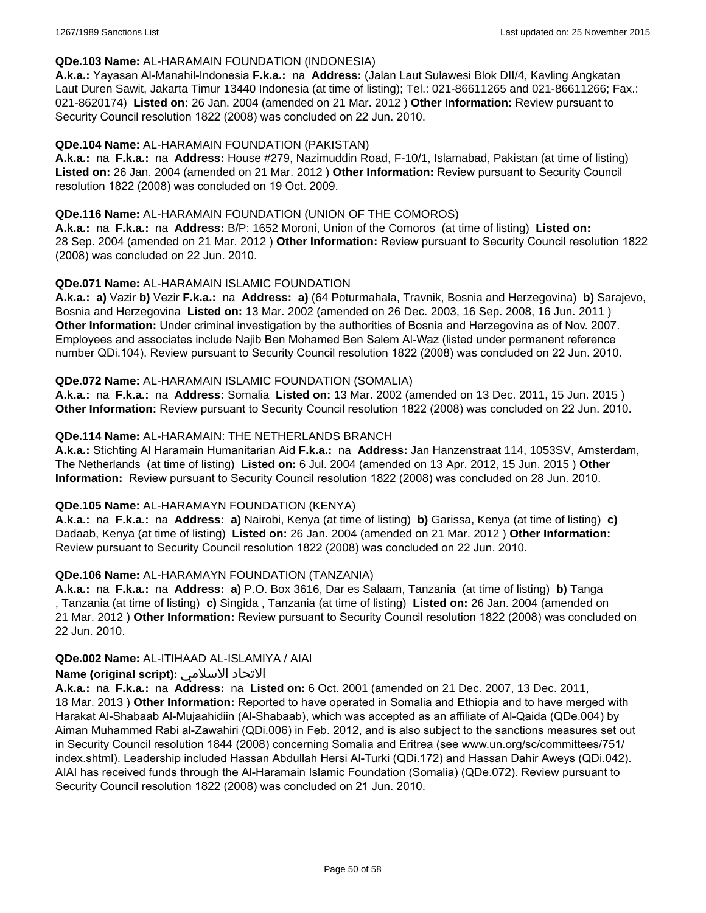#### **QDe.103 Name:** AL-HARAMAIN FOUNDATION (INDONESIA)

**A.k.a.:** Yayasan Al-Manahil-Indonesia **F.k.a.:** na **Address:** (Jalan Laut Sulawesi Blok DII/4, Kavling Angkatan Laut Duren Sawit, Jakarta Timur 13440 Indonesia (at time of listing); Tel.: 021-86611265 and 021-86611266; Fax.: 021-8620174) **Listed on:** 26 Jan. 2004 (amended on 21 Mar. 2012 ) **Other Information:** Review pursuant to Security Council resolution 1822 (2008) was concluded on 22 Jun. 2010.

### **QDe.104 Name:** AL-HARAMAIN FOUNDATION (PAKISTAN)

**A.k.a.:** na **F.k.a.:** na **Address:** House #279, Nazimuddin Road, F-10/1, Islamabad, Pakistan (at time of listing) **Listed on:** 26 Jan. 2004 (amended on 21 Mar. 2012 ) **Other Information:** Review pursuant to Security Council resolution 1822 (2008) was concluded on 19 Oct. 2009.

### **QDe.116 Name:** AL-HARAMAIN FOUNDATION (UNION OF THE COMOROS)

**A.k.a.:** na **F.k.a.:** na **Address:** B/P: 1652 Moroni, Union of the Comoros (at time of listing) **Listed on:** 28 Sep. 2004 (amended on 21 Mar. 2012 ) **Other Information:** Review pursuant to Security Council resolution 1822 (2008) was concluded on 22 Jun. 2010.

### **QDe.071 Name:** AL-HARAMAIN ISLAMIC FOUNDATION

**A.k.a.: a)** Vazir **b)** Vezir **F.k.a.:** na **Address: a)** (64 Poturmahala, Travnik, Bosnia and Herzegovina) **b)** Sarajevo, Bosnia and Herzegovina **Listed on:** 13 Mar. 2002 (amended on 26 Dec. 2003, 16 Sep. 2008, 16 Jun. 2011 ) **Other Information:** Under criminal investigation by the authorities of Bosnia and Herzegovina as of Nov. 2007. Employees and associates include Najib Ben Mohamed Ben Salem Al-Waz (listed under permanent reference number QDi.104). Review pursuant to Security Council resolution 1822 (2008) was concluded on 22 Jun. 2010.

### **QDe.072 Name:** AL-HARAMAIN ISLAMIC FOUNDATION (SOMALIA)

**A.k.a.:** na **F.k.a.:** na **Address:** Somalia **Listed on:** 13 Mar. 2002 (amended on 13 Dec. 2011, 15 Jun. 2015 ) **Other Information:** Review pursuant to Security Council resolution 1822 (2008) was concluded on 22 Jun. 2010.

### **QDe.114 Name:** AL-HARAMAIN: THE NETHERLANDS BRANCH

**A.k.a.:** Stichting Al Haramain Humanitarian Aid **F.k.a.:** na **Address:** Jan Hanzenstraat 114, 1053SV, Amsterdam, The Netherlands (at time of listing) **Listed on:** 6 Jul. 2004 (amended on 13 Apr. 2012, 15 Jun. 2015 ) **Other Information:** Review pursuant to Security Council resolution 1822 (2008) was concluded on 28 Jun. 2010.

#### **QDe.105 Name:** AL-HARAMAYN FOUNDATION (KENYA)

**A.k.a.:** na **F.k.a.:** na **Address: a)** Nairobi, Kenya (at time of listing) **b)** Garissa, Kenya (at time of listing) **c)** Dadaab, Kenya (at time of listing) **Listed on:** 26 Jan. 2004 (amended on 21 Mar. 2012 ) **Other Information:** Review pursuant to Security Council resolution 1822 (2008) was concluded on 22 Jun. 2010.

#### **QDe.106 Name:** AL-HARAMAYN FOUNDATION (TANZANIA)

**A.k.a.:** na **F.k.a.:** na **Address: a)** P.O. Box 3616, Dar es Salaam, Tanzania (at time of listing) **b)** Tanga , Tanzania (at time of listing) **c)** Singida , Tanzania (at time of listing) **Listed on:** 26 Jan. 2004 (amended on 21 Mar. 2012 ) **Other Information:** Review pursuant to Security Council resolution 1822 (2008) was concluded on 22 Jun. 2010.

#### **QDe.002 Name:** AL-ITIHAAD AL-ISLAMIYA / AIAI

## **Name (original script):** الاسلامي الاتحاد

**A.k.a.:** na **F.k.a.:** na **Address:** na **Listed on:** 6 Oct. 2001 (amended on 21 Dec. 2007, 13 Dec. 2011, 18 Mar. 2013 ) **Other Information:** Reported to have operated in Somalia and Ethiopia and to have merged with Harakat Al-Shabaab Al-Mujaahidiin (Al-Shabaab), which was accepted as an affiliate of Al-Qaida (QDe.004) by Aiman Muhammed Rabi al-Zawahiri (QDi.006) in Feb. 2012, and is also subject to the sanctions measures set out in Security Council resolution 1844 (2008) concerning Somalia and Eritrea (see www.un.org/sc/committees/751/ index.shtml). Leadership included Hassan Abdullah Hersi Al-Turki (QDi.172) and Hassan Dahir Aweys (QDi.042). AIAI has received funds through the Al-Haramain Islamic Foundation (Somalia) (QDe.072). Review pursuant to Security Council resolution 1822 (2008) was concluded on 21 Jun. 2010.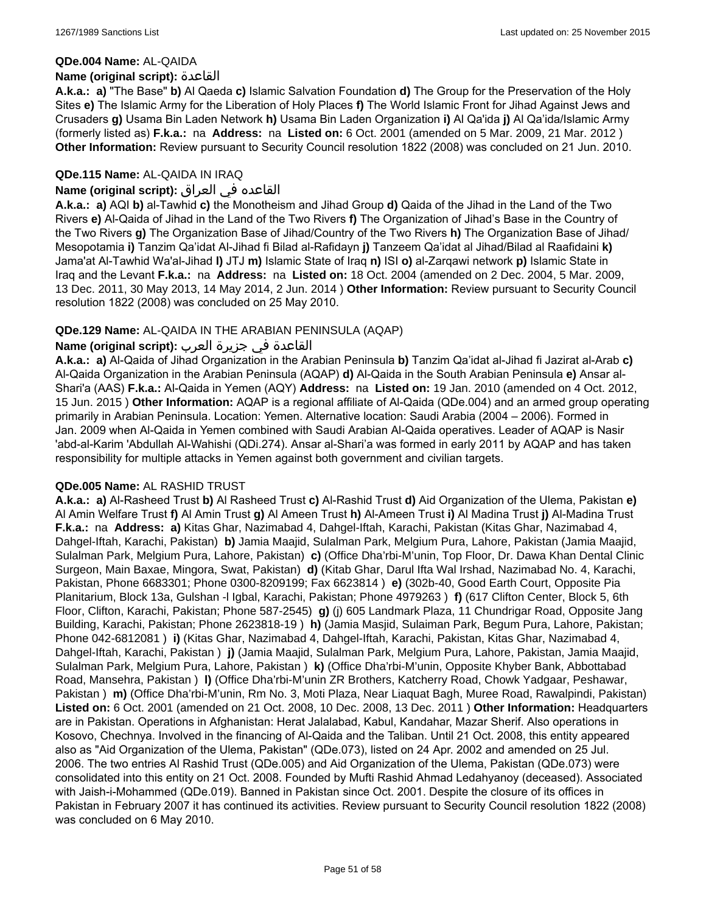#### **QDe.004 Name:** AL-QAIDA

#### **Name (original script):** القاعدة

**A.k.a.: a)** "The Base" **b)** Al Qaeda **c)** Islamic Salvation Foundation **d)** The Group for the Preservation of the Holy Sites **e)** The Islamic Army for the Liberation of Holy Places **f)** The World Islamic Front for Jihad Against Jews and Crusaders **g)** Usama Bin Laden Network **h)** Usama Bin Laden Organization **i)** Al Qa'ida **j)** Al Qa'ida/Islamic Army (formerly listed as) **F.k.a.:** na **Address:** na **Listed on:** 6 Oct. 2001 (amended on 5 Mar. 2009, 21 Mar. 2012 ) **Other Information:** Review pursuant to Security Council resolution 1822 (2008) was concluded on 21 Jun. 2010.

## **QDe.115 Name:** AL-QAIDA IN IRAQ

## القاعده في العراق **:(script original (Name**

**A.k.a.: a)** AQI **b)** al-Tawhid **c)** the Monotheism and Jihad Group **d)** Qaida of the Jihad in the Land of the Two Rivers **e)** Al-Qaida of Jihad in the Land of the Two Rivers **f)** The Organization of Jihad's Base in the Country of the Two Rivers **g)** The Organization Base of Jihad/Country of the Two Rivers **h)** The Organization Base of Jihad/ Mesopotamia **i)** Tanzim Qa'idat Al-Jihad fi Bilad al-Rafidayn **j)** Tanzeem Qa'idat al Jihad/Bilad al Raafidaini **k)** Jama'at Al-Tawhid Wa'al-Jihad **l)** JTJ **m)** Islamic State of Iraq **n)** ISI **o)** al-Zarqawi network **p)** Islamic State in Iraq and the Levant **F.k.a.:** na **Address:** na **Listed on:** 18 Oct. 2004 (amended on 2 Dec. 2004, 5 Mar. 2009, 13 Dec. 2011, 30 May 2013, 14 May 2014, 2 Jun. 2014 ) **Other Information:** Review pursuant to Security Council resolution 1822 (2008) was concluded on 25 May 2010.

## **QDe.129 Name:** AL-QAIDA IN THE ARABIAN PENINSULA (AQAP)

## القاعدة في جزيرة العرب **:(script original (Name**

**A.k.a.: a)** Al-Qaida of Jihad Organization in the Arabian Peninsula **b)** Tanzim Qa'idat al-Jihad fi Jazirat al-Arab **c)** Al-Qaida Organization in the Arabian Peninsula (AQAP) **d)** Al-Qaida in the South Arabian Peninsula **e)** Ansar al-Shari'a (AAS) **F.k.a.:** Al-Qaida in Yemen (AQY) **Address:** na **Listed on:** 19 Jan. 2010 (amended on 4 Oct. 2012, 15 Jun. 2015 ) **Other Information:** AQAP is a regional affiliate of Al-Qaida (QDe.004) and an armed group operating primarily in Arabian Peninsula. Location: Yemen. Alternative location: Saudi Arabia (2004 – 2006). Formed in Jan. 2009 when Al-Qaida in Yemen combined with Saudi Arabian Al-Qaida operatives. Leader of AQAP is Nasir 'abd-al-Karim 'Abdullah Al-Wahishi (QDi.274). Ansar al-Shari'a was formed in early 2011 by AQAP and has taken responsibility for multiple attacks in Yemen against both government and civilian targets.

## **QDe.005 Name:** AL RASHID TRUST

**A.k.a.: a)** Al-Rasheed Trust **b)** Al Rasheed Trust **c)** Al-Rashid Trust **d)** Aid Organization of the Ulema, Pakistan **e)** Al Amin Welfare Trust **f)** Al Amin Trust **g)** Al Ameen Trust **h)** Al-Ameen Trust **i)** Al Madina Trust **j)** Al-Madina Trust **F.k.a.:** na **Address: a)** Kitas Ghar, Nazimabad 4, Dahgel-Iftah, Karachi, Pakistan (Kitas Ghar, Nazimabad 4, Dahgel-Iftah, Karachi, Pakistan) **b)** Jamia Maajid, Sulalman Park, Melgium Pura, Lahore, Pakistan (Jamia Maajid, Sulalman Park, Melgium Pura, Lahore, Pakistan) **c)** (Office Dha'rbi-M'unin, Top Floor, Dr. Dawa Khan Dental Clinic Surgeon, Main Baxae, Mingora, Swat, Pakistan) **d)** (Kitab Ghar, Darul Ifta Wal Irshad, Nazimabad No. 4, Karachi, Pakistan, Phone 6683301; Phone 0300-8209199; Fax 6623814 ) **e)** (302b-40, Good Earth Court, Opposite Pia Planitarium, Block 13a, Gulshan -l Igbal, Karachi, Pakistan; Phone 4979263 ) **f)** (617 Clifton Center, Block 5, 6th Floor, Clifton, Karachi, Pakistan; Phone 587-2545) **g)** (j) 605 Landmark Plaza, 11 Chundrigar Road, Opposite Jang Building, Karachi, Pakistan; Phone 2623818-19 ) **h)** (Jamia Masjid, Sulaiman Park, Begum Pura, Lahore, Pakistan; Phone 042-6812081 ) **i)** (Kitas Ghar, Nazimabad 4, Dahgel-Iftah, Karachi, Pakistan, Kitas Ghar, Nazimabad 4, Dahgel-Iftah, Karachi, Pakistan ) **j)** (Jamia Maajid, Sulalman Park, Melgium Pura, Lahore, Pakistan, Jamia Maajid, Sulalman Park, Melgium Pura, Lahore, Pakistan ) **k)** (Office Dha'rbi-M'unin, Opposite Khyber Bank, Abbottabad Road, Mansehra, Pakistan ) **l)** (Office Dha'rbi-M'unin ZR Brothers, Katcherry Road, Chowk Yadgaar, Peshawar, Pakistan ) **m)** (Office Dha'rbi-M'unin, Rm No. 3, Moti Plaza, Near Liaquat Bagh, Muree Road, Rawalpindi, Pakistan) **Listed on:** 6 Oct. 2001 (amended on 21 Oct. 2008, 10 Dec. 2008, 13 Dec. 2011 ) **Other Information:** Headquarters are in Pakistan. Operations in Afghanistan: Herat Jalalabad, Kabul, Kandahar, Mazar Sherif. Also operations in Kosovo, Chechnya. Involved in the financing of Al-Qaida and the Taliban. Until 21 Oct. 2008, this entity appeared also as "Aid Organization of the Ulema, Pakistan" (QDe.073), listed on 24 Apr. 2002 and amended on 25 Jul. 2006. The two entries Al Rashid Trust (QDe.005) and Aid Organization of the Ulema, Pakistan (QDe.073) were consolidated into this entity on 21 Oct. 2008. Founded by Mufti Rashid Ahmad Ledahyanoy (deceased). Associated with Jaish-i-Mohammed (QDe.019). Banned in Pakistan since Oct. 2001. Despite the closure of its offices in Pakistan in February 2007 it has continued its activities. Review pursuant to Security Council resolution 1822 (2008) was concluded on 6 May 2010.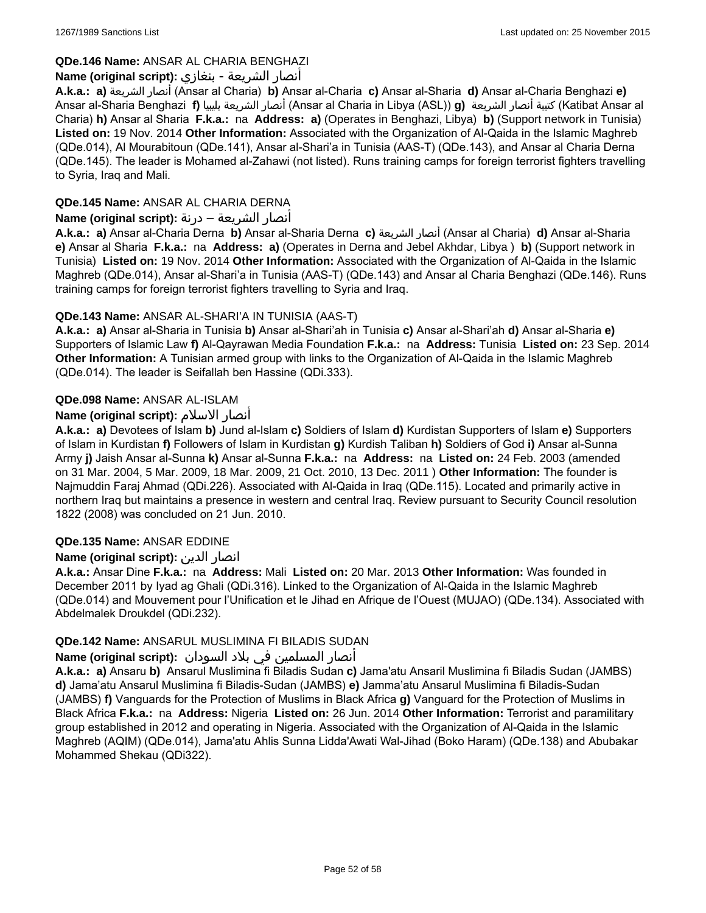## **QDe.146 Name:** ANSAR AL CHARIA BENGHAZI

## أنصار الشريعة - بنغازي **:(script original (Name**

**A.k.a.: a)** الشريعة أنصار) Ansar al Charia) **b)** Ansar al-Charia **c)** Ansar al-Sharia **d)** Ansar al-Charia Benghazi **e)** Ansar al-Sharia Benghazi **f)** بليبيا الشريعة أنصار) Ansar al Charia in Libya (ASL)) **g)** الشريعة أنصار كتيبة) Katibat Ansar al Charia) **h)** Ansar al Sharia **F.k.a.:** na **Address: a)** (Operates in Benghazi, Libya) **b)** (Support network in Tunisia) **Listed on:** 19 Nov. 2014 **Other Information:** Associated with the Organization of Al-Qaida in the Islamic Maghreb (QDe.014), Al Mourabitoun (QDe.141), Ansar al-Shari'a in Tunisia (AAS-T) (QDe.143), and Ansar al Charia Derna (QDe.145). The leader is Mohamed al-Zahawi (not listed). Runs training camps for foreign terrorist fighters travelling to Syria, Iraq and Mali.

## **QDe.145 Name:** ANSAR AL CHARIA DERNA

## أنصار الشريعة – درنة **:(script original (Name**

**A.k.a.: a)** Ansar al-Charia Derna **b)** Ansar al-Sharia Derna **c)** الشريعة أنصار) Ansar al Charia) **d)** Ansar al-Sharia **e)** Ansar al Sharia **F.k.a.:** na **Address: a)** (Operates in Derna and Jebel Akhdar, Libya ) **b)** (Support network in Tunisia) **Listed on:** 19 Nov. 2014 **Other Information:** Associated with the Organization of Al-Qaida in the Islamic Maghreb (QDe.014), Ansar al-Shari'a in Tunisia (AAS-T) (QDe.143) and Ansar al Charia Benghazi (QDe.146). Runs training camps for foreign terrorist fighters travelling to Syria and Iraq.

## **QDe.143 Name:** ANSAR AL-SHARI'A IN TUNISIA (AAS-T)

**A.k.a.: a)** Ansar al-Sharia in Tunisia **b)** Ansar al-Shari'ah in Tunisia **c)** Ansar al-Shari'ah **d)** Ansar al-Sharia **e)** Supporters of Islamic Law **f)** Al-Qayrawan Media Foundation **F.k.a.:** na **Address:** Tunisia **Listed on:** 23 Sep. 2014 **Other Information:** A Tunisian armed group with links to the Organization of Al-Qaida in the Islamic Maghreb (QDe.014). The leader is Seifallah ben Hassine (QDi.333).

## **QDe.098 Name:** ANSAR AL-ISLAM

## **Name (original script):** الاسلام أنصار

**A.k.a.: a)** Devotees of Islam **b)** Jund al-Islam **c)** Soldiers of Islam **d)** Kurdistan Supporters of Islam **e)** Supporters of Islam in Kurdistan **f)** Followers of Islam in Kurdistan **g)** Kurdish Taliban **h)** Soldiers of God **i)** Ansar al-Sunna Army **j)** Jaish Ansar al-Sunna **k)** Ansar al-Sunna **F.k.a.:** na **Address:** na **Listed on:** 24 Feb. 2003 (amended on 31 Mar. 2004, 5 Mar. 2009, 18 Mar. 2009, 21 Oct. 2010, 13 Dec. 2011 ) **Other Information:** The founder is Najmuddin Faraj Ahmad (QDi.226). Associated with Al-Qaida in Iraq (QDe.115). Located and primarily active in northern Iraq but maintains a presence in western and central Iraq. Review pursuant to Security Council resolution 1822 (2008) was concluded on 21 Jun. 2010.

## **QDe.135 Name:** ANSAR EDDINE

## **Name (original script):** الدين انصار

**A.k.a.:** Ansar Dine **F.k.a.:** na **Address:** Mali **Listed on:** 20 Mar. 2013 **Other Information:** Was founded in December 2011 by Iyad ag Ghali (QDi.316). Linked to the Organization of Al-Qaida in the Islamic Maghreb (QDe.014) and Mouvement pour l'Unification et le Jihad en Afrique de l'Ouest (MUJAO) (QDe.134). Associated with Abdelmalek Droukdel (QDi.232).

## **QDe.142 Name:** ANSARUL MUSLIMINA FI BILADIS SUDAN

## أنصار المسلمین في بلاد السودان **:(script original (Name**

**A.k.a.: a)** Ansaru **b)** Ansarul Muslimina fi Biladis Sudan **c)** Jama'atu Ansaril Muslimina fi Biladis Sudan (JAMBS) **d)** Jama'atu Ansarul Muslimina fi Biladis-Sudan (JAMBS) **e)** Jamma'atu Ansarul Muslimina fi Biladis-Sudan (JAMBS) **f)** Vanguards for the Protection of Muslims in Black Africa **g)** Vanguard for the Protection of Muslims in Black Africa **F.k.a.:** na **Address:** Nigeria **Listed on:** 26 Jun. 2014 **Other Information:** Terrorist and paramilitary group established in 2012 and operating in Nigeria. Associated with the Organization of Al-Qaida in the Islamic Maghreb (AQIM) (QDe.014), Jama'atu Ahlis Sunna Lidda'Awati Wal-Jihad (Boko Haram) (QDe.138) and Abubakar Mohammed Shekau (QDi322).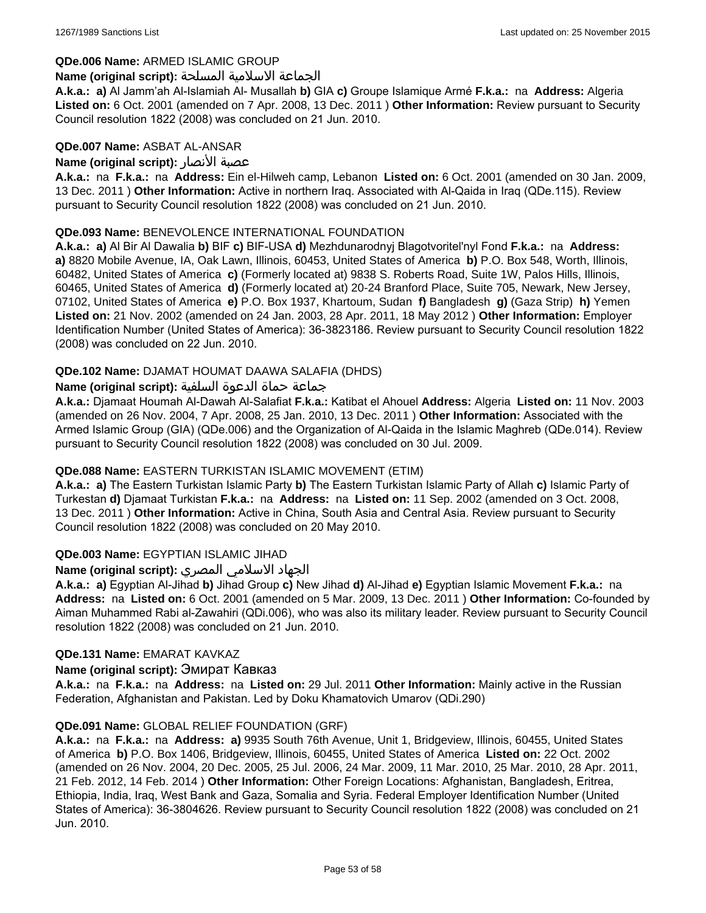### **QDe.006 Name:** ARMED ISLAMIC GROUP

#### الجماعة الاسلامية المسلحة **:(script original (Name**

**A.k.a.: a)** Al Jamm'ah Al-Islamiah Al- Musallah **b)** GIA **c)** Groupe Islamique Armé **F.k.a.:** na **Address:** Algeria **Listed on:** 6 Oct. 2001 (amended on 7 Apr. 2008, 13 Dec. 2011 ) **Other Information:** Review pursuant to Security Council resolution 1822 (2008) was concluded on 21 Jun. 2010.

### **QDe.007 Name:** ASBAT AL-ANSAR

### **Name (original script):** الأنصار عصبة

**A.k.a.:** na **F.k.a.:** na **Address:** Ein el-Hilweh camp, Lebanon **Listed on:** 6 Oct. 2001 (amended on 30 Jan. 2009, 13 Dec. 2011 ) **Other Information:** Active in northern Iraq. Associated with Al-Qaida in Iraq (QDe.115). Review pursuant to Security Council resolution 1822 (2008) was concluded on 21 Jun. 2010.

### **QDe.093 Name:** BENEVOLENCE INTERNATIONAL FOUNDATION

**A.k.a.: a)** Al Bir Al Dawalia **b)** BIF **c)** BIF-USA **d)** Mezhdunarodnyj Blagotvoritel'nyl Fond **F.k.a.:** na **Address: a)** 8820 Mobile Avenue, IA, Oak Lawn, Illinois, 60453, United States of America **b)** P.O. Box 548, Worth, Illinois, 60482, United States of America **c)** (Formerly located at) 9838 S. Roberts Road, Suite 1W, Palos Hills, Illinois, 60465, United States of America **d)** (Formerly located at) 20-24 Branford Place, Suite 705, Newark, New Jersey, 07102, United States of America **e)** P.O. Box 1937, Khartoum, Sudan **f)** Bangladesh **g)** (Gaza Strip) **h)** Yemen **Listed on:** 21 Nov. 2002 (amended on 24 Jan. 2003, 28 Apr. 2011, 18 May 2012 ) **Other Information:** Employer Identification Number (United States of America): 36-3823186. Review pursuant to Security Council resolution 1822 (2008) was concluded on 22 Jun. 2010.

## **QDe.102 Name:** DJAMAT HOUMAT DAAWA SALAFIA (DHDS)

### جماعة حماة الدعوة السلفية **:(script original (Name**

**A.k.a.:** Djamaat Houmah Al-Dawah Al-Salafiat **F.k.a.:** Katibat el Ahouel **Address:** Algeria **Listed on:** 11 Nov. 2003 (amended on 26 Nov. 2004, 7 Apr. 2008, 25 Jan. 2010, 13 Dec. 2011 ) **Other Information:** Associated with the Armed Islamic Group (GIA) (QDe.006) and the Organization of Al-Qaida in the Islamic Maghreb (QDe.014). Review pursuant to Security Council resolution 1822 (2008) was concluded on 30 Jul. 2009.

## **QDe.088 Name:** EASTERN TURKISTAN ISLAMIC MOVEMENT (ETIM)

**A.k.a.: a)** The Eastern Turkistan Islamic Party **b)** The Eastern Turkistan Islamic Party of Allah **c)** Islamic Party of Turkestan **d)** Djamaat Turkistan **F.k.a.:** na **Address:** na **Listed on:** 11 Sep. 2002 (amended on 3 Oct. 2008, 13 Dec. 2011 ) **Other Information:** Active in China, South Asia and Central Asia. Review pursuant to Security Council resolution 1822 (2008) was concluded on 20 May 2010.

## **QDe.003 Name:** EGYPTIAN ISLAMIC JIHAD

## الجهاد الاسلامي المصري **:(script original (Name**

**A.k.a.: a)** Egyptian Al-Jihad **b)** Jihad Group **c)** New Jihad **d)** Al-Jihad **e)** Egyptian Islamic Movement **F.k.a.:** na **Address:** na **Listed on:** 6 Oct. 2001 (amended on 5 Mar. 2009, 13 Dec. 2011 ) **Other Information:** Co-founded by Aiman Muhammed Rabi al-Zawahiri (QDi.006), who was also its military leader. Review pursuant to Security Council resolution 1822 (2008) was concluded on 21 Jun. 2010.

#### **QDe.131 Name:** EMARAT KAVKAZ

#### **Name (original script):** Эмират Кавказ

**A.k.a.:** na **F.k.a.:** na **Address:** na **Listed on:** 29 Jul. 2011 **Other Information:** Mainly active in the Russian Federation, Afghanistan and Pakistan. Led by Doku Khamatovich Umarov (QDi.290)

#### **QDe.091 Name:** GLOBAL RELIEF FOUNDATION (GRF)

**A.k.a.:** na **F.k.a.:** na **Address: a)** 9935 South 76th Avenue, Unit 1, Bridgeview, Illinois, 60455, United States of America **b)** P.O. Box 1406, Bridgeview, Illinois, 60455, United States of America **Listed on:** 22 Oct. 2002 (amended on 26 Nov. 2004, 20 Dec. 2005, 25 Jul. 2006, 24 Mar. 2009, 11 Mar. 2010, 25 Mar. 2010, 28 Apr. 2011, 21 Feb. 2012, 14 Feb. 2014 ) **Other Information:** Other Foreign Locations: Afghanistan, Bangladesh, Eritrea, Ethiopia, India, Iraq, West Bank and Gaza, Somalia and Syria. Federal Employer Identification Number (United States of America): 36-3804626. Review pursuant to Security Council resolution 1822 (2008) was concluded on 21 Jun. 2010.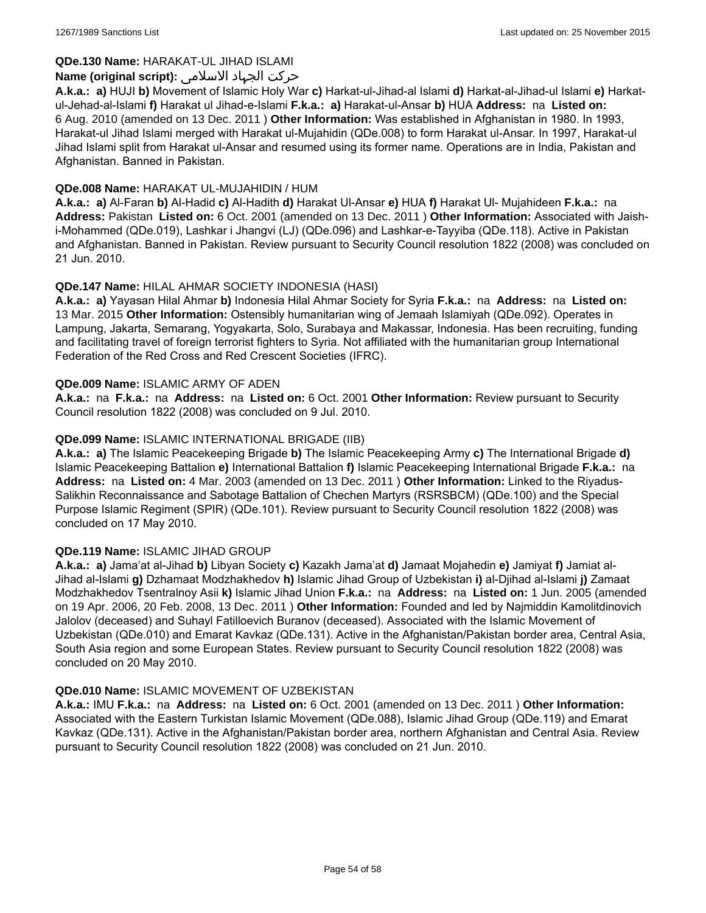## **QDe.130 Name:** HARAKAT-UL JIHAD ISLAMI

### حرکت الجہاد الاسلامی **:(script original (Name**

**A.k.a.: a)** HUJI **b)** Movement of Islamic Holy War **c)** Harkat-ul-Jihad-al Islami **d)** Harkat-al-Jihad-ul Islami **e)** Harkatul-Jehad-al-Islami **f)** Harakat ul Jihad-e-Islami **F.k.a.: a)** Harakat-ul-Ansar **b)** HUA **Address:** na **Listed on:** 6 Aug. 2010 (amended on 13 Dec. 2011 ) **Other Information:** Was established in Afghanistan in 1980. In 1993, Harakat-ul Jihad Islami merged with Harakat ul-Mujahidin (QDe.008) to form Harakat ul-Ansar. In 1997, Harakat-ul Jihad Islami split from Harakat ul-Ansar and resumed using its former name. Operations are in India, Pakistan and Afghanistan. Banned in Pakistan.

#### **QDe.008 Name:** HARAKAT UL-MUJAHIDIN / HUM

**A.k.a.: a)** Al-Faran **b)** Al-Hadid **c)** Al-Hadith **d)** Harakat Ul-Ansar **e)** HUA **f)** Harakat Ul- Mujahideen **F.k.a.:** na **Address:** Pakistan **Listed on:** 6 Oct. 2001 (amended on 13 Dec. 2011 ) **Other Information:** Associated with Jaishi-Mohammed (QDe.019), Lashkar i Jhangvi (LJ) (QDe.096) and Lashkar-e-Tayyiba (QDe.118). Active in Pakistan and Afghanistan. Banned in Pakistan. Review pursuant to Security Council resolution 1822 (2008) was concluded on 21 Jun. 2010.

## **QDe.147 Name:** HILAL AHMAR SOCIETY INDONESIA (HASI)

**A.k.a.: a)** Yayasan Hilal Ahmar **b)** Indonesia Hilal Ahmar Society for Syria **F.k.a.:** na **Address:** na **Listed on:** 13 Mar. 2015 **Other Information:** Ostensibly humanitarian wing of Jemaah Islamiyah (QDe.092). Operates in Lampung, Jakarta, Semarang, Yogyakarta, Solo, Surabaya and Makassar, Indonesia. Has been recruiting, funding and facilitating travel of foreign terrorist fighters to Syria. Not affiliated with the humanitarian group International Federation of the Red Cross and Red Crescent Societies (IFRC).

#### **QDe.009 Name:** ISLAMIC ARMY OF ADEN

**A.k.a.:** na **F.k.a.:** na **Address:** na **Listed on:** 6 Oct. 2001 **Other Information:** Review pursuant to Security Council resolution 1822 (2008) was concluded on 9 Jul. 2010.

### **QDe.099 Name:** ISLAMIC INTERNATIONAL BRIGADE (IIB)

**A.k.a.: a)** The Islamic Peacekeeping Brigade **b)** The Islamic Peacekeeping Army **c)** The International Brigade **d)** Islamic Peacekeeping Battalion **e)** International Battalion **f)** Islamic Peacekeeping International Brigade **F.k.a.:** na **Address:** na **Listed on:** 4 Mar. 2003 (amended on 13 Dec. 2011 ) **Other Information:** Linked to the Riyadus-Salikhin Reconnaissance and Sabotage Battalion of Chechen Martyrs (RSRSBCM) (QDe.100) and the Special Purpose Islamic Regiment (SPIR) (QDe.101). Review pursuant to Security Council resolution 1822 (2008) was concluded on 17 May 2010.

#### **QDe.119 Name:** ISLAMIC JIHAD GROUP

**A.k.a.: a)** Jama'at al-Jihad **b)** Libyan Society **c)** Kazakh Jama'at **d)** Jamaat Mojahedin **e)** Jamiyat **f)** Jamiat al-Jihad al-Islami **g)** Dzhamaat Modzhakhedov **h)** Islamic Jihad Group of Uzbekistan **i)** al-Djihad al-Islami **j)** Zamaat Modzhakhedov Tsentralnoy Asii **k)** Islamic Jihad Union **F.k.a.:** na **Address:** na **Listed on:** 1 Jun. 2005 (amended on 19 Apr. 2006, 20 Feb. 2008, 13 Dec. 2011 ) **Other Information:** Founded and led by Najmiddin Kamolitdinovich Jalolov (deceased) and Suhayl Fatilloevich Buranov (deceased). Associated with the Islamic Movement of Uzbekistan (QDe.010) and Emarat Kavkaz (QDe.131). Active in the Afghanistan/Pakistan border area, Central Asia, South Asia region and some European States. Review pursuant to Security Council resolution 1822 (2008) was concluded on 20 May 2010.

#### **QDe.010 Name:** ISLAMIC MOVEMENT OF UZBEKISTAN

**A.k.a.:** IMU **F.k.a.:** na **Address:** na **Listed on:** 6 Oct. 2001 (amended on 13 Dec. 2011 ) **Other Information:** Associated with the Eastern Turkistan Islamic Movement (QDe.088), Islamic Jihad Group (QDe.119) and Emarat Kavkaz (QDe.131). Active in the Afghanistan/Pakistan border area, northern Afghanistan and Central Asia. Review pursuant to Security Council resolution 1822 (2008) was concluded on 21 Jun. 2010.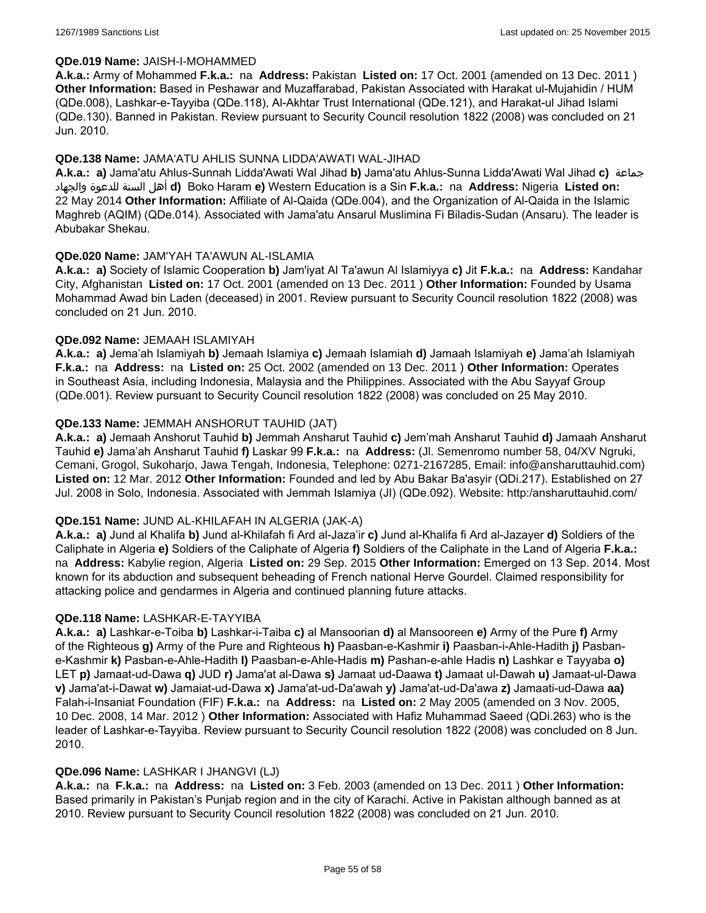#### **QDe.019 Name:** JAISH-I-MOHAMMED

**A.k.a.:** Army of Mohammed **F.k.a.:** na **Address:** Pakistan **Listed on:** 17 Oct. 2001 (amended on 13 Dec. 2011 ) **Other Information:** Based in Peshawar and Muzaffarabad, Pakistan Associated with Harakat ul-Mujahidin / HUM (QDe.008), Lashkar-e-Tayyiba (QDe.118), Al-Akhtar Trust International (QDe.121), and Harakat-ul Jihad Islami (QDe.130). Banned in Pakistan. Review pursuant to Security Council resolution 1822 (2008) was concluded on 21 Jun. 2010.

### **QDe.138 Name:** JAMA'ATU AHLIS SUNNA LIDDA'AWATI WAL-JIHAD

**A.k.a.: a)** Jama'atu Ahlus-Sunnah Lidda'Awati Wal Jihad **b)** Jama'atu Ahlus-Sunna Lidda'Awati Wal Jihad **c)** جماعة والجهاد للدعوة السنة أهل **d)** Boko Haram **e)** Western Education is a Sin **F.k.a.:** na **Address:** Nigeria **Listed on:** 22 May 2014 **Other Information:** Affiliate of Al-Qaida (QDe.004), and the Organization of Al-Qaida in the Islamic Maghreb (AQIM) (QDe.014). Associated with Jama'atu Ansarul Muslimina Fi Biladis-Sudan (Ansaru). The leader is Abubakar Shekau.

### **QDe.020 Name:** JAM'YAH TA'AWUN AL-ISLAMIA

**A.k.a.: a)** Society of Islamic Cooperation **b)** Jam'iyat Al Ta'awun Al Islamiyya **c)** Jit **F.k.a.:** na **Address:** Kandahar City, Afghanistan **Listed on:** 17 Oct. 2001 (amended on 13 Dec. 2011 ) **Other Information:** Founded by Usama Mohammad Awad bin Laden (deceased) in 2001. Review pursuant to Security Council resolution 1822 (2008) was concluded on 21 Jun. 2010.

### **QDe.092 Name:** JEMAAH ISLAMIYAH

**A.k.a.: a)** Jema'ah Islamiyah **b)** Jemaah Islamiya **c)** Jemaah Islamiah **d)** Jamaah Islamiyah **e)** Jama'ah Islamiyah **F.k.a.:** na **Address:** na **Listed on:** 25 Oct. 2002 (amended on 13 Dec. 2011 ) **Other Information:** Operates in Southeast Asia, including Indonesia, Malaysia and the Philippines. Associated with the Abu Sayyaf Group (QDe.001). Review pursuant to Security Council resolution 1822 (2008) was concluded on 25 May 2010.

### **QDe.133 Name:** JEMMAH ANSHORUT TAUHID (JAT)

**A.k.a.: a)** Jemaah Anshorut Tauhid **b)** Jemmah Ansharut Tauhid **c)** Jem'mah Ansharut Tauhid **d)** Jamaah Ansharut Tauhid **e)** Jama'ah Ansharut Tauhid **f)** Laskar 99 **F.k.a.:** na **Address:** (Jl. Semenromo number 58, 04/XV Ngruki, Cemani, Grogol, Sukoharjo, Jawa Tengah, Indonesia, Telephone: 0271-2167285, Email: info@ansharuttauhid.com) **Listed on:** 12 Mar. 2012 **Other Information:** Founded and led by Abu Bakar Ba'asyir (QDi.217). Established on 27 Jul. 2008 in Solo, Indonesia. Associated with Jemmah Islamiya (JI) (QDe.092). Website: http:/ansharuttauhid.com/

#### **QDe.151 Name:** JUND AL-KHILAFAH IN ALGERIA (JAK-A)

**A.k.a.: a)** Jund al Khalifa **b)** Jund al-Khilafah fi Ard al-Jaza'ir **c)** Jund al-Khalifa fi Ard al-Jazayer **d)** Soldiers of the Caliphate in Algeria **e)** Soldiers of the Caliphate of Algeria **f)** Soldiers of the Caliphate in the Land of Algeria **F.k.a.:**  na **Address:** Kabylie region, Algeria **Listed on:** 29 Sep. 2015 **Other Information:** Emerged on 13 Sep. 2014. Most known for its abduction and subsequent beheading of French national Herve Gourdel. Claimed responsibility for attacking police and gendarmes in Algeria and continued planning future attacks.

#### **QDe.118 Name:** LASHKAR-E-TAYYIBA

**A.k.a.: a)** Lashkar-e-Toiba **b)** Lashkar-i-Taiba **c)** al Mansoorian **d)** al Mansooreen **e)** Army of the Pure **f)** Army of the Righteous **g)** Army of the Pure and Righteous **h)** Paasban-e-Kashmir **i)** Paasban-i-Ahle-Hadith **j)** Pasbane-Kashmir **k)** Pasban-e-Ahle-Hadith **l)** Paasban-e-Ahle-Hadis **m)** Pashan-e-ahle Hadis **n)** Lashkar e Tayyaba **o)** LET **p)** Jamaat-ud-Dawa **q)** JUD **r)** Jama'at al-Dawa **s)** Jamaat ud-Daawa **t)** Jamaat ul-Dawah **u)** Jamaat-ul-Dawa **v)** Jama'at-i-Dawat **w)** Jamaiat-ud-Dawa **x)** Jama'at-ud-Da'awah **y)** Jama'at-ud-Da'awa **z)** Jamaati-ud-Dawa **aa)** Falah-i-Insaniat Foundation (FIF) **F.k.a.:** na **Address:** na **Listed on:** 2 May 2005 (amended on 3 Nov. 2005, 10 Dec. 2008, 14 Mar. 2012 ) **Other Information:** Associated with Hafiz Muhammad Saeed (QDi.263) who is the leader of Lashkar-e-Tayyiba. Review pursuant to Security Council resolution 1822 (2008) was concluded on 8 Jun. 2010.

#### **QDe.096 Name:** LASHKAR I JHANGVI (LJ)

**A.k.a.:** na **F.k.a.:** na **Address:** na **Listed on:** 3 Feb. 2003 (amended on 13 Dec. 2011 ) **Other Information:** Based primarily in Pakistan's Punjab region and in the city of Karachi. Active in Pakistan although banned as at 2010. Review pursuant to Security Council resolution 1822 (2008) was concluded on 21 Jun. 2010.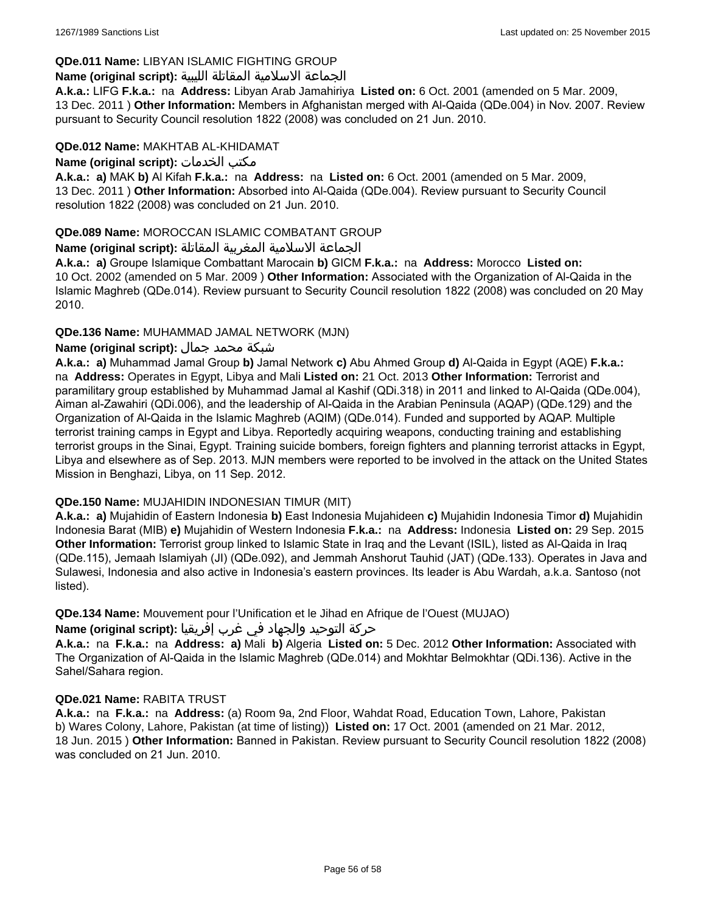## **QDe.011 Name:** LIBYAN ISLAMIC FIGHTING GROUP

## الجماعة الاسلامية المقاتلة الليبية **:(script original (Name**

**A.k.a.:** LIFG **F.k.a.:** na **Address:** Libyan Arab Jamahiriya **Listed on:** 6 Oct. 2001 (amended on 5 Mar. 2009, 13 Dec. 2011 ) **Other Information:** Members in Afghanistan merged with Al-Qaida (QDe.004) in Nov. 2007. Review pursuant to Security Council resolution 1822 (2008) was concluded on 21 Jun. 2010.

### **QDe.012 Name:** MAKHTAB AL-KHIDAMAT

**Name (original script):** الخدمات مكتب

**A.k.a.: a)** MAK **b)** Al Kifah **F.k.a.:** na **Address:** na **Listed on:** 6 Oct. 2001 (amended on 5 Mar. 2009, 13 Dec. 2011 ) **Other Information:** Absorbed into Al-Qaida (QDe.004). Review pursuant to Security Council resolution 1822 (2008) was concluded on 21 Jun. 2010.

## **QDe.089 Name:** MOROCCAN ISLAMIC COMBATANT GROUP

## الجماعة الاسلامية المغربية المقاتلة **:(script original (Name**

**A.k.a.: a)** Groupe Islamique Combattant Marocain **b)** GICM **F.k.a.:** na **Address:** Morocco **Listed on:** 10 Oct. 2002 (amended on 5 Mar. 2009 ) **Other Information:** Associated with the Organization of Al-Qaida in the Islamic Maghreb (QDe.014). Review pursuant to Security Council resolution 1822 (2008) was concluded on 20 May 2010.

## **QDe.136 Name:** MUHAMMAD JAMAL NETWORK (MJN)

## شبكة محمد جمال **:(script original (Name**

**A.k.a.: a)** Muhammad Jamal Group **b)** Jamal Network **c)** Abu Ahmed Group **d)** Al-Qaida in Egypt (AQE) **F.k.a.:**  na **Address:** Operates in Egypt, Libya and Mali **Listed on:** 21 Oct. 2013 **Other Information:** Terrorist and paramilitary group established by Muhammad Jamal al Kashif (QDi.318) in 2011 and linked to Al-Qaida (QDe.004), Aiman al-Zawahiri (QDi.006), and the leadership of Al-Qaida in the Arabian Peninsula (AQAP) (QDe.129) and the Organization of Al-Qaida in the Islamic Maghreb (AQIM) (QDe.014). Funded and supported by AQAP. Multiple terrorist training camps in Egypt and Libya. Reportedly acquiring weapons, conducting training and establishing terrorist groups in the Sinai, Egypt. Training suicide bombers, foreign fighters and planning terrorist attacks in Egypt, Libya and elsewhere as of Sep. 2013. MJN members were reported to be involved in the attack on the United States Mission in Benghazi, Libya, on 11 Sep. 2012.

## **QDe.150 Name:** MUJAHIDIN INDONESIAN TIMUR (MIT)

**A.k.a.: a)** Mujahidin of Eastern Indonesia **b)** East Indonesia Mujahideen **c)** Mujahidin Indonesia Timor **d)** Mujahidin Indonesia Barat (MIB) **e)** Mujahidin of Western Indonesia **F.k.a.:** na **Address:** Indonesia **Listed on:** 29 Sep. 2015 **Other Information:** Terrorist group linked to Islamic State in Iraq and the Levant (ISIL), listed as Al-Qaida in Iraq (QDe.115), Jemaah Islamiyah (JI) (QDe.092), and Jemmah Anshorut Tauhid (JAT) (QDe.133). Operates in Java and Sulawesi, Indonesia and also active in Indonesia's eastern provinces. Its leader is Abu Wardah, a.k.a. Santoso (not listed).

**QDe.134 Name:** Mouvement pour l'Unification et le Jihad en Afrique de l'Ouest (MUJAO)

## حركة التوحيد والجهاد في غرب إفريقيا **:Name (original script)**

**A.k.a.:** na **F.k.a.:** na **Address: a)** Mali **b)** Algeria **Listed on:** 5 Dec. 2012 **Other Information:** Associated with The Organization of Al-Qaida in the Islamic Maghreb (QDe.014) and Mokhtar Belmokhtar (QDi.136). Active in the Sahel/Sahara region.

## **QDe.021 Name:** RABITA TRUST

**A.k.a.:** na **F.k.a.:** na **Address:** (a) Room 9a, 2nd Floor, Wahdat Road, Education Town, Lahore, Pakistan b) Wares Colony, Lahore, Pakistan (at time of listing)) **Listed on:** 17 Oct. 2001 (amended on 21 Mar. 2012, 18 Jun. 2015 ) **Other Information:** Banned in Pakistan. Review pursuant to Security Council resolution 1822 (2008) was concluded on 21 Jun. 2010.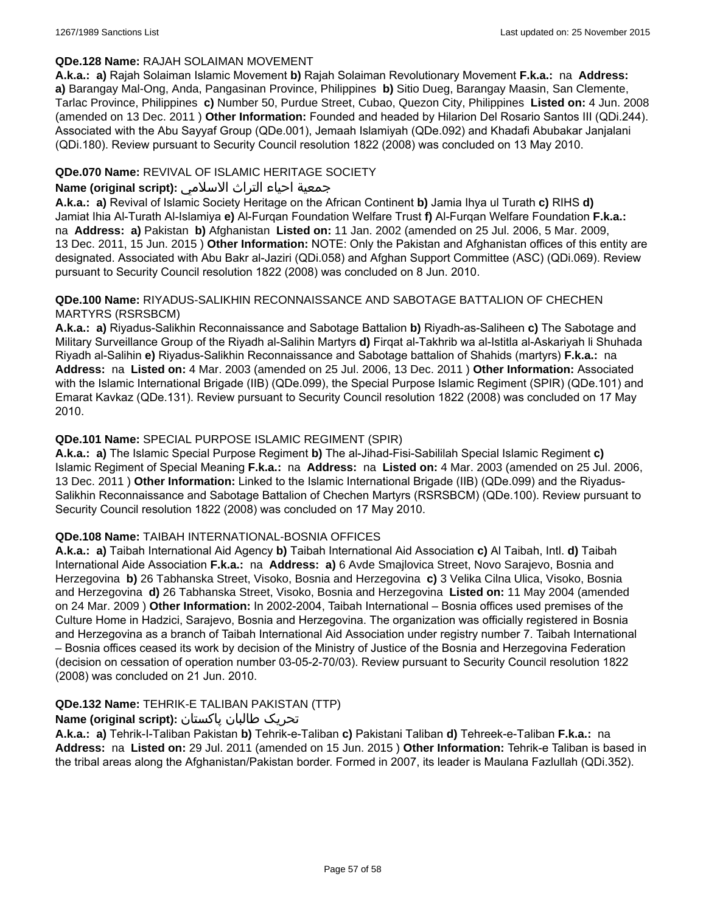### **QDe.128 Name:** RAJAH SOLAIMAN MOVEMENT

**A.k.a.: a)** Rajah Solaiman Islamic Movement **b)** Rajah Solaiman Revolutionary Movement **F.k.a.:** na **Address: a)** Barangay Mal-Ong, Anda, Pangasinan Province, Philippines **b)** Sitio Dueg, Barangay Maasin, San Clemente, Tarlac Province, Philippines **c)** Number 50, Purdue Street, Cubao, Quezon City, Philippines **Listed on:** 4 Jun. 2008 (amended on 13 Dec. 2011 ) **Other Information:** Founded and headed by Hilarion Del Rosario Santos III (QDi.244). Associated with the Abu Sayyaf Group (QDe.001), Jemaah Islamiyah (QDe.092) and Khadafi Abubakar Janjalani (QDi.180). Review pursuant to Security Council resolution 1822 (2008) was concluded on 13 May 2010.

## **QDe.070 Name:** REVIVAL OF ISLAMIC HERITAGE SOCIETY

## جمعية احياء التراث الاسلامي **:(script original (Name**

**A.k.a.: a)** Revival of Islamic Society Heritage on the African Continent **b)** Jamia Ihya ul Turath **c)** RIHS **d)** Jamiat Ihia Al-Turath Al-Islamiya **e)** Al-Furqan Foundation Welfare Trust **f)** Al-Furqan Welfare Foundation **F.k.a.:**  na **Address: a)** Pakistan **b)** Afghanistan **Listed on:** 11 Jan. 2002 (amended on 25 Jul. 2006, 5 Mar. 2009, 13 Dec. 2011, 15 Jun. 2015 ) **Other Information:** NOTE: Only the Pakistan and Afghanistan offices of this entity are designated. Associated with Abu Bakr al-Jaziri (QDi.058) and Afghan Support Committee (ASC) (QDi.069). Review pursuant to Security Council resolution 1822 (2008) was concluded on 8 Jun. 2010.

### **QDe.100 Name:** RIYADUS-SALIKHIN RECONNAISSANCE AND SABOTAGE BATTALION OF CHECHEN MARTYRS (RSRSBCM)

**A.k.a.: a)** Riyadus-Salikhin Reconnaissance and Sabotage Battalion **b)** Riyadh-as-Saliheen **c)** The Sabotage and Military Surveillance Group of the Riyadh al-Salihin Martyrs **d)** Firqat al-Takhrib wa al-Istitla al-Askariyah li Shuhada Riyadh al-Salihin **e)** Riyadus-Salikhin Reconnaissance and Sabotage battalion of Shahids (martyrs) **F.k.a.:** na **Address:** na **Listed on:** 4 Mar. 2003 (amended on 25 Jul. 2006, 13 Dec. 2011 ) **Other Information:** Associated with the Islamic International Brigade (IIB) (QDe.099), the Special Purpose Islamic Regiment (SPIR) (QDe.101) and Emarat Kavkaz (QDe.131). Review pursuant to Security Council resolution 1822 (2008) was concluded on 17 May 2010.

## **QDe.101 Name:** SPECIAL PURPOSE ISLAMIC REGIMENT (SPIR)

**A.k.a.: a)** The Islamic Special Purpose Regiment **b)** The al-Jihad-Fisi-Sabililah Special Islamic Regiment **c)** Islamic Regiment of Special Meaning **F.k.a.:** na **Address:** na **Listed on:** 4 Mar. 2003 (amended on 25 Jul. 2006, 13 Dec. 2011 ) **Other Information:** Linked to the Islamic International Brigade (IIB) (QDe.099) and the Riyadus-Salikhin Reconnaissance and Sabotage Battalion of Chechen Martyrs (RSRSBCM) (QDe.100). Review pursuant to Security Council resolution 1822 (2008) was concluded on 17 May 2010.

## **QDe.108 Name:** TAIBAH INTERNATIONAL-BOSNIA OFFICES

**A.k.a.: a)** Taibah International Aid Agency **b)** Taibah International Aid Association **c)** Al Taibah, Intl. **d)** Taibah International Aide Association **F.k.a.:** na **Address: a)** 6 Avde Smajlovica Street, Novo Sarajevo, Bosnia and Herzegovina **b)** 26 Tabhanska Street, Visoko, Bosnia and Herzegovina **c)** 3 Velika Cilna Ulica, Visoko, Bosnia and Herzegovina **d)** 26 Tabhanska Street, Visoko, Bosnia and Herzegovina **Listed on:** 11 May 2004 (amended on 24 Mar. 2009 ) **Other Information:** In 2002-2004, Taibah International – Bosnia offices used premises of the Culture Home in Hadzici, Sarajevo, Bosnia and Herzegovina. The organization was officially registered in Bosnia and Herzegovina as a branch of Taibah International Aid Association under registry number 7. Taibah International – Bosnia offices ceased its work by decision of the Ministry of Justice of the Bosnia and Herzegovina Federation (decision on cessation of operation number 03-05-2-70/03). Review pursuant to Security Council resolution 1822 (2008) was concluded on 21 Jun. 2010.

## **QDe.132 Name:** TEHRIK-E TALIBAN PAKISTAN (TTP)

## تحریک طالبان پاکستان **:(script original (Name**

**A.k.a.: a)** Tehrik-I-Taliban Pakistan **b)** Tehrik-e-Taliban **c)** Pakistani Taliban **d)** Tehreek-e-Taliban **F.k.a.:** na **Address:** na **Listed on:** 29 Jul. 2011 (amended on 15 Jun. 2015 ) **Other Information:** Tehrik-e Taliban is based in the tribal areas along the Afghanistan/Pakistan border. Formed in 2007, its leader is Maulana Fazlullah (QDi.352).